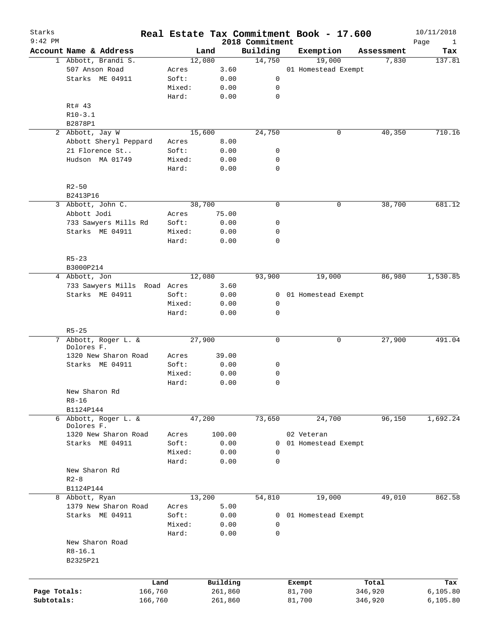| Starks<br>$9:42$ PM |                                    |                 |                     | 2018 Commitment | Real Estate Tax Commitment Book - 17.600 |                  | 10/11/2018<br>Page  |
|---------------------|------------------------------------|-----------------|---------------------|-----------------|------------------------------------------|------------------|---------------------|
|                     | Account Name & Address             |                 | Land                | Building        | Exemption                                | Assessment       | Tax                 |
|                     | 1 Abbott, Brandi S.                |                 | 12,080              | 14,750          | 19,000                                   |                  | 7,830<br>137.81     |
|                     | 507 Anson Road                     | Acres           | 3.60                |                 | 01 Homestead Exempt                      |                  |                     |
|                     | Starks ME 04911                    | Soft:           | 0.00                | 0               |                                          |                  |                     |
|                     |                                    | Mixed:          | 0.00                | 0               |                                          |                  |                     |
|                     |                                    | Hard:           | 0.00                | $\mathbf 0$     |                                          |                  |                     |
|                     | Rt# 43                             |                 |                     |                 |                                          |                  |                     |
|                     | $R10-3.1$                          |                 |                     |                 |                                          |                  |                     |
|                     | B2878P1                            |                 |                     |                 |                                          |                  |                     |
|                     | 2 Abbott, Jay W                    |                 | 15,600              | 24,750          |                                          | 0                | 40,350<br>710.16    |
|                     | Abbott Sheryl Peppard              |                 |                     |                 |                                          |                  |                     |
|                     |                                    | Acres           | 8.00                |                 |                                          |                  |                     |
|                     | 21 Florence St                     | Soft:           | 0.00                | 0               |                                          |                  |                     |
|                     | Hudson MA 01749                    | Mixed:          | 0.00                | 0               |                                          |                  |                     |
|                     |                                    | Hard:           | 0.00                | $\mathbf 0$     |                                          |                  |                     |
|                     | $R2 - 50$                          |                 |                     |                 |                                          |                  |                     |
|                     | B2413P16                           |                 |                     |                 |                                          |                  |                     |
| 3                   | Abbott, John C.                    |                 | 38,700              | $\mathbf 0$     |                                          | 0                | 38,700<br>681.12    |
|                     | Abbott Jodi                        | Acres           | 75.00               |                 |                                          |                  |                     |
|                     | 733 Sawyers Mills Rd               | Soft:           | 0.00                | 0               |                                          |                  |                     |
|                     | Starks ME 04911                    | Mixed:          | 0.00                | 0               |                                          |                  |                     |
|                     |                                    | Hard:           | 0.00                | $\mathbf 0$     |                                          |                  |                     |
|                     |                                    |                 |                     |                 |                                          |                  |                     |
|                     | $R5 - 23$                          |                 |                     |                 |                                          |                  |                     |
|                     | B3000P214                          |                 |                     |                 |                                          |                  |                     |
|                     | 4 Abbott, Jon                      |                 | 12,080              | 93,900          | 19,000                                   |                  | 86,980<br>1,530.85  |
|                     | 733 Sawyers Mills Road Acres       |                 | 3.60                |                 |                                          |                  |                     |
|                     | Starks ME 04911                    | Soft:           | 0.00                | 0               | 01 Homestead Exempt                      |                  |                     |
|                     |                                    | Mixed:          | 0.00                | 0               |                                          |                  |                     |
|                     |                                    | Hard:           | 0.00                | $\mathbf 0$     |                                          |                  |                     |
|                     | $R5 - 25$                          |                 |                     |                 |                                          |                  |                     |
| 7                   | Abbott, Roger L. &                 |                 | 27,900              | 0               |                                          | 0                | 27,900<br>491.04    |
|                     | Dolores F.                         |                 |                     |                 |                                          |                  |                     |
|                     | 1320 New Sharon Road               | Acres           | 39.00               |                 |                                          |                  |                     |
|                     | Starks ME 04911                    | Soft:           | 0.00                | 0               |                                          |                  |                     |
|                     |                                    | Mixed:          | 0.00                | 0               |                                          |                  |                     |
|                     |                                    | Hard:           | 0.00                | $\mathbf 0$     |                                          |                  |                     |
|                     | New Sharon Rd                      |                 |                     |                 |                                          |                  |                     |
|                     | $R8 - 16$                          |                 |                     |                 |                                          |                  |                     |
|                     | B1124P144                          |                 |                     |                 |                                          |                  |                     |
|                     | 6 Abbott, Roger L. &               |                 | 47,200              | 73,650          | 24,700                                   |                  | 96, 150<br>1,692.24 |
|                     | Dolores F.<br>1320 New Sharon Road |                 | 100.00              |                 |                                          |                  |                     |
|                     |                                    | Acres           |                     |                 | 02 Veteran                               |                  |                     |
|                     | Starks ME 04911                    | Soft:           | 0.00                | 0               | 01 Homestead Exempt                      |                  |                     |
|                     |                                    | Mixed:          | 0.00                | 0               |                                          |                  |                     |
|                     |                                    | Hard:           | 0.00                | 0               |                                          |                  |                     |
|                     | New Sharon Rd                      |                 |                     |                 |                                          |                  |                     |
|                     | $R2 - 8$                           |                 |                     |                 |                                          |                  |                     |
|                     | B1124P144                          |                 |                     |                 |                                          |                  |                     |
| 8                   | Abbott, Ryan                       |                 | 13,200              | 54,810          | 19,000                                   |                  | 49,010<br>862.58    |
|                     | 1379 New Sharon Road               | Acres           | 5.00                |                 |                                          |                  |                     |
|                     | Starks ME 04911                    | Soft:           | 0.00                | 0               | 01 Homestead Exempt                      |                  |                     |
|                     |                                    | Mixed:          | 0.00                | 0               |                                          |                  |                     |
|                     |                                    | Hard:           | 0.00                | $\mathbf 0$     |                                          |                  |                     |
|                     | New Sharon Road                    |                 |                     |                 |                                          |                  |                     |
|                     | $R8 - 16.1$                        |                 |                     |                 |                                          |                  |                     |
|                     | B2325P21                           |                 |                     |                 |                                          |                  |                     |
|                     |                                    |                 |                     |                 |                                          |                  |                     |
| Page Totals:        |                                    | Land<br>166,760 | Building<br>261,860 |                 | Exempt<br>81,700                         | Total<br>346,920 | Tax<br>6, 105.80    |
| Subtotals:          |                                    | 166,760         | 261,860             |                 | 81,700                                   | 346,920          | 6, 105.80           |
|                     |                                    |                 |                     |                 |                                          |                  |                     |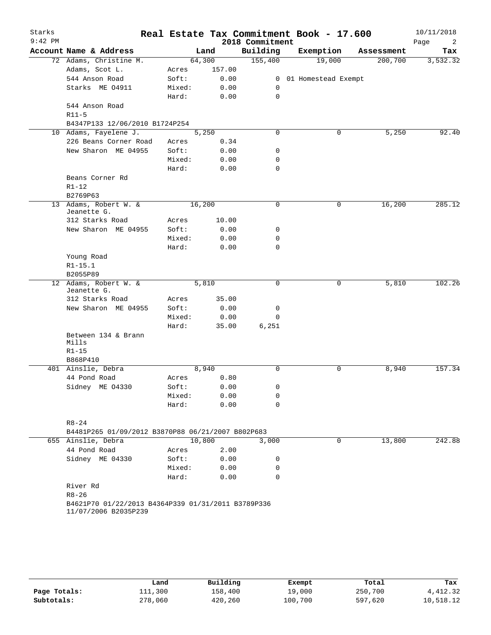| Starks<br>$9:42$ PM |                                                    |        |        | 2018 Commitment | Real Estate Tax Commitment Book - 17.600 |             | 10/11/2018<br>Page<br>2 |
|---------------------|----------------------------------------------------|--------|--------|-----------------|------------------------------------------|-------------|-------------------------|
|                     | Account Name & Address                             |        | Land   | Building        | Exemption                                | Assessment  | Tax                     |
|                     | 72 Adams, Christine M.                             | 64,300 |        | 155,400         | 19,000                                   |             | 200,700<br>3,532.32     |
|                     | Adams, Scot L.                                     | Acres  | 157.00 |                 |                                          |             |                         |
|                     | 544 Anson Road                                     | Soft:  | 0.00   |                 | 0 01 Homestead Exempt                    |             |                         |
|                     | Starks ME 04911                                    | Mixed: | 0.00   | 0               |                                          |             |                         |
|                     |                                                    | Hard:  | 0.00   | 0               |                                          |             |                         |
|                     | 544 Anson Road                                     |        |        |                 |                                          |             |                         |
|                     | $R11-5$                                            |        |        |                 |                                          |             |                         |
|                     | B4347P133 12/06/2010 B1724P254                     |        |        |                 |                                          |             |                         |
|                     | 10 Adams, Fayelene J.                              |        | 5,250  | $\mathbf 0$     |                                          | 0           | 5,250<br>92.40          |
|                     | 226 Beans Corner Road                              | Acres  | 0.34   |                 |                                          |             |                         |
|                     | New Sharon ME 04955                                | Soft:  | 0.00   | 0               |                                          |             |                         |
|                     |                                                    | Mixed: | 0.00   | 0               |                                          |             |                         |
|                     |                                                    | Hard:  | 0.00   | 0               |                                          |             |                         |
|                     | Beans Corner Rd                                    |        |        |                 |                                          |             |                         |
|                     | $R1 - 12$                                          |        |        |                 |                                          |             |                         |
|                     | B2769P63                                           |        |        |                 |                                          |             |                         |
|                     | 13 Adams, Robert W. &                              | 16,200 |        | 0               |                                          | $\mathbf 0$ | 285.12<br>16,200        |
|                     | Jeanette G.                                        |        |        |                 |                                          |             |                         |
|                     | 312 Starks Road                                    | Acres  | 10.00  |                 |                                          |             |                         |
|                     | New Sharon ME 04955                                | Soft:  | 0.00   | 0               |                                          |             |                         |
|                     |                                                    | Mixed: | 0.00   | 0               |                                          |             |                         |
|                     |                                                    | Hard:  | 0.00   | 0               |                                          |             |                         |
|                     | Young Road                                         |        |        |                 |                                          |             |                         |
|                     | $R1 - 15.1$                                        |        |        |                 |                                          |             |                         |
|                     | B2055P89                                           |        |        |                 |                                          |             |                         |
|                     | 12 Adams, Robert W. &                              |        | 5,810  | 0               |                                          | 0           | 5,810<br>102.26         |
|                     | Jeanette G.                                        |        |        |                 |                                          |             |                         |
|                     | 312 Starks Road                                    | Acres  | 35.00  |                 |                                          |             |                         |
|                     | New Sharon ME 04955                                | Soft:  | 0.00   | 0               |                                          |             |                         |
|                     |                                                    | Mixed: | 0.00   | 0               |                                          |             |                         |
|                     |                                                    | Hard:  | 35.00  | 6,251           |                                          |             |                         |
|                     | Between 134 & Brann                                |        |        |                 |                                          |             |                         |
|                     | Mills                                              |        |        |                 |                                          |             |                         |
|                     | $R1 - 15$                                          |        |        |                 |                                          |             |                         |
|                     | B868P410                                           |        |        |                 |                                          |             |                         |
|                     | 401 Ainslie, Debra                                 |        | 8,940  | $\Omega$        |                                          | 0           | 157.34<br>8,940         |
|                     | 44 Pond Road                                       | Acres  | 0.80   |                 |                                          |             |                         |
|                     | Sidney ME 04330                                    | Soft:  | 0.00   | 0               |                                          |             |                         |
|                     |                                                    | Mixed: | 0.00   | 0               |                                          |             |                         |
|                     |                                                    | Hard:  | 0.00   | $\Omega$        |                                          |             |                         |
|                     |                                                    |        |        |                 |                                          |             |                         |
|                     | $R8 - 24$                                          |        |        |                 |                                          |             |                         |
|                     | B4481P265 01/09/2012 B3870P88 06/21/2007 B802P683  |        |        |                 |                                          |             |                         |
|                     | 655 Ainslie, Debra                                 |        | 10,800 | 3,000           |                                          | 0           | 13,800<br>242.88        |
|                     | 44 Pond Road                                       | Acres  | 2.00   |                 |                                          |             |                         |
|                     | Sidney ME 04330                                    | Soft:  | 0.00   | 0               |                                          |             |                         |
|                     |                                                    | Mixed: | 0.00   | 0               |                                          |             |                         |
|                     |                                                    | Hard:  | 0.00   | 0               |                                          |             |                         |
|                     | River Rd                                           |        |        |                 |                                          |             |                         |
|                     | $R8 - 26$                                          |        |        |                 |                                          |             |                         |
|                     | B4621P70 01/22/2013 B4364P339 01/31/2011 B3789P336 |        |        |                 |                                          |             |                         |
|                     | 11/07/2006 B2035P239                               |        |        |                 |                                          |             |                         |
|                     |                                                    |        |        |                 |                                          |             |                         |
|                     |                                                    |        |        |                 |                                          |             |                         |

|              | Land    | Building | Exempt  | Total   | Tax       |
|--------------|---------|----------|---------|---------|-----------|
| Page Totals: | 111,300 | 158,400  | 19,000  | 250,700 | 4,412.32  |
| Subtotals:   | 278,060 | 420,260  | 100,700 | 597,620 | 10,518.12 |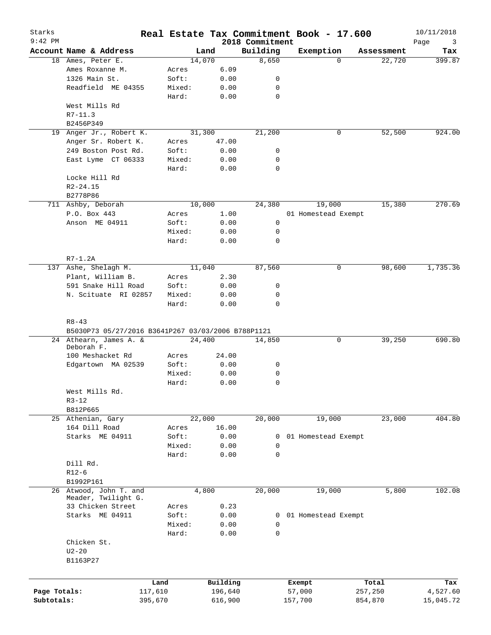| Starks<br>$9:42$ PM |                                                                 |         |          | 2018 Commitment | Real Estate Tax Commitment Book - 17.600 |            | 10/11/2018       |
|---------------------|-----------------------------------------------------------------|---------|----------|-----------------|------------------------------------------|------------|------------------|
|                     | Account Name & Address                                          |         | Land     | Building        | Exemption                                | Assessment | Page<br>3<br>Tax |
|                     | 18 Ames, Peter E.                                               |         | 14,070   | 8,650           | $\Omega$                                 | 22,720     | 399.87           |
|                     | Ames Roxanne M.                                                 | Acres   | 6.09     |                 |                                          |            |                  |
|                     | 1326 Main St.                                                   | Soft:   | 0.00     | 0               |                                          |            |                  |
|                     | Readfield ME 04355                                              | Mixed:  | 0.00     | 0               |                                          |            |                  |
|                     |                                                                 | Hard:   | 0.00     | $\mathbf 0$     |                                          |            |                  |
|                     | West Mills Rd                                                   |         |          |                 |                                          |            |                  |
|                     | $R7 - 11.3$                                                     |         |          |                 |                                          |            |                  |
|                     | B2456P349                                                       |         |          |                 |                                          |            |                  |
| 19                  | Anger Jr., Robert K.                                            |         | 31,300   | 21,200          | 0                                        | 52,500     | 924.00           |
|                     | Anger Sr. Robert K.                                             | Acres   | 47.00    |                 |                                          |            |                  |
|                     | 249 Boston Post Rd.                                             | Soft:   | 0.00     | 0               |                                          |            |                  |
|                     | East Lyme CT 06333                                              | Mixed:  | 0.00     | 0               |                                          |            |                  |
|                     |                                                                 | Hard:   | 0.00     | 0               |                                          |            |                  |
|                     | Locke Hill Rd                                                   |         |          |                 |                                          |            |                  |
|                     | $R2 - 24.15$                                                    |         |          |                 |                                          |            |                  |
|                     | B2778P86                                                        |         |          |                 |                                          |            |                  |
|                     | 711 Ashby, Deborah                                              |         | 10,000   | 24,380          | 19,000                                   | 15,380     | 270.69           |
|                     | P.O. Box 443                                                    | Acres   | 1.00     |                 | 01 Homestead Exempt                      |            |                  |
|                     | Anson ME 04911                                                  | Soft:   | 0.00     | 0               |                                          |            |                  |
|                     |                                                                 | Mixed:  | 0.00     | 0               |                                          |            |                  |
|                     |                                                                 | Hard:   | 0.00     | $\mathbf 0$     |                                          |            |                  |
|                     | $R7-1.2A$                                                       |         |          |                 |                                          |            |                  |
| 137                 | Ashe, Shelagh M.                                                |         | 11,040   | 87,560          | 0                                        | 98,600     | 1,735.36         |
|                     | Plant, William B.                                               | Acres   | 2.30     |                 |                                          |            |                  |
|                     | 591 Snake Hill Road                                             | Soft:   | 0.00     | 0               |                                          |            |                  |
|                     | N. Scituate RI 02857                                            | Mixed:  | 0.00     | 0               |                                          |            |                  |
|                     |                                                                 | Hard:   | 0.00     | 0               |                                          |            |                  |
|                     | $R8 - 43$<br>B5030P73 05/27/2016 B3641P267 03/03/2006 B788P1121 |         |          |                 |                                          |            |                  |
|                     | 24 Athearn, James A. &                                          |         | 24,400   | 14,850          | 0                                        | 39,250     | 690.80           |
|                     | Deborah F.                                                      |         |          |                 |                                          |            |                  |
|                     | 100 Meshacket Rd                                                | Acres   | 24.00    |                 |                                          |            |                  |
|                     | Edgartown MA 02539                                              | Soft:   | 0.00     | 0               |                                          |            |                  |
|                     |                                                                 | Mixed:  | 0.00     | 0               |                                          |            |                  |
|                     |                                                                 | Hard:   | 0.00     | $\mathbf 0$     |                                          |            |                  |
|                     | West Mills Rd.                                                  |         |          |                 |                                          |            |                  |
|                     | $R3 - 12$                                                       |         |          |                 |                                          |            |                  |
|                     | B812P665                                                        |         |          |                 |                                          |            |                  |
|                     | 25 Athenian, Gary                                               |         | 22,000   | 20,000          | 19,000                                   | 23,000     | 404.80           |
|                     | 164 Dill Road                                                   | Acres   | 16.00    |                 |                                          |            |                  |
|                     | Starks ME 04911                                                 | Soft:   | 0.00     | 0               | 01 Homestead Exempt                      |            |                  |
|                     |                                                                 | Mixed:  | 0.00     | 0               |                                          |            |                  |
|                     |                                                                 | Hard:   | 0.00     | $\mathbf 0$     |                                          |            |                  |
|                     | Dill Rd.                                                        |         |          |                 |                                          |            |                  |
|                     | $R12-6$                                                         |         |          |                 |                                          |            |                  |
|                     | B1992P161<br>26 Atwood, John T. and                             |         | 4,800    |                 |                                          |            | 102.08           |
|                     | Meader, Twilight G.                                             |         |          | 20,000          | 19,000                                   | 5,800      |                  |
|                     | 33 Chicken Street                                               | Acres   | 0.23     |                 |                                          |            |                  |
|                     | Starks ME 04911                                                 | Soft:   | 0.00     | 0               | 01 Homestead Exempt                      |            |                  |
|                     |                                                                 | Mixed:  | 0.00     | 0               |                                          |            |                  |
|                     |                                                                 | Hard:   | 0.00     | 0               |                                          |            |                  |
|                     | Chicken St.                                                     |         |          |                 |                                          |            |                  |
|                     | $U2-20$                                                         |         |          |                 |                                          |            |                  |
|                     | B1163P27                                                        |         |          |                 |                                          |            |                  |
|                     |                                                                 |         |          |                 |                                          |            |                  |
|                     |                                                                 | Land    | Building |                 | Exempt                                   | Total      | Tax              |
| Page Totals:        |                                                                 | 117,610 | 196,640  |                 | 57,000                                   | 257,250    | 4,527.60         |
| Subtotals:          |                                                                 | 395,670 | 616,900  |                 | 157,700                                  | 854,870    | 15,045.72        |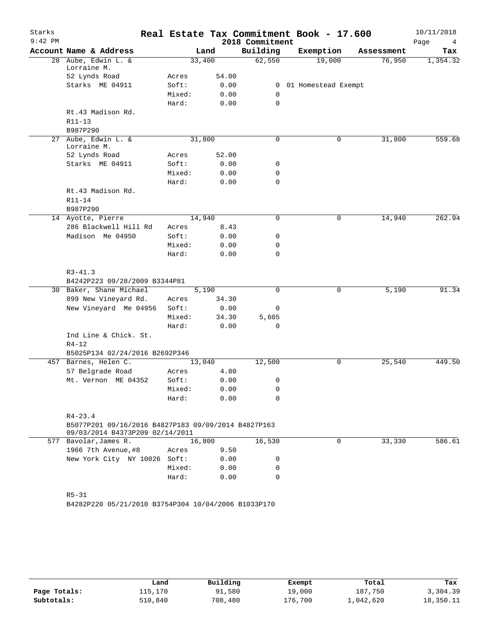| Starks<br>$9:42$ PM |                                                                    |        |        | 2018 Commitment | Real Estate Tax Commitment Book - 17.600 |            | 10/11/2018<br>Page<br>4 |
|---------------------|--------------------------------------------------------------------|--------|--------|-----------------|------------------------------------------|------------|-------------------------|
|                     | Account Name & Address                                             |        | Land   | Building        | Exemption                                | Assessment | Tax                     |
|                     | 28 Aube, Edwin L. &<br>Lorraine M.                                 |        | 33,400 | 62,550          | 19,000                                   | 76,950     | 1,354.32                |
|                     | 52 Lynds Road                                                      | Acres  | 54.00  |                 |                                          |            |                         |
|                     | Starks ME 04911                                                    | Soft:  | 0.00   |                 | 0 01 Homestead Exempt                    |            |                         |
|                     |                                                                    | Mixed: | 0.00   | $\mathbf 0$     |                                          |            |                         |
|                     |                                                                    | Hard:  | 0.00   | 0               |                                          |            |                         |
|                     | Rt.43 Madison Rd.                                                  |        |        |                 |                                          |            |                         |
|                     | R11-13<br>B987P290                                                 |        |        |                 |                                          |            |                         |
|                     | 27 Aube, Edwin L. &<br>Lorraine M.                                 |        | 31,800 | 0               | 0                                        | 31,800     | 559.68                  |
|                     | 52 Lynds Road                                                      | Acres  | 52.00  |                 |                                          |            |                         |
|                     | Starks ME 04911                                                    | Soft:  | 0.00   | 0               |                                          |            |                         |
|                     |                                                                    | Mixed: | 0.00   | 0               |                                          |            |                         |
|                     |                                                                    | Hard:  | 0.00   | 0               |                                          |            |                         |
|                     | Rt.43 Madison Rd.                                                  |        |        |                 |                                          |            |                         |
|                     | R11-14                                                             |        |        |                 |                                          |            |                         |
|                     | B987P290                                                           |        |        |                 |                                          |            |                         |
|                     | 14 Ayotte, Pierre                                                  |        | 14,940 | 0               | 0                                        | 14,940     | 262.94                  |
|                     | 286 Blackwell Hill Rd                                              | Acres  | 8.43   |                 |                                          |            |                         |
|                     | Madison Me 04950                                                   | Soft:  | 0.00   | 0               |                                          |            |                         |
|                     |                                                                    | Mixed: | 0.00   | 0               |                                          |            |                         |
|                     |                                                                    | Hard:  | 0.00   | 0               |                                          |            |                         |
|                     |                                                                    |        |        |                 |                                          |            |                         |
|                     | $R3 - 41.3$<br>B4242P223 09/28/2009 B3344P81                       |        |        |                 |                                          |            |                         |
|                     | 30 Baker, Shane Michael                                            |        | 5,190  | 0               | 0                                        | 5,190      | 91.34                   |
|                     | 899 New Vineyard Rd.                                               | Acres  | 34.30  |                 |                                          |            |                         |
|                     | New Vineyard Me 04956                                              | Soft:  | 0.00   | 0               |                                          |            |                         |
|                     |                                                                    | Mixed: | 34.30  | 5,605           |                                          |            |                         |
|                     |                                                                    | Hard:  | 0.00   | $\mathbf 0$     |                                          |            |                         |
|                     | Ind Line & Chick. St.                                              |        |        |                 |                                          |            |                         |
|                     | $R4 - 12$                                                          |        |        |                 |                                          |            |                         |
|                     | B5025P134 02/24/2016 B2692P346                                     |        |        |                 |                                          |            |                         |
|                     | 457 Barnes, Helen C.                                               |        | 13,040 | 12,500          | 0                                        | 25,540     | 449.50                  |
|                     | 57 Belgrade Road                                                   | Acres  | 4.80   |                 |                                          |            |                         |
|                     | Mt. Vernon ME 04352                                                | Soft:  | 0.00   | 0               |                                          |            |                         |
|                     |                                                                    | Mixed: | 0.00   | 0               |                                          |            |                         |
|                     |                                                                    | Hard:  | 0.00   | 0               |                                          |            |                         |
|                     |                                                                    |        |        |                 |                                          |            |                         |
|                     | $R4 - 23.4$<br>B5077P201 09/16/2016 B4827P183 09/09/2014 B4827P163 |        |        |                 |                                          |            |                         |
|                     | 09/03/2014 B4373P209 02/14/2011                                    |        |        |                 |                                          |            |                         |
|                     | 577 Bavolar, James R.                                              |        | 16,800 | 16,530          | $\Omega$                                 | 33,330     | 586.61                  |
|                     | 1966 7th Avenue, #8                                                | Acres  | 9.50   |                 |                                          |            |                         |
|                     | New York City NY 10026 Soft:                                       |        | 0.00   | 0               |                                          |            |                         |
|                     |                                                                    | Mixed: | 0.00   | 0               |                                          |            |                         |
|                     |                                                                    | Hard:  | 0.00   | 0               |                                          |            |                         |
|                     |                                                                    |        |        |                 |                                          |            |                         |
|                     | $R5 - 31$                                                          |        |        |                 |                                          |            |                         |
|                     | B4282P220 05/21/2010 B3754P304 10/04/2006 B1033P170                |        |        |                 |                                          |            |                         |
|                     |                                                                    |        |        |                 |                                          |            |                         |
|                     |                                                                    |        |        |                 |                                          |            |                         |

|              | Land    | Building | Exempt  | Total     | Tax       |
|--------------|---------|----------|---------|-----------|-----------|
| Page Totals: | 115,170 | 91,580   | 19,000  | 187,750   | 3,304.39  |
| Subtotals:   | 510,840 | 708,480  | 176,700 | 1,042,620 | 18,350.11 |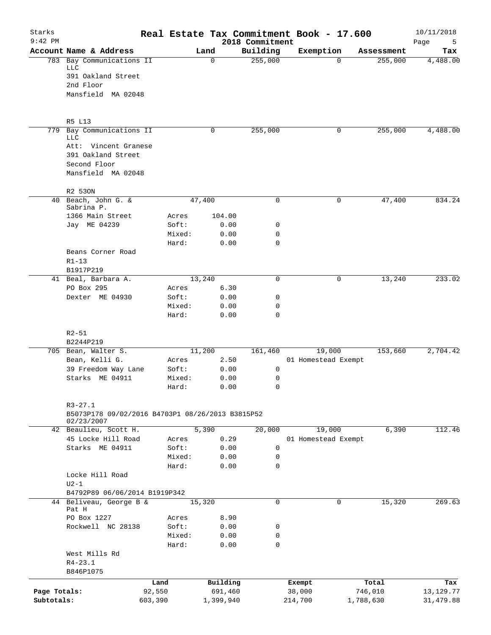| Starks<br>$9:42$ PM |                                                                 |         |                 |           |                | 2018 Commitment | Real Estate Tax Commitment Book - 17.600 |          |            | 10/11/2018<br>Page<br>5 |
|---------------------|-----------------------------------------------------------------|---------|-----------------|-----------|----------------|-----------------|------------------------------------------|----------|------------|-------------------------|
|                     | Account Name & Address                                          |         |                 | Land      |                | Building        | Exemption                                |          | Assessment | Tax                     |
|                     | 783 Bay Communications II<br>LLC                                |         |                 | 0         |                | 255,000         |                                          | $\Omega$ | 255,000    | 4,488.00                |
|                     | 391 Oakland Street                                              |         |                 |           |                |                 |                                          |          |            |                         |
|                     | 2nd Floor                                                       |         |                 |           |                |                 |                                          |          |            |                         |
|                     | Mansfield MA 02048                                              |         |                 |           |                |                 |                                          |          |            |                         |
|                     | R5 L13                                                          |         |                 |           |                |                 |                                          |          |            |                         |
| 779                 | Bay Communications II                                           |         |                 | 0         |                | 255,000         |                                          | 0        | 255,000    | 4,488.00                |
|                     | LLC                                                             |         |                 |           |                |                 |                                          |          |            |                         |
|                     | Att: Vincent Granese<br>391 Oakland Street                      |         |                 |           |                |                 |                                          |          |            |                         |
|                     | Second Floor                                                    |         |                 |           |                |                 |                                          |          |            |                         |
|                     | Mansfield MA 02048                                              |         |                 |           |                |                 |                                          |          |            |                         |
|                     | R2 530N                                                         |         |                 |           |                |                 |                                          |          |            |                         |
|                     | 40 Beach, John G. &                                             |         |                 | 47,400    |                | $\mathbf 0$     |                                          | 0        | 47,400     | 834.24                  |
|                     | Sabrina P.                                                      |         |                 |           |                |                 |                                          |          |            |                         |
|                     | 1366 Main Street<br>Jay ME 04239                                |         | Acres<br>Soft:  |           | 104.00<br>0.00 | 0               |                                          |          |            |                         |
|                     |                                                                 |         | Mixed:          |           | 0.00           | 0               |                                          |          |            |                         |
|                     |                                                                 |         | Hard:           |           | 0.00           | $\mathbf 0$     |                                          |          |            |                         |
|                     | Beans Corner Road                                               |         |                 |           |                |                 |                                          |          |            |                         |
|                     | $R1 - 13$                                                       |         |                 |           |                |                 |                                          |          |            |                         |
|                     | B1917P219                                                       |         |                 |           |                |                 |                                          |          |            |                         |
|                     | 41 Beal, Barbara A.                                             |         |                 | 13,240    |                | $\mathbf 0$     |                                          | 0        | 13,240     | 233.02                  |
|                     | PO Box 295                                                      |         | Acres           |           | 6.30           |                 |                                          |          |            |                         |
|                     | Dexter ME 04930                                                 |         | Soft:           |           | 0.00           | $\mathbf 0$     |                                          |          |            |                         |
|                     |                                                                 |         | Mixed:          |           | 0.00           | 0               |                                          |          |            |                         |
|                     |                                                                 |         | Hard:           |           | 0.00           | $\mathbf 0$     |                                          |          |            |                         |
|                     | $R2 - 51$                                                       |         |                 |           |                |                 |                                          |          |            |                         |
|                     | B2244P219                                                       |         |                 |           |                |                 |                                          |          |            |                         |
|                     | 705 Bean, Walter S.                                             |         |                 | 11,200    |                | 161,460         | 19,000                                   |          | 153,660    | 2,704.42                |
|                     | Bean, Kelli G.                                                  |         | Acres           |           | 2.50           |                 | 01 Homestead Exempt                      |          |            |                         |
|                     | 39 Freedom Way Lane                                             |         | Soft:           |           | 0.00           | 0               |                                          |          |            |                         |
|                     | Starks ME 04911                                                 |         | Mixed:<br>Hard: |           | 0.00<br>0.00   | 0<br>$\Omega$   |                                          |          |            |                         |
|                     |                                                                 |         |                 |           |                |                 |                                          |          |            |                         |
|                     | $R3 - 27.1$<br>B5073P178 09/02/2016 B4703P1 08/26/2013 B3815P52 |         |                 |           |                |                 |                                          |          |            |                         |
|                     | 02/23/2007                                                      |         |                 |           |                |                 |                                          |          |            |                         |
|                     | 42 Beaulieu, Scott H.                                           |         |                 | 5,390     |                | 20,000          | 19,000                                   |          | 6,390      | 112.46                  |
|                     | 45 Locke Hill Road                                              |         | Acres           |           | 0.29           |                 | 01 Homestead Exempt                      |          |            |                         |
|                     | Starks ME 04911                                                 |         | Soft:           |           | 0.00           | 0               |                                          |          |            |                         |
|                     |                                                                 |         | Mixed:          |           | 0.00           | 0               |                                          |          |            |                         |
|                     |                                                                 |         | Hard:           |           | 0.00           | $\mathbf 0$     |                                          |          |            |                         |
|                     | Locke Hill Road<br>$U2-1$                                       |         |                 |           |                |                 |                                          |          |            |                         |
|                     | B4792P89 06/06/2014 B1919P342                                   |         |                 |           |                |                 |                                          |          |            |                         |
|                     | 44 Beliveau, George B &                                         |         |                 | 15,320    |                | $\mathbf 0$     |                                          | 0        | 15,320     | 269.63                  |
|                     | Pat H                                                           |         |                 |           |                |                 |                                          |          |            |                         |
|                     | PO Box 1227                                                     |         | Acres           |           | 8.90           |                 |                                          |          |            |                         |
|                     | Rockwell NC 28138                                               |         | Soft:           |           | 0.00           | 0               |                                          |          |            |                         |
|                     |                                                                 |         | Mixed:          |           | 0.00           | $\mathsf{O}$    |                                          |          |            |                         |
|                     |                                                                 |         | Hard:           |           | 0.00           | $\mathbf 0$     |                                          |          |            |                         |
|                     | West Mills Rd                                                   |         |                 |           |                |                 |                                          |          |            |                         |
|                     | $R4 - 23.1$                                                     |         |                 |           |                |                 |                                          |          |            |                         |
|                     | B846P1075                                                       |         |                 |           |                |                 |                                          |          |            |                         |
|                     |                                                                 | Land    |                 |           | Building       |                 | Exempt                                   |          | Total      | Tax                     |
| Page Totals:        |                                                                 | 92,550  |                 |           | 691,460        |                 | 38,000                                   |          | 746,010    | 13, 129. 77             |
| Subtotals:          |                                                                 | 603,390 |                 | 1,399,940 |                |                 | 214,700                                  |          | 1,788,630  | 31,479.88               |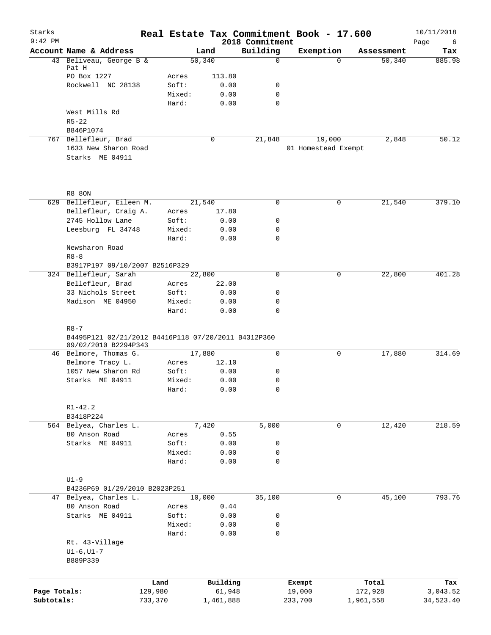| Starks<br>$9:42$ PM |                                                                                         |         |                 |        |              | 2018 Commitment  | Real Estate Tax Commitment Book - 17.600 |            | 10/11/2018<br>Page<br>6 |
|---------------------|-----------------------------------------------------------------------------------------|---------|-----------------|--------|--------------|------------------|------------------------------------------|------------|-------------------------|
|                     | Account Name & Address                                                                  |         |                 | Land   |              | Building         | Exemption                                | Assessment | Tax                     |
|                     | 43 Beliveau, George B &                                                                 |         |                 | 50,340 |              | $\Omega$         | $\Omega$                                 | 50,340     | 885.98                  |
|                     | Pat H                                                                                   |         |                 |        |              |                  |                                          |            |                         |
|                     | PO Box 1227                                                                             |         | Acres           |        | 113.80       |                  |                                          |            |                         |
|                     | Rockwell NC 28138                                                                       |         | Soft:           |        | 0.00         | 0<br>$\mathbf 0$ |                                          |            |                         |
|                     |                                                                                         |         | Mixed:<br>Hard: |        | 0.00<br>0.00 | $\mathbf 0$      |                                          |            |                         |
|                     | West Mills Rd                                                                           |         |                 |        |              |                  |                                          |            |                         |
|                     | $R5 - 22$                                                                               |         |                 |        |              |                  |                                          |            |                         |
|                     | B846P1074                                                                               |         |                 |        |              |                  |                                          |            |                         |
|                     | 767 Bellefleur, Brad                                                                    |         |                 |        | $\mathbf 0$  | 21,848           | 19,000                                   | 2,848      | 50.12                   |
|                     | 1633 New Sharon Road                                                                    |         |                 |        |              |                  | 01 Homestead Exempt                      |            |                         |
|                     | Starks ME 04911                                                                         |         |                 |        |              |                  |                                          |            |                         |
|                     |                                                                                         |         |                 |        |              |                  |                                          |            |                         |
|                     | <b>R8 80N</b>                                                                           |         |                 |        |              |                  |                                          |            |                         |
|                     | 629 Bellefleur, Eileen M.                                                               |         |                 | 21,540 |              | $\mathbf 0$      | 0                                        | 21,540     | 379.10                  |
|                     | Bellefleur, Craig A.                                                                    |         | Acres           |        | 17.80        |                  |                                          |            |                         |
|                     | 2745 Hollow Lane                                                                        |         | Soft:           |        | 0.00         | $\mathbf 0$      |                                          |            |                         |
|                     | Leesburg FL 34748                                                                       |         | Mixed:          |        | 0.00         | 0                |                                          |            |                         |
|                     |                                                                                         |         | Hard:           |        | 0.00         | $\mathbf 0$      |                                          |            |                         |
|                     | Newsharon Road                                                                          |         |                 |        |              |                  |                                          |            |                         |
|                     | $R8 - 8$                                                                                |         |                 |        |              |                  |                                          |            |                         |
|                     | B3917P197 09/10/2007 B2516P329                                                          |         |                 |        |              |                  |                                          |            |                         |
|                     | 324 Bellefleur, Sarah                                                                   |         |                 | 22,800 |              | 0                | 0                                        | 22,800     | 401.28                  |
|                     | Bellefleur, Brad<br>33 Nichols Street                                                   |         | Acres           |        | 22.00        |                  |                                          |            |                         |
|                     | Madison ME 04950                                                                        |         | Soft:           |        | 0.00         | 0<br>0           |                                          |            |                         |
|                     |                                                                                         |         | Mixed:<br>Hard: |        | 0.00<br>0.00 | $\mathbf 0$      |                                          |            |                         |
|                     | $R8 - 7$<br>B4495P121 02/21/2012 B4416P118 07/20/2011 B4312P360<br>09/02/2010 B2294P343 |         |                 |        |              |                  |                                          |            |                         |
|                     | 46 Belmore, Thomas G.                                                                   |         |                 | 17,880 |              | $\mathbf 0$      | 0                                        | 17,880     | 314.69                  |
|                     | Belmore Tracy L.                                                                        |         | Acres           |        | 12.10        |                  |                                          |            |                         |
|                     | 1057 New Sharon Rd                                                                      |         | Soft:           |        | 0.00         | 0                |                                          |            |                         |
|                     | Starks ME 04911                                                                         |         | Mixed:          |        | 0.00         | 0                |                                          |            |                         |
|                     |                                                                                         |         | Hard:           |        | 0.00         | 0                |                                          |            |                         |
|                     | $R1 - 42.2$                                                                             |         |                 |        |              |                  |                                          |            |                         |
|                     | B3418P224                                                                               |         |                 |        |              |                  |                                          |            |                         |
|                     | 564 Belyea, Charles L.                                                                  |         |                 | 7,420  |              | 5,000            | $\mathbf 0$                              | 12,420     | 218.59                  |
|                     | 80 Anson Road<br>Starks ME 04911                                                        |         | Acres           |        | 0.55         |                  |                                          |            |                         |
|                     |                                                                                         |         | Soft:<br>Mixed: |        | 0.00<br>0.00 | 0<br>0           |                                          |            |                         |
|                     |                                                                                         |         | Hard:           |        | 0.00         | $\mathbf 0$      |                                          |            |                         |
|                     |                                                                                         |         |                 |        |              |                  |                                          |            |                         |
|                     | $U1-9$                                                                                  |         |                 |        |              |                  |                                          |            |                         |
|                     | B4236P69 01/29/2010 B2023P251                                                           |         |                 |        |              |                  |                                          |            |                         |
|                     | 47 Belyea, Charles L.                                                                   |         |                 | 10,000 |              | 35,100           | 0                                        | 45,100     | 793.76                  |
|                     | 80 Anson Road                                                                           |         | Acres           |        | 0.44         |                  |                                          |            |                         |
|                     | Starks ME 04911                                                                         |         | Soft:           |        | 0.00         | 0                |                                          |            |                         |
|                     |                                                                                         |         | Mixed:          |        | 0.00         | 0                |                                          |            |                         |
|                     |                                                                                         |         | Hard:           |        | 0.00         | $\mathbf 0$      |                                          |            |                         |
|                     | Rt. 43-Village<br>$UI-6$ , $UI-7$<br>B889P339                                           |         |                 |        |              |                  |                                          |            |                         |
|                     |                                                                                         |         |                 |        |              |                  |                                          |            |                         |
|                     |                                                                                         | Land    |                 |        | Building     |                  | Exempt                                   | Total      | Tax                     |
| Page Totals:        |                                                                                         | 129,980 |                 |        | 61,948       |                  | 19,000                                   | 172,928    | 3,043.52                |
| Subtotals:          |                                                                                         | 733,370 |                 |        | 1,461,888    |                  | 233,700                                  | 1,961,558  | 34,523.40               |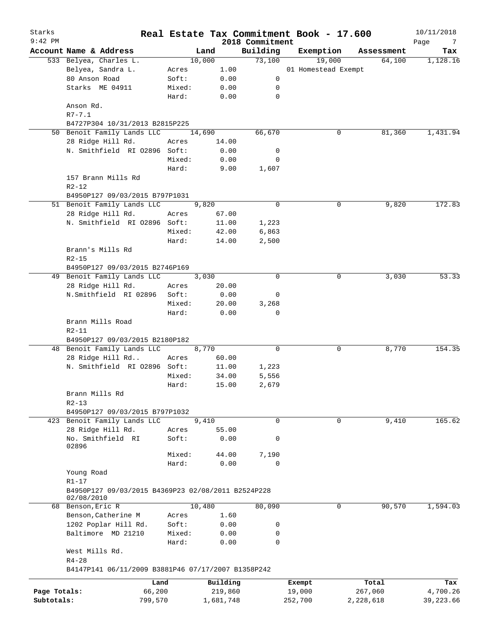| Starks       |                                                                               |        |           |                             | Real Estate Tax Commitment Book - 17.600 |   |            | 10/11/2018       |
|--------------|-------------------------------------------------------------------------------|--------|-----------|-----------------------------|------------------------------------------|---|------------|------------------|
| $9:42$ PM    | Account Name & Address                                                        |        | Land      | 2018 Commitment<br>Building | Exemption                                |   | Assessment | Page<br>7<br>Tax |
|              | 533 Belyea, Charles L.                                                        |        | 10,000    | 73,100                      | 19,000                                   |   | 64,100     | 1,128.16         |
|              | Belyea, Sandra L.                                                             | Acres  | 1.00      |                             | 01 Homestead Exempt                      |   |            |                  |
|              | 80 Anson Road                                                                 | Soft:  | 0.00      | 0                           |                                          |   |            |                  |
|              | Starks ME 04911                                                               | Mixed: | 0.00      | 0                           |                                          |   |            |                  |
|              |                                                                               | Hard:  | 0.00      | 0                           |                                          |   |            |                  |
|              | Anson Rd.<br>$R7 - 7.1$                                                       |        |           |                             |                                          |   |            |                  |
|              | B4727P304 10/31/2013 B2815P225                                                |        |           |                             |                                          |   |            |                  |
|              | 50 Benoit Family Lands LLC                                                    |        | 14,690    | 66,670                      |                                          | 0 | 81,360     | 1,431.94         |
|              | 28 Ridge Hill Rd.                                                             | Acres  | 14.00     |                             |                                          |   |            |                  |
|              | N. Smithfield RI 02896 Soft:                                                  |        | 0.00      | 0                           |                                          |   |            |                  |
|              |                                                                               | Mixed: | 0.00      | 0                           |                                          |   |            |                  |
|              |                                                                               | Hard:  | 9.00      | 1,607                       |                                          |   |            |                  |
|              | 157 Brann Mills Rd<br>$R2 - 12$                                               |        |           |                             |                                          |   |            |                  |
|              | B4950P127 09/03/2015 B797P1031                                                |        |           |                             |                                          |   |            |                  |
|              | 51 Benoit Family Lands LLC                                                    |        | 9,820     | 0                           |                                          | 0 | 9,820      | 172.83           |
|              | 28 Ridge Hill Rd.                                                             | Acres  | 67.00     |                             |                                          |   |            |                  |
|              | N. Smithfield RI 02896 Soft:                                                  |        | 11.00     | 1,223                       |                                          |   |            |                  |
|              |                                                                               | Mixed: | 42.00     | 6,863                       |                                          |   |            |                  |
|              |                                                                               | Hard:  | 14.00     | 2,500                       |                                          |   |            |                  |
|              | Brann's Mills Rd                                                              |        |           |                             |                                          |   |            |                  |
|              | $R2 - 15$                                                                     |        |           |                             |                                          |   |            |                  |
|              | B4950P127 09/03/2015 B2746P169                                                |        |           |                             |                                          |   |            |                  |
|              | 49 Benoit Family Lands LLC                                                    |        | 3,030     | $\Omega$                    |                                          | 0 | 3,030      | 53.33            |
|              | 28 Ridge Hill Rd.                                                             | Acres  | 20.00     |                             |                                          |   |            |                  |
|              | N.Smithfield RI 02896                                                         | Soft:  | 0.00      | 0                           |                                          |   |            |                  |
|              |                                                                               | Mixed: | 20.00     | 3,268                       |                                          |   |            |                  |
|              |                                                                               | Hard:  | 0.00      | 0                           |                                          |   |            |                  |
|              | Brann Mills Road<br>$R2 - 11$                                                 |        |           |                             |                                          |   |            |                  |
|              | B4950P127 09/03/2015 B2180P182                                                |        |           |                             |                                          |   |            |                  |
|              | 48 Benoit Family Lands LLC                                                    |        | 8,770     | 0                           |                                          | 0 | 8,770      | 154.35           |
|              | 28 Ridge Hill Rd                                                              | Acres  | 60.00     |                             |                                          |   |            |                  |
|              | N. Smithfield RI 02896 Soft:                                                  |        | 11.00     | 1,223                       |                                          |   |            |                  |
|              |                                                                               | Mixed: | 34.00     | 5,556                       |                                          |   |            |                  |
|              |                                                                               | Hard:  | 15.00     | 2,679                       |                                          |   |            |                  |
|              | Brann Mills Rd<br>$R2 - 13$                                                   |        |           |                             |                                          |   |            |                  |
|              | B4950P127 09/03/2015 B797P1032                                                |        |           |                             |                                          |   |            |                  |
|              | 423 Benoit Family Lands LLC                                                   |        | 9,410     | 0                           |                                          | 0 | 9,410      | 165.62           |
|              | 28 Ridge Hill Rd.                                                             | Acres  | 55.00     |                             |                                          |   |            |                  |
|              | No. Smithfield RI<br>02896                                                    | Soft:  | 0.00      | 0                           |                                          |   |            |                  |
|              |                                                                               | Mixed: | 44.00     | 7,190                       |                                          |   |            |                  |
|              |                                                                               | Hard:  | 0.00      | $\Omega$                    |                                          |   |            |                  |
|              | Young Road                                                                    |        |           |                             |                                          |   |            |                  |
|              | $R1 - 17$<br>B4950P127 09/03/2015 B4369P23 02/08/2011 B2524P228<br>02/08/2010 |        |           |                             |                                          |   |            |                  |
|              | 68 Benson, Eric R                                                             |        | 10,480    | 80,090                      |                                          | 0 | 90,570     | 1,594.03         |
|              | Benson, Catherine M                                                           | Acres  | 1.60      |                             |                                          |   |            |                  |
|              | 1202 Poplar Hill Rd.                                                          | Soft:  | 0.00      | 0                           |                                          |   |            |                  |
|              | Baltimore MD 21210                                                            | Mixed: | 0.00      | 0                           |                                          |   |            |                  |
|              |                                                                               | Hard:  | 0.00      | 0                           |                                          |   |            |                  |
|              | West Mills Rd.<br>$R4 - 28$                                                   |        |           |                             |                                          |   |            |                  |
|              | B4147P141 06/11/2009 B3881P46 07/17/2007 B1358P242                            |        |           |                             |                                          |   |            |                  |
|              | Land                                                                          |        | Building  |                             | Exempt                                   |   | Total      | Tax              |
| Page Totals: | 66,200                                                                        |        | 219,860   |                             | 19,000                                   |   | 267,060    | 4,700.26         |
| Subtotals:   | 799,570                                                                       |        | 1,681,748 |                             | 252,700                                  |   | 2,228,618  | 39,223.66        |
|              |                                                                               |        |           |                             |                                          |   |            |                  |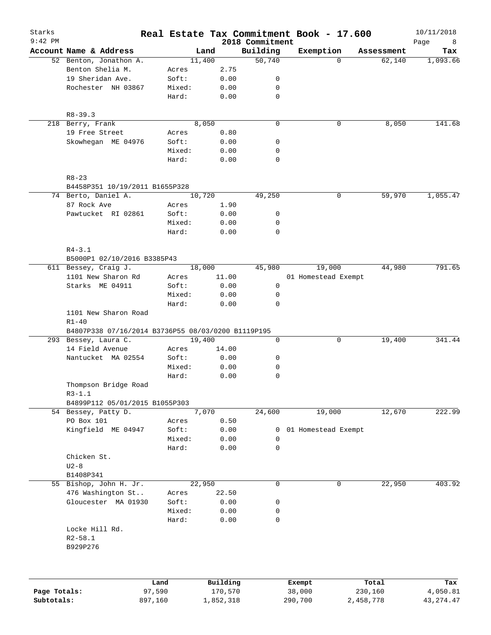| Starks<br>$9:42$ PM |                                                                   |         |        |           | 2018 Commitment | Real Estate Tax Commitment Book - 17.600 |           |            | 10/11/2018<br>Page<br>8 |
|---------------------|-------------------------------------------------------------------|---------|--------|-----------|-----------------|------------------------------------------|-----------|------------|-------------------------|
|                     | Account Name & Address                                            |         | Land   |           | Building        | Exemption                                |           | Assessment | Tax                     |
|                     | 52 Benton, Jonathon A.                                            |         | 11,400 |           | 50,740          | $\Omega$                                 |           | 62,140     | 1,093.66                |
|                     | Benton Shelia M.                                                  | Acres   |        | 2.75      |                 |                                          |           |            |                         |
|                     | 19 Sheridan Ave.                                                  | Soft:   |        | 0.00      | 0               |                                          |           |            |                         |
|                     | Rochester NH 03867                                                | Mixed:  |        | 0.00      | 0               |                                          |           |            |                         |
|                     |                                                                   | Hard:   |        | 0.00      | 0               |                                          |           |            |                         |
|                     | $R8 - 39.3$                                                       |         |        |           |                 |                                          |           |            |                         |
|                     | 218 Berry, Frank                                                  |         | 8,050  |           | $\mathbf 0$     | 0                                        |           | 8,050      | 141.68                  |
|                     | 19 Free Street                                                    | Acres   |        | 0.80      |                 |                                          |           |            |                         |
|                     | Skowhegan ME 04976                                                | Soft:   |        | 0.00      | 0               |                                          |           |            |                         |
|                     |                                                                   | Mixed:  |        | 0.00      | 0               |                                          |           |            |                         |
|                     |                                                                   | Hard:   |        | 0.00      | $\mathbf 0$     |                                          |           |            |                         |
|                     | $R8 - 23$                                                         |         |        |           |                 |                                          |           |            |                         |
|                     | B4458P351 10/19/2011 B1655P328                                    |         |        |           |                 |                                          |           |            |                         |
|                     | 74 Berto, Daniel A.                                               |         | 10,720 |           | 49,250          | 0                                        |           | 59,970     | 1,055.47                |
|                     | 87 Rock Ave                                                       | Acres   |        | 1.90      |                 |                                          |           |            |                         |
|                     | Pawtucket RI 02861                                                | Soft:   |        | 0.00      | 0               |                                          |           |            |                         |
|                     |                                                                   | Mixed:  |        | 0.00      | $\mathbf 0$     |                                          |           |            |                         |
|                     |                                                                   | Hard:   |        | 0.00      | $\mathbf 0$     |                                          |           |            |                         |
|                     | $R4 - 3.1$                                                        |         |        |           |                 |                                          |           |            |                         |
|                     | B5000P1 02/10/2016 B3385P43                                       |         |        |           |                 |                                          |           |            |                         |
|                     | 611 Bessey, Craig J.                                              |         | 18,000 |           | 45,980          | 19,000                                   |           | 44,980     | 791.65                  |
|                     | 1101 New Sharon Rd                                                | Acres   |        | 11.00     |                 | 01 Homestead Exempt                      |           |            |                         |
|                     | Starks ME 04911                                                   | Soft:   |        | 0.00      | $\mathbf 0$     |                                          |           |            |                         |
|                     |                                                                   | Mixed:  |        | 0.00      | 0               |                                          |           |            |                         |
|                     | Hard:<br>0.00<br>$\mathbf 0$<br>1101 New Sharon Road<br>$R1 - 40$ |         |        |           |                 |                                          |           |            |                         |
|                     | B4807P338 07/16/2014 B3736P55 08/03/0200 B1119P195                |         |        |           |                 |                                          |           |            |                         |
|                     | 293 Bessey, Laura C.                                              |         | 19,400 |           | 0               | 0                                        |           | 19,400     | 341.44                  |
|                     | 14 Field Avenue                                                   | Acres   |        | 14.00     |                 |                                          |           |            |                         |
|                     | Nantucket MA 02554                                                | Soft:   |        | 0.00      | 0               |                                          |           |            |                         |
|                     |                                                                   | Mixed:  |        | 0.00      | 0               |                                          |           |            |                         |
|                     |                                                                   | Hard:   |        | 0.00      | $\mathbf 0$     |                                          |           |            |                         |
|                     | Thompson Bridge Road                                              |         |        |           |                 |                                          |           |            |                         |
|                     | $R3-1.1$                                                          |         |        |           |                 |                                          |           |            |                         |
|                     | B4899P112 05/01/2015 B1055P303                                    |         |        |           |                 |                                          |           |            |                         |
|                     | 54 Bessey, Patty D.                                               |         | 7,070  |           | 24,600          | 19,000                                   |           | 12,670     | 222.99                  |
|                     | PO Box 101                                                        | Acres   |        | 0.50      |                 |                                          |           |            |                         |
|                     | Kingfield ME 04947                                                | Soft:   |        | 0.00      | 0               | 01 Homestead Exempt                      |           |            |                         |
|                     |                                                                   | Mixed:  |        | 0.00      | 0               |                                          |           |            |                         |
|                     |                                                                   | Hard:   |        | 0.00      | $\mathbf 0$     |                                          |           |            |                         |
|                     | Chicken St.                                                       |         |        |           |                 |                                          |           |            |                         |
|                     | $U2-8$                                                            |         |        |           |                 |                                          |           |            |                         |
|                     | B1408P341                                                         |         |        |           |                 |                                          |           |            |                         |
|                     | 55 Bishop, John H. Jr.                                            |         | 22,950 |           | $\mathbf 0$     | 0                                        |           | 22,950     | 403.92                  |
|                     | 476 Washington St                                                 | Acres   |        | 22.50     |                 |                                          |           |            |                         |
|                     | Gloucester MA 01930                                               | Soft:   |        | 0.00      | 0               |                                          |           |            |                         |
|                     |                                                                   | Mixed:  |        | 0.00      | 0               |                                          |           |            |                         |
|                     | Locke Hill Rd.<br>$R2 - 58.1$                                     | Hard:   |        | 0.00      | $\mathbf 0$     |                                          |           |            |                         |
|                     | B929P276                                                          |         |        |           |                 |                                          |           |            |                         |
|                     |                                                                   |         |        |           |                 |                                          |           |            |                         |
|                     |                                                                   | Land    |        | Building  |                 | Exempt                                   | Total     |            | Tax                     |
| Page Totals:        |                                                                   | 97,590  |        | 170,570   |                 | 38,000                                   | 230,160   |            | 4,050.81                |
| Subtotals:          |                                                                   | 897,160 |        | 1,852,318 |                 | 290,700                                  | 2,458,778 |            | 43, 274. 47             |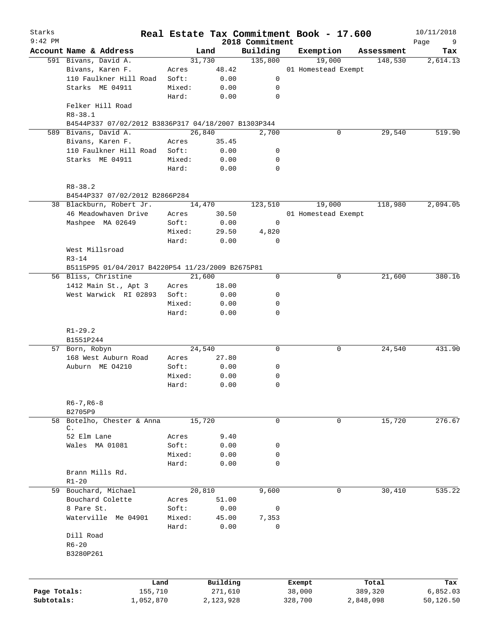| Starks       |                                                     |                 |              |                             | Real Estate Tax Commitment Book - 17.600 |   |            | 10/11/2018       |
|--------------|-----------------------------------------------------|-----------------|--------------|-----------------------------|------------------------------------------|---|------------|------------------|
| $9:42$ PM    | Account Name & Address                              |                 | Land         | 2018 Commitment<br>Building | Exemption                                |   | Assessment | Page<br>9<br>Tax |
|              | 591 Bivans, David A.                                | 31,730          |              | 135,800                     | 19,000                                   |   | 148,530    | 2,614.13         |
|              | Bivans, Karen F.                                    | Acres           | 48.42        |                             | 01 Homestead Exempt                      |   |            |                  |
|              | 110 Faulkner Hill Road                              | Soft:           | 0.00         | 0                           |                                          |   |            |                  |
|              | Starks ME 04911                                     | Mixed:          | 0.00         | 0                           |                                          |   |            |                  |
|              |                                                     | Hard:           | 0.00         | $\mathbf 0$                 |                                          |   |            |                  |
|              | Felker Hill Road<br>$R8 - 38.1$                     |                 |              |                             |                                          |   |            |                  |
|              | B4544P337 07/02/2012 B3836P317 04/18/2007 B1303P344 |                 |              |                             |                                          |   |            |                  |
|              | 589 Bivans, David A.                                | 26,840          |              | 2,700                       |                                          | 0 | 29,540     | 519.90           |
|              | Bivans, Karen F.                                    | Acres           | 35.45        |                             |                                          |   |            |                  |
|              | 110 Faulkner Hill Road                              | Soft:           | 0.00         | 0                           |                                          |   |            |                  |
|              | Starks ME 04911                                     | Mixed:          | 0.00         | 0                           |                                          |   |            |                  |
|              |                                                     | Hard:           | 0.00         | 0                           |                                          |   |            |                  |
|              | $R8 - 38.2$                                         |                 |              |                             |                                          |   |            |                  |
|              | B4544P337 07/02/2012 B2866P284                      |                 |              |                             |                                          |   |            |                  |
|              | 38 Blackburn, Robert Jr.                            | 14,470          |              | 123,510                     | 19,000                                   |   | 118,980    | 2,094.05         |
|              | 46 Meadowhaven Drive                                | Acres           | 30.50        |                             | 01 Homestead Exempt                      |   |            |                  |
|              | Mashpee MA 02649                                    | Soft:           | 0.00         | 0                           |                                          |   |            |                  |
|              |                                                     | Mixed:          | 29.50        | 4,820                       |                                          |   |            |                  |
|              |                                                     | Hard:           | 0.00         | 0                           |                                          |   |            |                  |
|              | West Millsroad                                      |                 |              |                             |                                          |   |            |                  |
|              | $R3 - 14$                                           |                 |              |                             |                                          |   |            |                  |
|              | B5115P95 01/04/2017 B4220P54 11/23/2009 B2675P81    | 21,600          |              | $\mathbf 0$                 |                                          | 0 | 21,600     | 380.16           |
|              | 56 Bliss, Christine                                 |                 |              |                             |                                          |   |            |                  |
|              | 1412 Main St., Apt 3<br>West Warwick RI 02893       | Acres           | 18.00        |                             |                                          |   |            |                  |
|              |                                                     | Soft:           | 0.00         | 0                           |                                          |   |            |                  |
|              |                                                     | Mixed:<br>Hard: | 0.00<br>0.00 | 0<br>$\mathbf 0$            |                                          |   |            |                  |
|              | $R1 - 29.2$<br>B1551P244                            |                 |              |                             |                                          |   |            |                  |
|              | 57 Born, Robyn                                      | 24,540          |              | 0                           |                                          | 0 | 24,540     | 431.90           |
|              | 168 West Auburn Road                                | Acres           | 27.80        |                             |                                          |   |            |                  |
|              | Auburn ME 04210                                     | Soft:           | 0.00         | 0                           |                                          |   |            |                  |
|              |                                                     | Mixed:          | 0.00         | 0                           |                                          |   |            |                  |
|              |                                                     | Hard:           | 0.00         | $\mathbf 0$                 |                                          |   |            |                  |
|              | $R6 - 7$ , $R6 - 8$<br>B2705P9                      |                 |              |                             |                                          |   |            |                  |
| 58           | Botelho, Chester & Anna                             | 15,720          |              | 0                           |                                          | 0 | 15,720     | 276.67           |
|              | $\mathsf{C}$ .                                      |                 |              |                             |                                          |   |            |                  |
|              | 52 Elm Lane                                         | Acres           | 9.40         |                             |                                          |   |            |                  |
|              | Wales MA 01081                                      | Soft:           | 0.00         | 0                           |                                          |   |            |                  |
|              |                                                     | Mixed:          | 0.00         | 0                           |                                          |   |            |                  |
|              |                                                     | Hard:           | 0.00         | 0                           |                                          |   |            |                  |
|              | Brann Mills Rd.<br>$R1 - 20$                        |                 |              |                             |                                          |   |            |                  |
|              | 59 Bouchard, Michael                                | 20,810          |              | 9,600                       |                                          | 0 | 30,410     | 535.22           |
|              | Bouchard Colette                                    | Acres           | 51.00        |                             |                                          |   |            |                  |
|              | 8 Pare St.                                          | Soft:           | 0.00         | 0                           |                                          |   |            |                  |
|              | Waterville Me 04901                                 | Mixed:          | 45.00        | 7,353                       |                                          |   |            |                  |
|              |                                                     | Hard:           | 0.00         | 0                           |                                          |   |            |                  |
|              | Dill Road                                           |                 |              |                             |                                          |   |            |                  |
|              | $R6 - 20$                                           |                 |              |                             |                                          |   |            |                  |
|              | B3280P261                                           |                 |              |                             |                                          |   |            |                  |
|              |                                                     |                 |              |                             |                                          |   |            |                  |
|              | Land                                                |                 | Building     |                             | Exempt                                   |   | Total      | Tax              |
| Page Totals: | 155,710                                             |                 | 271,610      |                             | 38,000                                   |   | 389,320    | 6,852.03         |
| Subtotals:   | 1,052,870                                           |                 | 2,123,928    |                             | 328,700                                  |   | 2,848,098  | 50,126.50        |
|              |                                                     |                 |              |                             |                                          |   |            |                  |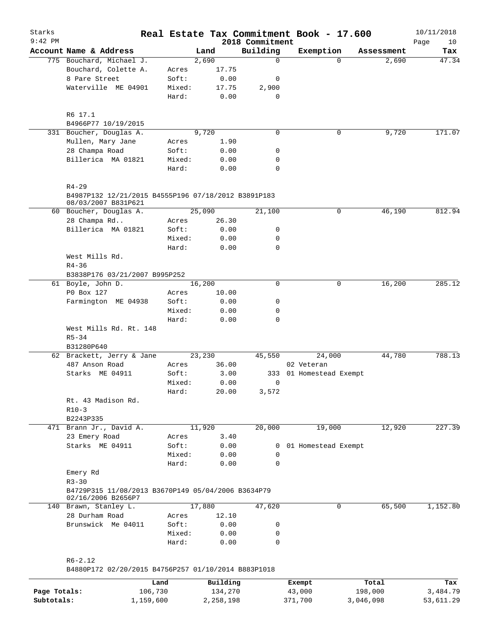| Starks       |                                                                            |        |          |                             | Real Estate Tax Commitment Book - 17.600 |            | 10/11/2018         |
|--------------|----------------------------------------------------------------------------|--------|----------|-----------------------------|------------------------------------------|------------|--------------------|
| $9:42$ PM    | Account Name & Address                                                     |        | Land     | 2018 Commitment<br>Building | Exemption                                | Assessment | Page<br>10<br>Tax  |
|              | 775 Bouchard, Michael J.                                                   |        | 2,690    | 0                           | $\Omega$                                 | 2,690      | $\overline{47.34}$ |
|              | Bouchard, Colette A.                                                       | Acres  | 17.75    |                             |                                          |            |                    |
|              | 8 Pare Street                                                              | Soft:  | 0.00     | 0                           |                                          |            |                    |
|              | Waterville ME 04901                                                        | Mixed: | 17.75    | 2,900                       |                                          |            |                    |
|              |                                                                            | Hard:  | 0.00     | 0                           |                                          |            |                    |
|              | R6 17.1                                                                    |        |          |                             |                                          |            |                    |
|              | B4966P77 10/19/2015                                                        |        |          |                             |                                          |            |                    |
|              | 331 Boucher, Douglas A.                                                    |        | 9,720    | 0                           | 0                                        | 9,720      | 171.07             |
|              | Mullen, Mary Jane                                                          | Acres  | 1.90     |                             |                                          |            |                    |
|              | 28 Champa Road                                                             | Soft:  | 0.00     | 0                           |                                          |            |                    |
|              | Billerica MA 01821                                                         | Mixed: | 0.00     | 0                           |                                          |            |                    |
|              |                                                                            | Hard:  | 0.00     | $\mathbf 0$                 |                                          |            |                    |
|              | $R4 - 29$                                                                  |        |          |                             |                                          |            |                    |
|              | B4987P132 12/21/2015 B4555P196 07/18/2012 B3891P183<br>08/03/2007 B831P621 |        |          |                             |                                          |            |                    |
|              | 60 Boucher, Douglas A.                                                     |        | 25,090   | 21,100                      | 0                                        | 46,190     | 812.94             |
|              | 28 Champa Rd                                                               | Acres  | 26.30    |                             |                                          |            |                    |
|              | Billerica MA 01821                                                         | Soft:  | 0.00     | 0                           |                                          |            |                    |
|              |                                                                            | Mixed: | 0.00     | 0                           |                                          |            |                    |
|              |                                                                            | Hard:  | 0.00     | 0                           |                                          |            |                    |
|              | West Mills Rd.                                                             |        |          |                             |                                          |            |                    |
|              | $R4 - 36$                                                                  |        |          |                             |                                          |            |                    |
|              | B3838P176 03/21/2007 B995P252                                              |        |          |                             |                                          |            |                    |
|              | 61 Boyle, John D.                                                          |        | 16,200   | 0                           | 0                                        | 16,200     | 285.12             |
|              | P0 Box 127                                                                 | Acres  | 10.00    |                             |                                          |            |                    |
|              | Farmington ME 04938                                                        | Soft:  | 0.00     | 0                           |                                          |            |                    |
|              |                                                                            | Mixed: | 0.00     | 0                           |                                          |            |                    |
|              |                                                                            | Hard:  | 0.00     | 0                           |                                          |            |                    |
|              | West Mills Rd. Rt. 148                                                     |        |          |                             |                                          |            |                    |
|              | $R5 - 34$                                                                  |        |          |                             |                                          |            |                    |
|              | B31280P640                                                                 |        |          |                             |                                          |            |                    |
|              | 62 Brackett, Jerry & Jane                                                  |        | 23,230   | 45,550                      | 24,000                                   | 44,780     | 788.13             |
|              | 487 Anson Road                                                             | Acres  | 36.00    |                             | 02 Veteran                               |            |                    |
|              | Starks ME 04911                                                            | Soft:  | 3.00     |                             | 333 01 Homestead Exempt                  |            |                    |
|              |                                                                            | Mixed: | 0.00     | 0                           |                                          |            |                    |
|              |                                                                            | Hard:  | 20.00    | 3,572                       |                                          |            |                    |
|              | Rt. 43 Madison Rd.                                                         |        |          |                             |                                          |            |                    |
|              | $R10-3$                                                                    |        |          |                             |                                          |            |                    |
|              | B2243P335                                                                  |        |          |                             |                                          |            |                    |
|              | 471 Brann Jr., David A.                                                    |        | 11,920   | 20,000                      | 19,000                                   | 12,920     | 227.39             |
|              | 23 Emery Road                                                              | Acres  | 3.40     |                             |                                          |            |                    |
|              | Starks ME 04911                                                            | Soft:  | 0.00     | 0                           | 01 Homestead Exempt                      |            |                    |
|              |                                                                            | Mixed: | 0.00     | 0                           |                                          |            |                    |
|              |                                                                            | Hard:  | 0.00     | $\Omega$                    |                                          |            |                    |
|              |                                                                            |        |          |                             |                                          |            |                    |
|              | Emery Rd<br>$R3 - 30$                                                      |        |          |                             |                                          |            |                    |
|              | B4729P315 11/08/2013 B3670P149 05/04/2006 B3634P79                         |        |          |                             |                                          |            |                    |
|              | 02/16/2006 B2656P7<br>140 Brawn, Stanley L.                                |        | 17,880   | 47,620                      | 0                                        | 65,500     | 1,152.80           |
|              |                                                                            |        |          |                             |                                          |            |                    |
|              | 28 Durham Road<br>Brunswick Me 04011                                       | Acres  | 12.10    |                             |                                          |            |                    |
|              |                                                                            | Soft:  | 0.00     | 0                           |                                          |            |                    |
|              |                                                                            | Mixed: | 0.00     | 0                           |                                          |            |                    |
|              |                                                                            | Hard:  | 0.00     | $\mathbf 0$                 |                                          |            |                    |
|              | $R6 - 2.12$                                                                |        |          |                             |                                          |            |                    |
|              | B4880P172 02/20/2015 B4756P257 01/10/2014 B883P1018                        |        |          |                             |                                          |            |                    |
|              |                                                                            | Land   | Building |                             | Exempt                                   | Total      | Tax                |
| Page Totals: | 106,730                                                                    |        | 134,270  |                             | 43,000                                   | 198,000    | 3,484.79           |

**Subtotals:** 1,159,600 2,258,198 371,700 3,046,098 53,611.29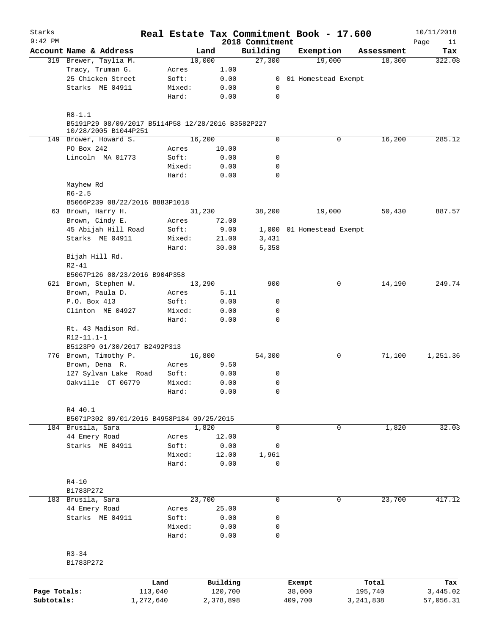| Starks       |                                                                           |                 |              |                             |         | Real Estate Tax Commitment Book - 17.600 |             | 10/11/2018        |
|--------------|---------------------------------------------------------------------------|-----------------|--------------|-----------------------------|---------|------------------------------------------|-------------|-------------------|
| $9:42$ PM    | Account Name & Address                                                    |                 | Land         | 2018 Commitment<br>Building |         | Exemption                                | Assessment  | Page<br>11<br>Tax |
|              | 319 Brewer, Taylia M.                                                     |                 | 10,000       | 27,300                      |         | 19,000                                   | 18,300      | 322.08            |
|              | Tracy, Truman G.                                                          | Acres           | 1.00         |                             |         |                                          |             |                   |
|              | 25 Chicken Street                                                         | Soft:           | 0.00         | $\overline{0}$              |         | 01 Homestead Exempt                      |             |                   |
|              | Starks ME 04911                                                           | Mixed:          | 0.00         | 0                           |         |                                          |             |                   |
|              |                                                                           | Hard:           | 0.00         | $\mathbf 0$                 |         |                                          |             |                   |
|              | $R8 - 1.1$                                                                |                 |              |                             |         |                                          |             |                   |
|              | B5191P29 08/09/2017 B5114P58 12/28/2016 B3582P227<br>10/28/2005 B1044P251 |                 |              |                             |         |                                          |             |                   |
|              | 149 Brower, Howard S.                                                     |                 | 16,200       | 0                           |         | 0                                        | 16,200      | 285.12            |
|              | PO Box 242                                                                | Acres           | 10.00        |                             |         |                                          |             |                   |
|              | Lincoln MA 01773                                                          | Soft:           | 0.00         | 0                           |         |                                          |             |                   |
|              |                                                                           | Mixed:          | 0.00         | 0                           |         |                                          |             |                   |
|              |                                                                           | Hard:           | 0.00         | 0                           |         |                                          |             |                   |
|              | Mayhew Rd                                                                 |                 |              |                             |         |                                          |             |                   |
|              | $R6 - 2.5$                                                                |                 |              |                             |         |                                          |             |                   |
|              | B5066P239 08/22/2016 B883P1018                                            |                 |              |                             |         |                                          |             |                   |
|              | 63 Brown, Harry H.                                                        |                 | 31,230       | 38,200                      |         | 19,000                                   | 50,430      | 887.57            |
|              | Brown, Cindy E.                                                           | Acres           | 72.00        |                             |         |                                          |             |                   |
|              | 45 Abijah Hill Road                                                       | Soft:           | 9.00         |                             |         | 1,000 01 Homestead Exempt                |             |                   |
|              | Starks ME 04911                                                           | Mixed:          | 21.00        | 3,431                       |         |                                          |             |                   |
|              |                                                                           | Hard:           | 30.00        | 5,358                       |         |                                          |             |                   |
|              | Bijah Hill Rd.                                                            |                 |              |                             |         |                                          |             |                   |
|              | $R2 - 41$                                                                 |                 |              |                             |         |                                          |             |                   |
|              | B5067P126 08/23/2016 B904P358                                             |                 |              |                             |         |                                          |             |                   |
|              | 621 Brown, Stephen W.                                                     |                 | 13,290       | 900                         |         | 0                                        | 14,190      | 249.74            |
|              | Brown, Paula D.                                                           | Acres           | 5.11         |                             |         |                                          |             |                   |
|              | P.O. Box 413                                                              | Soft:           | 0.00         | 0                           |         |                                          |             |                   |
|              | Clinton ME 04927                                                          | Mixed:          | 0.00         | 0                           |         |                                          |             |                   |
|              |                                                                           | Hard:           | 0.00         | $\mathbf 0$                 |         |                                          |             |                   |
|              | Rt. 43 Madison Rd.                                                        |                 |              |                             |         |                                          |             |                   |
|              | R12-11.1-1                                                                |                 |              |                             |         |                                          |             |                   |
|              | B5123P9 01/30/2017 B2492P313                                              |                 |              |                             |         |                                          |             |                   |
|              | 776 Brown, Timothy P.                                                     |                 | 16,800       | 54,300                      |         | 0                                        | 71,100      | 1,251.36          |
|              | Brown, Dena R.                                                            | Acres           | 9.50         |                             |         |                                          |             |                   |
|              | 127 Sylvan Lake Road                                                      | Soft:           | 0.00         | 0                           |         |                                          |             |                   |
|              | Oakville CT 06779                                                         | Mixed:          | 0.00         | $\mathbf 0$                 |         |                                          |             |                   |
|              |                                                                           | Hard:           | 0.00         | 0                           |         |                                          |             |                   |
|              | R4 40.1                                                                   |                 |              |                             |         |                                          |             |                   |
|              | B5071P302 09/01/2016 B4958P184 09/25/2015                                 |                 |              |                             |         |                                          |             |                   |
|              | 184 Brusila, Sara                                                         |                 | 1,820        | $\mathbf 0$                 |         | 0                                        | 1,820       | 32.03             |
|              | 44 Emery Road                                                             | Acres           | 12.00        |                             |         |                                          |             |                   |
|              | Starks ME 04911                                                           | Soft:           | 0.00         | 0                           |         |                                          |             |                   |
|              |                                                                           | Mixed:          | 12.00        | 1,961                       |         |                                          |             |                   |
|              |                                                                           | Hard:           | 0.00         | $\mathbf 0$                 |         |                                          |             |                   |
|              |                                                                           |                 |              |                             |         |                                          |             |                   |
|              | $R4 - 10$                                                                 |                 |              |                             |         |                                          |             |                   |
|              | B1783P272                                                                 |                 |              |                             |         |                                          |             |                   |
|              | 183 Brusila, Sara                                                         |                 | 23,700       | $\mathbf 0$                 |         | $\mathbf 0$                              | 23,700      | 417.12            |
|              | 44 Emery Road                                                             | Acres           | 25.00        |                             |         |                                          |             |                   |
|              | Starks ME 04911                                                           | Soft:           | 0.00         | $\mathbf 0$                 |         |                                          |             |                   |
|              |                                                                           | Mixed:<br>Hard: | 0.00<br>0.00 | 0<br>$\mathbf 0$            |         |                                          |             |                   |
|              |                                                                           |                 |              |                             |         |                                          |             |                   |
|              | $R3 - 34$                                                                 |                 |              |                             |         |                                          |             |                   |
|              | B1783P272                                                                 |                 |              |                             |         |                                          |             |                   |
|              |                                                                           | Land            | Building     |                             | Exempt  |                                          | Total       | Tax               |
| Page Totals: |                                                                           | 113,040         | 120,700      |                             | 38,000  |                                          | 195,740     | 3,445.02          |
| Subtotals:   | 1,272,640                                                                 |                 | 2,378,898    |                             | 409,700 |                                          | 3, 241, 838 | 57,056.31         |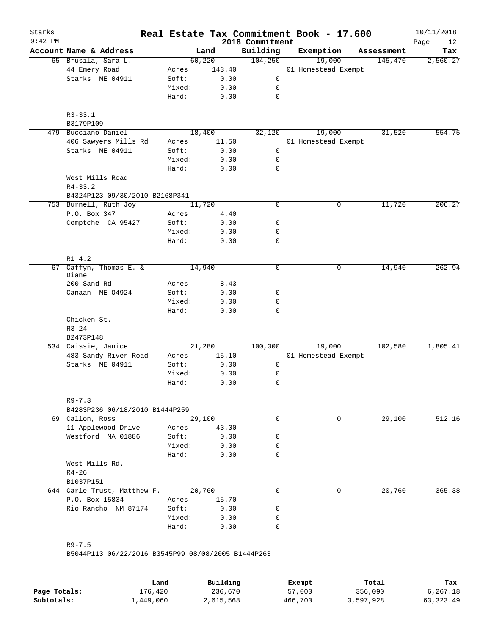| $9:42$ PM |                                              | Real Estate Tax Commitment Book - 17.600 |                 | 2018 Commitment |                               |            | 10/11/2018<br>Page<br>12 |
|-----------|----------------------------------------------|------------------------------------------|-----------------|-----------------|-------------------------------|------------|--------------------------|
|           | Account Name & Address                       |                                          | Land            | Building        | Exemption                     | Assessment | Tax                      |
|           | 65 Brusila, Sara L.                          | 60,220                                   |                 | 104,250         | 19,000                        | 145,470    | 2,560.27                 |
|           | 44 Emery Road                                | Acres                                    | 143.40          |                 | 01 Homestead Exempt           |            |                          |
|           | Starks ME 04911                              | Soft:                                    | 0.00            | 0               |                               |            |                          |
|           |                                              | Mixed:                                   | 0.00            | 0               |                               |            |                          |
|           |                                              | Hard:                                    | 0.00            | $\mathbf 0$     |                               |            |                          |
|           | $R3 - 33.1$                                  |                                          |                 |                 |                               |            |                          |
|           | B3179P109                                    |                                          |                 |                 |                               |            |                          |
|           | 479 Bucciano Daniel                          | 18,400                                   |                 | 32,120          | 19,000                        | 31,520     | 554.75                   |
|           | 406 Sawyers Mills Rd                         | Acres                                    | 11.50           |                 | 01 Homestead Exempt           |            |                          |
|           | Starks ME 04911                              | Soft:                                    | 0.00            | 0               |                               |            |                          |
|           |                                              | Mixed:                                   | 0.00            | 0               |                               |            |                          |
|           | West Mills Road                              | Hard:                                    | 0.00            | $\mathbf 0$     |                               |            |                          |
|           | $R4 - 33.2$                                  |                                          |                 |                 |                               |            |                          |
|           | B4324P123 09/30/2010 B2168P341               |                                          |                 |                 |                               |            |                          |
|           | 753 Burnell, Ruth Joy                        | 11,720                                   |                 | 0               | 0                             | 11,720     | 206.27                   |
|           | P.O. Box 347                                 | Acres                                    | 4.40            |                 |                               |            |                          |
|           | Comptche CA 95427                            | Soft:                                    | 0.00            | 0               |                               |            |                          |
|           |                                              | Mixed:                                   | 0.00            | 0               |                               |            |                          |
|           |                                              | Hard:                                    | 0.00            | $\mathbf 0$     |                               |            |                          |
|           | R1 4.2                                       |                                          |                 |                 |                               |            |                          |
| 67        | Caffyn, Thomas E. &<br>Diane                 | 14,940                                   |                 | $\mathbf 0$     | 0                             | 14,940     | 262.94                   |
|           | 200 Sand Rd                                  | Acres                                    | 8.43            |                 |                               |            |                          |
|           | Canaan ME 04924                              | Soft:                                    | 0.00            | 0               |                               |            |                          |
|           |                                              | Mixed:                                   | 0.00            | 0               |                               |            |                          |
|           |                                              | Hard:                                    | 0.00            | 0               |                               |            |                          |
|           | Chicken St.                                  |                                          |                 |                 |                               |            |                          |
|           | $R3 - 24$                                    |                                          |                 |                 |                               |            |                          |
|           | B2473P148<br>534 Caissie, Janice             |                                          |                 |                 |                               |            |                          |
|           | 483 Sandy River Road                         |                                          | 21,280<br>15.10 | 100,300         | 19,000<br>01 Homestead Exempt | 102,580    | 1,805.41                 |
|           | Starks ME 04911                              | Acres<br>Soft:                           | 0.00            | 0               |                               |            |                          |
|           |                                              | Mixed:                                   | 0.00            | 0               |                               |            |                          |
|           |                                              | Hard:                                    | 0.00            | 0               |                               |            |                          |
|           |                                              |                                          |                 |                 |                               |            |                          |
|           | $R9 - 7.3$<br>B4283P236 06/18/2010 B1444P259 |                                          |                 |                 |                               |            |                          |
|           | 69 Callon, Ross                              | 29,100                                   |                 | 0               | 0                             | 29,100     | 512.16                   |
|           | 11 Applewood Drive                           | Acres                                    | 43.00           |                 |                               |            |                          |
|           | Westford MA 01886                            | Soft:                                    | 0.00            | 0               |                               |            |                          |
|           |                                              | Mixed:                                   | 0.00            | 0               |                               |            |                          |
|           |                                              | Hard:                                    | 0.00            | 0               |                               |            |                          |
|           | West Mills Rd.                               |                                          |                 |                 |                               |            |                          |
|           | $R4 - 26$<br>B1037P151                       |                                          |                 |                 |                               |            |                          |
|           | 644 Carle Trust, Matthew F.                  | 20,760                                   |                 | 0               | $\Omega$                      | 20,760     | 365.38                   |
|           | P.O. Box 15834                               | Acres                                    | 15.70           |                 |                               |            |                          |
|           | Rio Rancho NM 87174                          | Soft:                                    | 0.00            | 0               |                               |            |                          |
|           |                                              | Mixed:                                   | 0.00            | 0               |                               |            |                          |
|           |                                              | Hard:                                    | 0.00            | 0               |                               |            |                          |
|           |                                              |                                          |                 |                 |                               |            |                          |

|              | Land      | Building  | Exempt  | Total     | Tax         |
|--------------|-----------|-----------|---------|-----------|-------------|
| Page Totals: | 176,420   | 236,670   | 57,000  | 356,090   | 6.267.18    |
| Subtotals:   | 1,449,060 | 2,615,568 | 466,700 | 3,597,928 | 63, 323, 49 |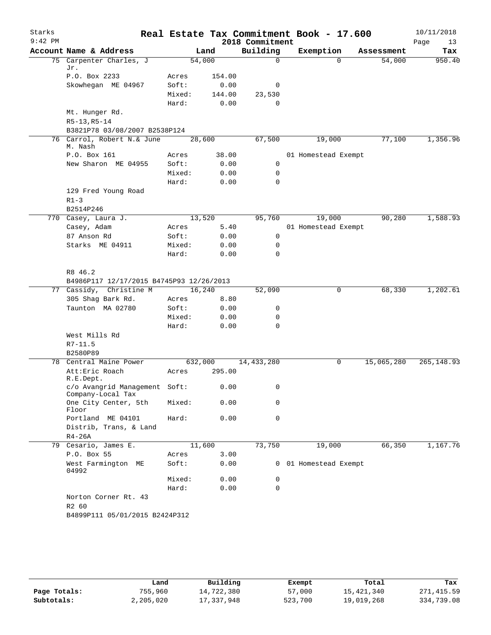| Starks    |                                                                     |         |        | Real Estate Tax Commitment Book - 17.600 |                       |          |            | 10/11/2018        |
|-----------|---------------------------------------------------------------------|---------|--------|------------------------------------------|-----------------------|----------|------------|-------------------|
| $9:42$ PM | Account Name & Address                                              |         | Land   | 2018 Commitment<br>Building              | Exemption             |          | Assessment | Page<br>13<br>Tax |
|           | 75 Carpenter Charles, J                                             | 54,000  |        | $\Omega$                                 |                       | $\Omega$ | 54,000     | 950.40            |
|           | Jr.                                                                 |         |        |                                          |                       |          |            |                   |
|           | P.O. Box 2233                                                       | Acres   | 154.00 |                                          |                       |          |            |                   |
|           | Skowhegan ME 04967                                                  | Soft:   | 0.00   | 0                                        |                       |          |            |                   |
|           |                                                                     | Mixed:  | 144.00 | 23,530                                   |                       |          |            |                   |
|           |                                                                     | Hard:   | 0.00   | 0                                        |                       |          |            |                   |
|           | Mt. Hunger Rd.                                                      |         |        |                                          |                       |          |            |                   |
|           | $R5-13, R5-14$                                                      |         |        |                                          |                       |          |            |                   |
|           | B3821P78 03/08/2007 B2538P124                                       |         |        |                                          |                       |          |            |                   |
|           | 76 Carrol, Robert N.& June<br>M. Nash                               | 28,600  |        | 67,500                                   | 19,000                |          | 77,100     | 1,356.96          |
|           | P.O. Box 161                                                        | Acres   | 38.00  |                                          | 01 Homestead Exempt   |          |            |                   |
|           | New Sharon ME 04955                                                 | Soft:   | 0.00   | 0                                        |                       |          |            |                   |
|           |                                                                     | Mixed:  | 0.00   | 0                                        |                       |          |            |                   |
|           |                                                                     | Hard:   | 0.00   | $\mathbf 0$                              |                       |          |            |                   |
|           | 129 Fred Young Road                                                 |         |        |                                          |                       |          |            |                   |
|           | $R1-3$                                                              |         |        |                                          |                       |          |            |                   |
|           | B2514P246                                                           |         |        |                                          |                       |          |            |                   |
|           | 770 Casey, Laura J.                                                 | 13,520  |        | 95,760                                   | 19,000                |          | 90,280     | 1,588.93          |
|           | Casey, Adam                                                         | Acres   | 5.40   |                                          | 01 Homestead Exempt   |          |            |                   |
|           | 87 Anson Rd                                                         | Soft:   | 0.00   | 0                                        |                       |          |            |                   |
|           | Starks ME 04911                                                     | Mixed:  | 0.00   | 0                                        |                       |          |            |                   |
|           |                                                                     | Hard:   | 0.00   | 0                                        |                       |          |            |                   |
|           |                                                                     |         |        |                                          |                       |          |            |                   |
|           | R8 46.2                                                             |         |        |                                          |                       |          |            |                   |
|           | B4986P117 12/17/2015 B4745P93 12/26/2013<br>77 Cassidy, Christine M | 16,240  |        | 52,090                                   |                       | 0        | 68,330     | 1,202.61          |
|           | 305 Shag Bark Rd.                                                   | Acres   | 8.80   |                                          |                       |          |            |                   |
|           | Taunton MA 02780                                                    | Soft:   | 0.00   | 0                                        |                       |          |            |                   |
|           |                                                                     | Mixed:  | 0.00   | 0                                        |                       |          |            |                   |
|           |                                                                     | Hard:   | 0.00   | $\mathbf 0$                              |                       |          |            |                   |
|           | West Mills Rd                                                       |         |        |                                          |                       |          |            |                   |
|           | $R7 - 11.5$                                                         |         |        |                                          |                       |          |            |                   |
|           | B2580P89                                                            |         |        |                                          |                       |          |            |                   |
|           | 78 Central Maine Power                                              | 632,000 |        | 14,433,280                               |                       | 0        | 15,065,280 | 265, 148.93       |
|           | Att: Eric Roach                                                     | Acres   | 295.00 |                                          |                       |          |            |                   |
|           | R.E.Dept.                                                           |         |        |                                          |                       |          |            |                   |
|           | c/o Avangrid Management Soft:<br>Company-Local Tax                  |         | 0.00   | $\mathbf{0}$                             |                       |          |            |                   |
|           | One City Center, 5th<br>Floor                                       | Mixed:  | 0.00   | 0                                        |                       |          |            |                   |
|           | Portland ME 04101                                                   | Hard:   | 0.00   | 0                                        |                       |          |            |                   |
|           | Distrib, Trans, & Land                                              |         |        |                                          |                       |          |            |                   |
|           | $R4-26A$                                                            |         |        |                                          |                       |          |            |                   |
|           | 79 Cesario, James E.                                                | 11,600  |        | 73,750                                   | 19,000                |          | 66,350     | 1,167.76          |
|           | P.O. Box 55                                                         | Acres   | 3.00   |                                          |                       |          |            |                   |
|           | West Farmington ME<br>04992                                         | Soft:   | 0.00   |                                          | 0 01 Homestead Exempt |          |            |                   |
|           |                                                                     | Mixed:  | 0.00   | 0                                        |                       |          |            |                   |
|           |                                                                     | Hard:   | 0.00   | $\mathbf 0$                              |                       |          |            |                   |
|           | Norton Corner Rt. 43<br>R2 60                                       |         |        |                                          |                       |          |            |                   |
|           | B4899P111 05/01/2015 B2424P312                                      |         |        |                                          |                       |          |            |                   |
|           |                                                                     |         |        |                                          |                       |          |            |                   |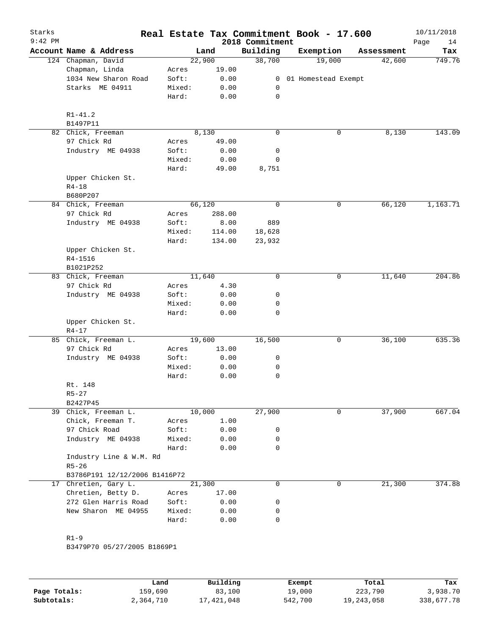| Starks<br>$9:42$ PM |                               |        |        | 2018 Commitment | Real Estate Tax Commitment Book - 17.600 |            | 10/11/2018<br>Page<br>14 |
|---------------------|-------------------------------|--------|--------|-----------------|------------------------------------------|------------|--------------------------|
|                     | Account Name & Address        |        | Land   | Building        | Exemption                                | Assessment | Tax                      |
|                     | 124 Chapman, David            |        | 22,900 | 38,700          | 19,000                                   | 42,600     | 749.76                   |
|                     | Chapman, Linda                | Acres  | 19.00  |                 |                                          |            |                          |
|                     | 1034 New Sharon Road          | Soft:  | 0.00   | $\mathbf{0}$    | 01 Homestead Exempt                      |            |                          |
|                     | Starks ME 04911               | Mixed: | 0.00   | 0               |                                          |            |                          |
|                     |                               | Hard:  | 0.00   | 0               |                                          |            |                          |
|                     | $R1 - 41.2$                   |        |        |                 |                                          |            |                          |
|                     | B1497P11                      |        |        |                 |                                          |            |                          |
|                     | 82 Chick, Freeman             |        | 8,130  | $\mathbf 0$     | 0                                        | 8,130      | 143.09                   |
|                     | 97 Chick Rd                   | Acres  | 49.00  |                 |                                          |            |                          |
|                     | Industry ME 04938             | Soft:  | 0.00   | 0               |                                          |            |                          |
|                     |                               | Mixed: | 0.00   | 0               |                                          |            |                          |
|                     |                               | Hard:  | 49.00  | 8,751           |                                          |            |                          |
|                     | Upper Chicken St.             |        |        |                 |                                          |            |                          |
|                     | $R4 - 18$                     |        |        |                 |                                          |            |                          |
|                     | B680P207                      |        |        |                 |                                          |            |                          |
|                     | 84 Chick, Freeman             |        | 66,120 | $\mathbf 0$     | 0                                        | 66,120     | 1,163.71                 |
|                     | 97 Chick Rd                   | Acres  | 288.00 |                 |                                          |            |                          |
|                     | Industry ME 04938             | Soft:  | 8.00   | 889             |                                          |            |                          |
|                     |                               | Mixed: | 114.00 | 18,628          |                                          |            |                          |
|                     |                               | Hard:  | 134.00 | 23,932          |                                          |            |                          |
|                     | Upper Chicken St.             |        |        |                 |                                          |            |                          |
|                     | R4-1516                       |        |        |                 |                                          |            |                          |
|                     | B1021P252                     |        |        |                 |                                          |            |                          |
|                     | 83 Chick, Freeman             |        | 11,640 | $\mathbf 0$     | 0                                        | 11,640     | 204.86                   |
|                     | 97 Chick Rd                   | Acres  | 4.30   |                 |                                          |            |                          |
|                     | Industry ME 04938             | Soft:  | 0.00   | 0               |                                          |            |                          |
|                     |                               | Mixed: | 0.00   | 0               |                                          |            |                          |
|                     |                               | Hard:  | 0.00   | $\mathbf 0$     |                                          |            |                          |
|                     | Upper Chicken St.             |        |        |                 |                                          |            |                          |
|                     | $R4 - 17$                     |        |        |                 |                                          |            |                          |
|                     | 85 Chick, Freeman L.          |        | 19,600 | 16,500          | $\mathbf 0$                              | 36,100     | 635.36                   |
|                     | 97 Chick Rd                   | Acres  | 13.00  |                 |                                          |            |                          |
|                     | Industry ME 04938             | Soft:  | 0.00   | 0               |                                          |            |                          |
|                     |                               | Mixed: | 0.00   | 0               |                                          |            |                          |
|                     |                               | Hard:  | 0.00   | 0               |                                          |            |                          |
|                     | Rt. 148                       |        |        |                 |                                          |            |                          |
|                     | $R5 - 27$                     |        |        |                 |                                          |            |                          |
|                     | B2427P45                      |        |        |                 |                                          |            |                          |
|                     | 39 Chick, Freeman L.          |        | 10,000 | 27,900          | 0                                        | 37,900     | 667.04                   |
|                     | Chick, Freeman T.             | Acres  | 1.00   |                 |                                          |            |                          |
|                     | 97 Chick Road                 | Soft:  | 0.00   | 0               |                                          |            |                          |
|                     | Industry ME 04938             | Mixed: | 0.00   | 0               |                                          |            |                          |
|                     |                               | Hard:  | 0.00   | 0               |                                          |            |                          |
|                     | Industry Line & W.M. Rd       |        |        |                 |                                          |            |                          |
|                     | $R5 - 26$                     |        |        |                 |                                          |            |                          |
|                     | B3786P191 12/12/2006 B1416P72 |        |        |                 |                                          |            |                          |
| 17                  | Chretien, Gary L.             |        | 21,300 | $\mathbf 0$     | 0                                        | 21,300     | 374.88                   |
|                     | Chretien, Betty D.            | Acres  | 17.00  |                 |                                          |            |                          |
|                     | 272 Glen Harris Road          | Soft:  | 0.00   | 0               |                                          |            |                          |
|                     | New Sharon ME 04955           | Mixed: | 0.00   | 0               |                                          |            |                          |
|                     |                               | Hard:  | 0.00   | 0               |                                          |            |                          |
|                     | $R1-9$                        |        |        |                 |                                          |            |                          |
|                     | B3479P70 05/27/2005 B1869P1   |        |        |                 |                                          |            |                          |
|                     |                               |        |        |                 |                                          |            |                          |
|                     |                               |        |        |                 |                                          |            |                          |
|                     |                               |        |        |                 |                                          |            |                          |

|              | Land      | Building   | Exempt  | Total      | Tax        |
|--------------|-----------|------------|---------|------------|------------|
| Page Totals: | 159,690   | 83,100     | 19,000  | 223,790    | 3,938.70   |
| Subtotals:   | 2,364,710 | 17,421,048 | 542,700 | 19,243,058 | 338,677.78 |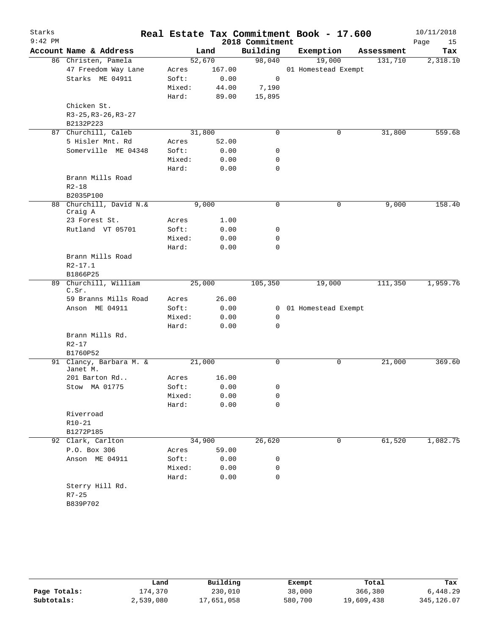| Starks<br>$9:42$ PM |                                     |        |        | 2018 Commitment | Real Estate Tax Commitment Book - 17.600 |            | 10/11/2018<br>Page<br>15 |
|---------------------|-------------------------------------|--------|--------|-----------------|------------------------------------------|------------|--------------------------|
|                     | Account Name & Address              |        | Land   | Building        | Exemption                                | Assessment | Tax                      |
|                     | 86 Christen, Pamela                 | 52,670 |        | 98,040          | 19,000                                   | 131,710    | 2,318.10                 |
|                     | 47 Freedom Way Lane                 | Acres  | 167.00 |                 | 01 Homestead Exempt                      |            |                          |
|                     | Starks ME 04911                     | Soft:  | 0.00   | 0               |                                          |            |                          |
|                     |                                     | Mixed: | 44.00  | 7,190           |                                          |            |                          |
|                     |                                     | Hard:  | 89.00  | 15,895          |                                          |            |                          |
|                     | Chicken St.                         |        |        |                 |                                          |            |                          |
|                     | R3-25, R3-26, R3-27                 |        |        |                 |                                          |            |                          |
|                     | B2132P223                           |        |        |                 |                                          |            |                          |
|                     | 87 Churchill, Caleb                 | 31,800 |        | 0               | 0                                        | 31,800     | 559.68                   |
|                     | 5 Hisler Mnt. Rd                    | Acres  | 52.00  |                 |                                          |            |                          |
|                     | Somerville ME 04348                 | Soft:  | 0.00   | 0               |                                          |            |                          |
|                     |                                     | Mixed: | 0.00   | 0               |                                          |            |                          |
|                     |                                     | Hard:  | 0.00   | 0               |                                          |            |                          |
|                     | Brann Mills Road                    |        |        |                 |                                          |            |                          |
|                     | $R2 - 18$                           |        |        |                 |                                          |            |                          |
|                     | B2035P100                           |        |        |                 |                                          |            |                          |
|                     | 88 Churchill, David N.&<br>Craig A  |        | 9,000  | $\mathbf 0$     | 0                                        | 9,000      | 158.40                   |
|                     | 23 Forest St.                       | Acres  | 1.00   |                 |                                          |            |                          |
|                     | Rutland VT 05701                    | Soft:  | 0.00   | 0               |                                          |            |                          |
|                     |                                     | Mixed: | 0.00   | 0               |                                          |            |                          |
|                     |                                     | Hard:  | 0.00   | $\Omega$        |                                          |            |                          |
|                     | Brann Mills Road                    |        |        |                 |                                          |            |                          |
|                     | $R2 - 17.1$                         |        |        |                 |                                          |            |                          |
|                     | B1866P25                            |        |        |                 |                                          |            |                          |
|                     | 89 Churchill, William               | 25,000 |        | 105,350         | 19,000                                   | 111,350    | 1,959.76                 |
|                     | C.Sr.                               |        |        |                 |                                          |            |                          |
|                     | 59 Branns Mills Road                | Acres  | 26.00  |                 |                                          |            |                          |
|                     | Anson ME 04911                      | Soft:  | 0.00   | $\mathbf{0}$    | 01 Homestead Exempt                      |            |                          |
|                     |                                     | Mixed: | 0.00   | 0               |                                          |            |                          |
|                     |                                     | Hard:  | 0.00   | $\mathbf 0$     |                                          |            |                          |
|                     | Brann Mills Rd.                     |        |        |                 |                                          |            |                          |
|                     | $R2 - 17$                           |        |        |                 |                                          |            |                          |
|                     | B1760P52                            |        |        |                 |                                          |            |                          |
|                     | 91 Clancy, Barbara M. &<br>Janet M. | 21,000 |        | 0               | 0                                        | 21,000     | 369.60                   |
|                     | 201 Barton Rd                       | Acres  | 16.00  |                 |                                          |            |                          |
|                     | Stow MA 01775                       | Soft:  | 0.00   | 0               |                                          |            |                          |
|                     |                                     | Mixed: | 0.00   | 0               |                                          |            |                          |
|                     |                                     | Hard:  | 0.00   | 0               |                                          |            |                          |
|                     | Riverroad                           |        |        |                 |                                          |            |                          |
|                     | $R10-21$                            |        |        |                 |                                          |            |                          |
|                     | B1272P185                           |        |        |                 |                                          |            |                          |
|                     | 92 Clark, Carlton                   | 34,900 |        | 26,620          | 0                                        | 61,520     | 1,082.75                 |
|                     | P.O. Box 306                        | Acres  | 59.00  |                 |                                          |            |                          |
|                     | Anson ME 04911                      | Soft:  | 0.00   | 0               |                                          |            |                          |
|                     |                                     | Mixed: | 0.00   | 0               |                                          |            |                          |
|                     |                                     | Hard:  | 0.00   | 0               |                                          |            |                          |
|                     | Sterry Hill Rd.                     |        |        |                 |                                          |            |                          |
|                     | $R7 - 25$                           |        |        |                 |                                          |            |                          |
|                     | B839P702                            |        |        |                 |                                          |            |                          |

|              | Land      | Building   | Exempt  | Total      | Tax          |
|--------------|-----------|------------|---------|------------|--------------|
| Page Totals: | 174,370   | 230,010    | 38,000  | 366,380    | 6,448.29     |
| Subtotals:   | 2,539,080 | 17,651,058 | 580,700 | 19,609,438 | 345, 126, 07 |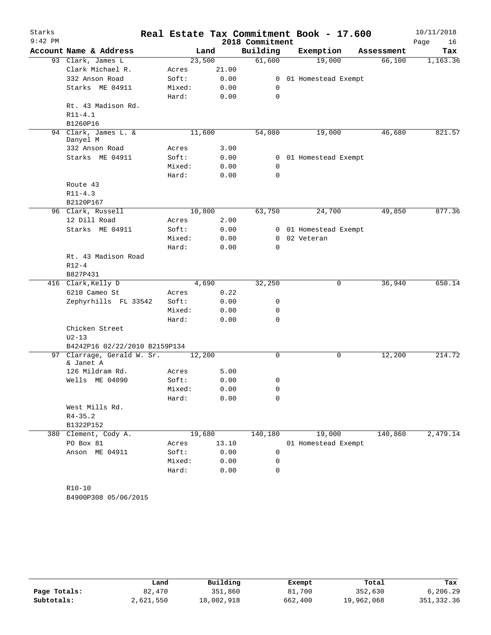| Starks    |                                  |                |        |                 | Real Estate Tax Commitment Book - 17.600 |            | 10/11/2018 |
|-----------|----------------------------------|----------------|--------|-----------------|------------------------------------------|------------|------------|
| $9:42$ PM |                                  |                |        | 2018 Commitment |                                          |            | Page<br>16 |
|           | Account Name & Address           |                | Land   | Building        | Exemption                                | Assessment | Tax        |
|           | 93 Clark, James L                |                | 23,500 | 61,600          | 19,000                                   | 66,100     | 1,163.36   |
|           | Clark Michael R.                 | Acres          | 21.00  |                 |                                          |            |            |
|           | 332 Anson Road                   | Soft:          | 0.00   |                 | 0 01 Homestead Exempt                    |            |            |
|           | Starks ME 04911                  | Mixed:         | 0.00   | 0               |                                          |            |            |
|           |                                  | Hard:          | 0.00   | 0               |                                          |            |            |
|           | Rt. 43 Madison Rd.               |                |        |                 |                                          |            |            |
|           | $R11 - 4.1$                      |                |        |                 |                                          |            |            |
|           | B1260P16                         |                |        |                 |                                          |            |            |
|           | 94 Clark, James L. &<br>Danyel M |                | 11,600 | 54,080          | 19,000                                   | 46,680     | 821.57     |
|           | 332 Anson Road                   | Acres          | 3.00   |                 |                                          |            |            |
|           | Starks ME 04911                  | Soft:          | 0.00   |                 | 0 01 Homestead Exempt                    |            |            |
|           |                                  | Mixed:         | 0.00   | 0               |                                          |            |            |
|           |                                  | Hard:          | 0.00   | $\Omega$        |                                          |            |            |
|           | Route 43                         |                |        |                 |                                          |            |            |
|           | $R11 - 4.3$                      |                |        |                 |                                          |            |            |
|           | B2120P167                        |                |        |                 |                                          |            |            |
|           | 96 Clark, Russell                |                | 10,800 | 63,750          | 24,700                                   | 49,850     | 877.36     |
|           | 12 Dill Road                     | Acres          | 2.00   |                 |                                          |            |            |
|           | Starks ME 04911                  | Soft:          | 0.00   |                 | 0 01 Homestead Exempt                    |            |            |
|           |                                  | Mixed:         | 0.00   |                 | 0 02 Veteran                             |            |            |
|           |                                  | Hard:          | 0.00   | $\Omega$        |                                          |            |            |
|           | Rt. 43 Madison Road              |                |        |                 |                                          |            |            |
|           | $R12 - 4$                        |                |        |                 |                                          |            |            |
|           | B827P431                         |                |        |                 |                                          |            |            |
|           | 416 Clark, Kelly D               |                | 4,690  | 32,250          | 0                                        | 36,940     | 650.14     |
|           | 6210 Cameo St                    | Acres          | 0.22   |                 |                                          |            |            |
|           | Zephyrhills FL 33542             | Soft:          | 0.00   | 0               |                                          |            |            |
|           |                                  | Mixed:         | 0.00   | 0               |                                          |            |            |
|           |                                  | Hard:          | 0.00   | $\Omega$        |                                          |            |            |
|           | Chicken Street                   |                |        |                 |                                          |            |            |
|           | $U2 - 13$                        |                |        |                 |                                          |            |            |
|           | B4242P16 02/22/2010 B2159P134    |                |        |                 |                                          |            |            |
|           | 97 Clarrage, Gerald W. Sr.       | 12,200         |        | 0               | 0                                        | 12,200     | 214.72     |
|           | & Janet A<br>126 Mildram Rd.     |                | 5.00   |                 |                                          |            |            |
|           | Wells ME 04090                   | Acres<br>Soft: | 0.00   | 0               |                                          |            |            |
|           |                                  | Mixed:         | 0.00   | 0               |                                          |            |            |
|           |                                  | Hard:          | 0.00   | 0               |                                          |            |            |
|           | West Mills Rd.                   |                |        |                 |                                          |            |            |
|           | $R4 - 35.2$                      |                |        |                 |                                          |            |            |
|           | B1322P152                        |                |        |                 |                                          |            |            |
|           | 380 Clement, Cody A.             |                | 19,680 | 140,180         | 19,000                                   | 140,860    | 2,479.14   |
|           | PO Box 81                        | Acres          | 13.10  |                 | 01 Homestead Exempt                      |            |            |
|           | Anson ME 04911                   | Soft:          | 0.00   | 0               |                                          |            |            |
|           |                                  | Mixed:         | 0.00   | 0               |                                          |            |            |
|           |                                  | Hard:          | 0.00   | 0               |                                          |            |            |
|           |                                  |                |        |                 |                                          |            |            |
|           | $R10 - 10$                       |                |        |                 |                                          |            |            |
|           | B4900P308 05/06/2015             |                |        |                 |                                          |            |            |

|              | Land      | Building   | Exempt  | Total      | Tax         |
|--------------|-----------|------------|---------|------------|-------------|
| Page Totals: | 82,470    | 351,860    | 81,700  | 352,630    | 6,206.29    |
| Subtotals:   | 2,621,550 | 18,002,918 | 662,400 | 19,962,068 | 351, 332.36 |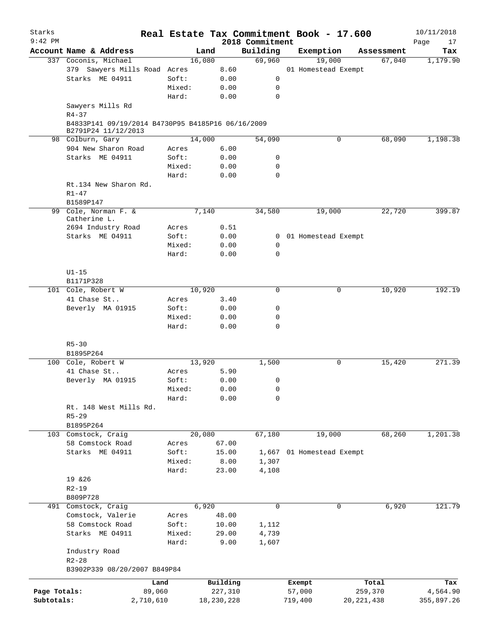| Starks       |                                                                          |        |        |            |                             | Real Estate Tax Commitment Book - 17.600 |              |                      | 10/11/2018        |
|--------------|--------------------------------------------------------------------------|--------|--------|------------|-----------------------------|------------------------------------------|--------------|----------------------|-------------------|
| $9:42$ PM    | Account Name & Address                                                   |        | Land   |            | 2018 Commitment<br>Building | Exemption                                |              |                      | Page<br>17<br>Tax |
|              | 337 Coconis, Michael                                                     |        | 16,080 |            | 69,960                      | 19,000                                   |              | Assessment<br>67,040 | 1,179.90          |
|              |                                                                          |        |        |            |                             |                                          |              |                      |                   |
|              | 379 Sawyers Mills Road Acres                                             |        |        | 8.60       |                             | 01 Homestead Exempt                      |              |                      |                   |
|              | Starks ME 04911                                                          | Soft:  |        | 0.00       | 0                           |                                          |              |                      |                   |
|              |                                                                          | Mixed: |        | 0.00       | 0                           |                                          |              |                      |                   |
|              |                                                                          | Hard:  |        | 0.00       | $\mathbf 0$                 |                                          |              |                      |                   |
|              | Sawyers Mills Rd<br>$R4 - 37$                                            |        |        |            |                             |                                          |              |                      |                   |
|              | B4833P141 09/19/2014 B4730P95 B4185P16 06/16/2009<br>B2791P24 11/12/2013 |        |        |            |                             |                                          |              |                      |                   |
|              | 98 Colburn, Gary                                                         |        | 14,000 |            | 54,090                      | 0                                        |              | 68,090               | 1,198.38          |
|              | 904 New Sharon Road                                                      | Acres  |        | 6.00       |                             |                                          |              |                      |                   |
|              | Starks ME 04911                                                          | Soft:  |        | 0.00       | 0                           |                                          |              |                      |                   |
|              |                                                                          | Mixed: |        | 0.00       | 0                           |                                          |              |                      |                   |
|              |                                                                          | Hard:  |        | 0.00       | $\mathbf 0$                 |                                          |              |                      |                   |
|              | Rt.134 New Sharon Rd.                                                    |        |        |            |                             |                                          |              |                      |                   |
|              | $R1 - 47$                                                                |        |        |            |                             |                                          |              |                      |                   |
|              | B1589P147                                                                |        |        |            |                             |                                          |              |                      |                   |
|              | 99 Cole, Norman F. &<br>Catherine L.                                     |        | 7,140  |            | 34,580                      | 19,000                                   |              | 22,720               | 399.87            |
|              | 2694 Industry Road                                                       | Acres  |        | 0.51       |                             |                                          |              |                      |                   |
|              | Starks ME 04911                                                          | Soft:  |        | 0.00       |                             | 0 01 Homestead Exempt                    |              |                      |                   |
|              |                                                                          | Mixed: |        | 0.00       | 0                           |                                          |              |                      |                   |
|              |                                                                          | Hard:  |        | 0.00       | $\mathbf 0$                 |                                          |              |                      |                   |
|              |                                                                          |        |        |            |                             |                                          |              |                      |                   |
|              | $U1-15$                                                                  |        |        |            |                             |                                          |              |                      |                   |
|              | B1171P328                                                                |        |        |            |                             |                                          |              |                      |                   |
|              | 101 Cole, Robert W                                                       |        | 10,920 |            | $\mathbf 0$                 | 0                                        |              | 10,920               | 192.19            |
|              | 41 Chase St                                                              | Acres  |        | 3.40       |                             |                                          |              |                      |                   |
|              | Beverly MA 01915                                                         | Soft:  |        | 0.00       | $\mathbf 0$                 |                                          |              |                      |                   |
|              |                                                                          | Mixed: |        | 0.00       | 0                           |                                          |              |                      |                   |
|              |                                                                          | Hard:  |        | 0.00       | $\mathbf 0$                 |                                          |              |                      |                   |
|              |                                                                          |        |        |            |                             |                                          |              |                      |                   |
|              | $R5 - 30$                                                                |        |        |            |                             |                                          |              |                      |                   |
|              | B1895P264                                                                |        |        |            |                             |                                          |              |                      |                   |
|              | 100 Cole, Robert W                                                       |        | 13,920 |            | 1,500                       | 0                                        |              | 15,420               | 271.39            |
|              | 41 Chase St                                                              | Acres  |        | 5.90       |                             |                                          |              |                      |                   |
|              | Beverly MA 01915                                                         | Soft:  |        | 0.00       | 0                           |                                          |              |                      |                   |
|              |                                                                          | Mixed: |        | 0.00       | 0                           |                                          |              |                      |                   |
|              |                                                                          | Hard:  |        | 0.00       | 0                           |                                          |              |                      |                   |
|              | Rt. 148 West Mills Rd.                                                   |        |        |            |                             |                                          |              |                      |                   |
|              | $R5 - 29$                                                                |        |        |            |                             |                                          |              |                      |                   |
|              | B1895P264                                                                |        |        |            |                             |                                          |              |                      |                   |
|              | 103 Comstock, Craig                                                      |        | 20,080 |            | 67,180                      | 19,000                                   |              | 68,260               | 1,201.38          |
|              | 58 Comstock Road                                                         | Acres  |        | 67.00      |                             |                                          |              |                      |                   |
|              | Starks ME 04911                                                          | Soft:  |        | 15.00      |                             | 01 Homestead Exempt                      |              |                      |                   |
|              |                                                                          |        |        |            | 1,667                       |                                          |              |                      |                   |
|              |                                                                          | Mixed: |        | 8.00       | 1,307                       |                                          |              |                      |                   |
|              |                                                                          | Hard:  |        | 23.00      | 4,108                       |                                          |              |                      |                   |
|              | 19 & 26                                                                  |        |        |            |                             |                                          |              |                      |                   |
|              | $R2 - 19$                                                                |        |        |            |                             |                                          |              |                      |                   |
|              | B809P728                                                                 |        |        |            |                             |                                          |              |                      |                   |
|              | 491 Comstock, Craig                                                      |        | 6,920  |            | $\mathbf 0$                 | 0                                        |              | 6,920                | 121.79            |
|              | Comstock, Valerie                                                        | Acres  |        | 48.00      |                             |                                          |              |                      |                   |
|              | 58 Comstock Road                                                         | Soft:  |        | 10.00      | 1,112                       |                                          |              |                      |                   |
|              | Starks ME 04911                                                          | Mixed: |        | 29.00      | 4,739                       |                                          |              |                      |                   |
|              | Industry Road                                                            | Hard:  |        | 9.00       | 1,607                       |                                          |              |                      |                   |
|              | $R2 - 28$                                                                |        |        |            |                             |                                          |              |                      |                   |
|              | B3902P339 08/20/2007 B849P84                                             |        |        |            |                             |                                          |              |                      |                   |
|              |                                                                          | Land   |        | Building   |                             | Exempt                                   |              | Total                | Tax               |
| Page Totals: |                                                                          | 89,060 |        | 227,310    |                             | 57,000                                   | 259,370      |                      | 4,564.90          |
| Subtotals:   | 2,710,610                                                                |        |        | 18,230,228 |                             | 719,400                                  | 20, 221, 438 |                      | 355,897.26        |
|              |                                                                          |        |        |            |                             |                                          |              |                      |                   |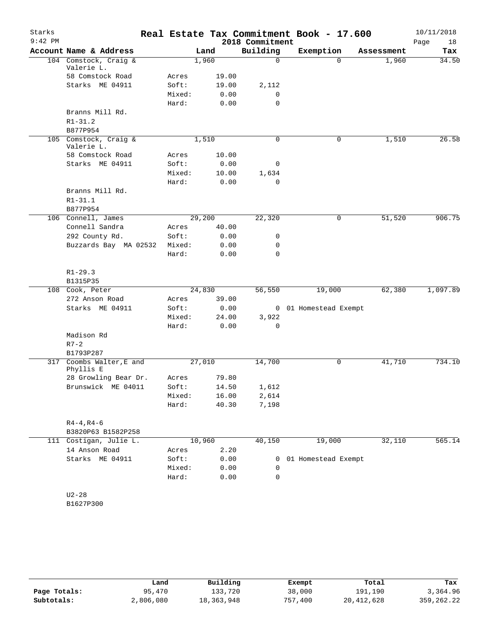| Starks<br>$9:42$ PM |                                     |                |                 | 2018 Commitment | Real Estate Tax Commitment Book - 17.600 |            | 10/11/2018<br>Page<br>18 |
|---------------------|-------------------------------------|----------------|-----------------|-----------------|------------------------------------------|------------|--------------------------|
|                     | Account Name & Address              |                | Land            | Building        | Exemption                                | Assessment | Tax                      |
|                     | 104 Comstock, Craig &<br>Valerie L. |                | 1,960           | 0               | $\Omega$                                 | 1,960      | 34.50                    |
|                     | 58 Comstock Road                    | Acres          | 19.00           |                 |                                          |            |                          |
|                     | Starks ME 04911                     | Soft:          | 19.00           | 2,112           |                                          |            |                          |
|                     |                                     | Mixed:         | 0.00            | 0               |                                          |            |                          |
|                     |                                     | Hard:          | 0.00            | 0               |                                          |            |                          |
|                     | Branns Mill Rd.                     |                |                 |                 |                                          |            |                          |
|                     | $R1 - 31.2$                         |                |                 |                 |                                          |            |                          |
|                     | B877P954                            |                |                 |                 |                                          |            |                          |
|                     | 105 Comstock, Craig &<br>Valerie L. |                | 1,510           | $\Omega$        | 0                                        | 1,510      | 26.58                    |
|                     | 58 Comstock Road                    | Acres          | 10.00           |                 |                                          |            |                          |
|                     | Starks ME 04911                     | Soft:          | 0.00            | 0               |                                          |            |                          |
|                     |                                     | Mixed:         | 10.00           | 1,634           |                                          |            |                          |
|                     |                                     | Hard:          | 0.00            | 0               |                                          |            |                          |
|                     | Branns Mill Rd.                     |                |                 |                 |                                          |            |                          |
|                     | $R1 - 31.1$                         |                |                 |                 |                                          |            |                          |
|                     | B877P954                            |                |                 |                 |                                          |            |                          |
|                     | 106 Connell, James                  |                | 29,200          | 22,320          | 0                                        | 51,520     | 906.75                   |
|                     | Connell Sandra                      | Acres          | 40.00           |                 |                                          |            |                          |
|                     | 292 County Rd.                      | Soft:          | 0.00            | 0               |                                          |            |                          |
|                     | Buzzards Bay MA 02532               | Mixed:         | 0.00            | 0               |                                          |            |                          |
|                     |                                     | Hard:          | 0.00            | $\Omega$        |                                          |            |                          |
|                     |                                     |                |                 |                 |                                          |            |                          |
|                     | $R1 - 29.3$                         |                |                 |                 |                                          |            |                          |
|                     | B1315P35                            |                |                 |                 |                                          |            | 1,097.89                 |
|                     | 108 Cook, Peter<br>272 Anson Road   |                | 24,830<br>39.00 | 56,550          | 19,000                                   | 62,380     |                          |
|                     |                                     | Acres<br>Soft: |                 |                 |                                          |            |                          |
|                     | Starks ME 04911                     | Mixed:         | 0.00<br>24.00   |                 | 0 01 Homestead Exempt                    |            |                          |
|                     |                                     | Hard:          | 0.00            | 3,922<br>0      |                                          |            |                          |
|                     | Madison Rd                          |                |                 |                 |                                          |            |                          |
|                     | $R7 - 2$                            |                |                 |                 |                                          |            |                          |
|                     | B1793P287                           |                |                 |                 |                                          |            |                          |
|                     | 317 Coombs Walter, E and            |                | 27,010          | 14,700          | 0                                        | 41,710     | 734.10                   |
|                     | Phyllis E                           |                |                 |                 |                                          |            |                          |
|                     | 28 Growling Bear Dr.                | Acres          | 79.80           |                 |                                          |            |                          |
|                     | Brunswick ME 04011                  | Soft:          | 14.50           | 1,612           |                                          |            |                          |
|                     |                                     | Mixed:         | 16.00           | 2,614           |                                          |            |                          |
|                     |                                     | Hard:          | 40.30           | 7,198           |                                          |            |                          |
|                     |                                     |                |                 |                 |                                          |            |                          |
|                     | $R4 - 4, R4 - 6$                    |                |                 |                 |                                          |            |                          |
|                     | B3820P63 B1582P258                  |                |                 |                 |                                          |            |                          |
|                     | 111 Costigan, Julie L.              |                | 10,960          | 40,150          | 19,000                                   | 32,110     | 565.14                   |
|                     | 14 Anson Road                       | Acres          | 2.20            |                 |                                          |            |                          |
|                     | Starks ME 04911                     | Soft:          | 0.00            | 0               | 01 Homestead Exempt                      |            |                          |
|                     |                                     | Mixed:         | 0.00            | 0               |                                          |            |                          |
|                     |                                     | Hard:          | 0.00            | 0               |                                          |            |                          |
|                     |                                     |                |                 |                 |                                          |            |                          |
|                     | $U2 - 28$                           |                |                 |                 |                                          |            |                          |
|                     | B1627P300                           |                |                 |                 |                                          |            |                          |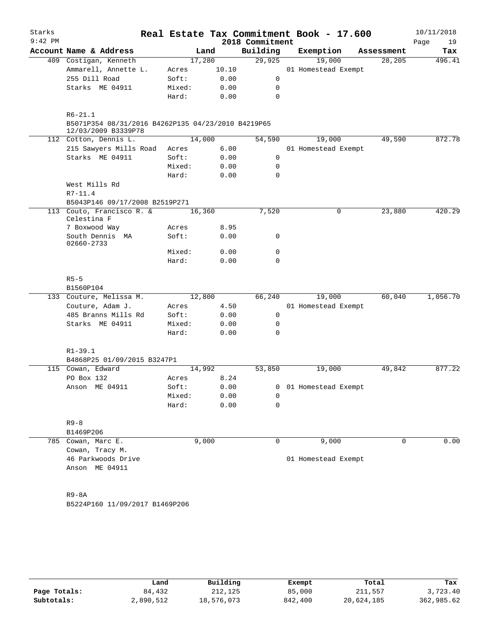| Starks    |                                                                                          |        |       |                 | Real Estate Tax Commitment Book - 17.600 |             | 10/11/2018 |
|-----------|------------------------------------------------------------------------------------------|--------|-------|-----------------|------------------------------------------|-------------|------------|
| $9:42$ PM |                                                                                          |        |       | 2018 Commitment |                                          |             | Page<br>19 |
|           | Account Name & Address                                                                   |        | Land  | Building        | Exemption                                | Assessment  | Tax        |
|           | 409 Costigan, Kenneth                                                                    | 17,280 |       | 29,925          | 19,000                                   | 28,205      | 496.41     |
|           | Ammarell, Annette L.                                                                     | Acres  | 10.10 |                 | 01 Homestead Exempt                      |             |            |
|           | 255 Dill Road                                                                            | Soft:  | 0.00  | 0               |                                          |             |            |
|           | Starks ME 04911                                                                          | Mixed: | 0.00  | 0               |                                          |             |            |
|           |                                                                                          | Hard:  | 0.00  | $\mathbf 0$     |                                          |             |            |
|           | $R6 - 21.1$<br>B5071P354 08/31/2016 B4262P135 04/23/2010 B4219P65<br>12/03/2009 B3339P78 |        |       |                 |                                          |             |            |
|           | 112 Cotton, Dennis L.                                                                    | 14,000 |       | 54,590          | 19,000                                   | 49,590      | 872.78     |
|           | 215 Sawyers Mills Road                                                                   | Acres  | 6.00  |                 | 01 Homestead Exempt                      |             |            |
|           | Starks ME 04911                                                                          | Soft:  | 0.00  | 0               |                                          |             |            |
|           |                                                                                          | Mixed: | 0.00  | $\mathbf 0$     |                                          |             |            |
|           |                                                                                          | Hard:  | 0.00  | $\mathbf 0$     |                                          |             |            |
|           | West Mills Rd                                                                            |        |       |                 |                                          |             |            |
|           | $R7 - 11.4$                                                                              |        |       |                 |                                          |             |            |
|           | B5043P146 09/17/2008 B2519P271                                                           |        |       |                 |                                          |             |            |
|           | 113 Couto, Francisco R. &<br>Celestina F                                                 | 16,360 |       | 7,520           | 0                                        | 23,880      | 420.29     |
|           | 7 Boxwood Way                                                                            | Acres  | 8.95  |                 |                                          |             |            |
|           | South Dennis MA<br>02660-2733                                                            | Soft:  | 0.00  | 0               |                                          |             |            |
|           |                                                                                          | Mixed: | 0.00  | $\mathbf 0$     |                                          |             |            |
|           |                                                                                          | Hard:  | 0.00  | 0               |                                          |             |            |
|           | $R5 - 5$                                                                                 |        |       |                 |                                          |             |            |
|           | B1560P104                                                                                |        |       |                 |                                          |             |            |
|           | 133 Couture, Melissa M.                                                                  | 12,800 |       | 66,240          | 19,000                                   | 60,040      | 1,056.70   |
|           | Couture, Adam J.                                                                         | Acres  | 4.50  |                 | 01 Homestead Exempt                      |             |            |
|           | 485 Branns Mills Rd                                                                      | Soft:  | 0.00  | 0               |                                          |             |            |
|           | Starks ME 04911                                                                          | Mixed: | 0.00  | 0               |                                          |             |            |
|           |                                                                                          | Hard:  | 0.00  | 0               |                                          |             |            |
|           | $R1 - 39.1$<br>B4868P25 01/09/2015 B3247P1                                               |        |       |                 |                                          |             |            |
|           | 115 Cowan, Edward                                                                        | 14,992 |       | 53,850          | 19,000                                   | 49,842      | 877.22     |
|           | PO Box 132                                                                               | Acres  | 8.24  |                 |                                          |             |            |
|           | Anson ME 04911                                                                           | Soft:  | 0.00  |                 | 0 01 Homestead Exempt                    |             |            |
|           |                                                                                          | Mixed: | 0.00  | 0               |                                          |             |            |
|           |                                                                                          | Hard:  | 0.00  | 0               |                                          |             |            |
|           |                                                                                          |        |       |                 |                                          |             |            |
|           | $R9 - 8$                                                                                 |        |       |                 |                                          |             |            |
|           | B1469P206                                                                                | 9,000  |       | 0               | 9,000                                    | $\mathbf 0$ | 0.00       |
|           | 785 Cowan, Marc E.<br>Cowan, Tracy M.                                                    |        |       |                 |                                          |             |            |
|           | 46 Parkwoods Drive                                                                       |        |       |                 | 01 Homestead Exempt                      |             |            |
|           | Anson ME 04911                                                                           |        |       |                 |                                          |             |            |
|           |                                                                                          |        |       |                 |                                          |             |            |
|           |                                                                                          |        |       |                 |                                          |             |            |
|           | R9-8A                                                                                    |        |       |                 |                                          |             |            |
|           | B5224P160 11/09/2017 B1469P206                                                           |        |       |                 |                                          |             |            |

|              | Land      | Building   | Exempt  | Total      | Tax        |
|--------------|-----------|------------|---------|------------|------------|
| Page Totals: | 84,432    | 212,125    | 85,000  | 211,557    | 3,723.40   |
| Subtotals:   | 2,890,512 | 18,576,073 | 842,400 | 20,624,185 | 362,985.62 |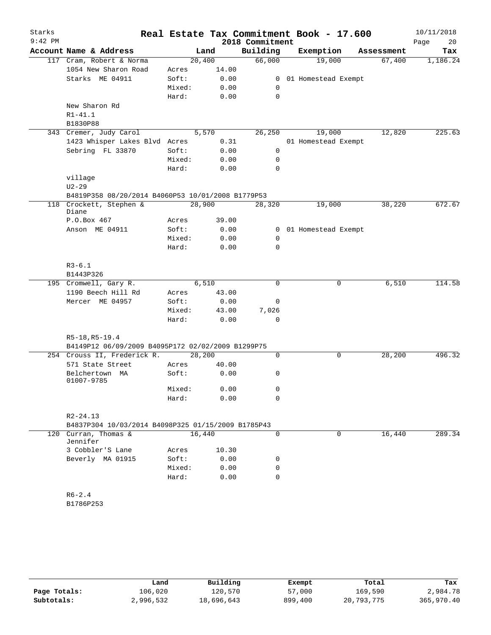| Starks    |                                                    |        |       | Real Estate Tax Commitment Book - 17.600 |                       |             |            | 10/11/2018 |
|-----------|----------------------------------------------------|--------|-------|------------------------------------------|-----------------------|-------------|------------|------------|
| $9:42$ PM |                                                    |        |       | 2018 Commitment                          |                       |             |            | Page<br>20 |
|           | Account Name & Address                             |        | Land  | Building                                 | Exemption             |             | Assessment | Tax        |
|           | 117 Cram, Robert & Norma                           | 20,400 |       | 66,000                                   | 19,000                |             | 67,400     | 1,186.24   |
|           | 1054 New Sharon Road                               | Acres  | 14.00 |                                          |                       |             |            |            |
|           | Starks ME 04911                                    | Soft:  | 0.00  |                                          | 0 01 Homestead Exempt |             |            |            |
|           |                                                    | Mixed: | 0.00  | 0                                        |                       |             |            |            |
|           |                                                    | Hard:  | 0.00  | 0                                        |                       |             |            |            |
|           | New Sharon Rd                                      |        |       |                                          |                       |             |            |            |
|           | $R1 - 41.1$                                        |        |       |                                          |                       |             |            |            |
|           | B1830P88                                           |        |       |                                          |                       |             |            |            |
|           | 343 Cremer, Judy Carol                             |        | 5,570 | 26, 250                                  | 19,000                |             | 12,820     | 225.63     |
|           | 1423 Whisper Lakes Blvd Acres                      |        | 0.31  |                                          | 01 Homestead Exempt   |             |            |            |
|           | Sebring FL 33870                                   | Soft:  | 0.00  | $\mathbf 0$                              |                       |             |            |            |
|           |                                                    | Mixed: | 0.00  | 0                                        |                       |             |            |            |
|           |                                                    | Hard:  | 0.00  | $\Omega$                                 |                       |             |            |            |
|           | village                                            |        |       |                                          |                       |             |            |            |
|           | $U2 - 29$                                          |        |       |                                          |                       |             |            |            |
|           | B4819P358 08/20/2014 B4060P53 10/01/2008 B1779P53  |        |       |                                          |                       |             |            | 672.67     |
|           | 118 Crockett, Stephen &<br>Diane                   | 28,900 |       | 28,320                                   | 19,000                |             | 38,220     |            |
|           | P.O.Box 467                                        | Acres  | 39.00 |                                          |                       |             |            |            |
|           | Anson ME 04911                                     | Soft:  | 0.00  |                                          | 0 01 Homestead Exempt |             |            |            |
|           |                                                    | Mixed: | 0.00  | 0                                        |                       |             |            |            |
|           |                                                    | Hard:  | 0.00  | $\mathbf 0$                              |                       |             |            |            |
|           |                                                    |        |       |                                          |                       |             |            |            |
|           | $R3 - 6.1$                                         |        |       |                                          |                       |             |            |            |
|           | B1443P326                                          |        |       |                                          |                       |             |            |            |
|           | 195 Cromwell, Gary R.                              |        | 6,510 | $\Omega$                                 |                       | 0           | 6,510      | 114.58     |
|           | 1190 Beech Hill Rd                                 | Acres  | 43.00 |                                          |                       |             |            |            |
|           | Mercer ME 04957                                    | Soft:  | 0.00  | $\mathbf 0$                              |                       |             |            |            |
|           |                                                    | Mixed: | 43.00 | 7,026                                    |                       |             |            |            |
|           |                                                    | Hard:  | 0.00  | 0                                        |                       |             |            |            |
|           |                                                    |        |       |                                          |                       |             |            |            |
|           | R5-18, R5-19.4                                     |        |       |                                          |                       |             |            |            |
|           | B4149P12 06/09/2009 B4095P172 02/02/2009 B1299P75  |        |       |                                          |                       |             |            |            |
|           | 254 Crouss II, Frederick R.                        | 28,200 |       | 0                                        |                       | $\mathbf 0$ | 28, 200    | 496.32     |
|           | 571 State Street                                   | Acres  | 40.00 |                                          |                       |             |            |            |
|           | Belchertown MA<br>01007-9785                       | Soft:  | 0.00  | 0                                        |                       |             |            |            |
|           |                                                    | Mixed: | 0.00  | 0                                        |                       |             |            |            |
|           |                                                    | Hard:  | 0.00  | 0                                        |                       |             |            |            |
|           |                                                    |        |       |                                          |                       |             |            |            |
|           | $R2 - 24.13$                                       |        |       |                                          |                       |             |            |            |
|           | B4837P304 10/03/2014 B4098P325 01/15/2009 B1785P43 |        |       |                                          |                       |             |            |            |
|           | 120 Curran, Thomas &                               | 16,440 |       | $\Omega$                                 |                       | 0           | 16,440     | 289.34     |
|           | Jennifer                                           |        |       |                                          |                       |             |            |            |
|           | 3 Cobbler'S Lane                                   | Acres  | 10.30 |                                          |                       |             |            |            |
|           | Beverly MA 01915                                   | Soft:  | 0.00  | 0                                        |                       |             |            |            |
|           |                                                    | Mixed: | 0.00  | 0                                        |                       |             |            |            |
|           |                                                    | Hard:  | 0.00  | 0                                        |                       |             |            |            |
|           |                                                    |        |       |                                          |                       |             |            |            |
|           | $R6 - 2.4$                                         |        |       |                                          |                       |             |            |            |
|           | B1786P253                                          |        |       |                                          |                       |             |            |            |
|           |                                                    |        |       |                                          |                       |             |            |            |
|           |                                                    |        |       |                                          |                       |             |            |            |

|              | Land      | Building   | Exempt  | Total      | Tax        |
|--------------|-----------|------------|---------|------------|------------|
| Page Totals: | 106.020   | 120,570    | 57,000  | 169,590    | 2,984.78   |
| Subtotals:   | 2,996,532 | 18,696,643 | 899,400 | 20,793,775 | 365,970.40 |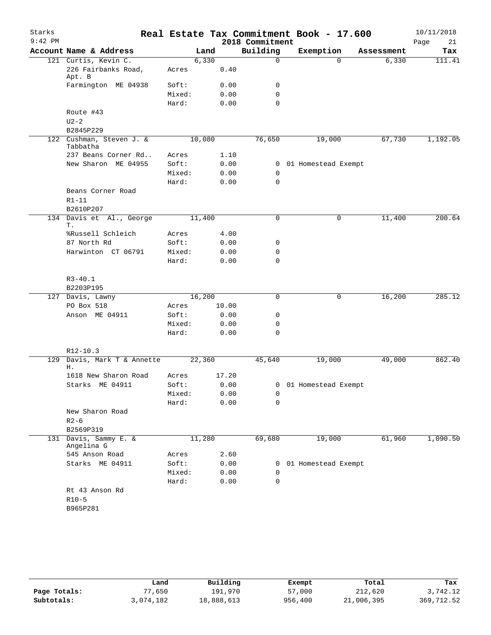| Starks    |                                      |                |        |              |                  | Real Estate Tax Commitment Book - 17.600 |            | 10/11/2018 |
|-----------|--------------------------------------|----------------|--------|--------------|------------------|------------------------------------------|------------|------------|
| $9:42$ PM |                                      |                |        |              | 2018 Commitment  |                                          |            | 21<br>Page |
|           | Account Name & Address               |                | Land   |              | Building         | Exemption                                | Assessment | Tax        |
|           | 121 Curtis, Kevin C.                 |                | 6,330  |              | $\mathbf 0$      | $\Omega$                                 | 6,330      | 111.41     |
|           | 226 Fairbanks Road,<br>Apt. B        | Acres          |        | 0.40         |                  |                                          |            |            |
|           | Farmington ME 04938                  | Soft:          |        | 0.00         | 0                |                                          |            |            |
|           |                                      | Mixed:         |        | 0.00         | $\mathbf 0$      |                                          |            |            |
|           |                                      | Hard:          |        | 0.00         | $\mathbf 0$      |                                          |            |            |
|           | Route #43                            |                |        |              |                  |                                          |            |            |
|           | $U2-2$                               |                |        |              |                  |                                          |            |            |
|           | B2845P229                            |                |        |              |                  |                                          |            |            |
|           | 122 Cushman, Steven J. &<br>Tabbatha |                | 10,080 |              | 76,650           | 19,000                                   | 67,730     | 1,192.05   |
|           | 237 Beans Corner Rd                  | Acres          |        | 1.10         |                  |                                          |            |            |
|           | New Sharon ME 04955                  | Soft:          |        | 0.00         |                  | 0 01 Homestead Exempt                    |            |            |
|           |                                      | Mixed:         |        | 0.00         | 0                |                                          |            |            |
|           |                                      | Hard:          |        | 0.00         | 0                |                                          |            |            |
|           | Beans Corner Road                    |                |        |              |                  |                                          |            |            |
|           | $R1 - 11$                            |                |        |              |                  |                                          |            |            |
|           | B2610P207                            |                |        |              |                  |                                          |            |            |
|           | 134 Davis et Al., George             |                | 11,400 |              | $\mathbf 0$      | 0                                        | 11,400     | 200.64     |
|           | Т.<br>%Russell Schleich              | Acres          |        | 4.00         |                  |                                          |            |            |
|           | 87 North Rd                          | Soft:          |        | 0.00         | 0                |                                          |            |            |
|           | Harwinton CT 06791                   | Mixed:         |        | 0.00         | 0                |                                          |            |            |
|           |                                      | Hard:          |        | 0.00         | 0                |                                          |            |            |
|           |                                      |                |        |              |                  |                                          |            |            |
|           | $R3 - 40.1$                          |                |        |              |                  |                                          |            |            |
|           | B2203P195                            |                |        |              |                  |                                          |            |            |
|           | 127 Davis, Lawny                     |                | 16,200 |              | 0                | 0                                        | 16,200     | 285.12     |
|           | PO Box 518                           | Acres          |        | 10.00        |                  |                                          |            |            |
|           | Anson ME 04911                       | Soft:          |        | 0.00         | 0                |                                          |            |            |
|           |                                      | Mixed:         |        | 0.00         | 0                |                                          |            |            |
|           |                                      | Hard:          |        | 0.00         | 0                |                                          |            |            |
|           | $R12-10.3$                           |                |        |              |                  |                                          |            |            |
|           | 129 Davis, Mark T & Annette          |                | 22,360 |              | 45,640           | 19,000                                   | 49,000     | 862.40     |
|           | Η.                                   |                |        |              |                  |                                          |            |            |
|           | 1618 New Sharon Road                 | Acres          |        | 17.20        |                  |                                          |            |            |
|           | Starks ME 04911                      | Soft:          |        | 0.00         |                  | 0 01 Homestead Exempt                    |            |            |
|           |                                      | Mixed:         |        | 0.00         | 0                |                                          |            |            |
|           |                                      | Hard:          |        | 0.00         | $\mathbf 0$      |                                          |            |            |
|           | New Sharon Road                      |                |        |              |                  |                                          |            |            |
|           | $R2 - 6$<br>B2569P319                |                |        |              |                  |                                          |            |            |
| 131       | Davis, Sammy E. &                    |                | 11,280 |              | 69,680           | 19,000                                   | 61,960     | 1,090.50   |
|           | Angelina G                           |                |        |              |                  |                                          |            |            |
|           | 545 Anson Road<br>Starks ME 04911    | Acres<br>Soft: |        | 2.60         |                  |                                          |            |            |
|           |                                      |                |        | 0.00         |                  | 0 01 Homestead Exempt                    |            |            |
|           |                                      | Mixed:         |        | 0.00<br>0.00 | 0<br>$\mathbf 0$ |                                          |            |            |
|           | Rt 43 Anson Rd                       | Hard:          |        |              |                  |                                          |            |            |
|           | $R10-5$                              |                |        |              |                  |                                          |            |            |
|           | B965P281                             |                |        |              |                  |                                          |            |            |
|           |                                      |                |        |              |                  |                                          |            |            |

|              | Land      | Building   | Exempt  | Total      | Tax        |
|--------------|-----------|------------|---------|------------|------------|
| Page Totals: | 77,650    | 191,970    | 57,000  | 212,620    | 3,742.12   |
| Subtotals:   | 3,074,182 | 18,888,613 | 956,400 | 21,006,395 | 369,712.52 |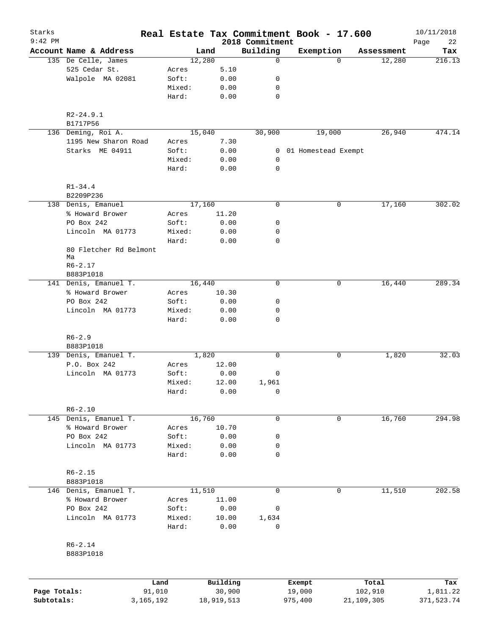| Starks<br>$9:42$ PM |                                       | Real Estate Tax Commitment Book - 17.600 |               | 2018 Commitment |                     |          |            | 10/11/2018        |
|---------------------|---------------------------------------|------------------------------------------|---------------|-----------------|---------------------|----------|------------|-------------------|
|                     | Account Name & Address                | Land                                     |               | Building        | Exemption           |          | Assessment | Page<br>22<br>Tax |
|                     | 135 De Celle, James                   | 12,280                                   |               | $\mathbf 0$     |                     | $\Omega$ | 12,280     | 216.13            |
|                     | 525 Cedar St.                         | Acres                                    | 5.10          |                 |                     |          |            |                   |
|                     | Walpole MA 02081                      | Soft:                                    | 0.00          | 0               |                     |          |            |                   |
|                     |                                       | Mixed:                                   | 0.00          | 0               |                     |          |            |                   |
|                     |                                       | Hard:                                    | 0.00          | $\mathbf 0$     |                     |          |            |                   |
|                     | $R2 - 24.9.1$                         |                                          |               |                 |                     |          |            |                   |
|                     | B1717P56                              |                                          |               |                 |                     |          |            |                   |
|                     | 136 Deming, Roi A.                    | 15,040                                   |               | 30,900          | 19,000              |          | 26,940     | 474.14            |
|                     | 1195 New Sharon Road                  | Acres                                    | 7.30          |                 |                     |          |            |                   |
|                     | Starks ME 04911                       | Soft:                                    | 0.00          | 0               | 01 Homestead Exempt |          |            |                   |
|                     |                                       | Mixed:                                   | 0.00          | 0               |                     |          |            |                   |
|                     |                                       | Hard:                                    | 0.00          | $\mathbf 0$     |                     |          |            |                   |
|                     | $R1 - 34.4$                           |                                          |               |                 |                     |          |            |                   |
|                     | B2209P236                             |                                          |               |                 |                     |          |            |                   |
|                     | 138 Denis, Emanuel                    | 17,160                                   |               | $\mathbf 0$     |                     | 0        | 17,160     | 302.02            |
|                     | % Howard Brower                       | Acres                                    | 11.20         |                 |                     |          |            |                   |
|                     | PO Box 242                            | Soft:                                    | 0.00          | 0               |                     |          |            |                   |
|                     | Lincoln MA 01773                      | Mixed:                                   | 0.00          | 0               |                     |          |            |                   |
|                     |                                       | Hard:                                    | 0.00          | 0               |                     |          |            |                   |
|                     | 80 Fletcher Rd Belmont<br>Ma          |                                          |               |                 |                     |          |            |                   |
|                     | $R6 - 2.17$                           |                                          |               |                 |                     |          |            |                   |
|                     | B883P1018                             |                                          |               |                 |                     |          |            |                   |
|                     | 141 Denis, Emanuel T.                 | 16,440                                   |               | 0               |                     | 0        | 16,440     | 289.34            |
|                     | % Howard Brower                       | Acres                                    | 10.30         |                 |                     |          |            |                   |
|                     | PO Box 242                            | Soft:                                    | 0.00          | 0               |                     |          |            |                   |
|                     | Lincoln MA 01773                      | Mixed:                                   | 0.00          | 0               |                     |          |            |                   |
|                     |                                       | Hard:                                    | 0.00          | 0               |                     |          |            |                   |
|                     | $R6 - 2.9$                            |                                          |               |                 |                     |          |            |                   |
|                     | B883P1018                             | 1,820                                    |               | 0               |                     | 0        | 1,820      | 32.03             |
|                     | 139 Denis, Emanuel T.<br>P.O. Box 242 | Acres                                    | 12.00         |                 |                     |          |            |                   |
|                     | Lincoln MA 01773                      |                                          | 0.00          |                 |                     |          |            |                   |
|                     |                                       | Soft:                                    |               | 0               |                     |          |            |                   |
|                     |                                       | Mixed:<br>Hard:                          | 12.00<br>0.00 | 1,961<br>0      |                     |          |            |                   |
|                     |                                       |                                          |               |                 |                     |          |            |                   |
|                     | $R6 - 2.10$                           |                                          |               |                 |                     |          |            |                   |
|                     | 145 Denis, Emanuel T.                 | 16,760                                   |               | 0               |                     | 0        | 16,760     | 294.98            |
|                     | % Howard Brower                       | Acres                                    | 10.70         |                 |                     |          |            |                   |
|                     | PO Box 242                            | Soft:                                    | 0.00          | 0               |                     |          |            |                   |
|                     | Lincoln MA 01773                      | Mixed:                                   | 0.00          | 0               |                     |          |            |                   |
|                     |                                       | Hard:                                    | 0.00          | 0               |                     |          |            |                   |
|                     | $R6 - 2.15$                           |                                          |               |                 |                     |          |            |                   |
|                     | B883P1018                             |                                          |               |                 |                     |          |            |                   |
|                     | 146 Denis, Emanuel T.                 | 11,510                                   |               | $\mathbf 0$     |                     | 0        | 11,510     | 202.58            |
|                     | % Howard Brower                       | Acres                                    | 11.00         |                 |                     |          |            |                   |
|                     | PO Box 242                            | Soft:                                    | 0.00          | 0               |                     |          |            |                   |
|                     | Lincoln MA 01773                      | Mixed:                                   | 10.00         | 1,634           |                     |          |            |                   |
|                     |                                       | Hard:                                    | 0.00          | 0               |                     |          |            |                   |
|                     | $R6 - 2.14$                           |                                          |               |                 |                     |          |            |                   |
|                     | B883P1018                             |                                          |               |                 |                     |          |            |                   |
|                     |                                       |                                          |               |                 |                     |          |            |                   |
|                     | Land                                  |                                          | Building      |                 | Exempt              |          | Total      | Tax               |
| Page Totals:        | 91,010                                |                                          | 30,900        |                 | 19,000              |          | 102,910    | 1,811.22          |
| Subtotals:          | 3, 165, 192                           |                                          | 18,919,513    |                 | 975,400             |          | 21,109,305 | 371,523.74        |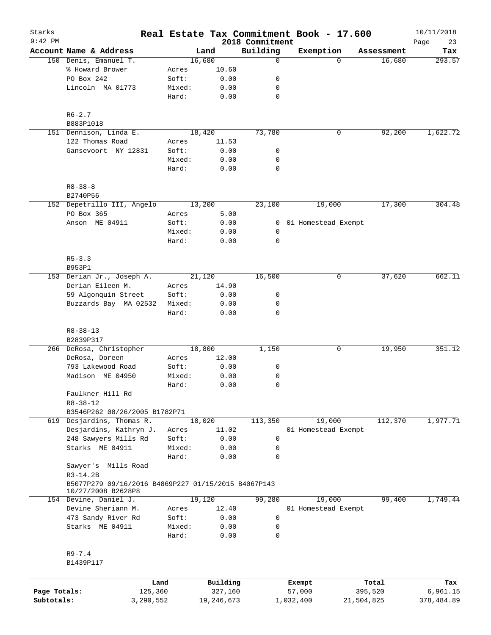| Starks       |                                                     |                 |              |                             | Real Estate Tax Commitment Book - 17.600 |            | 10/11/2018        |
|--------------|-----------------------------------------------------|-----------------|--------------|-----------------------------|------------------------------------------|------------|-------------------|
| $9:42$ PM    | Account Name & Address                              |                 | Land         | 2018 Commitment<br>Building | Exemption                                | Assessment | Page<br>23<br>Tax |
|              | 150 Denis, Emanuel T.                               |                 | 16,680       | $\mathbf 0$                 | $\Omega$                                 | 16,680     | 293.57            |
|              | % Howard Brower                                     | Acres           | 10.60        |                             |                                          |            |                   |
|              | PO Box 242                                          | Soft:           | 0.00         | 0                           |                                          |            |                   |
|              | Lincoln MA 01773                                    | Mixed:          | 0.00         | 0                           |                                          |            |                   |
|              |                                                     | Hard:           | 0.00         | $\mathbf 0$                 |                                          |            |                   |
|              | $R6 - 2.7$                                          |                 |              |                             |                                          |            |                   |
|              | B883P1018                                           |                 |              |                             |                                          |            |                   |
|              | 151 Dennison, Linda E.                              |                 | 18,420       | 73,780                      | 0                                        | 92,200     | 1,622.72          |
|              | 122 Thomas Road                                     | Acres           | 11.53        |                             |                                          |            |                   |
|              | Gansevoort NY 12831                                 | Soft:           | 0.00         | 0                           |                                          |            |                   |
|              |                                                     | Mixed:          | 0.00         | 0                           |                                          |            |                   |
|              |                                                     | Hard:           | 0.00         | $\mathbf 0$                 |                                          |            |                   |
|              | $R8 - 38 - 8$                                       |                 |              |                             |                                          |            |                   |
|              | B2740P56                                            |                 |              |                             |                                          |            |                   |
|              | 152 Depetrillo III, Angelo                          |                 | 13,200       | 23,100                      | 19,000                                   | 17,300     | 304.48            |
|              | PO Box 365                                          | Acres           | 5.00         |                             |                                          |            |                   |
|              | Anson ME 04911                                      | Soft:           | 0.00         | 0                           | 01 Homestead Exempt                      |            |                   |
|              |                                                     | Mixed:          | 0.00         | 0                           |                                          |            |                   |
|              |                                                     | Hard:           | 0.00         | $\mathbf 0$                 |                                          |            |                   |
|              | $R5 - 3.3$                                          |                 |              |                             |                                          |            |                   |
|              | B953P1                                              |                 | 21,120       |                             | 0                                        |            | 662.11            |
|              | 153 Derian Jr., Joseph A.                           |                 |              | 16,500                      |                                          | 37,620     |                   |
|              | Derian Eileen M.                                    | Acres           | 14.90        |                             |                                          |            |                   |
|              | 59 Algonquin Street                                 | Soft:           | 0.00         | 0                           |                                          |            |                   |
|              | Buzzards Bay MA 02532                               | Mixed:<br>Hard: | 0.00<br>0.00 | 0<br>$\mathbf 0$            |                                          |            |                   |
|              | $R8 - 38 - 13$                                      |                 |              |                             |                                          |            |                   |
|              | B2839P317                                           |                 |              |                             |                                          |            |                   |
|              | 266 DeRosa, Christopher                             |                 | 18,800       | 1,150                       | 0                                        | 19,950     | 351.12            |
|              | DeRosa, Doreen                                      | Acres           | 12.00        |                             |                                          |            |                   |
|              | 793 Lakewood Road                                   | Soft:           | 0.00         | 0                           |                                          |            |                   |
|              | Madison ME 04950                                    | Mixed:          | 0.00         | 0                           |                                          |            |                   |
|              |                                                     | Hard:           | 0.00         | $\mathbf 0$                 |                                          |            |                   |
|              | Faulkner Hill Rd                                    |                 |              |                             |                                          |            |                   |
|              | $R8 - 38 - 12$                                      |                 |              |                             |                                          |            |                   |
|              | B3546P262 08/26/2005 B1782P71                       |                 |              |                             |                                          |            |                   |
|              | 619 Desjardins, Thomas R.                           |                 | 18,020       | 113,350                     | 19,000                                   | 112,370    | 1,977.71          |
|              | Desjardins, Kathryn J.                              | Acres           | 11.02        |                             | 01 Homestead Exempt                      |            |                   |
|              | 248 Sawyers Mills Rd                                | Soft:           | 0.00         | 0                           |                                          |            |                   |
|              | Starks ME 04911                                     | Mixed:          | 0.00         | 0                           |                                          |            |                   |
|              |                                                     | Hard:           | 0.00         | $\mathbf 0$                 |                                          |            |                   |
|              | Sawyer's Mills Road                                 |                 |              |                             |                                          |            |                   |
|              | $R3-14.2B$                                          |                 |              |                             |                                          |            |                   |
|              | B5077P279 09/16/2016 B4869P227 01/15/2015 B4067P143 |                 |              |                             |                                          |            |                   |
|              | 10/27/2008 B2628P8<br>154 Devine, Daniel J.         |                 | 19,120       | 99,280                      | 19,000                                   | 99,400     | 1,749.44          |
|              | Devine Sheriann M.                                  | Acres           | 12.40        |                             | 01 Homestead Exempt                      |            |                   |
|              | 473 Sandy River Rd                                  | Soft:           | 0.00         | $\mathsf{O}$                |                                          |            |                   |
|              | Starks ME 04911                                     | Mixed:          | 0.00         | 0                           |                                          |            |                   |
|              |                                                     | Hard:           | 0.00         | 0                           |                                          |            |                   |
|              | $R9 - 7.4$                                          |                 |              |                             |                                          |            |                   |
|              | B1439P117                                           |                 |              |                             |                                          |            |                   |
|              | Land                                                |                 | Building     |                             | Exempt                                   | Total      | Tax               |
| Page Totals: | 125,360                                             |                 | 327,160      |                             | 57,000                                   | 395,520    | 6,961.15          |
| Subtotals:   | 3,290,552                                           |                 | 19,246,673   |                             | 1,032,400                                | 21,504,825 | 378,484.89        |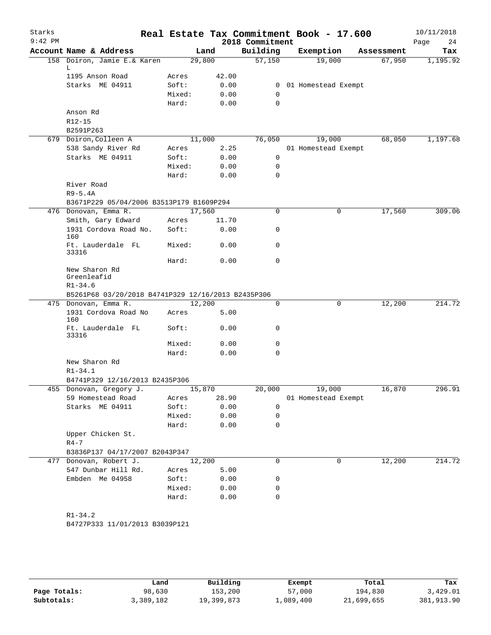| Starks<br>$9:42$ PM |                                                    |                 |              | 2018 Commitment | Real Estate Tax Commitment Book - 17.600 |            | 10/11/2018<br>Page<br>24 |
|---------------------|----------------------------------------------------|-----------------|--------------|-----------------|------------------------------------------|------------|--------------------------|
|                     | Account Name & Address                             |                 | Land         | Building        | Exemption                                | Assessment | Tax                      |
|                     | 158 Doiron, Jamie E.& Karen                        | 29,800          |              | 57,150          | 19,000                                   | 67,950     | 1,195.92                 |
|                     | L.<br>1195 Anson Road                              | Acres           | 42.00        |                 |                                          |            |                          |
|                     | Starks ME 04911                                    | Soft:           | 0.00         | $\overline{0}$  | 01 Homestead Exempt                      |            |                          |
|                     |                                                    | Mixed:          | 0.00         | $\mathbf 0$     |                                          |            |                          |
|                     |                                                    | Hard:           | 0.00         | 0               |                                          |            |                          |
|                     | Anson Rd                                           |                 |              |                 |                                          |            |                          |
|                     | $R12 - 15$                                         |                 |              |                 |                                          |            |                          |
|                     | B2591P263                                          |                 |              |                 |                                          |            |                          |
|                     | 679 Doiron, Colleen A                              | 11,000          |              | 76,050          | 19,000                                   | 68,050     | 1,197.68                 |
|                     | 538 Sandy River Rd                                 | Acres           | 2.25         |                 | 01 Homestead Exempt                      |            |                          |
|                     | Starks ME 04911                                    | Soft:           | 0.00         | $\mathsf{O}$    |                                          |            |                          |
|                     |                                                    | Mixed:          | 0.00         | 0               |                                          |            |                          |
|                     |                                                    | Hard:           | 0.00         | 0               |                                          |            |                          |
|                     | River Road                                         |                 |              |                 |                                          |            |                          |
|                     | $R9-5.4A$                                          |                 |              |                 |                                          |            |                          |
|                     | B3671P229 05/04/2006 B3513P179 B1609P294           |                 |              |                 |                                          |            |                          |
|                     | 476 Donovan, Emma R.                               | 17,560          |              | $\mathbf 0$     | 0                                        | 17,560     | 309.06                   |
|                     | Smith, Gary Edward                                 | Acres           | 11.70        |                 |                                          |            |                          |
|                     | 1931 Cordova Road No.<br>160                       | Soft:           | 0.00         | 0               |                                          |            |                          |
|                     | Ft. Lauderdale FL<br>33316                         | Mixed:          | 0.00         | 0               |                                          |            |                          |
|                     |                                                    | Hard:           | 0.00         | 0               |                                          |            |                          |
|                     | New Sharon Rd<br>Greenleafid                       |                 |              |                 |                                          |            |                          |
|                     | $R1 - 34.6$                                        |                 |              |                 |                                          |            |                          |
|                     | B5261P68 03/20/2018 B4741P329 12/16/2013 B2435P306 |                 |              |                 |                                          |            |                          |
|                     | 475 Donovan, Emma R.                               | 12,200          |              | 0               | 0                                        | 12,200     | 214.72                   |
|                     | 1931 Cordova Road No<br>160                        | Acres           | 5.00         |                 |                                          |            |                          |
|                     | Ft. Lauderdale FL<br>33316                         | Soft:           | 0.00         | 0               |                                          |            |                          |
|                     |                                                    | Mixed:          | 0.00         | 0               |                                          |            |                          |
|                     |                                                    | Hard:           | 0.00         | $\Omega$        |                                          |            |                          |
|                     | New Sharon Rd                                      |                 |              |                 |                                          |            |                          |
|                     | $R1 - 34.1$                                        |                 |              |                 |                                          |            |                          |
|                     | B4741P329 12/16/2013 B2435P306                     |                 |              |                 |                                          |            |                          |
|                     | 455 Donovan, Gregory J.                            |                 | 15,870       | 20,000          | 19,000                                   | 16,870     | 296.91                   |
|                     | 59 Homestead Road                                  | Acres           | 28.90        |                 | 01 Homestead Exempt                      |            |                          |
|                     | Starks ME 04911                                    | Soft:           | 0.00         | 0               |                                          |            |                          |
|                     |                                                    | Mixed:          | 0.00         | 0<br>$\Omega$   |                                          |            |                          |
|                     | Upper Chicken St.                                  | Hard:           | 0.00         |                 |                                          |            |                          |
|                     | $R4 - 7$                                           |                 |              |                 |                                          |            |                          |
|                     | B3836P137 04/17/2007 B2043P347                     |                 |              |                 |                                          |            |                          |
|                     | 477 Donovan, Robert J.                             | 12,200          |              | 0               | 0                                        | 12,200     | 214.72                   |
|                     | 547 Dunbar Hill Rd.                                | Acres           | 5.00         |                 |                                          |            |                          |
|                     | Embden Me 04958                                    | Soft:           | 0.00         | 0<br>0          |                                          |            |                          |
|                     |                                                    | Mixed:<br>Hard: | 0.00<br>0.00 | 0               |                                          |            |                          |
|                     |                                                    |                 |              |                 |                                          |            |                          |
|                     | $R1 - 34.2$                                        |                 |              |                 |                                          |            |                          |
|                     | B4727P333 11/01/2013 B3039P121                     |                 |              |                 |                                          |            |                          |
|                     |                                                    |                 |              |                 |                                          |            |                          |
|                     |                                                    |                 |              |                 |                                          |            |                          |

|              | Land      | Building   | Exempt    | Total      | Tax        |
|--------------|-----------|------------|-----------|------------|------------|
| Page Totals: | 98,630    | 153,200    | 57,000    | 194,830    | 3,429.01   |
| Subtotals:   | 3,389,182 | 19,399,873 | ⊥,089,400 | 21,699,655 | 381,913.90 |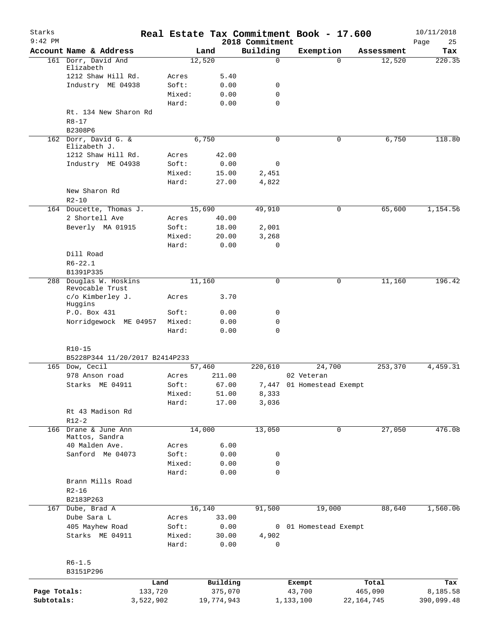| Starks<br>$9:42$ PM |                                           |                 |                     |                             | Real Estate Tax Commitment Book - 17.600 |                  | 10/11/2018        |
|---------------------|-------------------------------------------|-----------------|---------------------|-----------------------------|------------------------------------------|------------------|-------------------|
|                     | Account Name & Address                    |                 | Land                | 2018 Commitment<br>Building | Exemption                                | Assessment       | Page<br>25<br>Tax |
|                     | 161 Dorr, David And                       |                 | 12,520              | $\mathbf 0$                 | $\Omega$                                 | 12,520           | 220.35            |
|                     | Elizabeth                                 |                 |                     |                             |                                          |                  |                   |
|                     | 1212 Shaw Hill Rd.                        | Acres           | 5.40                |                             |                                          |                  |                   |
|                     | Industry ME 04938                         | Soft:           | 0.00                | 0                           |                                          |                  |                   |
|                     |                                           | Mixed:          | 0.00                | $\mathbf 0$                 |                                          |                  |                   |
|                     |                                           | Hard:           | 0.00                | $\mathbf 0$                 |                                          |                  |                   |
|                     | Rt. 134 New Sharon Rd                     |                 |                     |                             |                                          |                  |                   |
|                     | $R8 - 17$<br>B2308P6                      |                 |                     |                             |                                          |                  |                   |
|                     | 162 Dorr, David G. &                      |                 | 6,750               | 0                           | 0                                        | 6,750            | 118.80            |
|                     | Elizabeth J.                              |                 |                     |                             |                                          |                  |                   |
|                     | 1212 Shaw Hill Rd.                        | Acres           | 42.00               |                             |                                          |                  |                   |
|                     | Industry ME 04938                         | Soft:           | 0.00                | $\mathbf 0$                 |                                          |                  |                   |
|                     |                                           | Mixed:          | 15.00               | 2,451                       |                                          |                  |                   |
|                     |                                           | Hard:           | 27.00               | 4,822                       |                                          |                  |                   |
|                     | New Sharon Rd                             |                 |                     |                             |                                          |                  |                   |
|                     | $R2 - 10$                                 |                 |                     |                             |                                          |                  |                   |
|                     | 164 Doucette, Thomas J.                   |                 | 15,690              | 49,910                      | 0                                        | 65,600           | 1,154.56          |
|                     | 2 Shortell Ave                            | Acres<br>Soft:  | 40.00               |                             |                                          |                  |                   |
|                     | Beverly MA 01915                          |                 | 18.00               | 2,001                       |                                          |                  |                   |
|                     |                                           | Mixed:<br>Hard: | 20.00<br>0.00       | 3,268<br>$\mathbf 0$        |                                          |                  |                   |
|                     | Dill Road                                 |                 |                     |                             |                                          |                  |                   |
|                     | $R6 - 22.1$                               |                 |                     |                             |                                          |                  |                   |
|                     | B1391P335                                 |                 |                     |                             |                                          |                  |                   |
|                     | 288 Douglas W. Hoskins<br>Revocable Trust |                 | 11,160              | 0                           | 0                                        | 11,160           | 196.42            |
|                     | c/o Kimberley J.<br>Huggins               | Acres           | 3.70                |                             |                                          |                  |                   |
|                     | P.O. Box 431                              | Soft:           | 0.00                | 0                           |                                          |                  |                   |
|                     | Norridgewock ME 04957                     | Mixed:          | 0.00                | $\mathbf 0$                 |                                          |                  |                   |
|                     |                                           | Hard:           | 0.00                | $\mathbf 0$                 |                                          |                  |                   |
|                     |                                           |                 |                     |                             |                                          |                  |                   |
|                     | R10-15                                    |                 |                     |                             |                                          |                  |                   |
|                     | B5228P344 11/20/2017 B2414P233            |                 |                     |                             |                                          |                  |                   |
|                     | 165 Dow, Cecil                            |                 | 57,460              | 220,610                     | 24,700                                   | 253,370          | 4,459.31          |
|                     | 978 Anson road                            | Acres           | 211.00              |                             | 02 Veteran                               |                  |                   |
|                     | Starks ME 04911                           | Soft:           | 67.00               |                             | 7,447 01 Homestead Exempt                |                  |                   |
|                     |                                           | Mixed:          | 51.00               | 8,333                       |                                          |                  |                   |
|                     | Rt 43 Madison Rd                          | Hard:           | 17.00               | 3,036                       |                                          |                  |                   |
|                     | $R12-2$                                   |                 |                     |                             |                                          |                  |                   |
|                     | 166 Drane & June Ann                      |                 | 14,000              | 13,050                      | 0                                        | 27,050           | 476.08            |
|                     | Mattos, Sandra                            |                 |                     |                             |                                          |                  |                   |
|                     | 40 Malden Ave.                            | Acres           | 6.00                |                             |                                          |                  |                   |
|                     | Sanford Me 04073                          | Soft:           | 0.00                | 0                           |                                          |                  |                   |
|                     |                                           | Mixed:          | 0.00                | 0                           |                                          |                  |                   |
|                     |                                           | Hard:           | 0.00                | 0                           |                                          |                  |                   |
|                     | Brann Mills Road                          |                 |                     |                             |                                          |                  |                   |
|                     | $R2 - 16$                                 |                 |                     |                             |                                          |                  |                   |
|                     | B2183P263                                 |                 |                     |                             |                                          |                  |                   |
| 167                 | Dube, Brad A                              |                 | 16,140              | 91,500                      | 19,000                                   | 88,640           | 1,560.06          |
|                     | Dube Sara L                               | Acres           | 33.00               |                             |                                          |                  |                   |
|                     | 405 Mayhew Road                           | Soft:           | 0.00                | 0                           | 01 Homestead Exempt                      |                  |                   |
|                     | Starks ME 04911                           | Mixed:          | 30.00               | 4,902                       |                                          |                  |                   |
|                     |                                           | Hard:           | 0.00                | 0                           |                                          |                  |                   |
|                     |                                           |                 |                     |                             |                                          |                  |                   |
|                     | $R6 - 1.5$<br>B3151P296                   |                 |                     |                             |                                          |                  |                   |
|                     |                                           |                 |                     |                             |                                          |                  |                   |
| Page Totals:        | 133,720                                   | Land            | Building<br>375,070 |                             | Exempt<br>43,700                         | Total<br>465,090 | Tax<br>8,185.58   |
| Subtotals:          | 3,522,902                                 |                 | 19,774,943          |                             | 1,133,100                                | 22,164,745       | 390,099.48        |
|                     |                                           |                 |                     |                             |                                          |                  |                   |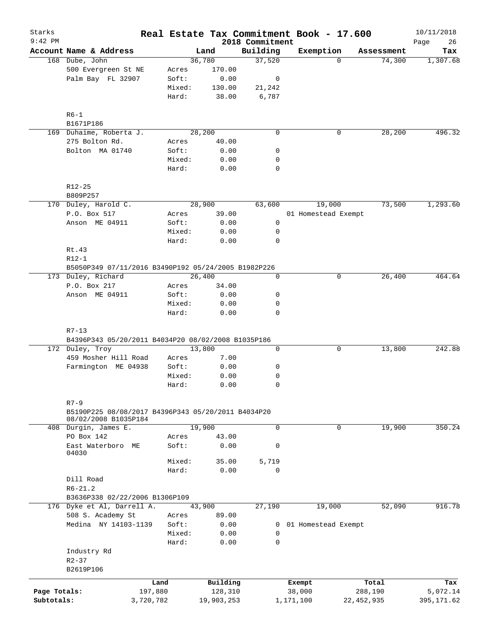| Starks<br>$9:42$ PM        |                                                                                        |                      |                |                       | 2018 Commitment  | Real Estate Tax Commitment Book - 17.600 |                         | 10/11/2018<br>26<br>Page |
|----------------------------|----------------------------------------------------------------------------------------|----------------------|----------------|-----------------------|------------------|------------------------------------------|-------------------------|--------------------------|
|                            | Account Name & Address                                                                 |                      |                | Land                  | Building         | Exemption                                | Assessment              | Tax                      |
|                            | 168 Dube, John                                                                         |                      |                | 36,780                | 37,520           | $\Omega$                                 | 74,300                  | 1,307.68                 |
|                            | 500 Evergreen St NE                                                                    |                      | Acres          | 170.00                |                  |                                          |                         |                          |
|                            | Palm Bay FL 32907                                                                      |                      | Soft:          | 0.00                  | 0                |                                          |                         |                          |
|                            |                                                                                        |                      | Mixed:         | 130.00                | 21,242           |                                          |                         |                          |
|                            |                                                                                        |                      | Hard:          | 38.00                 | 6,787            |                                          |                         |                          |
|                            | $R6 - 1$                                                                               |                      |                |                       |                  |                                          |                         |                          |
|                            | B1671P186                                                                              |                      |                |                       |                  |                                          |                         |                          |
|                            | 169 Duhaime, Roberta J.                                                                |                      |                | 28,200                | $\mathbf 0$      | 0                                        | 28,200                  | 496.32                   |
|                            | 275 Bolton Rd.                                                                         |                      | Acres          | 40.00                 |                  |                                          |                         |                          |
|                            | Bolton MA 01740                                                                        |                      | Soft:          | 0.00                  | 0                |                                          |                         |                          |
|                            |                                                                                        |                      | Mixed:         | 0.00                  | 0                |                                          |                         |                          |
|                            |                                                                                        |                      | Hard:          | 0.00                  | $\mathbf 0$      |                                          |                         |                          |
|                            | $R12 - 25$                                                                             |                      |                |                       |                  |                                          |                         |                          |
|                            | B809P257                                                                               |                      |                |                       |                  |                                          |                         |                          |
|                            | 170 Duley, Harold C.                                                                   |                      |                | 28,900                | 63,600           | 19,000                                   | 73,500                  | 1, 293.60                |
|                            | P.O. Box 517                                                                           |                      | Acres          | 39.00                 |                  | 01 Homestead Exempt                      |                         |                          |
|                            | Anson ME 04911                                                                         |                      | Soft:          | 0.00                  | $\mathbf 0$      |                                          |                         |                          |
|                            |                                                                                        |                      | Mixed:         | 0.00                  | 0                |                                          |                         |                          |
|                            |                                                                                        |                      | Hard:          | 0.00                  | $\mathbf 0$      |                                          |                         |                          |
|                            | Rt.43                                                                                  |                      |                |                       |                  |                                          |                         |                          |
|                            | $R12-1$                                                                                |                      |                |                       |                  |                                          |                         |                          |
|                            | B5050P349 07/11/2016 B3490P192 05/24/2005 B1982P226                                    |                      |                |                       |                  |                                          |                         |                          |
|                            | 173 Duley, Richard                                                                     |                      |                | 26,400                | $\mathbf 0$      | 0                                        | 26,400                  | 464.64                   |
|                            | P.O. Box 217                                                                           |                      | Acres          | 34.00                 |                  |                                          |                         |                          |
|                            | Anson ME 04911                                                                         |                      | Soft:          | 0.00                  | 0                |                                          |                         |                          |
|                            |                                                                                        |                      | Mixed:         | 0.00                  | 0                |                                          |                         |                          |
|                            |                                                                                        |                      | Hard:          | 0.00                  | $\mathbf 0$      |                                          |                         |                          |
|                            | $R7 - 13$<br>B4396P343 05/20/2011 B4034P20 08/02/2008 B1035P186                        |                      |                | 13,800                | 0                | 0                                        | 13,800                  | 242.88                   |
|                            | 172 Duley, Troy<br>459 Mosher Hill Road                                                |                      |                | 7.00                  |                  |                                          |                         |                          |
|                            | Farmington ME 04938                                                                    |                      | Acres<br>Soft: |                       | 0                |                                          |                         |                          |
|                            |                                                                                        |                      | Mixed:         | 0.00                  |                  |                                          |                         |                          |
|                            |                                                                                        |                      | Hard:          | 0.00                  | 0<br>$\mathbf 0$ |                                          |                         |                          |
|                            |                                                                                        |                      |                | 0.00                  |                  |                                          |                         |                          |
|                            | $R7 - 9$<br>B5190P225 08/08/2017 B4396P343 05/20/2011 B4034P20<br>08/02/2008 B1035P184 |                      |                |                       |                  |                                          |                         |                          |
|                            | 408 Durgin, James E.                                                                   |                      |                | 19,900                | $\mathbf 0$      | 0                                        | 19,900                  | 350.24                   |
|                            | PO Box 142                                                                             |                      | Acres          | 43.00                 |                  |                                          |                         |                          |
|                            | East Waterboro ME<br>04030                                                             |                      | Soft:          | 0.00                  | 0                |                                          |                         |                          |
|                            |                                                                                        |                      | Mixed:         | 35.00                 | 5,719            |                                          |                         |                          |
|                            |                                                                                        |                      | Hard:          | 0.00                  | $\mathbf 0$      |                                          |                         |                          |
|                            | Dill Road<br>$R6 - 21.2$                                                               |                      |                |                       |                  |                                          |                         |                          |
|                            | B3636P338 02/22/2006 B1306P109                                                         |                      |                |                       |                  |                                          |                         |                          |
|                            | 176 Dyke et Al, Darrell A.                                                             |                      |                | 43,900                | 27,190           | 19,000                                   | 52,090                  | 916.78                   |
|                            | 508 S. Academy St                                                                      |                      | Acres          | 89.00                 |                  |                                          |                         |                          |
|                            | Medina NY 14103-1139                                                                   |                      | Soft:          | 0.00                  | 0                | 01 Homestead Exempt                      |                         |                          |
|                            |                                                                                        |                      | Mixed:         | 0.00                  | 0                |                                          |                         |                          |
|                            |                                                                                        |                      | Hard:          | 0.00                  | $\mathbf 0$      |                                          |                         |                          |
|                            | Industry Rd                                                                            |                      |                |                       |                  |                                          |                         |                          |
|                            | $R2 - 37$                                                                              |                      |                |                       |                  |                                          |                         |                          |
|                            | B2619P106                                                                              |                      |                |                       |                  |                                          |                         |                          |
|                            |                                                                                        | Land                 |                | Building              |                  | Exempt                                   | Total                   | Tax                      |
| Page Totals:<br>Subtotals: |                                                                                        | 197,880<br>3,720,782 |                | 128,310<br>19,903,253 |                  | 38,000<br>1,171,100                      | 288,190<br>22, 452, 935 | 5,072.14<br>395,171.62   |
|                            |                                                                                        |                      |                |                       |                  |                                          |                         |                          |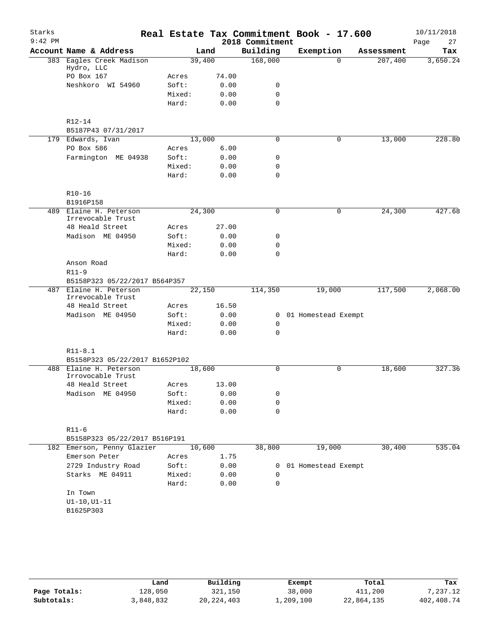| Starks<br>$9:42$ PM |                                         |        |       | 2018 Commitment | Real Estate Tax Commitment Book - 17.600 |            | 10/11/2018<br>Page<br>27 |
|---------------------|-----------------------------------------|--------|-------|-----------------|------------------------------------------|------------|--------------------------|
|                     | Account Name & Address                  |        | Land  | Building        | Exemption                                | Assessment | Tax                      |
|                     | 383 Eagles Creek Madison<br>Hydro, LLC  | 39,400 |       | 168,000         | $\Omega$                                 | 207,400    | 3,650.24                 |
|                     | PO Box 167                              | Acres  | 74.00 |                 |                                          |            |                          |
|                     | Neshkoro WI 54960                       | Soft:  | 0.00  | 0               |                                          |            |                          |
|                     |                                         | Mixed: | 0.00  | $\mathbf 0$     |                                          |            |                          |
|                     |                                         | Hard:  | 0.00  | $\mathbf 0$     |                                          |            |                          |
|                     |                                         |        |       |                 |                                          |            |                          |
|                     | R12-14<br>B5187P43 07/31/2017           |        |       |                 |                                          |            |                          |
|                     | 179 Edwards, Ivan                       | 13,000 |       | 0               | 0                                        | 13,000     | 228.80                   |
|                     | PO Box 586                              | Acres  | 6.00  |                 |                                          |            |                          |
|                     | Farmington ME 04938                     | Soft:  | 0.00  | 0               |                                          |            |                          |
|                     |                                         | Mixed: | 0.00  | 0               |                                          |            |                          |
|                     |                                         | Hard:  | 0.00  | $\mathbf 0$     |                                          |            |                          |
|                     | $R10-16$                                |        |       |                 |                                          |            |                          |
|                     | B1916P158                               |        |       |                 |                                          |            |                          |
|                     | 489 Elaine H. Peterson                  | 24,300 |       | 0               | $\mathbf 0$                              | 24,300     | 427.68                   |
|                     | Irrevocable Trust                       |        |       |                 |                                          |            |                          |
|                     | 48 Heald Street                         | Acres  | 27.00 |                 |                                          |            |                          |
|                     | Madison ME 04950                        | Soft:  | 0.00  | 0               |                                          |            |                          |
|                     |                                         | Mixed: | 0.00  | $\mathbf 0$     |                                          |            |                          |
|                     |                                         | Hard:  | 0.00  | $\Omega$        |                                          |            |                          |
|                     | Anson Road<br>$R11-9$                   |        |       |                 |                                          |            |                          |
|                     | B5158P323 05/22/2017 B564P357           |        |       |                 |                                          |            |                          |
| 487                 | Elaine H. Peterson<br>Irrevocable Trust | 22,150 |       | 114,350         | 19,000                                   | 117,500    | 2,068.00                 |
|                     | 48 Heald Street                         | Acres  | 16.50 |                 |                                          |            |                          |
|                     | Madison ME 04950                        | Soft:  | 0.00  | 0               | 01 Homestead Exempt                      |            |                          |
|                     |                                         | Mixed: | 0.00  | 0               |                                          |            |                          |
|                     |                                         | Hard:  | 0.00  | $\mathbf 0$     |                                          |            |                          |
|                     | $R11 - 8.1$                             |        |       |                 |                                          |            |                          |
|                     | B5158P323 05/22/2017 B1652P102          |        |       |                 |                                          |            |                          |
| 488                 | Elaine H. Peterson<br>Irrovocable Trust | 18,600 |       | $\Omega$        | 0                                        | 18,600     | 327.36                   |
|                     | 48 Heald Street                         | Acres  | 13.00 |                 |                                          |            |                          |
|                     | Madison ME 04950                        | Soft:  | 0.00  | 0               |                                          |            |                          |
|                     |                                         | Mixed: | 0.00  | 0               |                                          |            |                          |
|                     |                                         | Hard:  | 0.00  | $\mathbf 0$     |                                          |            |                          |
|                     | $R11-6$                                 |        |       |                 |                                          |            |                          |
|                     | B5158P323 05/22/2017 B516P191           |        |       |                 |                                          |            |                          |
|                     | 182 Emerson, Penny Glazier              | 10,600 |       | 38,800          | 19,000                                   | 30,400     | 535.04                   |
|                     | Emerson Peter                           | Acres  | 1.75  |                 |                                          |            |                          |
|                     | 2729 Industry Road                      | Soft:  | 0.00  |                 | 0 01 Homestead Exempt                    |            |                          |
|                     | Starks ME 04911                         | Mixed: | 0.00  | 0               |                                          |            |                          |
|                     |                                         | Hard:  | 0.00  | $\mathbf 0$     |                                          |            |                          |
|                     | In Town                                 |        |       |                 |                                          |            |                          |
|                     | $UI-10, UI-11$<br>B1625P303             |        |       |                 |                                          |            |                          |
|                     |                                         |        |       |                 |                                          |            |                          |
|                     |                                         |        |       |                 |                                          |            |                          |

|              | Land      | Building     | Exempt    | Total      | Tax        |
|--------------|-----------|--------------|-----------|------------|------------|
| Page Totals: | 128,050   | 321,150      | 38,000    | 411,200    | 7.237.12   |
| Subtotals:   | 3,848,832 | 20, 224, 403 | 1,209,100 | 22,864,135 | 402,408.74 |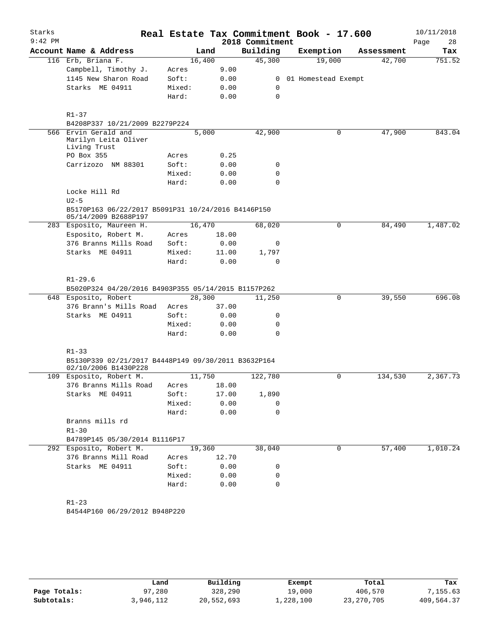| Starks    |                                                                            |                 |       |                  | Real Estate Tax Commitment Book - 17.600 |            | 10/11/2018 |
|-----------|----------------------------------------------------------------------------|-----------------|-------|------------------|------------------------------------------|------------|------------|
| $9:42$ PM |                                                                            |                 |       | 2018 Commitment  |                                          |            | Page<br>28 |
|           | Account Name & Address                                                     |                 | Land  | Building         | Exemption                                | Assessment | Tax        |
|           | 116 Erb, Briana F.                                                         | 16,400          |       | 45,300           | 19,000                                   | 42,700     | 751.52     |
|           | Campbell, Timothy J.                                                       | Acres           | 9.00  |                  |                                          |            |            |
|           | 1145 New Sharon Road                                                       | Soft:           | 0.00  |                  | 0 01 Homestead Exempt                    |            |            |
|           | Starks ME 04911                                                            | Mixed:          | 0.00  | 0                |                                          |            |            |
|           |                                                                            | Hard:           | 0.00  | $\mathbf 0$      |                                          |            |            |
|           |                                                                            |                 |       |                  |                                          |            |            |
|           | $R1 - 37$                                                                  |                 |       |                  |                                          |            |            |
|           | B4208P337 10/21/2009 B2279P224<br>566 Ervin Gerald and                     |                 | 5,000 |                  | 0                                        | 47,900     | 843.04     |
|           | Marilyn Leita Oliver                                                       |                 |       | 42,900           |                                          |            |            |
|           | Living Trust                                                               |                 |       |                  |                                          |            |            |
|           | PO Box 355                                                                 | Acres           | 0.25  |                  |                                          |            |            |
|           | Carrizozo NM 88301                                                         | Soft:           | 0.00  | 0                |                                          |            |            |
|           |                                                                            | Mixed:          | 0.00  | 0                |                                          |            |            |
|           |                                                                            | Hard:           | 0.00  | $\mathbf 0$      |                                          |            |            |
|           | Locke Hill Rd                                                              |                 |       |                  |                                          |            |            |
|           | $U2-5$                                                                     |                 |       |                  |                                          |            |            |
|           | B5170P163 06/22/2017 B5091P31 10/24/2016 B4146P150<br>05/14/2009 B2688P197 |                 |       |                  |                                          |            |            |
|           | 283 Esposito, Maureen H.                                                   | 16,470          |       | 68,020           | $\mathbf 0$                              | 84,490     | 1,487.02   |
|           | Esposito, Robert M.                                                        | Acres           | 18.00 |                  |                                          |            |            |
|           | 376 Branns Mills Road                                                      | Soft:           | 0.00  | 0                |                                          |            |            |
|           | Starks ME 04911                                                            | Mixed:          | 11.00 | 1,797            |                                          |            |            |
|           |                                                                            | Hard:           | 0.00  | $\mathbf 0$      |                                          |            |            |
|           |                                                                            |                 |       |                  |                                          |            |            |
|           | $R1 - 29.6$                                                                |                 |       |                  |                                          |            |            |
|           | B5020P324 04/20/2016 B4903P355 05/14/2015 B1157P262                        |                 |       |                  |                                          |            |            |
|           | 648 Esposito, Robert<br>376 Brann's Mills Road                             | 28,300<br>Acres | 37.00 | 11,250           | 0                                        | 39,550     | 696.08     |
|           | Starks ME 04911                                                            | Soft:           | 0.00  | 0                |                                          |            |            |
|           |                                                                            | Mixed:          | 0.00  | $\mathbf 0$      |                                          |            |            |
|           |                                                                            | Hard:           | 0.00  | 0                |                                          |            |            |
|           |                                                                            |                 |       |                  |                                          |            |            |
|           | $R1 - 33$                                                                  |                 |       |                  |                                          |            |            |
|           | B5130P339 02/21/2017 B4448P149 09/30/2011 B3632P164                        |                 |       |                  |                                          |            |            |
|           | 02/10/2006 B1430P228                                                       |                 |       |                  |                                          |            |            |
|           | 109 Esposito, Robert M.                                                    | 11,750          |       | 122,780          | 0                                        | 134,530    | 2,367.73   |
|           | 376 Branns Mills Road                                                      | Acres           | 18.00 |                  |                                          |            |            |
|           | Starks ME 04911                                                            | Soft:           | 17.00 | 1,890            |                                          |            |            |
|           |                                                                            | Mixed:          | 0.00  | 0                |                                          |            |            |
|           |                                                                            | Hard:           | 0.00  | $\mathbf 0$      |                                          |            |            |
|           | Branns mills rd                                                            |                 |       |                  |                                          |            |            |
|           | $R1 - 30$                                                                  |                 |       |                  |                                          |            |            |
|           | B4789P145 05/30/2014 B1116P17                                              |                 |       |                  |                                          |            |            |
|           | 292 Esposito, Robert M.                                                    | 19,360          |       | 38,040           | 0                                        | 57,400     | 1,010.24   |
|           | 376 Branns Mill Road                                                       | Acres           | 12.70 |                  |                                          |            |            |
|           | Starks ME 04911                                                            | Soft:           | 0.00  | 0                |                                          |            |            |
|           |                                                                            | Mixed:          | 0.00  | 0<br>$\mathbf 0$ |                                          |            |            |
|           |                                                                            | Hard:           | 0.00  |                  |                                          |            |            |
|           | $R1 - 23$                                                                  |                 |       |                  |                                          |            |            |
|           | B4544P160 06/29/2012 B948P220                                              |                 |       |                  |                                          |            |            |
|           |                                                                            |                 |       |                  |                                          |            |            |
|           |                                                                            |                 |       |                  |                                          |            |            |
|           |                                                                            |                 |       |                  |                                          |            |            |

|              | Land            | Building   | Exempt    | Total        | Tax        |
|--------------|-----------------|------------|-----------|--------------|------------|
| Page Totals: | $'$ , 280<br>97 | 328,290    | 19,000    | 406,570      | 7,155.63   |
| Subtotals:   | 3,946,112       | 20,552,693 | 1,228,100 | 23, 270, 705 | 409,564.37 |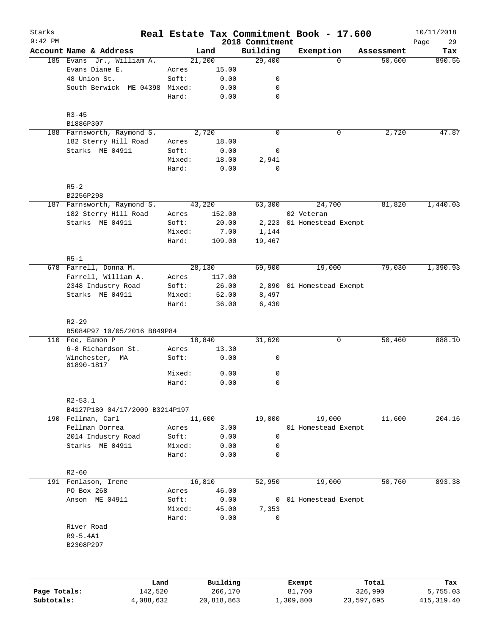| Starks<br>$9:42$ PM |                                |                 |               | 2018 Commitment | Real Estate Tax Commitment Book - 17.600 |            | 10/11/2018<br>29<br>Page |
|---------------------|--------------------------------|-----------------|---------------|-----------------|------------------------------------------|------------|--------------------------|
|                     | Account Name & Address         |                 | Land          | Building        | Exemption                                | Assessment | Tax                      |
|                     | 185 Evans Jr., William A.      | 21,200          |               | 29,400          | $\Omega$                                 | 50,600     | 890.56                   |
|                     | Evans Diane E.                 | Acres           | 15.00         |                 |                                          |            |                          |
|                     | 48 Union St.                   | Soft:           | 0.00          | 0               |                                          |            |                          |
|                     | South Berwick ME 04398 Mixed:  |                 | 0.00          | 0               |                                          |            |                          |
|                     |                                | Hard:           | 0.00          | 0               |                                          |            |                          |
|                     | $R3 - 45$                      |                 |               |                 |                                          |            |                          |
|                     | B1886P307                      |                 |               |                 |                                          |            |                          |
|                     | 188 Farnsworth, Raymond S.     |                 | 2,720         | $\mathbf 0$     | 0                                        | 2,720      | 47.87                    |
|                     | 182 Sterry Hill Road           | Acres           | 18.00         |                 |                                          |            |                          |
|                     | Starks ME 04911                | Soft:           | 0.00          | 0               |                                          |            |                          |
|                     |                                | Mixed:<br>Hard: | 18.00<br>0.00 | 2,941<br>0      |                                          |            |                          |
|                     | $R5-2$                         |                 |               |                 |                                          |            |                          |
|                     | B2256P298                      |                 |               |                 |                                          |            |                          |
|                     | 187 Farnsworth, Raymond S.     | 43,220          |               | 63,300          | 24,700                                   | 81,820     | 1,440.03                 |
|                     | 182 Sterry Hill Road           | Acres           | 152.00        |                 | 02 Veteran                               |            |                          |
|                     | Starks ME 04911                | Soft:           | 20.00         |                 | 2,223 01 Homestead Exempt                |            |                          |
|                     |                                | Mixed:          | 7.00          | 1,144           |                                          |            |                          |
|                     |                                | Hard:           | 109.00        | 19,467          |                                          |            |                          |
|                     | $R5-1$                         |                 |               |                 |                                          |            |                          |
|                     | 678 Farrell, Donna M.          | 28,130          |               | 69,900          | 19,000                                   | 79,030     | 1,390.93                 |
|                     | Farrell, William A.            | Acres           | 117.00        |                 |                                          |            |                          |
|                     | 2348 Industry Road             | Soft:           | 26.00         |                 | 2,890 01 Homestead Exempt                |            |                          |
|                     | Starks ME 04911                | Mixed:          | 52.00         | 8,497           |                                          |            |                          |
|                     |                                | Hard:           | 36.00         | 6,430           |                                          |            |                          |
|                     | $R2 - 29$                      |                 |               |                 |                                          |            |                          |
|                     | B5084P97 10/05/2016 B849P84    |                 |               |                 |                                          |            |                          |
|                     | 110 Fee, Eamon P               | 18,840          |               | 31,620          | 0                                        | 50,460     | 888.10                   |
|                     | 6-8 Richardson St.             | Acres           | 13.30         |                 |                                          |            |                          |
|                     | Winchester, MA<br>01890-1817   | Soft:           | 0.00          | 0               |                                          |            |                          |
|                     |                                | Mixed:          | 0.00          | 0               |                                          |            |                          |
|                     |                                | Hard:           | 0.00          | $\mathbf 0$     |                                          |            |                          |
|                     | $R2 - 53.1$                    |                 |               |                 |                                          |            |                          |
|                     | B4127P180 04/17/2009 B3214P197 |                 |               |                 |                                          |            |                          |
|                     | 190 Fellman, Carl              | 11,600          |               | 19,000          | 19,000                                   | 11,600     | 204.16                   |
|                     | Fellman Dorrea                 | Acres           | 3.00          |                 | 01 Homestead Exempt                      |            |                          |
|                     | 2014 Industry Road             | Soft:           | 0.00          | 0               |                                          |            |                          |
|                     | Starks ME 04911                | Mixed:          | 0.00          | 0               |                                          |            |                          |
|                     |                                | Hard:           | 0.00          | 0               |                                          |            |                          |
|                     | $R2 - 60$                      |                 |               |                 |                                          |            |                          |
|                     | 191 Fenlason, Irene            | 16,810          |               | 52,950          | 19,000                                   | 50,760     | 893.38                   |
|                     | PO Box 268                     | Acres           | 46.00         |                 |                                          |            |                          |
|                     | Anson ME 04911                 | Soft:           | 0.00          | 0               | 01 Homestead Exempt                      |            |                          |
|                     |                                | Mixed:          | 45.00         | 7,353           |                                          |            |                          |
|                     |                                | Hard:           | 0.00          | $\mathbf 0$     |                                          |            |                          |
|                     | River Road                     |                 |               |                 |                                          |            |                          |
|                     | R9-5.4A1                       |                 |               |                 |                                          |            |                          |
|                     | B2308P297                      |                 |               |                 |                                          |            |                          |
|                     |                                |                 |               |                 |                                          |            |                          |
|                     | Land                           |                 | Building      |                 | Exempt                                   | Total      | Tax                      |
| Page Totals:        | 142,520                        |                 | 266,170       |                 | 81,700                                   | 326,990    | 5,755.03                 |

**Subtotals:** 4,088,632 20,818,863 1,309,800 23,597,695 415,319.40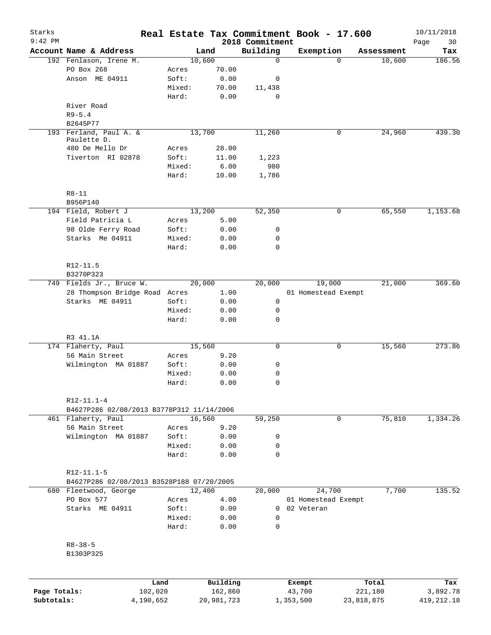| Starks       |                                           |        |            |                             | Real Estate Tax Commitment Book - 17.600 |                    | 10/11/2018        |
|--------------|-------------------------------------------|--------|------------|-----------------------------|------------------------------------------|--------------------|-------------------|
| $9:42$ PM    | Account Name & Address                    |        | Land       | 2018 Commitment<br>Building | Exemption                                | Assessment         | Page<br>30<br>Tax |
|              | 192 Fenlason, Irene M.                    |        | 10,600     | 0                           |                                          | 10,600<br>$\Omega$ | 186.56            |
|              | PO Box 268                                | Acres  | 70.00      |                             |                                          |                    |                   |
|              | Anson ME 04911                            | Soft:  | 0.00       | 0                           |                                          |                    |                   |
|              |                                           | Mixed: | 70.00      | 11,438                      |                                          |                    |                   |
|              |                                           | Hard:  | 0.00       | 0                           |                                          |                    |                   |
|              | River Road                                |        |            |                             |                                          |                    |                   |
|              | $R9 - 5.4$                                |        |            |                             |                                          |                    |                   |
|              |                                           |        |            |                             |                                          |                    |                   |
|              | B2645P77                                  |        |            |                             |                                          |                    |                   |
|              | 193 Ferland, Paul A. &<br>Paulette D.     |        | 13,700     | 11,260                      |                                          | 0<br>24,960        | 439.30            |
|              | 480 De Mello Dr                           | Acres  | 28.00      |                             |                                          |                    |                   |
|              | Tiverton RI 02878                         | Soft:  | 11.00      | 1,223                       |                                          |                    |                   |
|              |                                           | Mixed: | 6.00       | 980                         |                                          |                    |                   |
|              |                                           | Hard:  | 10.00      | 1,786                       |                                          |                    |                   |
|              |                                           |        |            |                             |                                          |                    |                   |
|              | $R8 - 11$                                 |        |            |                             |                                          |                    |                   |
|              | B956P140                                  |        |            |                             |                                          |                    |                   |
|              | 194 Field, Robert J                       |        | 13,200     | 52,350                      |                                          | 0<br>65,550        | 1,153.68          |
|              | Field Patricia L                          | Acres  | 5.00       |                             |                                          |                    |                   |
|              | 98 Olde Ferry Road                        | Soft:  | 0.00       | 0                           |                                          |                    |                   |
|              | Starks Me 04911                           | Mixed: | 0.00       | 0                           |                                          |                    |                   |
|              |                                           | Hard:  | 0.00       | $\Omega$                    |                                          |                    |                   |
|              | R12-11.5                                  |        |            |                             |                                          |                    |                   |
|              | B3270P323                                 |        |            |                             |                                          |                    |                   |
|              | 749 Fields Jr., Bruce W.                  |        | 20,000     | 20,000                      | 19,000                                   | 21,000             | 369.60            |
|              | 28 Thompson Bridge Road Acres             |        | 1.00       |                             | 01 Homestead Exempt                      |                    |                   |
|              | Starks ME 04911                           | Soft:  | 0.00       | 0                           |                                          |                    |                   |
|              |                                           | Mixed: | 0.00       | 0                           |                                          |                    |                   |
|              |                                           | Hard:  | 0.00       | 0                           |                                          |                    |                   |
|              |                                           |        |            |                             |                                          |                    |                   |
|              | R3 41.1A                                  |        |            |                             |                                          |                    |                   |
|              | 174 Flaherty, Paul                        |        | 15,560     | 0                           |                                          | 0<br>15,560        | 273.86            |
|              | 56 Main Street                            | Acres  | 9.20       |                             |                                          |                    |                   |
|              | Wilmington MA 01887                       | Soft:  | 0.00       | 0                           |                                          |                    |                   |
|              |                                           | Mixed: | 0.00       | 0                           |                                          |                    |                   |
|              |                                           | Hard:  | 0.00       | $\mathbf 0$                 |                                          |                    |                   |
|              | $R12-11.1-4$                              |        |            |                             |                                          |                    |                   |
|              | B4627P286 02/08/2013 B3778P312 11/14/2006 |        |            |                             |                                          |                    |                   |
|              | 461 Flaherty, Paul                        |        | 16,560     | 59,250                      |                                          | 75,810<br>0        | 1,334.26          |
|              | 56 Main Street                            | Acres  | 9.20       |                             |                                          |                    |                   |
|              | Wilmington MA 01887                       | Soft:  | 0.00       | 0                           |                                          |                    |                   |
|              |                                           | Mixed: | 0.00       | 0                           |                                          |                    |                   |
|              |                                           | Hard:  | 0.00       | $\mathbf 0$                 |                                          |                    |                   |
|              | $R12 - 11.1 - 5$                          |        |            |                             |                                          |                    |                   |
|              | B4627P286 02/08/2013 B3528P188 07/20/2005 |        |            |                             |                                          |                    |                   |
|              | 680 Fleetwood, George                     |        | 12,400     | 20,000                      | 24,700                                   | 7,700              | 135.52            |
|              | PO Box 577                                | Acres  | 4.00       |                             | 01 Homestead Exempt                      |                    |                   |
|              | Starks ME 04911                           | Soft:  | 0.00       | $\overline{0}$              | 02 Veteran                               |                    |                   |
|              |                                           | Mixed: | 0.00       | 0                           |                                          |                    |                   |
|              |                                           | Hard:  | 0.00       | $\mathbf 0$                 |                                          |                    |                   |
|              | $R8 - 38 - 5$                             |        |            |                             |                                          |                    |                   |
|              | B1303P325                                 |        |            |                             |                                          |                    |                   |
|              |                                           |        |            |                             |                                          |                    |                   |
|              |                                           | Land   | Building   |                             | Exempt                                   | Total              | Tax               |
| Page Totals: | 102,020                                   |        | 162,860    |                             | 43,700                                   | 221,180            | 3,892.78          |
| Subtotals:   | 4,190,652                                 |        | 20,981,723 |                             | 1,353,500                                | 23,818,875         | 419, 212.18       |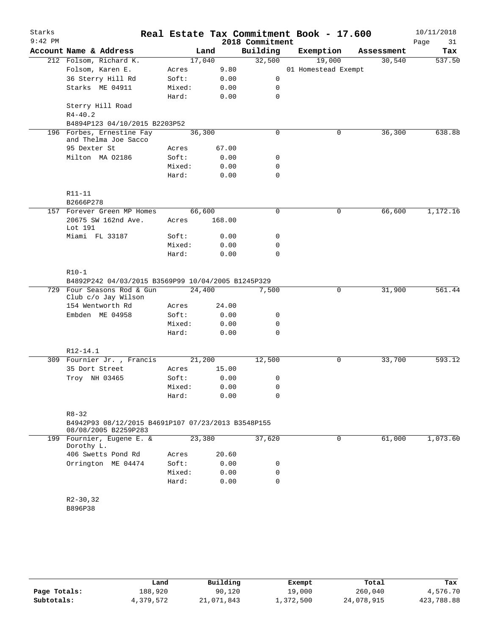|     | Account Name & Address<br>212 Folsom, Richard K.                                        |        | Land   |      | Building    | Exemption           |            |          |
|-----|-----------------------------------------------------------------------------------------|--------|--------|------|-------------|---------------------|------------|----------|
|     |                                                                                         |        |        |      |             |                     | Assessment | Tax      |
|     |                                                                                         |        | 17,040 |      | 32,500      | 19,000              | 30,540     | 537.50   |
|     | Folsom, Karen E.                                                                        | Acres  |        | 9.80 |             | 01 Homestead Exempt |            |          |
|     | 36 Sterry Hill Rd                                                                       | Soft:  |        | 0.00 | 0           |                     |            |          |
|     | Starks ME 04911                                                                         | Mixed: |        | 0.00 | 0           |                     |            |          |
|     |                                                                                         | Hard:  |        | 0.00 | $\mathbf 0$ |                     |            |          |
|     | Sterry Hill Road                                                                        |        |        |      |             |                     |            |          |
|     | $R4 - 40.2$                                                                             |        |        |      |             |                     |            |          |
|     | B4894P123 04/10/2015 B2203P52                                                           |        |        |      |             |                     |            |          |
| 196 | Forbes, Ernestine Fay<br>and Thelma Joe Sacco                                           |        | 36,300 |      | 0           | 0                   | 36,300     | 638.88   |
|     | 95 Dexter St                                                                            | Acres  | 67.00  |      |             |                     |            |          |
|     | Milton MA 02186                                                                         | Soft:  |        | 0.00 | 0           |                     |            |          |
|     |                                                                                         | Mixed: |        | 0.00 | 0           |                     |            |          |
|     |                                                                                         | Hard:  |        | 0.00 | 0           |                     |            |          |
|     | R11-11<br>B2666P278                                                                     |        |        |      |             |                     |            |          |
|     | 157 Forever Green MP Homes                                                              |        | 66,600 |      | 0           | 0                   | 66,600     | 1,172.16 |
|     | 20675 SW 162nd Ave.<br>Lot 191                                                          | Acres  | 168.00 |      |             |                     |            |          |
|     | Miami FL 33187                                                                          | Soft:  |        | 0.00 | 0           |                     |            |          |
|     |                                                                                         | Mixed: |        | 0.00 | 0           |                     |            |          |
|     |                                                                                         | Hard:  |        | 0.00 | $\Omega$    |                     |            |          |
|     | $R10-1$                                                                                 |        |        |      |             |                     |            |          |
|     | B4892P242 04/03/2015 B3569P99 10/04/2005 B1245P329                                      |        |        |      |             |                     |            |          |
|     | 729 Four Seasons Rod & Gun<br>Club c/o Jay Wilson                                       |        | 24,400 |      | 7,500       | 0                   | 31,900     | 561.44   |
|     | 154 Wentworth Rd                                                                        | Acres  | 24.00  |      |             |                     |            |          |
|     | Embden ME 04958                                                                         | Soft:  |        | 0.00 | 0           |                     |            |          |
|     |                                                                                         | Mixed: |        | 0.00 | 0           |                     |            |          |
|     |                                                                                         | Hard:  |        | 0.00 | 0           |                     |            |          |
|     | R12-14.1                                                                                |        |        |      |             |                     |            |          |
|     | 309 Fournier Jr., Francis                                                               |        | 21,200 |      | 12,500      | $\mathbf 0$         | 33,700     | 593.12   |
|     | 35 Dort Street                                                                          | Acres  | 15.00  |      |             |                     |            |          |
|     | Troy NH 03465                                                                           | Soft:  |        | 0.00 | 0           |                     |            |          |
|     |                                                                                         | Mixed: |        | 0.00 | 0           |                     |            |          |
|     |                                                                                         | Hard:  |        | 0.00 | $\mathbf 0$ |                     |            |          |
|     | $R8 - 32$<br>B4942P93 08/12/2015 B4691P107 07/23/2013 B3548P155<br>08/08/2005 B2259P283 |        |        |      |             |                     |            |          |
|     | 199 Fournier, Eugene E. &<br>Dorothy L.                                                 |        | 23,380 |      | 37,620      | 0                   | 61,000     | 1,073.60 |
|     | 406 Swetts Pond Rd                                                                      | Acres  | 20.60  |      |             |                     |            |          |
|     | Orrington ME 04474                                                                      | Soft:  |        | 0.00 | 0           |                     |            |          |
|     |                                                                                         | Mixed: |        | 0.00 | 0           |                     |            |          |
|     |                                                                                         | Hard:  |        | 0.00 | $\mathbf 0$ |                     |            |          |
|     | $R2-30, 32$                                                                             |        |        |      |             |                     |            |          |
|     | B896P38                                                                                 |        |        |      |             |                     |            |          |
|     |                                                                                         |        |        |      |             |                     |            |          |

|              | Land      | Building   | Exempt    | Total      | Tax        |
|--------------|-----------|------------|-----------|------------|------------|
| Page Totals: | 188,920   | 90,120     | 19,000    | 260,040    | 4,576.70   |
| Subtotals:   | 4,379,572 | 21,071,843 | ⊥,372,500 | 24,078,915 | 423,788.88 |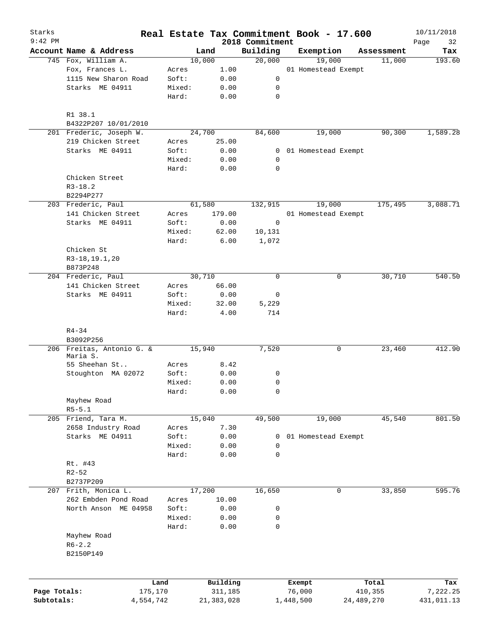| Starks       |                                          |                |               |                             | Real Estate Tax Commitment Book - 17.600 |              | 10/11/2018        |
|--------------|------------------------------------------|----------------|---------------|-----------------------------|------------------------------------------|--------------|-------------------|
| $9:42$ PM    | Account Name & Address                   |                | Land          | 2018 Commitment<br>Building | Exemption                                | Assessment   | Page<br>32<br>Tax |
|              | 745 Fox, William A.                      |                | 10,000        | 20,000                      | 19,000                                   | 11,000       | 193.60            |
|              | Fox, Frances L.                          | Acres          | 1.00          |                             | 01 Homestead Exempt                      |              |                   |
|              | 1115 New Sharon Road                     | Soft:          | 0.00          | 0                           |                                          |              |                   |
|              | Starks ME 04911                          | Mixed:         | 0.00          | 0                           |                                          |              |                   |
|              |                                          | Hard:          | 0.00          | $\mathbf 0$                 |                                          |              |                   |
|              | R1 38.1                                  |                |               |                             |                                          |              |                   |
|              | B4322P207 10/01/2010                     |                |               |                             |                                          |              |                   |
|              | 201 Frederic, Joseph W.                  |                | 24,700        | 84,600                      | 19,000                                   | 90,300       | 1,589.28          |
|              | 219 Chicken Street                       | Acres          | 25.00         |                             |                                          |              |                   |
|              | Starks ME 04911                          | Soft:          | 0.00          | 0                           | 01 Homestead Exempt                      |              |                   |
|              |                                          | Mixed:         | 0.00          | 0                           |                                          |              |                   |
|              |                                          | Hard:          | 0.00          | $\mathbf 0$                 |                                          |              |                   |
|              | Chicken Street                           |                |               |                             |                                          |              |                   |
|              | $R3 - 18.2$                              |                |               |                             |                                          |              |                   |
|              | B2294P277                                |                |               |                             |                                          |              |                   |
|              | 203 Frederic, Paul                       |                | 61,580        | 132,915                     | 19,000                                   | 175,495      | 3,088.71          |
|              | 141 Chicken Street                       | Acres          | 179.00        |                             | 01 Homestead Exempt                      |              |                   |
|              | Starks ME 04911                          | Soft:          | 0.00          | 0                           |                                          |              |                   |
|              |                                          | Mixed:         | 62.00         | 10,131                      |                                          |              |                   |
|              |                                          | Hard:          | 6.00          | 1,072                       |                                          |              |                   |
|              | Chicken St                               |                |               |                             |                                          |              |                   |
|              | R3-18, 19.1, 20                          |                |               |                             |                                          |              |                   |
|              | B873P248                                 |                | 30,710        | $\mathbf 0$                 |                                          | 0            | 540.50            |
|              | 204 Frederic, Paul<br>141 Chicken Street |                | 66.00         |                             |                                          | 30,710       |                   |
|              | Starks ME 04911                          | Acres<br>Soft: |               |                             |                                          |              |                   |
|              |                                          | Mixed:         | 0.00          | 0                           |                                          |              |                   |
|              |                                          | Hard:          | 32.00<br>4.00 | 5,229<br>714                |                                          |              |                   |
|              |                                          |                |               |                             |                                          |              |                   |
|              | $R4 - 34$                                |                |               |                             |                                          |              |                   |
|              | B3092P256<br>206 Freitas, Antonio G. &   |                | 15,940        |                             |                                          |              | 412.90            |
|              | Maria S.                                 |                |               | 7,520                       |                                          | 0<br>23,460  |                   |
|              | 55 Sheehan St                            | Acres          | 8.42          |                             |                                          |              |                   |
|              | Stoughton MA 02072                       | Soft:          | 0.00          | 0                           |                                          |              |                   |
|              |                                          | Mixed:         | 0.00          | $\mathbf 0$                 |                                          |              |                   |
|              |                                          | Hard:          | 0.00          | 0                           |                                          |              |                   |
|              | Mayhew Road                              |                |               |                             |                                          |              |                   |
|              | $R5 - 5.1$                               |                |               |                             |                                          |              |                   |
|              | 205 Friend, Tara M.                      |                | 15,040        | 49,500                      | 19,000                                   | 45,540       | 801.50            |
|              | 2658 Industry Road                       | Acres          | 7.30          |                             |                                          |              |                   |
|              | Starks ME 04911                          | Soft:          | 0.00          | 0                           | 01 Homestead Exempt                      |              |                   |
|              |                                          | Mixed:         | 0.00          | 0                           |                                          |              |                   |
|              |                                          | Hard:          | 0.00          | $\mathbf 0$                 |                                          |              |                   |
|              | Rt. #43                                  |                |               |                             |                                          |              |                   |
|              | $R2 - 52$                                |                |               |                             |                                          |              |                   |
|              | B2737P209                                |                |               |                             |                                          |              |                   |
|              | 207 Frith, Monica L.                     |                | 17,200        | 16,650                      |                                          | 33,850<br>0  | 595.76            |
|              | 262 Embden Pond Road                     | Acres          | 10.00         |                             |                                          |              |                   |
|              | North Anson ME 04958                     | Soft:          | 0.00          | 0                           |                                          |              |                   |
|              |                                          | Mixed:         | 0.00          | 0                           |                                          |              |                   |
|              |                                          | Hard:          | 0.00          | 0                           |                                          |              |                   |
|              | Mayhew Road                              |                |               |                             |                                          |              |                   |
|              | $R6 - 2.2$                               |                |               |                             |                                          |              |                   |
|              | B2150P149                                |                |               |                             |                                          |              |                   |
|              |                                          |                |               |                             |                                          |              |                   |
|              |                                          | Land           | Building      |                             | Exempt                                   | Total        | Tax               |
| Page Totals: | 175,170                                  |                | 311,185       |                             | 76,000                                   | 410,355      | 7,222.25          |
| Subtotals:   | 4,554,742                                |                | 21, 383, 028  |                             | 1,448,500                                | 24, 489, 270 | 431,011.13        |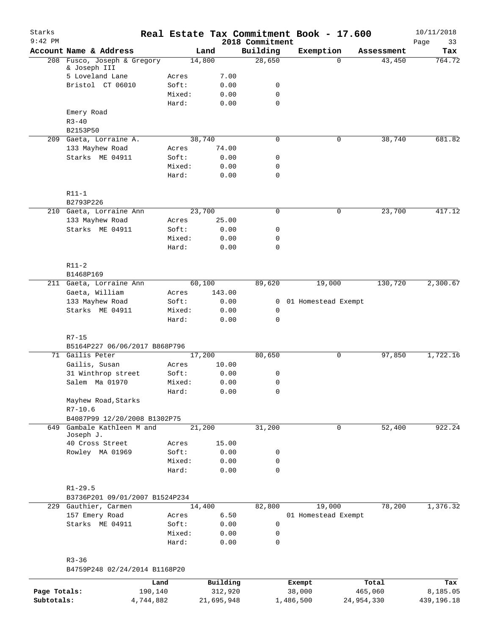| Starks<br>$9:42$ PM |                                     |                |          | 2018 Commitment | Real Estate Tax Commitment Book - 17.600 |            | 10/11/2018<br>Page<br>33 |
|---------------------|-------------------------------------|----------------|----------|-----------------|------------------------------------------|------------|--------------------------|
|                     | Account Name & Address              |                | Land     | Building        | Exemption                                | Assessment | Tax                      |
|                     | 208 Fusco, Joseph & Gregory         |                | 14,800   | 28,650          | $\Omega$                                 | 43,450     | 764.72                   |
|                     | & Joseph III<br>5 Loveland Lane     |                | 7.00     |                 |                                          |            |                          |
|                     | Bristol CT 06010                    | Acres<br>Soft: | 0.00     | 0               |                                          |            |                          |
|                     |                                     | Mixed:         | 0.00     | 0               |                                          |            |                          |
|                     |                                     | Hard:          | 0.00     | 0               |                                          |            |                          |
|                     | Emery Road                          |                |          |                 |                                          |            |                          |
|                     | $R3 - 40$                           |                |          |                 |                                          |            |                          |
|                     | B2153P50                            |                |          |                 |                                          |            |                          |
|                     | 209 Gaeta, Lorraine A.              |                | 38,740   | $\mathbf 0$     | 0                                        | 38,740     | 681.82                   |
|                     | 133 Mayhew Road                     | Acres          | 74.00    |                 |                                          |            |                          |
|                     | Starks ME 04911                     | Soft:          | 0.00     | 0               |                                          |            |                          |
|                     |                                     | Mixed:         | 0.00     | 0               |                                          |            |                          |
|                     |                                     | Hard:          | 0.00     | 0               |                                          |            |                          |
|                     |                                     |                |          |                 |                                          |            |                          |
|                     | $R11-1$                             |                |          |                 |                                          |            |                          |
|                     | B2793P226                           |                |          |                 |                                          |            |                          |
|                     | 210 Gaeta, Lorraine Ann             |                | 23,700   | 0               | 0                                        | 23,700     | 417.12                   |
|                     | 133 Mayhew Road                     | Acres          | 25.00    |                 |                                          |            |                          |
|                     | Starks ME 04911                     | Soft:          | 0.00     | 0               |                                          |            |                          |
|                     |                                     | Mixed:         | 0.00     | 0               |                                          |            |                          |
|                     |                                     | Hard:          | 0.00     | 0               |                                          |            |                          |
|                     |                                     |                |          |                 |                                          |            |                          |
|                     | $R11-2$                             |                |          |                 |                                          |            |                          |
|                     | B1468P169                           |                |          |                 |                                          |            |                          |
|                     | 211 Gaeta, Lorraine Ann             |                | 60,100   | 89,620          | 19,000                                   | 130,720    | 2,300.67                 |
|                     | Gaeta, William                      | Acres          | 143.00   |                 |                                          |            |                          |
|                     | 133 Mayhew Road                     | Soft:          | 0.00     | $\mathbf{0}$    | 01 Homestead Exempt                      |            |                          |
|                     | Starks ME 04911                     | Mixed:         | 0.00     | $\mathbf 0$     |                                          |            |                          |
|                     |                                     | Hard:          | 0.00     | 0               |                                          |            |                          |
|                     | $R7 - 15$                           |                |          |                 |                                          |            |                          |
|                     | B5164P227 06/06/2017 B868P796       |                |          |                 |                                          |            |                          |
|                     | 71 Gailis Peter                     |                | 17,200   | 80,650          | 0                                        | 97,850     | 1,722.16                 |
|                     | Gailis, Susan                       | Acres          | 10.00    |                 |                                          |            |                          |
|                     | 31 Winthrop street                  | Soft:          | 0.00     | 0               |                                          |            |                          |
|                     | Salem Ma 01970                      | Mixed:         | 0.00     | 0               |                                          |            |                          |
|                     |                                     | Hard:          | 0.00     | 0               |                                          |            |                          |
|                     | Mayhew Road, Starks                 |                |          |                 |                                          |            |                          |
|                     | $R7 - 10.6$                         |                |          |                 |                                          |            |                          |
|                     | B4087P99 12/20/2008 B1302P75        |                |          |                 |                                          |            |                          |
| 649                 | Gambale Kathleen M and<br>Joseph J. |                | 21,200   | 31,200          | $\mathbf 0$                              | 52,400     | 922.24                   |
|                     | 40 Cross Street                     | Acres          | 15.00    |                 |                                          |            |                          |
|                     | Rowley MA 01969                     | Soft:          | 0.00     | 0               |                                          |            |                          |
|                     |                                     | Mixed:         | 0.00     | 0               |                                          |            |                          |
|                     |                                     | Hard:          | 0.00     | $\mathbf 0$     |                                          |            |                          |
|                     |                                     |                |          |                 |                                          |            |                          |
|                     | $R1 - 29.5$                         |                |          |                 |                                          |            |                          |
|                     | B3736P201 09/01/2007 B1524P234      |                |          |                 |                                          |            |                          |
|                     | 229 Gauthier, Carmen                |                | 14,400   | 82,800          | 19,000                                   | 78,200     | 1,376.32                 |
|                     | 157 Emery Road                      | Acres          | 6.50     |                 | 01 Homestead Exempt                      |            |                          |
|                     | Starks ME 04911                     | Soft:          | 0.00     | 0               |                                          |            |                          |
|                     |                                     | Mixed:         | 0.00     | 0               |                                          |            |                          |
|                     |                                     | Hard:          | 0.00     | $\mathbf 0$     |                                          |            |                          |
|                     | $R3 - 36$                           |                |          |                 |                                          |            |                          |
|                     | B4759P248 02/24/2014 B1168P20       |                |          |                 |                                          |            |                          |
|                     | Land                                |                | Building |                 | Exempt                                   | Total      | Tax                      |
| Page Totals:        | 190,140                             |                | 312,920  |                 | 38,000                                   | 465,060    | 8,185.05                 |
|                     |                                     |                |          |                 |                                          |            |                          |

**Subtotals:** 4,744,882 21,695,948 1,486,500 24,954,330 439,196.18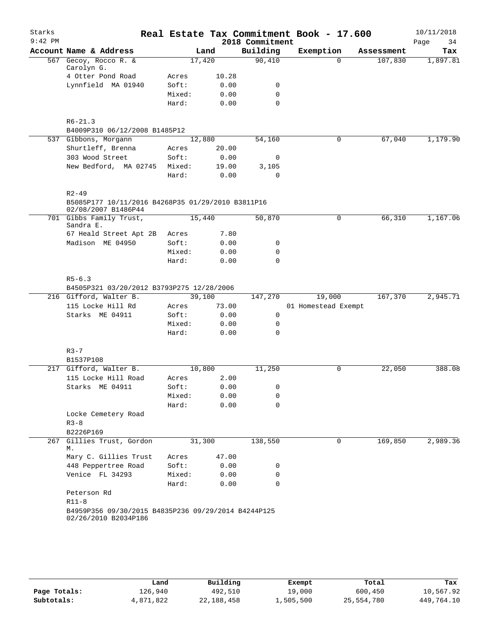| Starks    |                                                     |                 |              |                 | Real Estate Tax Commitment Book - 17.600 |            | 10/11/2018 |
|-----------|-----------------------------------------------------|-----------------|--------------|-----------------|------------------------------------------|------------|------------|
| $9:42$ PM |                                                     |                 |              | 2018 Commitment |                                          |            | Page<br>34 |
|           | Account Name & Address                              |                 | Land         | Building        | Exemption                                | Assessment | Tax        |
|           | 567 Gecoy, Rocco R. &                               | 17,420          |              | 90,410          | $\Omega$                                 | 107,830    | 1,897.81   |
|           | Carolyn G.<br>4 Otter Pond Road                     | Acres           | 10.28        |                 |                                          |            |            |
|           | Lynnfield MA 01940                                  | Soft:           | 0.00         | 0               |                                          |            |            |
|           |                                                     | Mixed:          | 0.00         | $\mathbf 0$     |                                          |            |            |
|           |                                                     | Hard:           | 0.00         | $\Omega$        |                                          |            |            |
|           |                                                     |                 |              |                 |                                          |            |            |
|           | $R6 - 21.3$                                         |                 |              |                 |                                          |            |            |
|           | B4009P310 06/12/2008 B1485P12                       |                 |              |                 |                                          |            |            |
|           | 537 Gibbons, Morgann                                | 12,880          |              | 54,160          | $\mathbf 0$                              | 67,040     | 1,179.90   |
|           | Shurtleff, Brenna                                   | Acres           | 20.00        |                 |                                          |            |            |
|           | 303 Wood Street                                     | Soft:           | 0.00         | 0               |                                          |            |            |
|           | New Bedford, MA 02745                               | Mixed:          | 19.00        | 3,105           |                                          |            |            |
|           |                                                     | Hard:           | 0.00         | $\mathbf 0$     |                                          |            |            |
|           |                                                     |                 |              |                 |                                          |            |            |
|           | $R2 - 49$                                           |                 |              |                 |                                          |            |            |
|           | B5085P177 10/11/2016 B4268P35 01/29/2010 B3811P16   |                 |              |                 |                                          |            |            |
|           | 02/08/2007 B1486P44<br>701 Gibbs Family Trust,      | 15,440          |              | 50,870          | 0                                        | 66,310     | 1,167.06   |
|           | Sandra E.                                           |                 |              |                 |                                          |            |            |
|           | 67 Heald Street Apt 2B                              | Acres           | 7.80         |                 |                                          |            |            |
|           | Madison ME 04950                                    | Soft:           | 0.00         | 0               |                                          |            |            |
|           |                                                     | Mixed:          | 0.00         | 0               |                                          |            |            |
|           |                                                     | Hard:           | 0.00         | $\mathbf 0$     |                                          |            |            |
|           |                                                     |                 |              |                 |                                          |            |            |
|           | $R5 - 6.3$                                          |                 |              |                 |                                          |            |            |
|           | B4505P321 03/20/2012 B3793P275 12/28/2006           |                 |              |                 |                                          |            |            |
|           | 216 Gifford, Walter B.                              | 39,100          |              | 147,270         | 19,000                                   | 167,370    | 2,945.71   |
|           | 115 Locke Hill Rd                                   | Acres           | 73.00        |                 | 01 Homestead Exempt                      |            |            |
|           | Starks ME 04911                                     | Soft:           | 0.00         | 0               |                                          |            |            |
|           |                                                     | Mixed:          | 0.00         | 0               |                                          |            |            |
|           |                                                     | Hard:           | 0.00         | 0               |                                          |            |            |
|           |                                                     |                 |              |                 |                                          |            |            |
|           | $R3 - 7$                                            |                 |              |                 |                                          |            |            |
|           | B1537P108                                           |                 |              |                 |                                          |            |            |
|           | 217 Gifford, Walter B.                              | 10,800<br>Acres |              | 11,250          | 0                                        | 22,050     | 388.08     |
|           | 115 Locke Hill Road<br>Starks ME 04911              | Soft:           | 2.00         | $\overline{0}$  |                                          |            |            |
|           |                                                     | Mixed:          | 0.00<br>0.00 | 0               |                                          |            |            |
|           |                                                     | Hard:           | 0.00         | $\Omega$        |                                          |            |            |
|           | Locke Cemetery Road                                 |                 |              |                 |                                          |            |            |
|           | $R3 - 8$                                            |                 |              |                 |                                          |            |            |
|           | B2226P169                                           |                 |              |                 |                                          |            |            |
|           | 267 Gillies Trust, Gordon                           | 31,300          |              | 138,550         | 0                                        | 169,850    | 2,989.36   |
|           | М.                                                  |                 |              |                 |                                          |            |            |
|           | Mary C. Gillies Trust                               | Acres           | 47.00        |                 |                                          |            |            |
|           | 448 Peppertree Road                                 | Soft:           | 0.00         | 0               |                                          |            |            |
|           | Venice FL 34293                                     | Mixed:          | 0.00         | 0               |                                          |            |            |
|           |                                                     | Hard:           | 0.00         | 0               |                                          |            |            |
|           | Peterson Rd                                         |                 |              |                 |                                          |            |            |
|           | $R11-8$                                             |                 |              |                 |                                          |            |            |
|           | B4959P356 09/30/2015 B4835P236 09/29/2014 B4244P125 |                 |              |                 |                                          |            |            |
|           | 02/26/2010 B2034P186                                |                 |              |                 |                                          |            |            |
|           |                                                     |                 |              |                 |                                          |            |            |

|              | Land      | Building   | Exempt    | Total      | Tax        |
|--------------|-----------|------------|-----------|------------|------------|
| Page Totals: | 126.940   | 492,510    | 19,000    | 600,450    | 10,567.92  |
| Subtotals:   | 4,871,822 | 22,188,458 | 1,505,500 | 25,554,780 | 449,764.10 |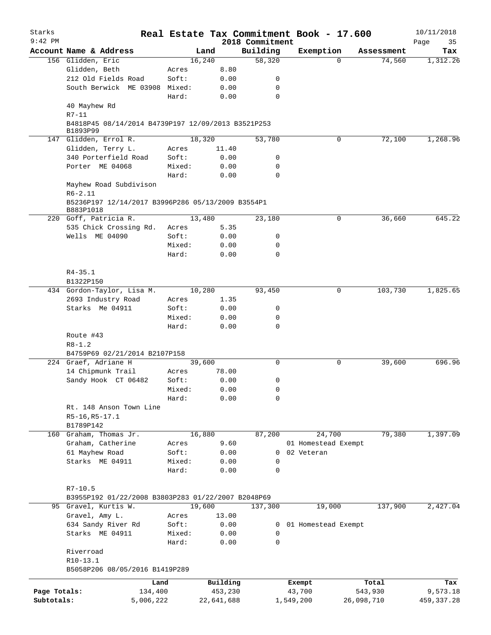| Starks       |                                                                | Real Estate Tax Commitment Book - 17.600 |            |                    |                     |            |                      | 10/11/2018      |
|--------------|----------------------------------------------------------------|------------------------------------------|------------|--------------------|---------------------|------------|----------------------|-----------------|
| $9:42$ PM    |                                                                |                                          | Land       | 2018 Commitment    |                     |            |                      | Page<br>35      |
|              | Account Name & Address                                         | 16,240                                   |            | Building<br>58,320 | Exemption           | $\Omega$   | Assessment<br>74,560 | Tax<br>1,312.26 |
|              | 156 Glidden, Eric<br>Glidden, Beth                             | Acres                                    | 8.80       |                    |                     |            |                      |                 |
|              | 212 Old Fields Road                                            | Soft:                                    |            | 0                  |                     |            |                      |                 |
|              |                                                                |                                          | 0.00       |                    |                     |            |                      |                 |
|              | South Berwick ME 03908 Mixed:                                  |                                          | 0.00       | 0                  |                     |            |                      |                 |
|              | 40 Mayhew Rd                                                   | Hard:                                    | 0.00       | $\mathbf 0$        |                     |            |                      |                 |
|              | $R7 - 11$                                                      |                                          |            |                    |                     |            |                      |                 |
|              | B4818P45 08/14/2014 B4739P197 12/09/2013 B3521P253<br>B1893P99 |                                          |            |                    |                     |            |                      |                 |
|              | 147 Glidden, Errol R.                                          | 18,320                                   |            | 53,780             |                     | 0          | 72,100               | 1,268.96        |
|              | Glidden, Terry L.                                              | Acres                                    | 11.40      |                    |                     |            |                      |                 |
|              | 340 Porterfield Road                                           | Soft:                                    | 0.00       | 0                  |                     |            |                      |                 |
|              | Porter ME 04068                                                | Mixed:                                   | 0.00       | 0                  |                     |            |                      |                 |
|              |                                                                | Hard:                                    | 0.00       | 0                  |                     |            |                      |                 |
|              | Mayhew Road Subdivison<br>$R6 - 2.11$                          |                                          |            |                    |                     |            |                      |                 |
|              | B5236P197 12/14/2017 B3996P286 05/13/2009 B3554P1<br>B883P1018 |                                          |            |                    |                     |            |                      |                 |
|              | 220 Goff, Patricia R.                                          | 13,480                                   |            | 23,180             |                     | 0          | 36,660               | 645.22          |
|              | 535 Chick Crossing Rd.                                         | Acres                                    | 5.35       |                    |                     |            |                      |                 |
|              | Wells ME 04090                                                 | Soft:                                    | 0.00       | 0                  |                     |            |                      |                 |
|              |                                                                | Mixed:                                   | 0.00       | 0                  |                     |            |                      |                 |
|              |                                                                | Hard:                                    | 0.00       | $\Omega$           |                     |            |                      |                 |
|              | $R4 - 35.1$                                                    |                                          |            |                    |                     |            |                      |                 |
|              | B1322P150                                                      |                                          |            |                    |                     |            |                      |                 |
|              | 434 Gordon-Taylor, Lisa M.                                     | 10,280                                   |            | 93,450             |                     | 0          | 103,730              | 1,825.65        |
|              | 2693 Industry Road                                             | Acres                                    | 1.35       |                    |                     |            |                      |                 |
|              | Starks Me 04911                                                | Soft:                                    | 0.00       | 0                  |                     |            |                      |                 |
|              |                                                                | Mixed:                                   | 0.00       | 0                  |                     |            |                      |                 |
|              |                                                                | Hard:                                    | 0.00       | $\mathbf 0$        |                     |            |                      |                 |
|              | Route #43                                                      |                                          |            |                    |                     |            |                      |                 |
|              | $R8 - 1.2$                                                     |                                          |            |                    |                     |            |                      |                 |
|              | B4759P69 02/21/2014 B2107P158                                  |                                          |            |                    |                     |            |                      |                 |
|              | 224 Graef, Adriane H                                           | 39,600                                   |            | 0                  |                     | 0          | 39,600               | 696.96          |
|              | 14 Chipmunk Trail                                              | Acres                                    | 78.00      |                    |                     |            |                      |                 |
|              | Sandy Hook CT 06482                                            | Soft:                                    | 0.00       | 0                  |                     |            |                      |                 |
|              |                                                                | Mixed:                                   | 0.00       | 0                  |                     |            |                      |                 |
|              |                                                                | Hard:                                    | 0.00       | 0                  |                     |            |                      |                 |
|              | Rt. 148 Anson Town Line                                        |                                          |            |                    |                     |            |                      |                 |
|              | R5-16, R5-17.1                                                 |                                          |            |                    |                     |            |                      |                 |
|              | B1789P142                                                      |                                          |            |                    |                     |            |                      |                 |
|              | 160 Graham, Thomas Jr.                                         | 16,880                                   |            | 87,200             | 24,700              |            | 79,380               | 1,397.09        |
|              | Graham, Catherine                                              | Acres                                    | 9.60       |                    | 01 Homestead Exempt |            |                      |                 |
|              | 61 Mayhew Road                                                 | Soft:                                    | 0.00       | 0                  | 02 Veteran          |            |                      |                 |
|              | Starks ME 04911                                                | Mixed:                                   | 0.00       | 0                  |                     |            |                      |                 |
|              |                                                                | Hard:                                    | 0.00       | 0                  |                     |            |                      |                 |
|              | $R7 - 10.5$                                                    |                                          |            |                    |                     |            |                      |                 |
|              | B3955P192 01/22/2008 B3803P283 01/22/2007 B2048P69             |                                          |            |                    |                     |            |                      |                 |
|              | 95 Gravel, Kurtis W.                                           | 19,600                                   |            | 137,300            | 19,000              |            | 137,900              | 2,427.04        |
|              | Gravel, Amy L.                                                 | Acres                                    | 13.00      |                    |                     |            |                      |                 |
|              | 634 Sandy River Rd                                             | Soft:                                    | 0.00       | 0                  | 01 Homestead Exempt |            |                      |                 |
|              | Starks ME 04911                                                | Mixed:                                   | 0.00       | 0                  |                     |            |                      |                 |
|              |                                                                | Hard:                                    | 0.00       | $\mathbf 0$        |                     |            |                      |                 |
|              | Riverroad                                                      |                                          |            |                    |                     |            |                      |                 |
|              | $R10-13.1$<br>B5058P206 08/05/2016 B1419P289                   |                                          |            |                    |                     |            |                      |                 |
|              |                                                                | Land                                     | Building   |                    | Exempt              |            | Total                | Tax             |
| Page Totals: | 134,400                                                        |                                          | 453,230    |                    | 43,700              |            | 543,930              | 9,573.18        |
| Subtotals:   | 5,006,222                                                      |                                          | 22,641,688 |                    | 1,549,200           | 26,098,710 |                      | 459, 337.28     |
|              |                                                                |                                          |            |                    |                     |            |                      |                 |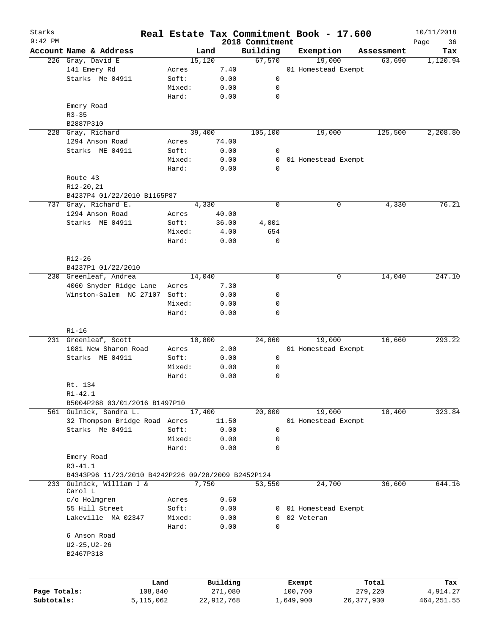| Starks<br>$9:42$ PM |                                                    |        |              | 2018 Commitment |  | Real Estate Tax Commitment Book - 17.600 |              | 10/11/2018        |
|---------------------|----------------------------------------------------|--------|--------------|-----------------|--|------------------------------------------|--------------|-------------------|
|                     | Account Name & Address                             |        | Land         | Building        |  | Exemption                                | Assessment   | Page<br>36<br>Tax |
|                     | 226 Gray, David E                                  |        | 15,120       | 67,570          |  | 19,000                                   | 63,690       | 1,120.94          |
|                     | 141 Emery Rd                                       |        | 7.40         |                 |  | 01 Homestead Exempt                      |              |                   |
|                     | Starks Me 04911                                    | Acres  |              |                 |  |                                          |              |                   |
|                     |                                                    | Soft:  | 0.00         | 0               |  |                                          |              |                   |
|                     |                                                    | Mixed: | 0.00         | 0               |  |                                          |              |                   |
|                     |                                                    | Hard:  | 0.00         | $\mathbf 0$     |  |                                          |              |                   |
|                     | Emery Road                                         |        |              |                 |  |                                          |              |                   |
|                     | $R3 - 35$                                          |        |              |                 |  |                                          |              |                   |
|                     | B2887P310                                          |        |              |                 |  |                                          |              |                   |
| 228                 | Gray, Richard                                      |        | 39,400       | 105,100         |  | 19,000                                   | 125,500      | 2,208.80          |
|                     | 1294 Anson Road                                    | Acres  | 74.00        |                 |  |                                          |              |                   |
|                     | Starks ME 04911                                    | Soft:  | 0.00         | 0               |  |                                          |              |                   |
|                     |                                                    | Mixed: | 0.00         | 0               |  | 01 Homestead Exempt                      |              |                   |
|                     |                                                    | Hard:  | 0.00         | $\Omega$        |  |                                          |              |                   |
|                     | Route 43                                           |        |              |                 |  |                                          |              |                   |
|                     | $R12 - 20, 21$                                     |        |              |                 |  |                                          |              |                   |
|                     | B4237P4 01/22/2010 B1165P87                        |        |              |                 |  |                                          |              |                   |
|                     | 737 Gray, Richard E.                               |        | 4,330        | $\mathbf 0$     |  | 0                                        | 4,330        | 76.21             |
|                     | 1294 Anson Road                                    | Acres  | 40.00        |                 |  |                                          |              |                   |
|                     | Starks ME 04911                                    | Soft:  | 36.00        | 4,001           |  |                                          |              |                   |
|                     |                                                    | Mixed: | 4.00         | 654             |  |                                          |              |                   |
|                     |                                                    | Hard:  | 0.00         | $\mathbf 0$     |  |                                          |              |                   |
|                     |                                                    |        |              |                 |  |                                          |              |                   |
|                     | R12-26                                             |        |              |                 |  |                                          |              |                   |
|                     | B4237P1 01/22/2010                                 |        |              |                 |  |                                          |              |                   |
|                     | 230 Greenleaf, Andrea                              |        | 14,040       | $\mathbf 0$     |  | 0                                        | 14,040       | 247.10            |
|                     | 4060 Snyder Ridge Lane                             | Acres  | 7.30         |                 |  |                                          |              |                   |
|                     | Winston-Salem NC 27107                             |        |              |                 |  |                                          |              |                   |
|                     |                                                    | Soft:  | 0.00         | 0               |  |                                          |              |                   |
|                     |                                                    | Mixed: | 0.00         | 0               |  |                                          |              |                   |
|                     |                                                    | Hard:  | 0.00         | $\mathbf 0$     |  |                                          |              |                   |
|                     | $R1 - 16$                                          |        |              |                 |  |                                          |              |                   |
|                     | 231 Greenleaf, Scott                               |        | 10,800       | 24,860          |  | 19,000                                   | 16,660       | 293.22            |
|                     | 1081 New Sharon Road                               | Acres  | 2.00         |                 |  | 01 Homestead Exempt                      |              |                   |
|                     | Starks ME 04911                                    | Soft:  | 0.00         | 0               |  |                                          |              |                   |
|                     |                                                    | Mixed: | 0.00         | 0               |  |                                          |              |                   |
|                     |                                                    | Hard:  | 0.00         | 0               |  |                                          |              |                   |
|                     |                                                    |        |              |                 |  |                                          |              |                   |
|                     | Rt. 134                                            |        |              |                 |  |                                          |              |                   |
|                     | $R1 - 42.1$                                        |        |              |                 |  |                                          |              |                   |
|                     | B5004P268 03/01/2016 B1497P10                      |        |              |                 |  |                                          |              |                   |
|                     | 561 Gulnick, Sandra L.                             |        | 17,400       | 20,000          |  | 19,000                                   | 18,400       | 323.84            |
|                     | 32 Thompson Bridge Road Acres                      |        | 11.50        |                 |  | 01 Homestead Exempt                      |              |                   |
|                     | Starks Me 04911                                    | Soft:  | 0.00         | 0               |  |                                          |              |                   |
|                     |                                                    | Mixed: | 0.00         | 0               |  |                                          |              |                   |
|                     |                                                    | Hard:  | 0.00         | $\mathbf 0$     |  |                                          |              |                   |
|                     | Emery Road                                         |        |              |                 |  |                                          |              |                   |
|                     | $R3 - 41.1$                                        |        |              |                 |  |                                          |              |                   |
|                     | B4343P96 11/23/2010 B4242P226 09/28/2009 B2452P124 |        |              |                 |  |                                          |              |                   |
| 233                 | Gulnick, William J &                               |        | 7,750        | 53,550          |  | 24,700                                   | 36,600       | 644.16            |
|                     | Carol L                                            |        |              |                 |  |                                          |              |                   |
|                     | c/o Holmgren                                       | Acres  | 0.60         |                 |  |                                          |              |                   |
|                     | 55 Hill Street                                     | Soft:  | 0.00         |                 |  | 0 01 Homestead Exempt                    |              |                   |
|                     | Lakeville MA 02347                                 | Mixed: | 0.00         | $\Omega$        |  | 02 Veteran                               |              |                   |
|                     |                                                    | Hard:  | 0.00         | $\mathbf 0$     |  |                                          |              |                   |
|                     | 6 Anson Road                                       |        |              |                 |  |                                          |              |                   |
|                     | $U2 - 25, U2 - 26$                                 |        |              |                 |  |                                          |              |                   |
|                     | B2467P318                                          |        |              |                 |  |                                          |              |                   |
|                     |                                                    |        |              |                 |  |                                          |              |                   |
|                     |                                                    |        |              |                 |  |                                          |              |                   |
| Land                |                                                    |        | Building     |                 |  | Exempt                                   | Total        | Tax               |
| Page Totals:        | 108,840                                            |        | 271,080      |                 |  | 100,700                                  | 279,220      | 4,914.27          |
| Subtotals:          | 5,115,062                                          |        | 22, 912, 768 |                 |  | 1,649,900                                | 26, 377, 930 | 464, 251.55       |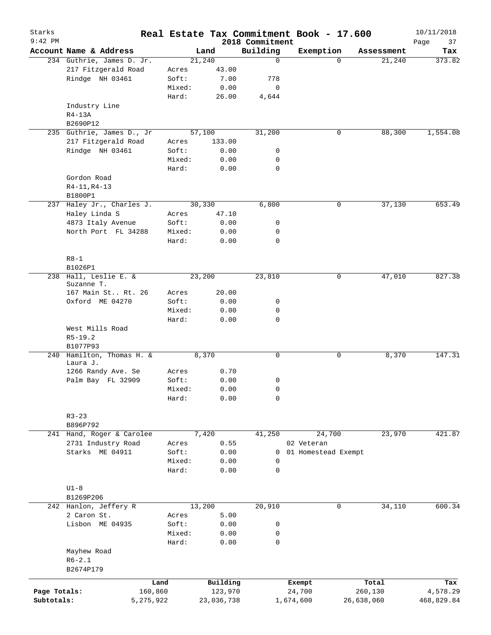| Starks                     |                                       |                      |        |                                 |                             | Real Estate Tax Commitment Book - 17.600 |                       | 10/11/2018             |
|----------------------------|---------------------------------------|----------------------|--------|---------------------------------|-----------------------------|------------------------------------------|-----------------------|------------------------|
| $9:42$ PM                  | Account Name & Address                |                      |        | Land                            | 2018 Commitment<br>Building | Exemption                                | Assessment            | Page<br>37<br>Tax      |
|                            | 234 Guthrie, James D. Jr.             |                      |        | 21,240                          | $\mathbf 0$                 | $\Omega$                                 | 21,240                | 373.82                 |
|                            | 217 Fitzgerald Road                   |                      | Acres  | 43.00                           |                             |                                          |                       |                        |
|                            | Rindge NH 03461                       |                      | Soft:  | 7.00                            | 778                         |                                          |                       |                        |
|                            |                                       |                      | Mixed: | 0.00                            | 0                           |                                          |                       |                        |
|                            |                                       |                      | Hard:  | 26.00                           | 4,644                       |                                          |                       |                        |
|                            | Industry Line                         |                      |        |                                 |                             |                                          |                       |                        |
|                            | $R4-13A$                              |                      |        |                                 |                             |                                          |                       |                        |
|                            | B2690P12                              |                      |        |                                 |                             |                                          |                       |                        |
|                            | 235 Guthrie, James D., Jr             |                      |        | 57,100                          | 31,200                      | 0                                        | 88,300                | 1,554.08               |
|                            | 217 Fitzgerald Road                   |                      | Acres  | 133.00                          |                             |                                          |                       |                        |
|                            | Rindge NH 03461                       |                      | Soft:  | 0.00                            | 0                           |                                          |                       |                        |
|                            |                                       |                      | Mixed: | 0.00                            | 0                           |                                          |                       |                        |
|                            |                                       |                      | Hard:  | 0.00                            | 0                           |                                          |                       |                        |
|                            | Gordon Road                           |                      |        |                                 |                             |                                          |                       |                        |
|                            | $R4-11, R4-13$                        |                      |        |                                 |                             |                                          |                       |                        |
|                            | B1800P1                               |                      |        |                                 |                             |                                          |                       |                        |
| 237                        | Haley Jr., Charles J.                 |                      |        | 30,330                          | 6,800                       | 0                                        | 37,130                | 653.49                 |
|                            | Haley Linda S                         |                      | Acres  | 47.10                           |                             |                                          |                       |                        |
|                            | 4873 Italy Avenue                     |                      | Soft:  | 0.00                            | 0                           |                                          |                       |                        |
|                            | North Port FL 34288                   |                      | Mixed: | 0.00                            | 0                           |                                          |                       |                        |
|                            |                                       |                      | Hard:  | 0.00                            | 0                           |                                          |                       |                        |
|                            |                                       |                      |        |                                 |                             |                                          |                       |                        |
|                            | $R8-1$<br>B1026P1                     |                      |        |                                 |                             |                                          |                       |                        |
|                            | 238 Hall, Leslie E. &                 |                      |        | 23,200                          | 23,810                      | 0                                        | 47,010                | 827.38                 |
|                            | Suzanne T.                            |                      |        |                                 |                             |                                          |                       |                        |
|                            | 167 Main St Rt. 26                    |                      | Acres  | 20.00                           |                             |                                          |                       |                        |
|                            | Oxford ME 04270                       |                      | Soft:  | 0.00                            | 0                           |                                          |                       |                        |
|                            |                                       |                      | Mixed: | 0.00                            | 0                           |                                          |                       |                        |
|                            |                                       |                      | Hard:  | 0.00                            | $\mathbf 0$                 |                                          |                       |                        |
|                            | West Mills Road                       |                      |        |                                 |                             |                                          |                       |                        |
|                            | $R5 - 19.2$                           |                      |        |                                 |                             |                                          |                       |                        |
|                            | B1077P93                              |                      |        |                                 |                             |                                          |                       |                        |
|                            | 240 Hamilton, Thomas H. &             |                      |        | 8,370                           | 0                           | 0                                        | 8,370                 | 147.31                 |
|                            | Laura J.                              |                      |        |                                 |                             |                                          |                       |                        |
|                            | 1266 Randy Ave. Se                    |                      | Acres  | 0.70                            |                             |                                          |                       |                        |
|                            | Palm Bay FL 32909                     |                      | Soft:  | 0.00                            | 0                           |                                          |                       |                        |
|                            |                                       |                      | Mixed: | ${\bf 0}$ . ${\bf 0}$ ${\bf 0}$ | 0                           |                                          |                       |                        |
|                            |                                       |                      | Hard:  | 0.00                            | 0                           |                                          |                       |                        |
|                            |                                       |                      |        |                                 |                             |                                          |                       |                        |
|                            | $R3 - 23$                             |                      |        |                                 |                             |                                          |                       |                        |
|                            | B896P792<br>241 Hand, Roger & Carolee |                      |        |                                 |                             |                                          |                       | 421.87                 |
|                            |                                       |                      | Acres  | 7,420<br>0.55                   | 41,250                      | 24,700<br>02 Veteran                     | 23,970                |                        |
|                            | 2731 Industry Road<br>Starks ME 04911 |                      | Soft:  | 0.00                            | 0                           | 01 Homestead Exempt                      |                       |                        |
|                            |                                       |                      | Mixed: | 0.00                            | 0                           |                                          |                       |                        |
|                            |                                       |                      | Hard:  | 0.00                            | $\mathbf 0$                 |                                          |                       |                        |
|                            |                                       |                      |        |                                 |                             |                                          |                       |                        |
|                            | $U1-8$                                |                      |        |                                 |                             |                                          |                       |                        |
|                            | B1269P206                             |                      |        |                                 |                             |                                          |                       |                        |
|                            | 242 Hanlon, Jeffery R                 |                      |        | 13,200                          | 20,910                      | 0                                        | 34,110                | 600.34                 |
|                            | 2 Caron St.                           |                      | Acres  | 5.00                            |                             |                                          |                       |                        |
|                            | Lisbon ME 04935                       |                      | Soft:  | 0.00                            | 0                           |                                          |                       |                        |
|                            |                                       |                      | Mixed: | 0.00                            | 0                           |                                          |                       |                        |
|                            |                                       |                      | Hard:  | 0.00                            | 0                           |                                          |                       |                        |
|                            | Mayhew Road                           |                      |        |                                 |                             |                                          |                       |                        |
|                            | $R6 - 2.1$                            |                      |        |                                 |                             |                                          |                       |                        |
|                            | B2674P179                             |                      |        |                                 |                             |                                          |                       |                        |
|                            |                                       |                      |        |                                 |                             |                                          |                       |                        |
|                            |                                       | Land                 |        | Building                        |                             | Exempt                                   | Total                 | Tax                    |
| Page Totals:<br>Subtotals: |                                       | 160,860<br>5,275,922 |        | 123,970<br>23,036,738           |                             | 24,700<br>1,674,600                      | 260,130<br>26,638,060 | 4,578.29<br>468,829.84 |
|                            |                                       |                      |        |                                 |                             |                                          |                       |                        |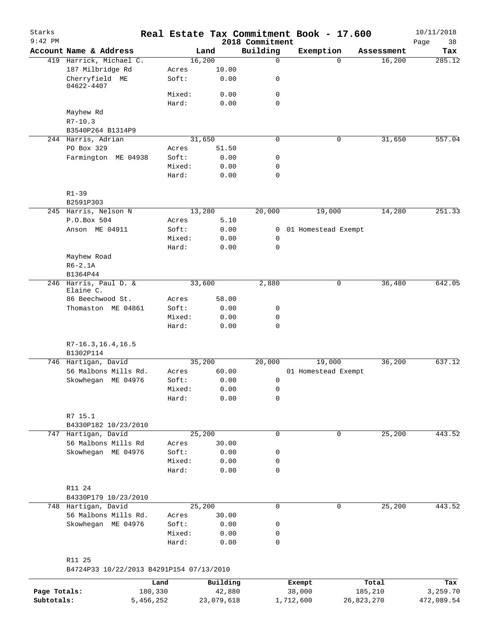| Starks<br>$9:42$ PM |                                          |                 |              | 2018 Commitment | Real Estate Tax Commitment Book - 17.600 |            | 10/11/2018<br>Page<br>38 |
|---------------------|------------------------------------------|-----------------|--------------|-----------------|------------------------------------------|------------|--------------------------|
|                     | Account Name & Address                   |                 | Land         | Building        | Exemption                                | Assessment | Tax                      |
|                     | 419 Harrick, Michael C.                  |                 | 16,200       | $\mathbf 0$     | $\Omega$                                 | 16,200     | 285.12                   |
|                     | 187 Milbridge Rd                         | Acres           | 10.00        |                 |                                          |            |                          |
|                     | Cherryfield ME                           | Soft:           | 0.00         | 0               |                                          |            |                          |
|                     | 04622-4407                               |                 |              |                 |                                          |            |                          |
|                     |                                          | Mixed:          | 0.00         | 0               |                                          |            |                          |
|                     |                                          | Hard:           | 0.00         | $\mathbf 0$     |                                          |            |                          |
|                     | Mayhew Rd<br>$R7 - 10.3$                 |                 |              |                 |                                          |            |                          |
|                     | B3540P264 B1314P9                        |                 |              |                 |                                          |            |                          |
|                     | 244 Harris, Adrian                       |                 | 31,650       | 0               | $\mathbf 0$                              | 31,650     | 557.04                   |
|                     | PO Box 329                               | Acres           | 51.50        |                 |                                          |            |                          |
|                     | Farmington ME 04938                      | Soft:           | 0.00         | 0               |                                          |            |                          |
|                     |                                          | Mixed:          | 0.00         | $\mathbf 0$     |                                          |            |                          |
|                     |                                          | Hard:           | 0.00         | $\mathbf 0$     |                                          |            |                          |
|                     | $R1 - 39$                                |                 |              |                 |                                          |            |                          |
|                     | B2591P303                                |                 |              |                 |                                          |            |                          |
|                     | 245 Harris, Nelson N                     |                 | 13,280       | 20,000          | 19,000                                   | 14,280     | 251.33                   |
|                     | P.O.Box 504                              | Acres           | 5.10         |                 |                                          |            |                          |
|                     | Anson ME 04911                           | Soft:           | 0.00         | 0               | 01 Homestead Exempt                      |            |                          |
|                     |                                          | Mixed:          | 0.00         | $\mathbf 0$     |                                          |            |                          |
|                     |                                          | Hard:           | 0.00         | 0               |                                          |            |                          |
|                     | Mayhew Road                              |                 |              |                 |                                          |            |                          |
|                     | $R6-2.1A$                                |                 |              |                 |                                          |            |                          |
|                     | B1364P44                                 |                 |              |                 |                                          |            |                          |
|                     | 246 Harris, Paul D. &<br>Elaine C.       |                 | 33,600       | 2,880           | $\mathbf 0$                              | 36,480     | 642.05                   |
|                     | 86 Beechwood St.                         | Acres           | 58.00        |                 |                                          |            |                          |
|                     | Thomaston ME 04861                       | Soft:           | 0.00         | 0               |                                          |            |                          |
|                     |                                          | Mixed:          | 0.00         | 0               |                                          |            |                          |
|                     |                                          | Hard:           | 0.00         | $\mathbf 0$     |                                          |            |                          |
|                     | $R7-16.3, 16.4, 16.5$                    |                 |              |                 |                                          |            |                          |
|                     | B1302P114<br>746 Hartigan, David         |                 | 35,200       | 20,000          | 19,000                                   | 36,200     | 637.12                   |
|                     | 56 Malbons Mills Rd.                     | Acres           | 60.00        |                 | 01 Homestead Exempt                      |            |                          |
|                     | Skowhegan ME 04976                       | Soft:           | 0.00         | 0               |                                          |            |                          |
|                     |                                          | Mixed:          | 0.00         | $\mathsf 0$     |                                          |            |                          |
|                     |                                          | Hard:           | 0.00         | 0               |                                          |            |                          |
|                     |                                          |                 |              |                 |                                          |            |                          |
|                     | R7 15.1                                  |                 |              |                 |                                          |            |                          |
|                     | B4330P182 10/23/2010                     |                 |              |                 |                                          |            |                          |
|                     | 747 Hartigan, David                      |                 | 25,200       | 0               | 0                                        | 25,200     | 443.52                   |
|                     | 56 Malbons Mills Rd                      | Acres           | 30.00        |                 |                                          |            |                          |
|                     | Skowhegan ME 04976                       | Soft:           | 0.00         | 0               |                                          |            |                          |
|                     |                                          | Mixed:          | 0.00         | 0               |                                          |            |                          |
|                     |                                          | Hard:           | 0.00         | $\mathbf 0$     |                                          |            |                          |
|                     | R11 24                                   |                 |              |                 |                                          |            |                          |
|                     | B4330P179 10/23/2010                     |                 |              |                 |                                          |            |                          |
|                     | 748 Hartigan, David                      |                 | 25,200       | 0               | 0                                        | 25,200     | 443.52                   |
|                     | 56 Malbons Mills Rd.                     | Acres           | 30.00        |                 |                                          |            |                          |
|                     | Skowhegan ME 04976                       | Soft:<br>Mixed: | 0.00<br>0.00 | 0<br>0          |                                          |            |                          |
|                     |                                          | Hard:           | 0.00         | 0               |                                          |            |                          |
|                     | R11 25                                   |                 |              |                 |                                          |            |                          |
|                     | B4724P33 10/22/2013 B4291P154 07/13/2010 |                 |              |                 |                                          |            |                          |
|                     |                                          | Land            | Building     |                 | Exempt                                   | Total      | Tax                      |
|                     |                                          |                 |              |                 |                                          |            |                          |

**Page Totals:** 180,330 42,880 38,000 185,210 3,259.70 **Subtotals:** 5,456,252 23,079,618 1,712,600 26,823,270 472,089.54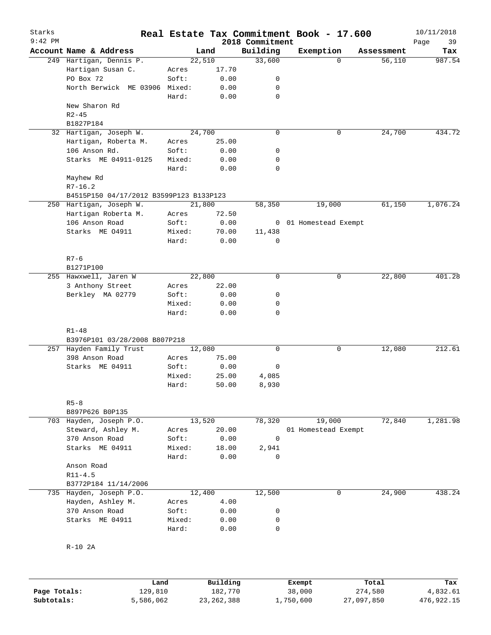| Starks<br>$9:42$ PM |                                         |        |        |       | 2018 Commitment | Real Estate Tax Commitment Book - 17.600 |            | 10/11/2018<br>Page<br>39 |
|---------------------|-----------------------------------------|--------|--------|-------|-----------------|------------------------------------------|------------|--------------------------|
|                     | Account Name & Address                  |        | Land   |       | Building        | Exemption                                | Assessment | Tax                      |
|                     | 249 Hartigan, Dennis P.                 |        | 22,510 |       | 33,600          | $\Omega$                                 | 56,110     | 987.54                   |
|                     | Hartigan Susan C.                       | Acres  |        | 17.70 |                 |                                          |            |                          |
|                     | PO Box 72                               | Soft:  |        | 0.00  | 0               |                                          |            |                          |
|                     | North Berwick ME 03906 Mixed:           |        |        | 0.00  | 0               |                                          |            |                          |
|                     |                                         | Hard:  |        | 0.00  | 0               |                                          |            |                          |
|                     | New Sharon Rd                           |        |        |       |                 |                                          |            |                          |
|                     | $R2 - 45$                               |        |        |       |                 |                                          |            |                          |
|                     | B1827P184                               |        |        |       |                 |                                          |            |                          |
|                     | 32 Hartigan, Joseph W.                  |        | 24,700 |       | $\mathbf 0$     | 0                                        | 24,700     | 434.72                   |
|                     | Hartigan, Roberta M.                    | Acres  |        | 25.00 |                 |                                          |            |                          |
|                     | 106 Anson Rd.                           | Soft:  |        | 0.00  | 0               |                                          |            |                          |
|                     | Starks ME 04911-0125                    | Mixed: |        | 0.00  | 0               |                                          |            |                          |
|                     |                                         | Hard:  |        | 0.00  | $\mathbf 0$     |                                          |            |                          |
|                     | Mayhew Rd                               |        |        |       |                 |                                          |            |                          |
|                     |                                         |        |        |       |                 |                                          |            |                          |
|                     | $R7 - 16.2$                             |        |        |       |                 |                                          |            |                          |
|                     | B4515P150 04/17/2012 B3599P123 B133P123 |        |        |       |                 |                                          |            |                          |
|                     | 250 Hartigan, Joseph W.                 |        | 21,800 |       | 58,350          | 19,000                                   | 61,150     | 1,076.24                 |
|                     | Hartigan Roberta M.                     | Acres  |        | 72.50 |                 |                                          |            |                          |
|                     | 106 Anson Road                          | Soft:  |        | 0.00  |                 | 0 01 Homestead Exempt                    |            |                          |
|                     | Starks ME 04911                         | Mixed: |        | 70.00 | 11,438          |                                          |            |                          |
|                     |                                         | Hard:  |        | 0.00  | 0               |                                          |            |                          |
|                     |                                         |        |        |       |                 |                                          |            |                          |
|                     | $R7 - 6$                                |        |        |       |                 |                                          |            |                          |
|                     | B1271P100                               |        |        |       |                 |                                          |            |                          |
|                     | 255 Hawxwell, Jaren W                   |        | 22,800 |       | $\mathbf 0$     | 0                                        | 22,800     | 401.28                   |
|                     | 3 Anthony Street                        | Acres  |        | 22.00 |                 |                                          |            |                          |
|                     | Berkley MA 02779                        | Soft:  |        | 0.00  | 0               |                                          |            |                          |
|                     |                                         | Mixed: |        | 0.00  | 0               |                                          |            |                          |
|                     |                                         | Hard:  |        | 0.00  | $\mathbf 0$     |                                          |            |                          |
|                     |                                         |        |        |       |                 |                                          |            |                          |
|                     | $R1 - 48$                               |        |        |       |                 |                                          |            |                          |
|                     | B3976P101 03/28/2008 B807P218           |        |        |       |                 |                                          |            |                          |
|                     | 257 Hayden Family Trust                 |        | 12,080 |       | $\mathbf 0$     | 0                                        | 12,080     | 212.61                   |
|                     | 398 Anson Road                          | Acres  |        | 75.00 |                 |                                          |            |                          |
|                     | Starks ME 04911                         | Soft:  |        | 0.00  | 0               |                                          |            |                          |
|                     |                                         | Mixed: |        | 25.00 | 4,085           |                                          |            |                          |
|                     |                                         | Hard:  |        | 50.00 | 8,930           |                                          |            |                          |
|                     |                                         |        |        |       |                 |                                          |            |                          |
|                     | $R5 - 8$                                |        |        |       |                 |                                          |            |                          |
|                     |                                         |        |        |       |                 |                                          |            |                          |
|                     | B897P626 B0P135                         |        |        |       |                 |                                          |            |                          |
| 703                 | Hayden, Joseph P.O.                     |        | 13,520 |       | 78,320          | 19,000                                   | 72,840     | 1,281.98                 |
|                     | Steward, Ashley M.                      | Acres  |        | 20.00 |                 | 01 Homestead Exempt                      |            |                          |
|                     | 370 Anson Road                          | Soft:  |        | 0.00  | 0               |                                          |            |                          |
|                     | Starks ME 04911                         | Mixed: |        | 18.00 | 2,941           |                                          |            |                          |
|                     |                                         | Hard:  |        | 0.00  | 0               |                                          |            |                          |
|                     | Anson Road                              |        |        |       |                 |                                          |            |                          |
|                     | $R11 - 4.5$                             |        |        |       |                 |                                          |            |                          |
|                     | B3772P184 11/14/2006                    |        |        |       |                 |                                          |            |                          |
| 735                 | Hayden, Joseph P.O.                     |        | 12,400 |       | 12,500          | 0                                        | 24,900     | 438.24                   |
|                     | Hayden, Ashley M.                       | Acres  |        | 4.00  |                 |                                          |            |                          |
|                     | 370 Anson Road                          | Soft:  |        | 0.00  | 0               |                                          |            |                          |
|                     | Starks ME 04911                         | Mixed: |        | 0.00  | 0               |                                          |            |                          |
|                     |                                         | Hard:  |        | 0.00  | $\mathbf 0$     |                                          |            |                          |
|                     |                                         |        |        |       |                 |                                          |            |                          |
|                     | $R-10$ 2A                               |        |        |       |                 |                                          |            |                          |
|                     |                                         |        |        |       |                 |                                          |            |                          |

|              | Land      | Building   | Exempt    | Total      | Tax        |
|--------------|-----------|------------|-----------|------------|------------|
| Page Totals: | 129,810   | 182,770    | 38,000    | 274,580    | 4,832.61   |
| Subtotals:   | 5,586,062 | 23,262,388 | 1,750,600 | 27,097,850 | 476,922.15 |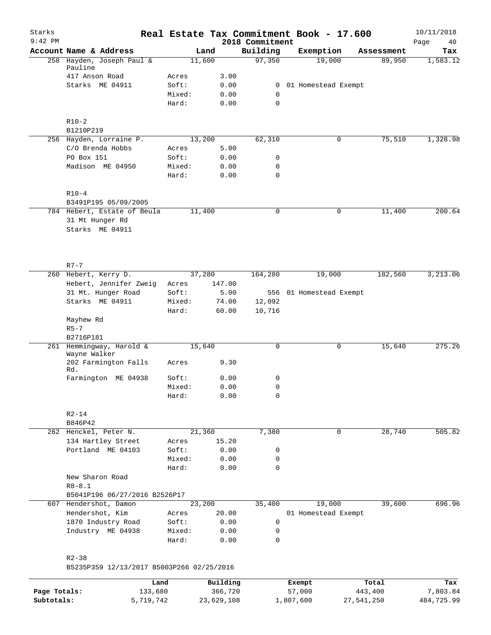| Starks       |                                           |                 |              |                             | Real Estate Tax Commitment Book - 17.600 |             |            | 10/11/2018        |
|--------------|-------------------------------------------|-----------------|--------------|-----------------------------|------------------------------------------|-------------|------------|-------------------|
| $9:42$ PM    | Account Name & Address                    | Land            |              | 2018 Commitment<br>Building | Exemption                                |             | Assessment | Page<br>40<br>Tax |
|              | 258 Hayden, Joseph Paul &                 | 11,600          |              | 97,350                      | 19,000                                   |             | 89,950     | 1,583.12          |
|              | Pauline                                   |                 |              |                             |                                          |             |            |                   |
|              | 417 Anson Road                            | Acres           | 3.00         |                             |                                          |             |            |                   |
|              | Starks ME 04911                           | Soft:           | 0.00         |                             | 0 01 Homestead Exempt                    |             |            |                   |
|              |                                           | Mixed:          | 0.00         | $\mathbf 0$                 |                                          |             |            |                   |
|              |                                           | Hard:           | 0.00         | 0                           |                                          |             |            |                   |
|              | $R10-2$                                   |                 |              |                             |                                          |             |            |                   |
|              | B1210P219                                 |                 |              |                             |                                          |             |            |                   |
|              | 256 Hayden, Lorraine P.                   | 13,200          |              | 62,310                      |                                          | 0           | 75,510     | 1,328.98          |
|              | C/O Brenda Hobbs                          | Acres           | 5.00         |                             |                                          |             |            |                   |
|              | PO Box 151                                | Soft:           | 0.00         | 0                           |                                          |             |            |                   |
|              | Madison ME 04950                          | Mixed:<br>Hard: | 0.00<br>0.00 | $\mathbf 0$<br>0            |                                          |             |            |                   |
|              | $R10-4$                                   |                 |              |                             |                                          |             |            |                   |
|              | B3491P195 05/09/2005                      |                 |              |                             |                                          |             |            |                   |
|              | 784 Hebert, Estate of Beula               | 11,400          |              | 0                           |                                          | 0           | 11,400     | 200.64            |
|              | 31 Mt Hunger Rd                           |                 |              |                             |                                          |             |            |                   |
|              | Starks ME 04911                           |                 |              |                             |                                          |             |            |                   |
|              |                                           |                 |              |                             |                                          |             |            |                   |
|              | $R7 - 7$                                  |                 |              |                             |                                          |             |            |                   |
|              | 260 Hebert, Kerry D.                      | 37,280          |              | 164,280                     | 19,000                                   |             | 182,560    | 3,213.06          |
|              | Hebert, Jennifer Zweig                    | Acres           | 147.00       |                             |                                          |             |            |                   |
|              | 31 Mt. Hunger Road                        | Soft:           | 5.00         |                             | 556 01 Homestead Exempt                  |             |            |                   |
|              | Starks ME 04911                           | Mixed:          | 74.00        | 12,092                      |                                          |             |            |                   |
|              |                                           | Hard:           | 60.00        | 10,716                      |                                          |             |            |                   |
|              | Mayhew Rd<br>$R5 - 7$                     |                 |              |                             |                                          |             |            |                   |
|              | B2716P181                                 |                 |              |                             |                                          |             |            |                   |
|              | 261 Hemmingway, Harold &                  | 15,640          |              | 0                           |                                          | 0           | 15,640     | 275.26            |
|              | Wayne Walker                              |                 |              |                             |                                          |             |            |                   |
|              | 202 Farmington Falls<br>Rd.               | Acres           | 9.30         |                             |                                          |             |            |                   |
|              | Farmington ME 04938                       | Soft:           | 0.00         | 0                           |                                          |             |            |                   |
|              |                                           | Mixed:          | 0.00         | 0                           |                                          |             |            |                   |
|              |                                           | Hard:           | 0.00         | $\mathbf 0$                 |                                          |             |            |                   |
|              | $R2 - 14$                                 |                 |              |                             |                                          |             |            |                   |
|              | B846P42                                   |                 |              |                             |                                          |             |            |                   |
|              | 262 Henckel, Peter N.                     | 21,360          |              | 7,380                       |                                          | $\mathbf 0$ | 28,740     | 505.82            |
|              | 134 Hartley Street                        | Acres           | 15.20        |                             |                                          |             |            |                   |
|              | Portland ME 04103                         | Soft:           | 0.00         | 0                           |                                          |             |            |                   |
|              |                                           | Mixed:          | 0.00         | 0                           |                                          |             |            |                   |
|              |                                           | Hard:           | 0.00         | 0                           |                                          |             |            |                   |
|              | New Sharon Road                           |                 |              |                             |                                          |             |            |                   |
|              | $R8 - 8.1$                                |                 |              |                             |                                          |             |            |                   |
|              | B5041P196 06/27/2016 B2526P17             |                 |              |                             |                                          |             |            |                   |
| 607          | Hendershot, Damon                         | 23,200          |              | 35,400                      | 19,000                                   |             | 39,600     | 696.96            |
|              | Hendershot, Kim                           | Acres           | 20.00        |                             | 01 Homestead Exempt                      |             |            |                   |
|              | 1870 Industry Road                        | Soft:           | 0.00         | $\mathbf 0$                 |                                          |             |            |                   |
|              | Industry ME 04938                         | Mixed:<br>Hard: | 0.00<br>0.00 | 0<br>0                      |                                          |             |            |                   |
|              | $R2 - 38$                                 |                 |              |                             |                                          |             |            |                   |
|              | B5235P359 12/13/2017 B5003P266 02/25/2016 |                 |              |                             |                                          |             |            |                   |
|              | Land                                      |                 | Building     |                             | Exempt                                   |             | Total      | Tax               |
| Page Totals: | 133,680                                   |                 | 366,720      |                             | 57,000                                   |             | 443,400    | 7,803.84          |
| Subtotals:   | 5,719,742                                 |                 | 23,629,108   |                             | 1,807,600                                | 27,541,250  |            | 484,725.99        |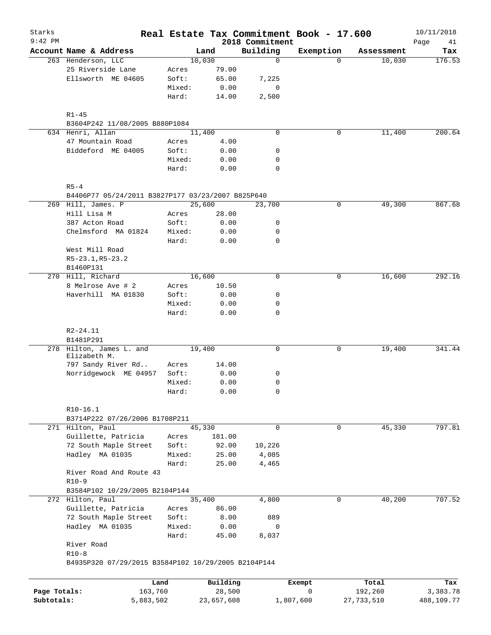| Starks       |                                                                         |                 |               |                             | Real Estate Tax Commitment Book - 17.600 |            | 10/11/2018        |
|--------------|-------------------------------------------------------------------------|-----------------|---------------|-----------------------------|------------------------------------------|------------|-------------------|
| $9:42$ PM    | Account Name & Address                                                  |                 | Land          | 2018 Commitment<br>Building | Exemption                                | Assessment | Page<br>41<br>Tax |
|              | 263 Henderson, LLC                                                      |                 | 10,030        | $\mathbf 0$                 | $\Omega$                                 | 10,030     | 176.53            |
|              | 25 Riverside Lane                                                       | Acres           | 79.00         |                             |                                          |            |                   |
|              | Ellsworth ME 04605                                                      | Soft:           | 65.00         | 7,225                       |                                          |            |                   |
|              |                                                                         | Mixed:          | 0.00          | 0                           |                                          |            |                   |
|              |                                                                         | Hard:           | 14.00         | 2,500                       |                                          |            |                   |
|              | $R1 - 45$                                                               |                 |               |                             |                                          |            |                   |
|              | B3604P242 11/08/2005 B880P1084                                          |                 |               |                             |                                          |            |                   |
|              | 634 Henri, Allan                                                        |                 | 11,400        | $\mathbf 0$                 | $\mathbf 0$                              | 11,400     | 200.64            |
|              | 47 Mountain Road                                                        | Acres           | 4.00          |                             |                                          |            |                   |
|              | Biddeford ME 04005                                                      | Soft:           | 0.00          | 0                           |                                          |            |                   |
|              |                                                                         | Mixed:          | 0.00          | 0                           |                                          |            |                   |
|              |                                                                         | Hard:           | 0.00          | $\mathbf 0$                 |                                          |            |                   |
|              | $R5 - 4$                                                                |                 |               |                             |                                          |            |                   |
|              | B4406P77 05/24/2011 B3827P177 03/23/2007 B825P640<br>269 Hill, James. P |                 | 25,600        | 23,700                      | $\mathbf 0$                              | 49,300     | 867.68            |
|              | Hill Lisa M                                                             | Acres           | 28.00         |                             |                                          |            |                   |
|              | 387 Acton Road                                                          | Soft:           | 0.00          | 0                           |                                          |            |                   |
|              | Chelmsford MA 01824                                                     | Mixed:          | 0.00          | 0                           |                                          |            |                   |
|              |                                                                         | Hard:           | 0.00          | $\mathbf 0$                 |                                          |            |                   |
|              | West Mill Road                                                          |                 |               |                             |                                          |            |                   |
|              | R5-23.1, R5-23.2                                                        |                 |               |                             |                                          |            |                   |
|              | B1460P131                                                               |                 |               |                             |                                          |            |                   |
|              | 270 Hill, Richard                                                       |                 | 16,600        | 0                           | 0                                        | 16,600     | 292.16            |
|              | 8 Melrose Ave # 2                                                       | Acres           | 10.50         |                             |                                          |            |                   |
|              | Haverhill MA 01830                                                      | Soft:           | 0.00          | 0                           |                                          |            |                   |
|              |                                                                         | Mixed:          | 0.00          | 0                           |                                          |            |                   |
|              |                                                                         | Hard:           | 0.00          | $\Omega$                    |                                          |            |                   |
|              | $R2 - 24.11$                                                            |                 |               |                             |                                          |            |                   |
|              | B1481P291                                                               |                 |               |                             |                                          |            |                   |
|              | 278 Hilton, James L. and                                                |                 | 19,400        | 0                           | 0                                        | 19,400     | 341.44            |
|              | Elizabeth M.                                                            |                 |               |                             |                                          |            |                   |
|              | 797 Sandy River Rd                                                      | Acres           | 14.00         |                             |                                          |            |                   |
|              | Norridgewock ME 04957                                                   | Soft:           | 0.00          | 0                           |                                          |            |                   |
|              |                                                                         | Mixed:          | 0.00          | $\mathbf 0$                 |                                          |            |                   |
|              |                                                                         | Hard:           | 0.00          | 0                           |                                          |            |                   |
|              | $R10-16.1$                                                              |                 |               |                             |                                          |            |                   |
|              | B3714P222 07/26/2006 B1708P211                                          |                 |               | $\mathbf 0$                 | $\mathbf 0$                              |            | 797.81            |
|              | 271 Hilton, Paul                                                        |                 | 45,330        |                             |                                          | 45,330     |                   |
|              | Guillette, Patricia                                                     | Acres           | 181.00        |                             |                                          |            |                   |
|              | 72 South Maple Street                                                   | Soft:           | 92.00         | 10,226                      |                                          |            |                   |
|              | Hadley MA 01035                                                         | Mixed:          | 25.00         | 4,085                       |                                          |            |                   |
|              |                                                                         | Hard:           | 25.00         | 4,465                       |                                          |            |                   |
|              | River Road And Route 43<br>$R10-9$                                      |                 |               |                             |                                          |            |                   |
|              | B3584P102 10/29/2005 B2104P144                                          |                 |               |                             |                                          |            |                   |
|              | 272 Hilton, Paul                                                        |                 | 35,400        | 4,800                       | $\mathbf 0$                              | 40,200     | 707.52            |
|              | Guillette, Patricia                                                     | Acres           | 86.00         |                             |                                          |            |                   |
|              | 72 South Maple Street                                                   | Soft:           | 8.00          | 889                         |                                          |            |                   |
|              |                                                                         |                 |               |                             |                                          |            |                   |
|              | Hadley MA 01035                                                         | Mixed:<br>Hard: | 0.00<br>45.00 | 0<br>8,037                  |                                          |            |                   |
|              | River Road                                                              |                 |               |                             |                                          |            |                   |
|              | $R10-8$                                                                 |                 |               |                             |                                          |            |                   |
|              | B4935P320 07/29/2015 B3584P102 10/29/2005 B2104P144                     |                 |               |                             |                                          |            |                   |
|              |                                                                         |                 |               |                             |                                          |            |                   |
|              | Land                                                                    |                 | Building      |                             | Exempt                                   | Total      | Tax               |
| Page Totals: | 163,760                                                                 |                 | 28,500        |                             | 0                                        | 192,260    | 3,383.78          |
| Subtotals:   | 5,883,502                                                               |                 | 23,657,608    |                             | 1,807,600                                | 27,733,510 | 488,109.77        |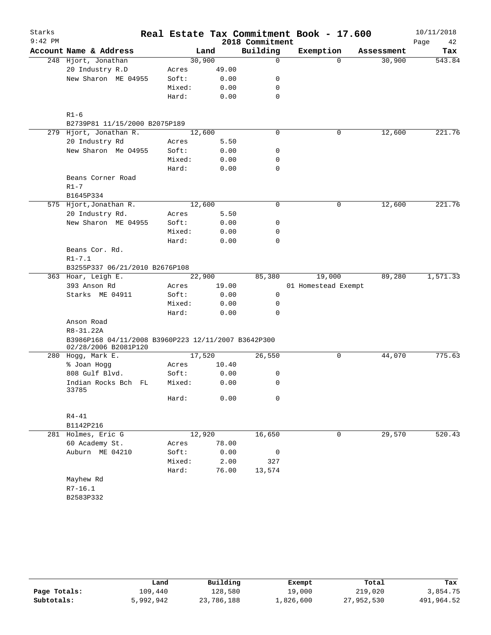| Starks    |                                                                             |                 |              |                 | Real Estate Tax Commitment Book - 17.600 |            | 10/11/2018 |
|-----------|-----------------------------------------------------------------------------|-----------------|--------------|-----------------|------------------------------------------|------------|------------|
| $9:42$ PM |                                                                             |                 |              | 2018 Commitment |                                          |            | Page<br>42 |
|           | Account Name & Address                                                      |                 | Land         | Building        | Exemption                                | Assessment | Tax        |
|           | 248 Hjort, Jonathan                                                         | 30,900          |              | 0               | $\Omega$                                 | 30,900     | 543.84     |
|           | 20 Industry R.D                                                             | Acres           | 49.00        |                 |                                          |            |            |
|           | New Sharon ME 04955                                                         | Soft:           | 0.00         | 0               |                                          |            |            |
|           |                                                                             | Mixed:          | 0.00         | 0               |                                          |            |            |
|           |                                                                             | Hard:           | 0.00         | $\mathbf 0$     |                                          |            |            |
|           |                                                                             |                 |              |                 |                                          |            |            |
|           | $R1 - 6$                                                                    |                 |              |                 |                                          |            |            |
|           | B2739P81 11/15/2000 B2075P189                                               |                 |              |                 |                                          |            |            |
|           | 279 Hjort, Jonathan R.                                                      | 12,600          |              | 0               | 0                                        | 12,600     | 221.76     |
|           | 20 Industry Rd<br>New Sharon Me 04955                                       | Acres           | 5.50         |                 |                                          |            |            |
|           |                                                                             | Soft:           | 0.00         | 0               |                                          |            |            |
|           |                                                                             | Mixed:<br>Hard: | 0.00         | 0<br>0          |                                          |            |            |
|           | Beans Corner Road                                                           |                 | 0.00         |                 |                                          |            |            |
|           | $R1 - 7$                                                                    |                 |              |                 |                                          |            |            |
|           | B1645P334                                                                   |                 |              |                 |                                          |            |            |
|           | 575 Hjort, Jonathan R.                                                      | 12,600          |              | 0               | 0                                        | 12,600     | 221.76     |
|           | 20 Industry Rd.                                                             | Acres           | 5.50         |                 |                                          |            |            |
|           | New Sharon ME 04955                                                         | Soft:           | 0.00         | 0               |                                          |            |            |
|           |                                                                             | Mixed:          | 0.00         | 0               |                                          |            |            |
|           |                                                                             | Hard:           | 0.00         | 0               |                                          |            |            |
|           | Beans Cor. Rd.                                                              |                 |              |                 |                                          |            |            |
|           | $R1 - 7.1$                                                                  |                 |              |                 |                                          |            |            |
|           | B3255P337 06/21/2010 B2676P108                                              |                 |              |                 |                                          |            |            |
|           | 363 Hoar, Leigh E.                                                          | 22,900          |              | 85,380          | 19,000                                   | 89,280     | 1,571.33   |
|           | 393 Anson Rd                                                                | Acres           | 19.00        |                 | 01 Homestead Exempt                      |            |            |
|           | Starks ME 04911                                                             | Soft:           | 0.00         | 0               |                                          |            |            |
|           |                                                                             | Mixed:          | 0.00         | 0               |                                          |            |            |
|           |                                                                             | Hard:           | 0.00         | 0               |                                          |            |            |
|           | Anson Road                                                                  |                 |              |                 |                                          |            |            |
|           | R8-31.22A                                                                   |                 |              |                 |                                          |            |            |
|           | B3986P168 04/11/2008 B3960P223 12/11/2007 B3642P300<br>02/28/2006 B2081P120 |                 |              |                 |                                          |            |            |
|           | 280 Hogg, Mark E.                                                           | 17,520          |              | 26,550          | 0                                        | 44,070     | 775.63     |
|           | % Joan Hogg                                                                 | Acres           | 10.40        |                 |                                          |            |            |
|           | 808 Gulf Blvd.                                                              | Soft:           | 0.00         | 0               |                                          |            |            |
|           | Indian Rocks Bch FL<br>33785                                                | Mixed:          | 0.00         | 0               |                                          |            |            |
|           |                                                                             | Hard:           | 0.00         | 0               |                                          |            |            |
|           | $R4 - 41$                                                                   |                 |              |                 |                                          |            |            |
|           | B1142P216                                                                   | 12,920          |              |                 |                                          |            |            |
|           | 281 Holmes, Eric G<br>60 Academy St.                                        |                 |              | 16,650          | 0                                        | 29,570     | 520.43     |
|           |                                                                             | Acres<br>Soft:  | 78.00        |                 |                                          |            |            |
|           | Auburn ME 04210                                                             | Mixed:          | 0.00<br>2.00 | 0<br>327        |                                          |            |            |
|           |                                                                             | Hard:           | 76.00        | 13,574          |                                          |            |            |
|           | Mayhew Rd                                                                   |                 |              |                 |                                          |            |            |
|           | $R7 - 16.1$                                                                 |                 |              |                 |                                          |            |            |
|           | B2583P332                                                                   |                 |              |                 |                                          |            |            |
|           |                                                                             |                 |              |                 |                                          |            |            |
|           |                                                                             |                 |              |                 |                                          |            |            |

|              | Land      | Building   | Exempt    | Total      | Tax        |
|--------------|-----------|------------|-----------|------------|------------|
| Page Totals: | 109,440   | 128,580    | 19,000    | 219,020    | 3,854.75   |
| Subtotals:   | 5,992,942 | 23,786,188 | 1,826,600 | 27,952,530 | 491,964.52 |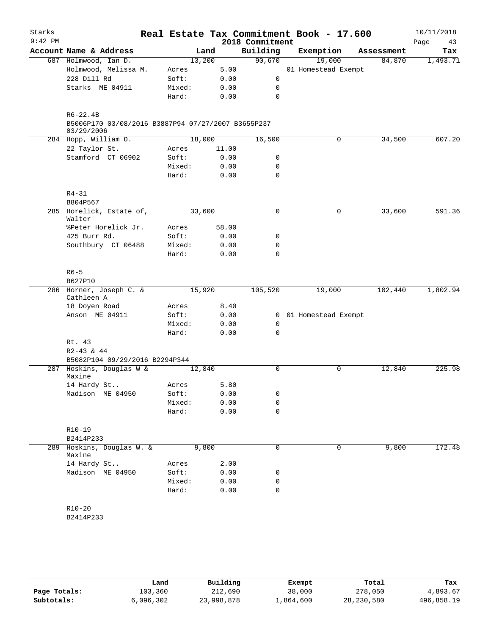| Starks<br>$9:42$ PM |                                                                  |        |        | 2018 Commitment | Real Estate Tax Commitment Book - 17.600 |             |            | 10/11/2018<br>Page<br>43 |
|---------------------|------------------------------------------------------------------|--------|--------|-----------------|------------------------------------------|-------------|------------|--------------------------|
|                     | Account Name & Address                                           |        | Land   | Building        | Exemption                                |             | Assessment | Tax                      |
|                     | 687 Holmwood, Ian D.                                             |        | 13,200 | 90,670          | 19,000                                   |             | 84,870     | 1,493.71                 |
|                     | Holmwood, Melissa M.                                             | Acres  | 5.00   |                 | 01 Homestead Exempt                      |             |            |                          |
|                     | 228 Dill Rd                                                      | Soft:  | 0.00   | 0               |                                          |             |            |                          |
|                     | Starks ME 04911                                                  | Mixed: | 0.00   | 0               |                                          |             |            |                          |
|                     |                                                                  | Hard:  | 0.00   | $\mathbf 0$     |                                          |             |            |                          |
|                     | $R6 - 22.4B$                                                     |        |        |                 |                                          |             |            |                          |
|                     | B5006P170 03/08/2016 B3887P94 07/27/2007 B3655P237<br>03/29/2006 |        |        |                 |                                          |             |            |                          |
|                     | 284 Hopp, William O.                                             |        | 18,000 | 16,500          |                                          | 0           | 34,500     | 607.20                   |
|                     | 22 Taylor St.                                                    | Acres  | 11.00  |                 |                                          |             |            |                          |
|                     | Stamford CT 06902                                                | Soft:  | 0.00   | 0               |                                          |             |            |                          |
|                     |                                                                  | Mixed: | 0.00   | 0               |                                          |             |            |                          |
|                     |                                                                  | Hard:  | 0.00   | $\mathbf 0$     |                                          |             |            |                          |
|                     | $R4 - 31$                                                        |        |        |                 |                                          |             |            |                          |
|                     | B804P567                                                         |        |        |                 |                                          |             |            |                          |
|                     | 285 Horelick, Estate of,<br>Walter                               |        | 33,600 | 0               |                                          | 0           | 33,600     | 591.36                   |
|                     | %Peter Horelick Jr.                                              | Acres  | 58.00  |                 |                                          |             |            |                          |
|                     | 425 Burr Rd.                                                     | Soft:  | 0.00   | 0               |                                          |             |            |                          |
|                     | Southbury CT 06488                                               | Mixed: | 0.00   | $\mathbf 0$     |                                          |             |            |                          |
|                     |                                                                  | Hard:  | 0.00   | $\Omega$        |                                          |             |            |                          |
|                     | $R6 - 5$                                                         |        |        |                 |                                          |             |            |                          |
|                     | B627P10                                                          |        |        |                 |                                          |             |            |                          |
|                     | 286 Horner, Joseph C. &                                          |        | 15,920 | 105,520         | 19,000                                   |             | 102,440    | 1,802.94                 |
|                     | Cathleen A                                                       |        |        |                 |                                          |             |            |                          |
|                     | 18 Doyen Road                                                    | Acres  | 8.40   |                 |                                          |             |            |                          |
|                     | Anson ME 04911                                                   | Soft:  | 0.00   |                 | 0 01 Homestead Exempt                    |             |            |                          |
|                     |                                                                  | Mixed: | 0.00   | 0               |                                          |             |            |                          |
|                     |                                                                  | Hard:  | 0.00   | 0               |                                          |             |            |                          |
|                     | Rt. 43                                                           |        |        |                 |                                          |             |            |                          |
|                     | R2-43 & 44                                                       |        |        |                 |                                          |             |            |                          |
|                     | B5082P104 09/29/2016 B2294P344                                   |        |        |                 |                                          |             |            |                          |
| 287                 | Hoskins, Douglas W &<br>Maxine                                   |        | 12,840 | $\mathbf 0$     |                                          | $\mathbf 0$ | 12,840     | 225.98                   |
|                     | 14 Hardy St                                                      | Acres  | 5.80   |                 |                                          |             |            |                          |
|                     | Madison ME 04950                                                 | Soft:  | 0.00   | 0               |                                          |             |            |                          |
|                     |                                                                  | Mixed: | 0.00   | 0               |                                          |             |            |                          |
|                     |                                                                  | Hard:  | 0.00   | 0               |                                          |             |            |                          |
|                     | R10-19                                                           |        |        |                 |                                          |             |            |                          |
|                     | B2414P233                                                        |        |        |                 |                                          |             |            |                          |
| 289                 | Hoskins, Douglas W. &<br>Maxine                                  |        | 9,800  | 0               |                                          | 0           | 9,800      | 172.48                   |
|                     | 14 Hardy St                                                      | Acres  | 2.00   |                 |                                          |             |            |                          |
|                     | Madison ME 04950                                                 | Soft:  | 0.00   | 0               |                                          |             |            |                          |
|                     |                                                                  | Mixed: | 0.00   | 0               |                                          |             |            |                          |
|                     |                                                                  | Hard:  | 0.00   | 0               |                                          |             |            |                          |
|                     |                                                                  |        |        |                 |                                          |             |            |                          |
|                     | $R10 - 20$                                                       |        |        |                 |                                          |             |            |                          |
|                     | B2414P233                                                        |        |        |                 |                                          |             |            |                          |
|                     |                                                                  |        |        |                 |                                          |             |            |                          |

|              | Land      | Building   | Exempt    | Total        | Tax        |
|--------------|-----------|------------|-----------|--------------|------------|
| Page Totals: | 103,360   | 212,690    | 38,000    | 278,050      | 4,893.67   |
| Subtotals:   | 6,096,302 | 23,998,878 | ⊥,864,600 | 28, 230, 580 | 496,858.19 |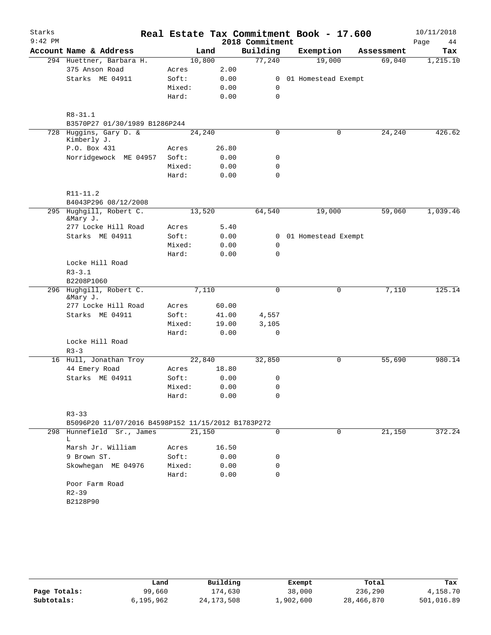| Starks    |                                                                 |        |                 |                 | Real Estate Tax Commitment Book - 17.600 |            | 10/11/2018 |
|-----------|-----------------------------------------------------------------|--------|-----------------|-----------------|------------------------------------------|------------|------------|
| $9:42$ PM |                                                                 |        |                 | 2018 Commitment |                                          |            | Page<br>44 |
|           | Account Name & Address                                          |        | Land            | Building        | Exemption                                | Assessment | Tax        |
|           | 294 Huettner, Barbara H.                                        | 10,800 |                 | 77,240          | 19,000                                   | 69,040     | 1,215.10   |
|           | 375 Anson Road                                                  | Acres  | 2.00            |                 |                                          |            |            |
|           | Starks ME 04911                                                 | Soft:  | 0.00            | $\mathbf{0}$    | 01 Homestead Exempt                      |            |            |
|           |                                                                 | Mixed: | 0.00            | 0               |                                          |            |            |
|           |                                                                 | Hard:  | 0.00            | 0               |                                          |            |            |
|           | $R8 - 31.1$                                                     |        |                 |                 |                                          |            |            |
|           | B3570P27 01/30/1989 B1286P244                                   |        |                 |                 |                                          |            |            |
|           | 728 Huggins, Gary D. &<br>Kimberly J.                           | 24,240 |                 | 0               | 0                                        | 24,240     | 426.62     |
|           | P.O. Box 431                                                    | Acres  | 26.80           |                 |                                          |            |            |
|           | Norridgewock ME 04957                                           | Soft:  | 0.00            | 0               |                                          |            |            |
|           |                                                                 | Mixed: | 0.00            | 0               |                                          |            |            |
|           |                                                                 | Hard:  | 0.00            | 0               |                                          |            |            |
|           | R11-11.2                                                        |        |                 |                 |                                          |            |            |
|           | B4043P296 08/12/2008                                            |        |                 |                 |                                          |            |            |
|           | 295 Hughgill, Robert C.<br>&Mary J.                             |        | 13,520          | 64,540          | 19,000                                   | 59,060     | 1,039.46   |
|           | 277 Locke Hill Road                                             | Acres  | 5.40            |                 |                                          |            |            |
|           | Starks ME 04911                                                 | Soft:  | 0.00            | $\mathbf{0}$    | 01 Homestead Exempt                      |            |            |
|           |                                                                 | Mixed: | 0.00            | $\mathbf 0$     |                                          |            |            |
|           |                                                                 | Hard:  | 0.00            | 0               |                                          |            |            |
|           | Locke Hill Road                                                 |        |                 |                 |                                          |            |            |
|           | $R3 - 3.1$                                                      |        |                 |                 |                                          |            |            |
|           | B2208P1060                                                      |        |                 |                 |                                          |            |            |
|           | 296 Hughgill, Robert C.<br>&Mary J.                             |        | 7,110           | 0               | 0                                        | 7,110      | 125.14     |
|           | 277 Locke Hill Road                                             | Acres  | 60.00           |                 |                                          |            |            |
|           | Starks ME 04911                                                 | Soft:  | 41.00           | 4,557           |                                          |            |            |
|           |                                                                 | Mixed: | 19.00           | 3,105           |                                          |            |            |
|           |                                                                 | Hard:  | 0.00            | 0               |                                          |            |            |
|           | Locke Hill Road                                                 |        |                 |                 |                                          |            |            |
|           | $R3 - 3$                                                        |        |                 |                 |                                          |            |            |
|           | 16 Hull, Jonathan Troy<br>44 Emery Road                         | Acres  | 22,840<br>18.80 | 32,850          | 0                                        | 55,690     | 980.14     |
|           | Starks ME 04911                                                 | Soft:  | 0.00            | 0               |                                          |            |            |
|           |                                                                 | Mixed: | 0.00            | $\Omega$        |                                          |            |            |
|           |                                                                 | Hard:  | 0.00            | 0               |                                          |            |            |
|           |                                                                 |        |                 |                 |                                          |            |            |
|           | $R3 - 33$<br>B5096P20 11/07/2016 B4598P152 11/15/2012 B1783P272 |        |                 |                 |                                          |            |            |
|           | 298 Hunnefield Sr., James                                       |        | 21,150          | $\mathbf 0$     | $\mathbf 0$                              | 21,150     | 372.24     |
|           | L                                                               |        |                 |                 |                                          |            |            |
|           | Marsh Jr. William                                               | Acres  | 16.50           |                 |                                          |            |            |
|           | 9 Brown ST.                                                     | Soft:  | 0.00            | 0               |                                          |            |            |
|           | Skowhegan ME 04976                                              | Mixed: | 0.00            | 0               |                                          |            |            |
|           |                                                                 | Hard:  | 0.00            | 0               |                                          |            |            |
|           | Poor Farm Road<br>$R2 - 39$                                     |        |                 |                 |                                          |            |            |
|           | B2128P90                                                        |        |                 |                 |                                          |            |            |
|           |                                                                 |        |                 |                 |                                          |            |            |

|              | Land      | Building     | Exempt    | Total      | Tax        |
|--------------|-----------|--------------|-----------|------------|------------|
| Page Totals: | 99,660    | 174,630      | 38,000    | 236,290    | 4,158.70   |
| Subtotals:   | 6,195,962 | 24, 173, 508 | 1,902,600 | 28,466,870 | 501,016.89 |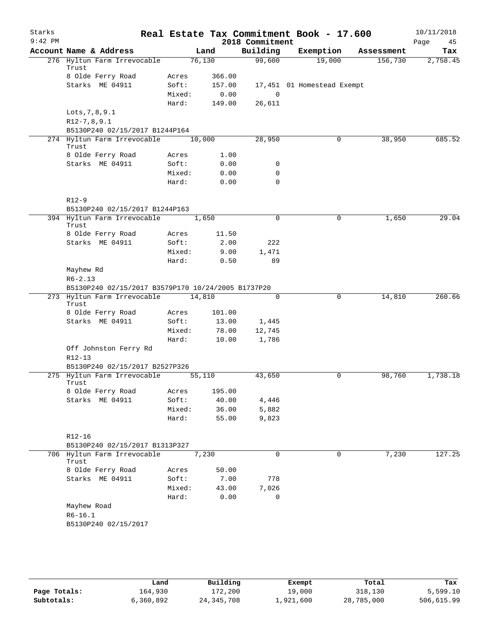| Starks<br>$9:42$ PM |                                                    |        |         |        | 2018 Commitment | Real Estate Tax Commitment Book - 17.600 |             |            | 10/11/2018<br>Page<br>45 |
|---------------------|----------------------------------------------------|--------|---------|--------|-----------------|------------------------------------------|-------------|------------|--------------------------|
|                     | Account Name & Address                             |        | Land    |        | Building        | Exemption                                |             | Assessment | Tax                      |
|                     | 276 Hyltun Farm Irrevocable<br>Trust               |        | 76, 130 |        | 99,600          | 19,000                                   |             | 156,730    | 2,758.45                 |
|                     | 8 Olde Ferry Road                                  | Acres  |         | 366.00 |                 |                                          |             |            |                          |
|                     | Starks ME 04911                                    | Soft:  |         | 157.00 |                 | 17,451 01 Homestead Exempt               |             |            |                          |
|                     |                                                    | Mixed: |         | 0.00   | $\mathbf 0$     |                                          |             |            |                          |
|                     |                                                    | Hard:  |         | 149.00 | 26,611          |                                          |             |            |                          |
|                     | Lots, 7, 8, 9.1                                    |        |         |        |                 |                                          |             |            |                          |
|                     | $R12-7, 8, 9.1$                                    |        |         |        |                 |                                          |             |            |                          |
|                     | B5130P240 02/15/2017 B1244P164                     |        |         |        |                 |                                          |             |            |                          |
|                     | 274 Hyltun Farm Irrevocable<br>Trust               |        | 10,000  |        | 28,950          |                                          | 0           | 38,950     | 685.52                   |
|                     | 8 Olde Ferry Road                                  | Acres  |         | 1.00   |                 |                                          |             |            |                          |
|                     | Starks ME 04911                                    | Soft:  |         | 0.00   | 0               |                                          |             |            |                          |
|                     |                                                    | Mixed: |         | 0.00   | 0               |                                          |             |            |                          |
|                     |                                                    | Hard:  |         | 0.00   | $\mathbf 0$     |                                          |             |            |                          |
|                     | $R12-9$                                            |        |         |        |                 |                                          |             |            |                          |
|                     | B5130P240 02/15/2017 B1244P163                     |        |         |        |                 |                                          |             |            |                          |
|                     | 394 Hyltun Farm Irrevocable<br>Trust               |        | 1,650   |        | 0               |                                          | 0           | 1,650      | 29.04                    |
|                     | 8 Olde Ferry Road                                  | Acres  |         | 11.50  |                 |                                          |             |            |                          |
|                     | Starks ME 04911                                    | Soft:  |         | 2.00   | 222             |                                          |             |            |                          |
|                     |                                                    | Mixed: |         | 9.00   | 1,471           |                                          |             |            |                          |
|                     |                                                    | Hard:  |         | 0.50   | 89              |                                          |             |            |                          |
|                     | Mayhew Rd                                          |        |         |        |                 |                                          |             |            |                          |
|                     | $R6 - 2.13$                                        |        |         |        |                 |                                          |             |            |                          |
|                     | B5130P240 02/15/2017 B3579P170 10/24/2005 B1737P20 |        |         |        |                 |                                          |             |            |                          |
|                     | 273 Hyltun Farm Irrevocable<br>Trust               |        | 14,810  |        | $\mathbf 0$     |                                          | $\mathbf 0$ | 14,810     | 260.66                   |
|                     | 8 Olde Ferry Road                                  | Acres  |         | 101.00 |                 |                                          |             |            |                          |
|                     | Starks ME 04911                                    | Soft:  |         | 13.00  | 1,445           |                                          |             |            |                          |
|                     |                                                    | Mixed: |         | 78.00  | 12,745          |                                          |             |            |                          |
|                     |                                                    | Hard:  |         | 10.00  | 1,786           |                                          |             |            |                          |
|                     | Off Johnston Ferry Rd                              |        |         |        |                 |                                          |             |            |                          |
|                     | $R12 - 13$                                         |        |         |        |                 |                                          |             |            |                          |
|                     | B5130P240 02/15/2017 B2527P326                     |        |         |        |                 |                                          |             |            |                          |
| 275                 | Hyltun Farm Irrevocable<br>Trust                   |        | 55,110  |        | 43,650          |                                          | 0           | 98,760     | 1,738.18                 |
|                     | 8 Olde Ferry Road                                  | Acres  |         | 195.00 |                 |                                          |             |            |                          |
|                     | Starks ME 04911                                    | Soft:  |         | 40.00  | 4,446           |                                          |             |            |                          |
|                     |                                                    | Mixed: |         | 36.00  | 5,882           |                                          |             |            |                          |
|                     |                                                    | Hard:  |         | 55.00  | 9,823           |                                          |             |            |                          |
|                     | R12-16                                             |        |         |        |                 |                                          |             |            |                          |
|                     | B5130P240 02/15/2017 B1313P327                     |        |         |        |                 |                                          |             |            |                          |
|                     | 706 Hyltun Farm Irrevocable<br>Trust               |        | 7,230   |        | 0               |                                          | 0           | 7,230      | 127.25                   |
|                     | 8 Olde Ferry Road                                  | Acres  |         | 50.00  |                 |                                          |             |            |                          |
|                     | Starks ME 04911                                    | Soft:  |         | 7.00   | 778             |                                          |             |            |                          |
|                     |                                                    | Mixed: |         | 43.00  | 7,026           |                                          |             |            |                          |
|                     |                                                    | Hard:  |         | 0.00   | 0               |                                          |             |            |                          |
|                     | Mayhew Road                                        |        |         |        |                 |                                          |             |            |                          |
|                     | $R6-16.1$                                          |        |         |        |                 |                                          |             |            |                          |
|                     | B5130P240 02/15/2017                               |        |         |        |                 |                                          |             |            |                          |
|                     |                                                    |        |         |        |                 |                                          |             |            |                          |
|                     |                                                    |        |         |        |                 |                                          |             |            |                          |
|                     |                                                    |        |         |        |                 |                                          |             |            |                          |

|              | Land      | Building     | Exempt    | Total      | Tax        |
|--------------|-----------|--------------|-----------|------------|------------|
| Page Totals: | 164,930   | 172,200      | 19,000    | 318,130    | 5,599.10   |
| Subtotals:   | 6,360,892 | 24, 345, 708 | ⊥,921,600 | 28,785,000 | 506,615.99 |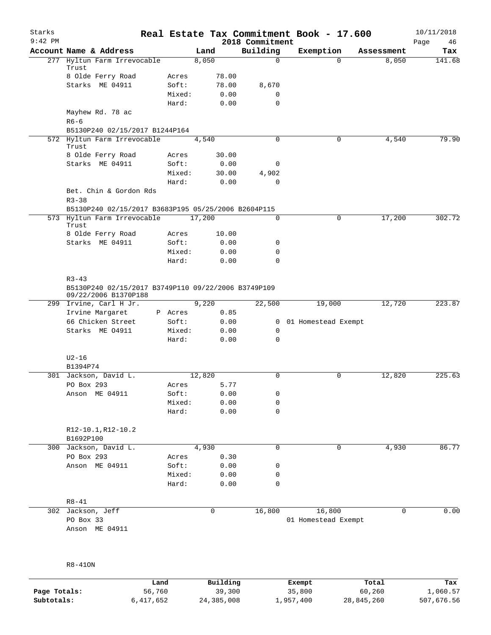| Starks<br>$9:42$ PM |                                                                                          |                 |              | 2018 Commitment | Real Estate Tax Commitment Book - 17.600 |             | 10/11/2018<br>Page<br>46 |
|---------------------|------------------------------------------------------------------------------------------|-----------------|--------------|-----------------|------------------------------------------|-------------|--------------------------|
|                     | Account Name & Address                                                                   |                 | Land         | Building        | Exemption                                | Assessment  | Tax                      |
|                     | 277 Hyltun Farm Irrevocable<br>Trust                                                     |                 | 8,050        | $\mathbf 0$     | $\Omega$                                 | 8,050       | 141.68                   |
|                     | 8 Olde Ferry Road                                                                        | Acres           | 78.00        |                 |                                          |             |                          |
|                     | Starks ME 04911                                                                          | Soft:           | 78.00        | 8,670           |                                          |             |                          |
|                     |                                                                                          | Mixed:          | 0.00         | 0               |                                          |             |                          |
|                     |                                                                                          | Hard:           | 0.00         | $\mathbf 0$     |                                          |             |                          |
|                     | Mayhew Rd. 78 ac                                                                         |                 |              |                 |                                          |             |                          |
|                     | $R6-6$                                                                                   |                 |              |                 |                                          |             |                          |
|                     | B5130P240 02/15/2017 B1244P164<br>572 Hyltun Farm Irrevocable                            |                 |              | $\Omega$        | 0                                        | 4,540       | 79.90                    |
|                     | Trust                                                                                    |                 | 4,540        |                 |                                          |             |                          |
|                     | 8 Olde Ferry Road                                                                        | Acres           | 30.00        |                 |                                          |             |                          |
|                     | Starks ME 04911                                                                          | Soft:           | 0.00         | 0               |                                          |             |                          |
|                     |                                                                                          | Mixed:          | 30.00        | 4,902           |                                          |             |                          |
|                     |                                                                                          | Hard:           | 0.00         | 0               |                                          |             |                          |
|                     | Bet. Chin & Gordon Rds<br>$R3 - 38$                                                      |                 |              |                 |                                          |             |                          |
|                     | B5130P240 02/15/2017 B3683P195 05/25/2006 B2604P115                                      |                 |              |                 |                                          |             |                          |
|                     | 573 Hyltun Farm Irrevocable<br>Trust                                                     |                 | 17,200       | 0               | $\mathbf 0$                              | 17,200      | 302.72                   |
|                     | 8 Olde Ferry Road                                                                        | Acres           | 10.00        |                 |                                          |             |                          |
|                     | Starks ME 04911                                                                          | Soft:           | 0.00         | 0               |                                          |             |                          |
|                     |                                                                                          | Mixed:          | 0.00         | 0               |                                          |             |                          |
|                     |                                                                                          | Hard:           | 0.00         | $\mathbf 0$     |                                          |             |                          |
|                     | $R3 - 43$<br>B5130P240 02/15/2017 B3749P110 09/22/2006 B3749P109<br>09/22/2006 B1370P188 |                 |              |                 |                                          |             |                          |
|                     | 299 Irvine, Carl H Jr.                                                                   |                 | 9,220        | 22,500          | 19,000                                   | 12,720      | 223.87                   |
|                     | Irvine Margaret                                                                          | P Acres         | 0.85         |                 |                                          |             |                          |
|                     | 66 Chicken Street                                                                        | Soft:           | 0.00         | $\mathbf{0}$    | 01 Homestead Exempt                      |             |                          |
|                     | Starks ME 04911                                                                          | Mixed:          | 0.00         | $\mathbf 0$     |                                          |             |                          |
|                     |                                                                                          | Hard:           | 0.00         | $\mathbf 0$     |                                          |             |                          |
|                     | $U2-16$                                                                                  |                 |              |                 |                                          |             |                          |
|                     | B1394P74                                                                                 |                 |              |                 |                                          |             |                          |
|                     | 301 Jackson, David L.                                                                    |                 | 12,820       | 0               | 0                                        | 12,820      | 225.63                   |
|                     | PO Box 293                                                                               | Acres           | 5.77         |                 |                                          |             |                          |
|                     | Anson ME 04911                                                                           | Soft:           | 0.00         | 0               |                                          |             |                          |
|                     |                                                                                          | Mixed:          | 0.00         | 0               |                                          |             |                          |
|                     |                                                                                          | Hard:           | 0.00         | 0               |                                          |             |                          |
|                     | R12-10.1, R12-10.2                                                                       |                 |              |                 |                                          |             |                          |
|                     | B1692P100                                                                                |                 |              |                 |                                          |             |                          |
|                     | 300 Jackson, David L.                                                                    |                 | 4,930        | 0               | 0                                        | 4,930       | 86.77                    |
|                     | PO Box 293                                                                               | Acres           | 0.30         |                 |                                          |             |                          |
|                     | Anson ME 04911                                                                           | Soft:           | 0.00         | 0               |                                          |             |                          |
|                     |                                                                                          | Mixed:<br>Hard: | 0.00<br>0.00 | 0<br>0          |                                          |             |                          |
|                     |                                                                                          |                 |              |                 |                                          |             |                          |
|                     | $R8 - 41$                                                                                |                 |              |                 |                                          |             |                          |
|                     | 302 Jackson, Jeff                                                                        |                 | 0            | 16,800          | 16,800                                   | $\mathbf 0$ | 0.00                     |
|                     | PO Box 33                                                                                |                 |              |                 | 01 Homestead Exempt                      |             |                          |
|                     | Anson ME 04911                                                                           |                 |              |                 |                                          |             |                          |
|                     |                                                                                          |                 |              |                 |                                          |             |                          |
|                     |                                                                                          |                 |              |                 |                                          |             |                          |
|                     |                                                                                          |                 |              |                 |                                          |             |                          |
|                     | $R8-410N$                                                                                |                 |              |                 |                                          |             |                          |

|              | Land      | Building   | Exempt    | Total      | Tax        |
|--------------|-----------|------------|-----------|------------|------------|
| Page Totals: | 56,760    | 39,300     | 35,800    | 60,260     | 1,060.57   |
| Subtotals:   | 6,417,652 | 24,385,008 | 1,957,400 | 28,845,260 | 507,676.56 |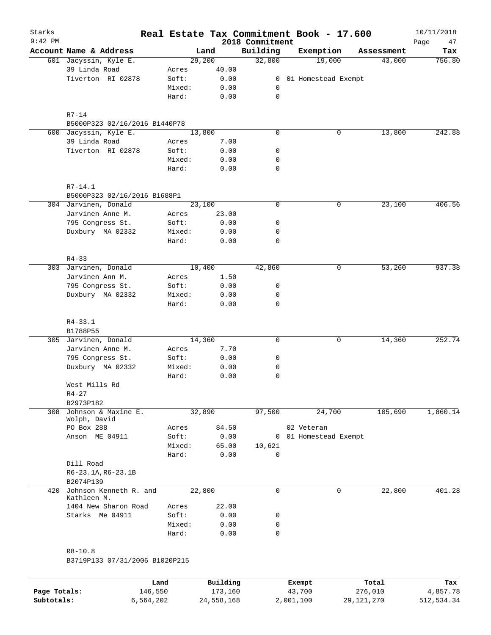|                        |                                                                                                                                                                                                                                                                                                                                                                                                              |                                                                                                                                                                                         |                                                                                                                                                                                                       | Real Estate Tax Commitment Book - 17.600                                        |                                    | 10/11/2018<br>Page<br>47                                                   |
|------------------------|--------------------------------------------------------------------------------------------------------------------------------------------------------------------------------------------------------------------------------------------------------------------------------------------------------------------------------------------------------------------------------------------------------------|-----------------------------------------------------------------------------------------------------------------------------------------------------------------------------------------|-------------------------------------------------------------------------------------------------------------------------------------------------------------------------------------------------------|---------------------------------------------------------------------------------|------------------------------------|----------------------------------------------------------------------------|
| Account Name & Address |                                                                                                                                                                                                                                                                                                                                                                                                              |                                                                                                                                                                                         |                                                                                                                                                                                                       | Exemption                                                                       | Assessment                         | Tax                                                                        |
| 601 Jacyssin, Kyle E.  |                                                                                                                                                                                                                                                                                                                                                                                                              |                                                                                                                                                                                         | 32,800                                                                                                                                                                                                | 19,000                                                                          | 43,000                             | 756.80                                                                     |
| 39 Linda Road          | Acres                                                                                                                                                                                                                                                                                                                                                                                                        | 40.00                                                                                                                                                                                   |                                                                                                                                                                                                       |                                                                                 |                                    |                                                                            |
| Tiverton RI 02878      | Soft:                                                                                                                                                                                                                                                                                                                                                                                                        | 0.00                                                                                                                                                                                    | $\overline{0}$                                                                                                                                                                                        |                                                                                 |                                    |                                                                            |
|                        | Mixed:                                                                                                                                                                                                                                                                                                                                                                                                       | 0.00                                                                                                                                                                                    | 0                                                                                                                                                                                                     |                                                                                 |                                    |                                                                            |
|                        | Hard:                                                                                                                                                                                                                                                                                                                                                                                                        | 0.00                                                                                                                                                                                    |                                                                                                                                                                                                       |                                                                                 |                                    |                                                                            |
| $R7-14$                |                                                                                                                                                                                                                                                                                                                                                                                                              |                                                                                                                                                                                         |                                                                                                                                                                                                       |                                                                                 |                                    |                                                                            |
|                        |                                                                                                                                                                                                                                                                                                                                                                                                              |                                                                                                                                                                                         |                                                                                                                                                                                                       |                                                                                 |                                    |                                                                            |
| 600 Jacyssin, Kyle E.  |                                                                                                                                                                                                                                                                                                                                                                                                              |                                                                                                                                                                                         | $\mathbf 0$                                                                                                                                                                                           | 0                                                                               | 13,800                             | 242.88                                                                     |
| 39 Linda Road          | Acres                                                                                                                                                                                                                                                                                                                                                                                                        | 7.00                                                                                                                                                                                    |                                                                                                                                                                                                       |                                                                                 |                                    |                                                                            |
| Tiverton RI 02878      | Soft:                                                                                                                                                                                                                                                                                                                                                                                                        | 0.00                                                                                                                                                                                    | 0                                                                                                                                                                                                     |                                                                                 |                                    |                                                                            |
|                        | Mixed:                                                                                                                                                                                                                                                                                                                                                                                                       | 0.00                                                                                                                                                                                    | 0                                                                                                                                                                                                     |                                                                                 |                                    |                                                                            |
|                        | Hard:                                                                                                                                                                                                                                                                                                                                                                                                        | 0.00                                                                                                                                                                                    | $\mathbf 0$                                                                                                                                                                                           |                                                                                 |                                    |                                                                            |
|                        |                                                                                                                                                                                                                                                                                                                                                                                                              |                                                                                                                                                                                         |                                                                                                                                                                                                       |                                                                                 |                                    |                                                                            |
|                        |                                                                                                                                                                                                                                                                                                                                                                                                              |                                                                                                                                                                                         |                                                                                                                                                                                                       |                                                                                 |                                    |                                                                            |
| 304 Jarvinen, Donald   |                                                                                                                                                                                                                                                                                                                                                                                                              |                                                                                                                                                                                         | 0                                                                                                                                                                                                     | $\mathsf{O}$                                                                    |                                    | 406.56                                                                     |
| Jarvinen Anne M.       | Acres                                                                                                                                                                                                                                                                                                                                                                                                        | 23.00                                                                                                                                                                                   |                                                                                                                                                                                                       |                                                                                 |                                    |                                                                            |
|                        |                                                                                                                                                                                                                                                                                                                                                                                                              |                                                                                                                                                                                         | 0                                                                                                                                                                                                     |                                                                                 |                                    |                                                                            |
|                        |                                                                                                                                                                                                                                                                                                                                                                                                              |                                                                                                                                                                                         |                                                                                                                                                                                                       |                                                                                 |                                    |                                                                            |
|                        | Hard:                                                                                                                                                                                                                                                                                                                                                                                                        | 0.00                                                                                                                                                                                    | 0                                                                                                                                                                                                     |                                                                                 |                                    |                                                                            |
|                        |                                                                                                                                                                                                                                                                                                                                                                                                              |                                                                                                                                                                                         |                                                                                                                                                                                                       |                                                                                 |                                    |                                                                            |
|                        |                                                                                                                                                                                                                                                                                                                                                                                                              |                                                                                                                                                                                         |                                                                                                                                                                                                       |                                                                                 |                                    | 937.38                                                                     |
|                        |                                                                                                                                                                                                                                                                                                                                                                                                              |                                                                                                                                                                                         |                                                                                                                                                                                                       |                                                                                 |                                    |                                                                            |
|                        |                                                                                                                                                                                                                                                                                                                                                                                                              |                                                                                                                                                                                         |                                                                                                                                                                                                       |                                                                                 |                                    |                                                                            |
|                        |                                                                                                                                                                                                                                                                                                                                                                                                              |                                                                                                                                                                                         |                                                                                                                                                                                                       |                                                                                 |                                    |                                                                            |
|                        | Hard:                                                                                                                                                                                                                                                                                                                                                                                                        | 0.00                                                                                                                                                                                    | $\mathbf 0$                                                                                                                                                                                           |                                                                                 |                                    |                                                                            |
|                        |                                                                                                                                                                                                                                                                                                                                                                                                              |                                                                                                                                                                                         |                                                                                                                                                                                                       |                                                                                 |                                    |                                                                            |
|                        |                                                                                                                                                                                                                                                                                                                                                                                                              |                                                                                                                                                                                         |                                                                                                                                                                                                       |                                                                                 |                                    |                                                                            |
|                        |                                                                                                                                                                                                                                                                                                                                                                                                              |                                                                                                                                                                                         | 0                                                                                                                                                                                                     | 0                                                                               |                                    | 252.74                                                                     |
|                        |                                                                                                                                                                                                                                                                                                                                                                                                              |                                                                                                                                                                                         |                                                                                                                                                                                                       |                                                                                 |                                    |                                                                            |
|                        |                                                                                                                                                                                                                                                                                                                                                                                                              |                                                                                                                                                                                         | 0                                                                                                                                                                                                     |                                                                                 |                                    |                                                                            |
|                        |                                                                                                                                                                                                                                                                                                                                                                                                              |                                                                                                                                                                                         |                                                                                                                                                                                                       |                                                                                 |                                    |                                                                            |
|                        | Hard:                                                                                                                                                                                                                                                                                                                                                                                                        |                                                                                                                                                                                         | 0                                                                                                                                                                                                     |                                                                                 |                                    |                                                                            |
| West Mills Rd          |                                                                                                                                                                                                                                                                                                                                                                                                              |                                                                                                                                                                                         |                                                                                                                                                                                                       |                                                                                 |                                    |                                                                            |
|                        |                                                                                                                                                                                                                                                                                                                                                                                                              |                                                                                                                                                                                         |                                                                                                                                                                                                       |                                                                                 |                                    |                                                                            |
| B2973P182              |                                                                                                                                                                                                                                                                                                                                                                                                              |                                                                                                                                                                                         |                                                                                                                                                                                                       |                                                                                 |                                    |                                                                            |
| Johnson & Maxine E.    |                                                                                                                                                                                                                                                                                                                                                                                                              |                                                                                                                                                                                         | 97,500                                                                                                                                                                                                | 24,700                                                                          | 105,690                            | 1,860.14                                                                   |
| Wolph, David           |                                                                                                                                                                                                                                                                                                                                                                                                              |                                                                                                                                                                                         |                                                                                                                                                                                                       |                                                                                 |                                    |                                                                            |
|                        | Acres                                                                                                                                                                                                                                                                                                                                                                                                        |                                                                                                                                                                                         |                                                                                                                                                                                                       |                                                                                 |                                    |                                                                            |
|                        |                                                                                                                                                                                                                                                                                                                                                                                                              |                                                                                                                                                                                         |                                                                                                                                                                                                       |                                                                                 |                                    |                                                                            |
|                        |                                                                                                                                                                                                                                                                                                                                                                                                              |                                                                                                                                                                                         | 10,621                                                                                                                                                                                                |                                                                                 |                                    |                                                                            |
|                        | Hard:                                                                                                                                                                                                                                                                                                                                                                                                        | 0.00                                                                                                                                                                                    |                                                                                                                                                                                                       |                                                                                 |                                    |                                                                            |
|                        |                                                                                                                                                                                                                                                                                                                                                                                                              |                                                                                                                                                                                         |                                                                                                                                                                                                       |                                                                                 |                                    |                                                                            |
| B2074P139              |                                                                                                                                                                                                                                                                                                                                                                                                              |                                                                                                                                                                                         |                                                                                                                                                                                                       |                                                                                 |                                    |                                                                            |
| Johnson Kenneth R. and |                                                                                                                                                                                                                                                                                                                                                                                                              |                                                                                                                                                                                         | $\mathbf 0$                                                                                                                                                                                           | 0                                                                               | 22,800                             | 401.28                                                                     |
|                        |                                                                                                                                                                                                                                                                                                                                                                                                              |                                                                                                                                                                                         |                                                                                                                                                                                                       |                                                                                 |                                    |                                                                            |
|                        |                                                                                                                                                                                                                                                                                                                                                                                                              |                                                                                                                                                                                         |                                                                                                                                                                                                       |                                                                                 |                                    |                                                                            |
|                        |                                                                                                                                                                                                                                                                                                                                                                                                              |                                                                                                                                                                                         |                                                                                                                                                                                                       |                                                                                 |                                    |                                                                            |
|                        | Hard:                                                                                                                                                                                                                                                                                                                                                                                                        | 0.00                                                                                                                                                                                    | $\mathbf 0$                                                                                                                                                                                           |                                                                                 |                                    |                                                                            |
|                        |                                                                                                                                                                                                                                                                                                                                                                                                              |                                                                                                                                                                                         |                                                                                                                                                                                                       |                                                                                 |                                    |                                                                            |
|                        |                                                                                                                                                                                                                                                                                                                                                                                                              |                                                                                                                                                                                         |                                                                                                                                                                                                       |                                                                                 |                                    |                                                                            |
| $R8 - 10.8$            |                                                                                                                                                                                                                                                                                                                                                                                                              |                                                                                                                                                                                         |                                                                                                                                                                                                       |                                                                                 |                                    |                                                                            |
|                        | $R7 - 14.1$<br>795 Congress St.<br>Duxbury MA 02332<br>$R4 - 33$<br>303 Jarvinen, Donald<br>Jarvinen Ann M.<br>795 Congress St.<br>Duxbury MA 02332<br>$R4 - 33.1$<br>B1788P55<br>305 Jarvinen, Donald<br>Jarvinen Anne M.<br>795 Congress St.<br>Duxbury MA 02332<br>$R4 - 27$<br>PO Box 288<br>Anson ME 04911<br>Dill Road<br>R6-23.1A, R6-23.1B<br>Kathleen M.<br>1404 New Sharon Road<br>Starks Me 04911 | B5000P323 02/16/2016 B1440P78<br>B5000P323 02/16/2016 B1688P1<br>Soft:<br>Mixed:<br>Acres<br>Soft:<br>Mixed:<br>Acres<br>Soft:<br>Mixed:<br>Soft:<br>Mixed:<br>Acres<br>Soft:<br>Mixed: | Land<br>29,200<br>13,800<br>23,100<br>0.00<br>0.00<br>10,400<br>1.50<br>0.00<br>0.00<br>14,360<br>7.70<br>0.00<br>0.00<br>0.00<br>32,890<br>84.50<br>0.00<br>65.00<br>22,800<br>22.00<br>0.00<br>0.00 | Building<br>$\mathsf{O}$<br>0<br>42,860<br>0<br>0<br>0<br>$\mathbf 0$<br>0<br>0 | 2018 Commitment<br>0<br>02 Veteran | 01 Homestead Exempt<br>23,100<br>53,260<br>14,360<br>0 01 Homestead Exempt |

|              | Land      | Building   | Exempt    | Total        | Tax        |
|--------------|-----------|------------|-----------|--------------|------------|
| Page Totals: | 146,550   | 173,160    | 43,700    | 276,010      | 4,857.78   |
| Subtotals:   | 6,564,202 | 24,558,168 | 2,001,100 | 29, 121, 270 | 512,534.34 |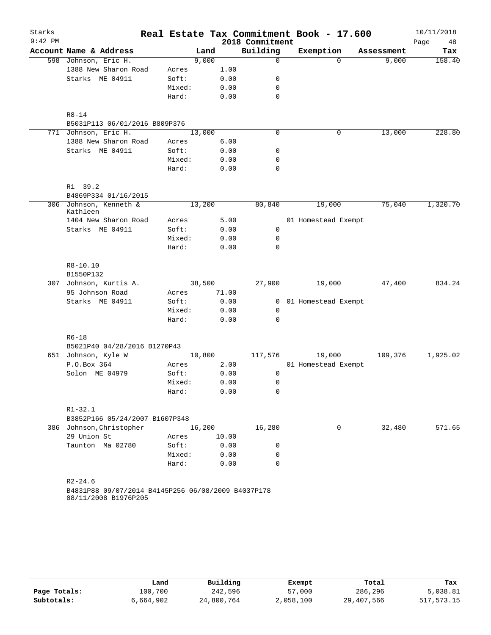| Starks    |                                                    |        |              |                  |              | Real Estate Tax Commitment Book - 17.600 |            | 10/11/2018 |
|-----------|----------------------------------------------------|--------|--------------|------------------|--------------|------------------------------------------|------------|------------|
| $9:42$ PM |                                                    |        |              | 2018 Commitment  |              |                                          |            | Page<br>48 |
|           | Account Name & Address                             |        | Land         | Building         |              | Exemption                                | Assessment | Tax        |
|           | 598 Johnson, Eric H.                               |        | 9,000        | $\mathsf{O}$     |              | $\Omega$                                 | 9,000      | 158.40     |
|           | 1388 New Sharon Road                               | Acres  | 1.00         |                  |              |                                          |            |            |
|           | Starks ME 04911                                    | Soft:  | 0.00         | 0                |              |                                          |            |            |
|           |                                                    | Mixed: | 0.00<br>0.00 | 0<br>$\mathbf 0$ |              |                                          |            |            |
|           |                                                    | Hard:  |              |                  |              |                                          |            |            |
|           | $R8 - 14$                                          |        |              |                  |              |                                          |            |            |
|           | B5031P113 06/01/2016 B809P376                      |        |              |                  |              |                                          |            |            |
|           | 771 Johnson, Eric H.                               |        | 13,000       | $\mathbf 0$      |              | $\mathbf 0$                              | 13,000     | 228.80     |
|           | 1388 New Sharon Road                               | Acres  | 6.00         |                  |              |                                          |            |            |
|           | Starks ME 04911                                    | Soft:  | 0.00         | 0                |              |                                          |            |            |
|           |                                                    | Mixed: | 0.00         | 0                |              |                                          |            |            |
|           |                                                    | Hard:  | 0.00         | $\mathbf 0$      |              |                                          |            |            |
|           |                                                    |        |              |                  |              |                                          |            |            |
|           | R1 39.2<br>B4869P334 01/16/2015                    |        |              |                  |              |                                          |            |            |
|           | 306 Johnson, Kenneth &                             |        | 13,200       | 80,840           |              | 19,000                                   | 75,040     | 1,320.70   |
|           | Kathleen                                           |        |              |                  |              |                                          |            |            |
|           | 1404 New Sharon Road                               | Acres  | 5.00         |                  |              | 01 Homestead Exempt                      |            |            |
|           | Starks ME 04911                                    | Soft:  | 0.00         | 0                |              |                                          |            |            |
|           |                                                    | Mixed: | 0.00         | $\mathbf 0$      |              |                                          |            |            |
|           |                                                    | Hard:  | 0.00         | $\mathbf 0$      |              |                                          |            |            |
|           |                                                    |        |              |                  |              |                                          |            |            |
|           | R8-10.10<br>B1550P132                              |        |              |                  |              |                                          |            |            |
|           | 307 Johnson, Kurtis A.                             |        | 38,500       | 27,900           |              | 19,000                                   | 47,400     | 834.24     |
|           | 95 Johnson Road                                    | Acres  | 71.00        |                  |              |                                          |            |            |
|           | Starks ME 04911                                    | Soft:  | 0.00         |                  | $\mathbf{0}$ | 01 Homestead Exempt                      |            |            |
|           |                                                    | Mixed: | 0.00         | $\mathbf 0$      |              |                                          |            |            |
|           |                                                    | Hard:  | 0.00         | $\Omega$         |              |                                          |            |            |
|           |                                                    |        |              |                  |              |                                          |            |            |
|           | $R6 - 18$<br>B5021P40 04/28/2016 B1270P43          |        |              |                  |              |                                          |            |            |
|           | 651 Johnson, Kyle W                                |        | 10,800       | 117,576          |              | 19,000                                   | 109,376    | 1,925.02   |
|           | P.O.Box 364                                        | Acres  | 2.00         |                  |              | 01 Homestead Exempt                      |            |            |
|           | Solon ME 04979                                     | Soft:  | 0.00         | 0                |              |                                          |            |            |
|           |                                                    | Mixed: | 0.00         | 0                |              |                                          |            |            |
|           |                                                    | Hard:  |              | 0.00<br>0        |              |                                          |            |            |
|           |                                                    |        |              |                  |              |                                          |            |            |
|           | $R1 - 32.1$                                        |        |              |                  |              |                                          |            |            |
|           | B3852P166 05/24/2007 B1607P348                     |        |              |                  |              |                                          |            |            |
|           | 386 Johnson, Christopher                           |        | 16,200       | 16,280           |              | 0                                        | 32,480     | 571.65     |
|           | 29 Union St                                        | Acres  | 10.00        |                  |              |                                          |            |            |
|           | Taunton Ma 02780                                   | Soft:  | 0.00         | 0                |              |                                          |            |            |
|           |                                                    | Mixed: | 0.00         | 0                |              |                                          |            |            |
|           |                                                    | Hard:  | 0.00         | $\Omega$         |              |                                          |            |            |
|           | $R2 - 24.6$                                        |        |              |                  |              |                                          |            |            |
|           | B4831P88 09/07/2014 B4145P256 06/08/2009 B4037P178 |        |              |                  |              |                                          |            |            |
|           | 08/11/2008 B1976P205                               |        |              |                  |              |                                          |            |            |
|           |                                                    |        |              |                  |              |                                          |            |            |
|           |                                                    |        |              |                  |              |                                          |            |            |

|              | Land      | Building   | Exempt    | Total      | Tax          |
|--------------|-----------|------------|-----------|------------|--------------|
| Page Totals: | 100,700   | 242,596    | 57,000    | 286,296    | 5,038.81     |
| Subtotals:   | 6,664,902 | 24,800,764 | 2,058,100 | 29,407,566 | 517, 573. 15 |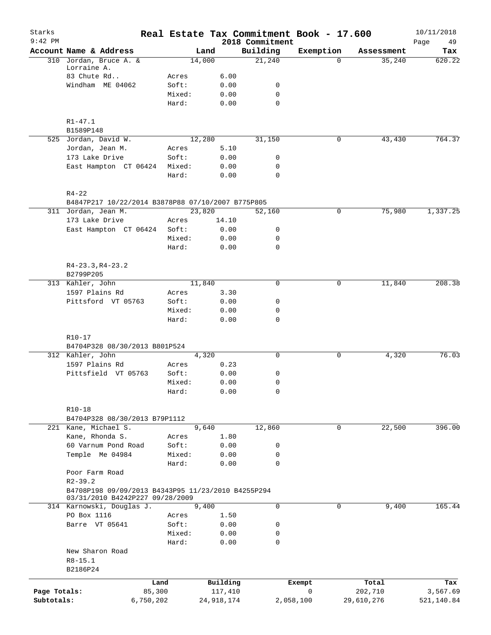| Starks<br>$9:42$ PM |                                                              |           |              | 2018 Commitment  | Real Estate Tax Commitment Book - 17.600 |            | 10/11/2018<br>Page<br>49 |
|---------------------|--------------------------------------------------------------|-----------|--------------|------------------|------------------------------------------|------------|--------------------------|
|                     | Account Name & Address                                       |           | Land         | Building         | Exemption                                | Assessment | Tax                      |
|                     | 310 Jordan, Bruce A. &                                       |           | 14,000       | 21,240           | $\Omega$                                 | 35,240     | 620.22                   |
|                     | Lorraine A.                                                  |           |              |                  |                                          |            |                          |
|                     | 83 Chute Rd                                                  | Acres     | 6.00         |                  |                                          |            |                          |
|                     | Windham ME 04062                                             | Soft:     | 0.00         | 0                |                                          |            |                          |
|                     |                                                              | Mixed:    | 0.00         | $\mathbf 0$      |                                          |            |                          |
|                     |                                                              | Hard:     | 0.00         | $\mathbf 0$      |                                          |            |                          |
|                     | $R1 - 47.1$                                                  |           |              |                  |                                          |            |                          |
|                     | B1589P148                                                    |           |              |                  |                                          |            |                          |
|                     | 525 Jordan, David W.                                         |           | 12,280       | 31,150           | 0                                        | 43,430     | 764.37                   |
|                     | Jordan, Jean M.                                              | Acres     | 5.10         |                  |                                          |            |                          |
|                     | 173 Lake Drive                                               | Soft:     | 0.00         | 0                |                                          |            |                          |
|                     | East Hampton CT 06424                                        | Mixed:    | 0.00         | 0                |                                          |            |                          |
|                     |                                                              | Hard:     | 0.00         | 0                |                                          |            |                          |
|                     |                                                              |           |              |                  |                                          |            |                          |
|                     | $R4 - 22$                                                    |           |              |                  |                                          |            |                          |
|                     | B4847P217 10/22/2014 B3878P88 07/10/2007 B775P805            |           |              |                  |                                          |            |                          |
|                     | 311 Jordan, Jean M.                                          |           | 23,820       | 52,160           | 0                                        | 75,980     | 1,337.25                 |
|                     | 173 Lake Drive                                               | Acres     | 14.10        |                  |                                          |            |                          |
|                     | East Hampton CT 06424                                        | Soft:     | 0.00         | 0                |                                          |            |                          |
|                     |                                                              | Mixed:    | 0.00         | 0<br>$\mathbf 0$ |                                          |            |                          |
|                     |                                                              | Hard:     | 0.00         |                  |                                          |            |                          |
|                     | $R4-23.3, R4-23.2$                                           |           |              |                  |                                          |            |                          |
|                     | B2799P205                                                    |           |              |                  |                                          |            |                          |
|                     | 313 Kahler, John                                             |           | 11,840       | $\mathbf 0$      | 0                                        | 11,840     | 208.38                   |
|                     | 1597 Plains Rd                                               | Acres     | 3.30         |                  |                                          |            |                          |
|                     | Pittsford VT 05763                                           | Soft:     | 0.00         | 0                |                                          |            |                          |
|                     |                                                              | Mixed:    | 0.00         | 0                |                                          |            |                          |
|                     |                                                              | Hard:     | 0.00         | $\mathbf 0$      |                                          |            |                          |
|                     |                                                              |           |              |                  |                                          |            |                          |
|                     | $R10-17$                                                     |           |              |                  |                                          |            |                          |
|                     | B4704P328 08/30/2013 B801P524                                |           |              |                  |                                          |            |                          |
|                     | 312 Kahler, John                                             |           | 4,320        | 0                | 0                                        | 4,320      | 76.03                    |
|                     | 1597 Plains Rd                                               | Acres     | 0.23         |                  |                                          |            |                          |
|                     | Pittsfield VT 05763                                          | Soft:     | 0.00         | 0                |                                          |            |                          |
|                     |                                                              | Mixed:    | 0.00         | 0                |                                          |            |                          |
|                     |                                                              | Hard:     | 0.00         | 0                |                                          |            |                          |
|                     | $R10-18$                                                     |           |              |                  |                                          |            |                          |
|                     | B4704P328 08/30/2013 B79P1112                                |           |              |                  |                                          |            |                          |
|                     | 221 Kane, Michael S.                                         |           | 9,640        | 12,860           | 0                                        | 22,500     | 396.00                   |
|                     | Kane, Rhonda S.                                              | Acres     | 1.80         |                  |                                          |            |                          |
|                     | 60 Varnum Pond Road                                          | Soft:     | 0.00         | 0                |                                          |            |                          |
|                     | Temple Me 04984                                              | Mixed:    | 0.00         | 0                |                                          |            |                          |
|                     |                                                              | Hard:     | 0.00         | $\mathbf 0$      |                                          |            |                          |
|                     | Poor Farm Road                                               |           |              |                  |                                          |            |                          |
|                     | $R2 - 39.2$                                                  |           |              |                  |                                          |            |                          |
|                     | B4708P198 09/09/2013 B4343P95 11/23/2010 B4255P294           |           |              |                  |                                          |            |                          |
|                     | 03/31/2010 B4242P227 09/28/2009<br>314 Karnowski, Douglas J. |           | 9,400        | 0                | 0                                        | 9,400      | 165.44                   |
|                     | PO Box 1116                                                  | Acres     | 1.50         |                  |                                          |            |                          |
|                     | Barre VT 05641                                               | Soft:     | 0.00         | 0                |                                          |            |                          |
|                     |                                                              | Mixed:    | 0.00         | 0                |                                          |            |                          |
|                     |                                                              | Hard:     | 0.00         | $\mathbf 0$      |                                          |            |                          |
|                     | New Sharon Road                                              |           |              |                  |                                          |            |                          |
|                     | $R8 - 15.1$                                                  |           |              |                  |                                          |            |                          |
|                     | B2186P24                                                     |           |              |                  |                                          |            |                          |
|                     |                                                              | Land      | Building     |                  | Exempt                                   | Total      | Tax                      |
| Page Totals:        |                                                              | 85,300    | 117,410      |                  | 0                                        | 202,710    | 3,567.69                 |
| Subtotals:          |                                                              | 6,750,202 | 24, 918, 174 |                  | 2,058,100                                | 29,610,276 | 521,140.84               |
|                     |                                                              |           |              |                  |                                          |            |                          |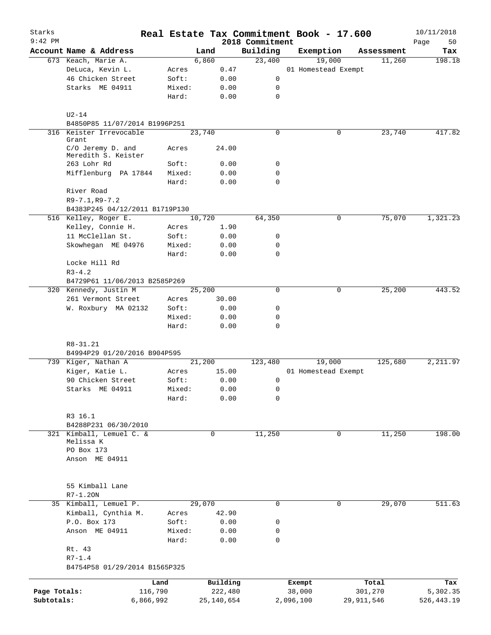| Starks       |                                          |                 |              |                 | Real Estate Tax Commitment Book - 17.600 |              | 10/11/2018  |
|--------------|------------------------------------------|-----------------|--------------|-----------------|------------------------------------------|--------------|-------------|
| $9:42$ PM    |                                          |                 |              | 2018 Commitment |                                          |              | Page<br>50  |
|              | Account Name & Address                   |                 | Land         | Building        | Exemption                                | Assessment   | Tax         |
|              | 673 Keach, Marie A.                      |                 | 6,860        | 23,400          | 19,000                                   | 11,260       | 198.18      |
|              | DeLuca, Kevin L.                         | Acres           | 0.47         |                 | 01 Homestead Exempt                      |              |             |
|              | 46 Chicken Street                        | Soft:           | 0.00         | 0               |                                          |              |             |
|              | Starks ME 04911                          | Mixed:          | 0.00         | 0               |                                          |              |             |
|              |                                          | Hard:           | 0.00         | 0               |                                          |              |             |
|              | $U2-14$                                  |                 |              |                 |                                          |              |             |
|              | B4850P85 11/07/2014 B1996P251            |                 |              |                 |                                          |              |             |
|              | 316 Keister Irrevocable<br>Grant         |                 | 23,740       | 0               | 0                                        | 23,740       | 417.82      |
|              | C/O Jeremy D. and<br>Meredith S. Keister | Acres           | 24.00        |                 |                                          |              |             |
|              | 263 Lohr Rd                              | Soft:           | 0.00         | 0               |                                          |              |             |
|              | Mifflenburg PA 17844                     | Mixed:          | 0.00         | 0               |                                          |              |             |
|              |                                          | Hard:           | 0.00         | $\Omega$        |                                          |              |             |
|              | River Road                               |                 |              |                 |                                          |              |             |
|              | $R9 - 7.1, R9 - 7.2$                     |                 |              |                 |                                          |              |             |
|              | B4383P245 04/12/2011 B1719P130           |                 |              |                 |                                          |              |             |
|              | 516 Kelley, Roger E.                     |                 | 10,720       | 64,350          | 0                                        | 75,070       | 1,321.23    |
|              | Kelley, Connie H.                        | Acres           | 1.90         |                 |                                          |              |             |
|              | 11 McClellan St.                         | Soft:           | 0.00         | 0               |                                          |              |             |
|              | Skowhegan ME 04976                       | Mixed:          | 0.00         | 0               |                                          |              |             |
|              |                                          | Hard:           | 0.00         | $\Omega$        |                                          |              |             |
|              | Locke Hill Rd                            |                 |              |                 |                                          |              |             |
|              | $R3 - 4.2$                               |                 |              |                 |                                          |              |             |
|              | B4729P61 11/06/2013 B2585P269            |                 |              |                 |                                          |              |             |
|              | 320 Kennedy, Justin M                    |                 | 25,200       | 0               | 0                                        | 25,200       | 443.52      |
|              | 261 Vermont Street                       | Acres           | 30.00        |                 |                                          |              |             |
|              | W. Roxbury MA 02132                      | Soft:           | 0.00         | 0               |                                          |              |             |
|              |                                          | Mixed:          | 0.00         | $\mathbf 0$     |                                          |              |             |
|              |                                          | Hard:           | 0.00         | 0               |                                          |              |             |
|              | $R8 - 31.21$                             |                 |              |                 |                                          |              |             |
|              | B4994P29 01/20/2016 B904P595             |                 |              |                 |                                          |              |             |
|              | 739 Kiger, Nathan A                      |                 | 21,200       | 123,480         | 19,000                                   | 125,680      | 2,211.97    |
|              | Kiger, Katie L.                          | Acres           | 15.00        |                 | 01 Homestead Exempt                      |              |             |
|              | 90 Chicken Street                        | Soft:           | 0.00         | 0               |                                          |              |             |
|              | Starks ME 04911                          | Mixed:          | 0.00         | 0               |                                          |              |             |
|              |                                          | Hard:           | 0.00         | 0               |                                          |              |             |
|              | R3 16.1                                  |                 |              |                 |                                          |              |             |
|              | B4288P231 06/30/2010                     |                 |              |                 |                                          |              |             |
|              | 321 Kimball, Lemuel C. &                 |                 | $\mathbf 0$  | 11,250          | $\mathbf 0$                              | 11,250       | 198.00      |
|              | Melissa K                                |                 |              |                 |                                          |              |             |
|              | PO Box 173                               |                 |              |                 |                                          |              |             |
|              | Anson ME 04911                           |                 |              |                 |                                          |              |             |
|              |                                          |                 |              |                 |                                          |              |             |
|              | 55 Kimball Lane                          |                 |              |                 |                                          |              |             |
|              | $R7-1.20N$                               |                 |              |                 |                                          |              |             |
|              | 35 Kimball, Lemuel P.                    |                 | 29,070       | 0               | 0                                        | 29,070       | 511.63      |
|              | Kimball, Cynthia M.                      | Acres           | 42.90        |                 |                                          |              |             |
|              | P.O. Box 173                             |                 |              |                 |                                          |              |             |
|              |                                          | Soft:           | 0.00         | 0               |                                          |              |             |
|              | Anson ME 04911                           | Mixed:<br>Hard: | 0.00<br>0.00 | 0<br>0          |                                          |              |             |
|              | Rt. 43                                   |                 |              |                 |                                          |              |             |
|              | $R7 - 1.4$                               |                 |              |                 |                                          |              |             |
|              | B4754P58 01/29/2014 B1565P325            |                 |              |                 |                                          |              |             |
|              |                                          |                 |              |                 |                                          |              |             |
|              |                                          | Land            | Building     |                 | Exempt                                   | Total        | Tax         |
| Page Totals: |                                          | 116,790         | 222,480      |                 | 38,000                                   | 301,270      | 5,302.35    |
| Subtotals:   |                                          | 6,866,992       | 25,140,654   |                 | 2,096,100                                | 29, 911, 546 | 526, 443.19 |
|              |                                          |                 |              |                 |                                          |              |             |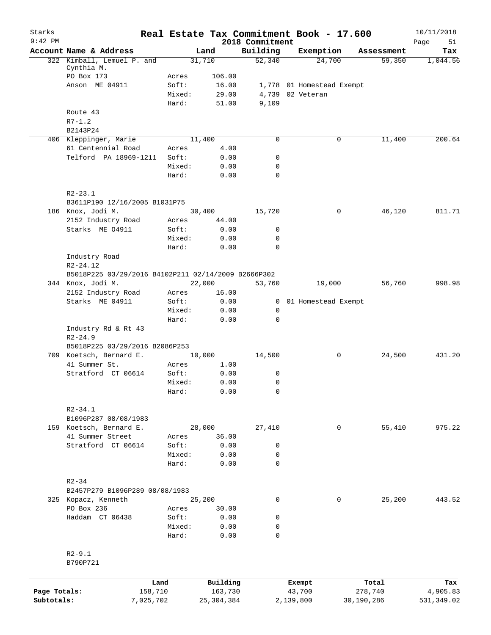| Starks<br>$9:42$ PM |                                                                              |                 |                | 2018 Commitment |           | Real Estate Tax Commitment Book - 17.600 |            | 10/11/2018<br>Page<br>51 |
|---------------------|------------------------------------------------------------------------------|-----------------|----------------|-----------------|-----------|------------------------------------------|------------|--------------------------|
|                     | Account Name & Address                                                       |                 | Land           | Building        |           | Exemption                                | Assessment | Tax                      |
|                     | 322 Kimball, Lemuel P. and                                                   |                 | 31,710         | 52,340          |           | 24,700                                   | 59,350     | 1,044.56                 |
|                     | Cynthia M.                                                                   |                 |                |                 |           |                                          |            |                          |
|                     | PO Box 173                                                                   | Acres           | 106.00         |                 |           |                                          |            |                          |
|                     | Anson ME 04911                                                               | Soft:           | 16.00          |                 |           | 1,778 01 Homestead Exempt                |            |                          |
|                     |                                                                              | Mixed:<br>Hard: | 29.00<br>51.00 | 9,109           |           | 4,739 02 Veteran                         |            |                          |
|                     | Route 43                                                                     |                 |                |                 |           |                                          |            |                          |
|                     | $R7 - 1.2$                                                                   |                 |                |                 |           |                                          |            |                          |
|                     | B2143P24                                                                     |                 |                |                 |           |                                          |            |                          |
|                     | 406 Kleppinger, Marie                                                        |                 | 11,400         | $\mathbf 0$     |           | 0                                        | 11,400     | 200.64                   |
|                     | 61 Centennial Road                                                           | Acres           | 4.00           |                 |           |                                          |            |                          |
|                     | Telford PA 18969-1211                                                        | Soft:           | 0.00           | 0               |           |                                          |            |                          |
|                     |                                                                              | Mixed:          | 0.00           | $\mathbf 0$     |           |                                          |            |                          |
|                     |                                                                              | Hard:           | 0.00           | $\mathbf 0$     |           |                                          |            |                          |
|                     | $R2 - 23.1$                                                                  |                 |                |                 |           |                                          |            |                          |
|                     | B3611P190 12/16/2005 B1031P75                                                |                 |                |                 |           |                                          |            |                          |
|                     | 186 Knox, Jodi M.                                                            |                 | 30,400         | 15,720          |           | 0                                        | 46,120     | 811.71                   |
|                     | 2152 Industry Road                                                           | Acres           | 44.00          |                 |           |                                          |            |                          |
|                     | Starks ME 04911                                                              | Soft:           | 0.00           | 0               |           |                                          |            |                          |
|                     |                                                                              | Mixed:          | 0.00           | 0               |           |                                          |            |                          |
|                     |                                                                              | Hard:           | 0.00           | $\mathbf 0$     |           |                                          |            |                          |
|                     | Industry Road                                                                |                 |                |                 |           |                                          |            |                          |
|                     | R <sub>2</sub> -24.12<br>B5018P225 03/29/2016 B4102P211 02/14/2009 B2666P302 |                 |                |                 |           |                                          |            |                          |
|                     | 344 Knox, Jodi M.                                                            |                 | 22,000         | 53,760          |           | 19,000                                   | 56,760     | 998.98                   |
|                     | 2152 Industry Road                                                           | Acres           | 16.00          |                 |           |                                          |            |                          |
|                     | Starks ME 04911                                                              | Soft:           | 0.00           |                 |           | 0 01 Homestead Exempt                    |            |                          |
|                     |                                                                              | Mixed:          | 0.00           | $\mathbf 0$     |           |                                          |            |                          |
|                     |                                                                              | Hard:           | 0.00           | 0               |           |                                          |            |                          |
|                     | Industry Rd & Rt 43<br>$R2 - 24.9$                                           |                 |                |                 |           |                                          |            |                          |
|                     | B5018P225 03/29/2016 B2086P253                                               |                 |                |                 |           |                                          |            |                          |
|                     | 709 Koetsch, Bernard E.                                                      |                 | 10,000         | 14,500          |           | 0                                        | 24,500     | 431.20                   |
|                     | 41 Summer St.                                                                | Acres           | 1.00           |                 |           |                                          |            |                          |
|                     | Stratford CT 06614                                                           | Soft:           | 0.00           | 0               |           |                                          |            |                          |
|                     |                                                                              | Mixed:          | 0.00           | 0               |           |                                          |            |                          |
|                     |                                                                              | Hard:           | 0.00           | 0               |           |                                          |            |                          |
|                     | $R2 - 34.1$                                                                  |                 |                |                 |           |                                          |            |                          |
|                     | B1096P287 08/08/1983                                                         |                 |                |                 |           |                                          |            |                          |
|                     | 159 Koetsch, Bernard E.                                                      |                 | 28,000         | 27,410          |           | 0                                        | 55,410     | 975.22                   |
|                     | 41 Summer Street<br>Stratford CT 06614                                       | Acres<br>Soft:  | 36.00<br>0.00  | 0               |           |                                          |            |                          |
|                     |                                                                              | Mixed:          | 0.00           | 0               |           |                                          |            |                          |
|                     |                                                                              | Hard:           | 0.00           | $\mathbf 0$     |           |                                          |            |                          |
|                     | $R2 - 34$                                                                    |                 |                |                 |           |                                          |            |                          |
|                     | B2457P279 B1096P289 08/08/1983                                               |                 |                |                 |           |                                          |            |                          |
|                     | 325 Kopacz, Kenneth                                                          |                 | 25,200         | $\mathbf 0$     |           | $\mathbf 0$                              | 25,200     | 443.52                   |
|                     | PO Box 236                                                                   | Acres           | 30.00          |                 |           |                                          |            |                          |
|                     | Haddam CT 06438                                                              | Soft:           | 0.00           | 0               |           |                                          |            |                          |
|                     |                                                                              | Mixed:          | 0.00           | 0               |           |                                          |            |                          |
|                     |                                                                              | Hard:           | 0.00           | 0               |           |                                          |            |                          |
|                     | $R2 - 9.1$                                                                   |                 |                |                 |           |                                          |            |                          |
|                     | B790P721                                                                     |                 |                |                 |           |                                          |            |                          |
|                     |                                                                              | Land            | Building       |                 |           | Exempt                                   | Total      | Tax                      |
| Page Totals:        | 158,710                                                                      |                 | 163,730        |                 |           | 43,700                                   | 278,740    | 4,905.83                 |
| Subtotals:          | 7,025,702                                                                    |                 | 25, 304, 384   |                 | 2,139,800 |                                          | 30,190,286 | 531,349.02               |
|                     |                                                                              |                 |                |                 |           |                                          |            |                          |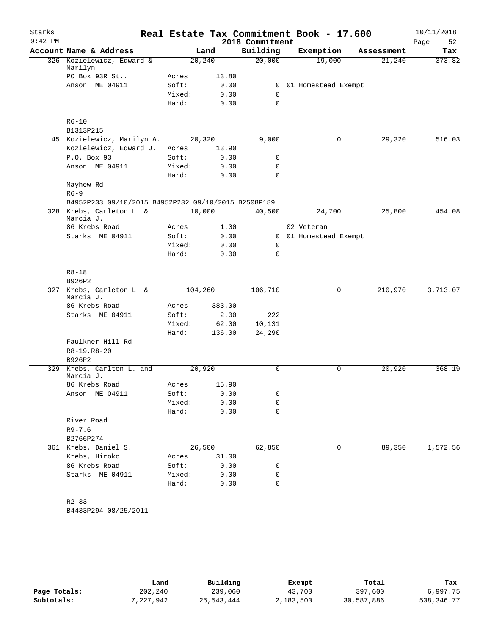| 2018 Commitment<br>Account Name & Address<br>Building<br>Exemption<br>Land<br>Assessment<br>326 Kozielewicz, Edward &<br>20,000<br>19,000<br>20,240<br>21,240<br>Marilyn<br>PO Box 93R St<br>13.80<br>Acres<br>Anson ME 04911<br>Soft:<br>0.00<br>01 Homestead Exempt<br>$\mathbf{0}$<br>Mixed:<br>0.00<br>0<br>0.00<br>$\mathbf 0$<br>Hard:<br>$R6 - 10$<br>B1313P215<br>45 Kozielewicz, Marilyn A.<br>20,320<br>9,000<br>29,320<br>0<br>Kozielewicz, Edward J.<br>13.90<br>Acres<br>P.O. Box 93<br>Soft:<br>0<br>0.00<br>Anson ME 04911<br>Mixed:<br>0.00<br>0<br>0.00<br>$\mathbf 0$<br>Hard:<br>Mayhew Rd<br>$R6 - 9$<br>B4952P233 09/10/2015 B4952P232 09/10/2015 B2508P189<br>328 Krebs, Carleton L. &<br>10,000<br>25,800<br>40,500<br>24,700 | Starks<br>$9:42$ PM |           |  | Real Estate Tax Commitment Book - 17.600 | 10/11/2018        |
|------------------------------------------------------------------------------------------------------------------------------------------------------------------------------------------------------------------------------------------------------------------------------------------------------------------------------------------------------------------------------------------------------------------------------------------------------------------------------------------------------------------------------------------------------------------------------------------------------------------------------------------------------------------------------------------------------------------------------------------------------|---------------------|-----------|--|------------------------------------------|-------------------|
|                                                                                                                                                                                                                                                                                                                                                                                                                                                                                                                                                                                                                                                                                                                                                      |                     |           |  |                                          | Page<br>52<br>Tax |
|                                                                                                                                                                                                                                                                                                                                                                                                                                                                                                                                                                                                                                                                                                                                                      |                     |           |  |                                          | 373.82            |
|                                                                                                                                                                                                                                                                                                                                                                                                                                                                                                                                                                                                                                                                                                                                                      |                     |           |  |                                          |                   |
|                                                                                                                                                                                                                                                                                                                                                                                                                                                                                                                                                                                                                                                                                                                                                      |                     |           |  |                                          |                   |
|                                                                                                                                                                                                                                                                                                                                                                                                                                                                                                                                                                                                                                                                                                                                                      |                     |           |  |                                          |                   |
|                                                                                                                                                                                                                                                                                                                                                                                                                                                                                                                                                                                                                                                                                                                                                      |                     |           |  |                                          |                   |
|                                                                                                                                                                                                                                                                                                                                                                                                                                                                                                                                                                                                                                                                                                                                                      |                     |           |  |                                          |                   |
|                                                                                                                                                                                                                                                                                                                                                                                                                                                                                                                                                                                                                                                                                                                                                      |                     |           |  |                                          |                   |
|                                                                                                                                                                                                                                                                                                                                                                                                                                                                                                                                                                                                                                                                                                                                                      |                     |           |  |                                          |                   |
|                                                                                                                                                                                                                                                                                                                                                                                                                                                                                                                                                                                                                                                                                                                                                      |                     |           |  |                                          | 516.03            |
|                                                                                                                                                                                                                                                                                                                                                                                                                                                                                                                                                                                                                                                                                                                                                      |                     |           |  |                                          |                   |
|                                                                                                                                                                                                                                                                                                                                                                                                                                                                                                                                                                                                                                                                                                                                                      |                     |           |  |                                          |                   |
|                                                                                                                                                                                                                                                                                                                                                                                                                                                                                                                                                                                                                                                                                                                                                      |                     |           |  |                                          |                   |
|                                                                                                                                                                                                                                                                                                                                                                                                                                                                                                                                                                                                                                                                                                                                                      |                     |           |  |                                          |                   |
|                                                                                                                                                                                                                                                                                                                                                                                                                                                                                                                                                                                                                                                                                                                                                      |                     |           |  |                                          |                   |
|                                                                                                                                                                                                                                                                                                                                                                                                                                                                                                                                                                                                                                                                                                                                                      |                     |           |  |                                          |                   |
|                                                                                                                                                                                                                                                                                                                                                                                                                                                                                                                                                                                                                                                                                                                                                      |                     |           |  |                                          |                   |
|                                                                                                                                                                                                                                                                                                                                                                                                                                                                                                                                                                                                                                                                                                                                                      |                     | Marcia J. |  |                                          | 454.08            |
| 86 Krebs Road<br>1.00<br>02 Veteran<br>Acres                                                                                                                                                                                                                                                                                                                                                                                                                                                                                                                                                                                                                                                                                                         |                     |           |  |                                          |                   |
| Starks ME 04911<br>Soft:<br>0.00<br>01 Homestead Exempt<br>0                                                                                                                                                                                                                                                                                                                                                                                                                                                                                                                                                                                                                                                                                         |                     |           |  |                                          |                   |
| Mixed:<br>0.00<br>0                                                                                                                                                                                                                                                                                                                                                                                                                                                                                                                                                                                                                                                                                                                                  |                     |           |  |                                          |                   |
| Hard:<br>$\mathbf 0$<br>0.00                                                                                                                                                                                                                                                                                                                                                                                                                                                                                                                                                                                                                                                                                                                         |                     |           |  |                                          |                   |
| $R8 - 18$                                                                                                                                                                                                                                                                                                                                                                                                                                                                                                                                                                                                                                                                                                                                            |                     |           |  |                                          |                   |
| B926P2                                                                                                                                                                                                                                                                                                                                                                                                                                                                                                                                                                                                                                                                                                                                               |                     |           |  |                                          |                   |
| Krebs, Carleton L. &<br>210,970<br>104,260<br>106,710<br>0<br>327<br>Marcia J.                                                                                                                                                                                                                                                                                                                                                                                                                                                                                                                                                                                                                                                                       |                     |           |  |                                          | 3,713.07          |
| 86 Krebs Road<br>383.00<br>Acres                                                                                                                                                                                                                                                                                                                                                                                                                                                                                                                                                                                                                                                                                                                     |                     |           |  |                                          |                   |
| 222<br>Starks ME 04911<br>Soft:<br>2.00                                                                                                                                                                                                                                                                                                                                                                                                                                                                                                                                                                                                                                                                                                              |                     |           |  |                                          |                   |
| Mixed:<br>62.00<br>10,131                                                                                                                                                                                                                                                                                                                                                                                                                                                                                                                                                                                                                                                                                                                            |                     |           |  |                                          |                   |
| Hard:<br>136.00<br>24,290                                                                                                                                                                                                                                                                                                                                                                                                                                                                                                                                                                                                                                                                                                                            |                     |           |  |                                          |                   |
| Faulkner Hill Rd                                                                                                                                                                                                                                                                                                                                                                                                                                                                                                                                                                                                                                                                                                                                     |                     |           |  |                                          |                   |
| $R8-19, R8-20$                                                                                                                                                                                                                                                                                                                                                                                                                                                                                                                                                                                                                                                                                                                                       |                     |           |  |                                          |                   |
| B926P2                                                                                                                                                                                                                                                                                                                                                                                                                                                                                                                                                                                                                                                                                                                                               |                     |           |  |                                          |                   |
| Krebs, Carlton L. and<br>20,920<br>20,920<br>$\Omega$<br>0<br>329<br>Marcia J.                                                                                                                                                                                                                                                                                                                                                                                                                                                                                                                                                                                                                                                                       |                     |           |  |                                          | 368.19            |
| 15.90<br>86 Krebs Road<br>Acres                                                                                                                                                                                                                                                                                                                                                                                                                                                                                                                                                                                                                                                                                                                      |                     |           |  |                                          |                   |
| Soft:<br>0.00<br>0<br>Anson ME 04911                                                                                                                                                                                                                                                                                                                                                                                                                                                                                                                                                                                                                                                                                                                 |                     |           |  |                                          |                   |
| Mixed:<br>0.00<br>0                                                                                                                                                                                                                                                                                                                                                                                                                                                                                                                                                                                                                                                                                                                                  |                     |           |  |                                          |                   |
| Hard:<br>0.00<br>0                                                                                                                                                                                                                                                                                                                                                                                                                                                                                                                                                                                                                                                                                                                                   |                     |           |  |                                          |                   |
| River Road                                                                                                                                                                                                                                                                                                                                                                                                                                                                                                                                                                                                                                                                                                                                           |                     |           |  |                                          |                   |
| $R9 - 7.6$                                                                                                                                                                                                                                                                                                                                                                                                                                                                                                                                                                                                                                                                                                                                           |                     |           |  |                                          |                   |
| B2766P274                                                                                                                                                                                                                                                                                                                                                                                                                                                                                                                                                                                                                                                                                                                                            |                     |           |  |                                          |                   |
| 26,500<br>89,350<br>361 Krebs, Daniel S.<br>62,850<br>0                                                                                                                                                                                                                                                                                                                                                                                                                                                                                                                                                                                                                                                                                              |                     |           |  |                                          | 1,572.56          |
| Krebs, Hiroko<br>31.00<br>Acres                                                                                                                                                                                                                                                                                                                                                                                                                                                                                                                                                                                                                                                                                                                      |                     |           |  |                                          |                   |
| 86 Krebs Road<br>Soft:<br>0.00<br>0                                                                                                                                                                                                                                                                                                                                                                                                                                                                                                                                                                                                                                                                                                                  |                     |           |  |                                          |                   |
| Starks ME 04911<br>Mixed:<br>0                                                                                                                                                                                                                                                                                                                                                                                                                                                                                                                                                                                                                                                                                                                       |                     |           |  |                                          |                   |
| 0.00<br>0<br>Hard:<br>0.00                                                                                                                                                                                                                                                                                                                                                                                                                                                                                                                                                                                                                                                                                                                           |                     |           |  |                                          |                   |
|                                                                                                                                                                                                                                                                                                                                                                                                                                                                                                                                                                                                                                                                                                                                                      |                     |           |  |                                          |                   |
| $R2 - 33$                                                                                                                                                                                                                                                                                                                                                                                                                                                                                                                                                                                                                                                                                                                                            |                     |           |  |                                          |                   |
| B4433P294 08/25/2011                                                                                                                                                                                                                                                                                                                                                                                                                                                                                                                                                                                                                                                                                                                                 |                     |           |  |                                          |                   |

|              | Land      | Building   | Exempt    | Total      | Tax        |
|--------------|-----------|------------|-----------|------------|------------|
| Page Totals: | 202,240   | 239,060    | 43,700    | 397,600    | 6,997.75   |
| Subtotals:   | 7,227,942 | 25,543,444 | 2,183,500 | 30,587,886 | 538,346.77 |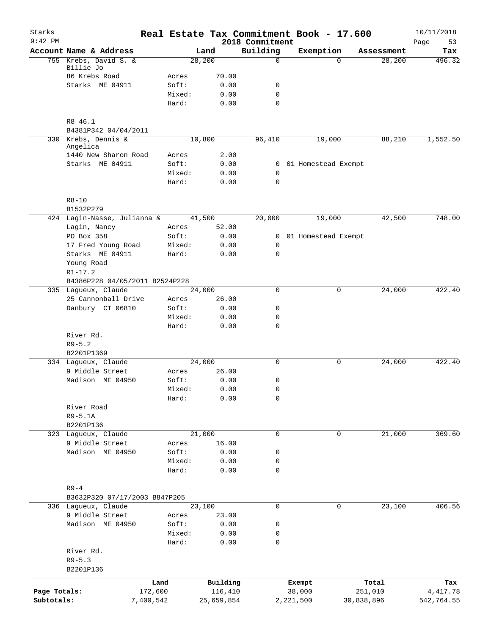| Starks<br>$9:42$ PM |                                |                 |              | 2018 Commitment            | Real Estate Tax Commitment Book - 17.600 |          |            | 10/11/2018<br>53<br>Page |
|---------------------|--------------------------------|-----------------|--------------|----------------------------|------------------------------------------|----------|------------|--------------------------|
|                     | Account Name & Address         |                 | Land         | Building                   | Exemption                                |          | Assessment | Tax                      |
|                     | 755 Krebs, David S. &          |                 | 28,200       | $\Omega$                   |                                          | $\Omega$ | 28,200     | 496.32                   |
|                     | Billie Jo                      |                 |              |                            |                                          |          |            |                          |
|                     | 86 Krebs Road                  | Acres           | 70.00        |                            |                                          |          |            |                          |
|                     | Starks ME 04911                | Soft:           | 0.00         | 0                          |                                          |          |            |                          |
|                     |                                | Mixed:<br>Hard: | 0.00         | $\mathbf 0$<br>$\mathbf 0$ |                                          |          |            |                          |
|                     |                                |                 | 0.00         |                            |                                          |          |            |                          |
|                     | R8 46.1                        |                 |              |                            |                                          |          |            |                          |
|                     | B4381P342 04/04/2011           |                 |              |                            |                                          |          |            |                          |
|                     | 330 Krebs, Dennis &            |                 | 10,800       | 96,410                     | 19,000                                   |          | 88,210     | 1,552.50                 |
|                     | Angelica                       |                 |              |                            |                                          |          |            |                          |
|                     | 1440 New Sharon Road           | Acres           | 2.00         |                            |                                          |          |            |                          |
|                     | Starks ME 04911                | Soft:           | 0.00         |                            | 0 01 Homestead Exempt                    |          |            |                          |
|                     |                                | Mixed:<br>Hard: | 0.00<br>0.00 | 0<br>$\mathbf 0$           |                                          |          |            |                          |
|                     |                                |                 |              |                            |                                          |          |            |                          |
|                     | $R8 - 10$                      |                 |              |                            |                                          |          |            |                          |
|                     | B1532P279                      |                 |              |                            |                                          |          |            |                          |
|                     | 424 Lagin-Nasse, Julianna &    |                 | 41,500       | 20,000                     | 19,000                                   |          | 42,500     | 748.00                   |
|                     | Lagin, Nancy                   | Acres           | 52.00        |                            |                                          |          |            |                          |
|                     | PO Box 358                     | Soft:           | 0.00         | 0                          | 01 Homestead Exempt                      |          |            |                          |
|                     | 17 Fred Young Road             | Mixed:          | 0.00         | 0                          |                                          |          |            |                          |
|                     | Starks ME 04911                | Hard:           | 0.00         | $\mathbf 0$                |                                          |          |            |                          |
|                     | Young Road                     |                 |              |                            |                                          |          |            |                          |
|                     | $R1 - 17.2$                    |                 |              |                            |                                          |          |            |                          |
|                     | B4386P228 04/05/2011 B2524P228 |                 |              |                            |                                          |          |            |                          |
|                     | 335 Lagueux, Claude            |                 | 24,000       | $\mathbf 0$                |                                          | 0        | 24,000     | 422.40                   |
|                     | 25 Cannonball Drive            | Acres           | 26.00        |                            |                                          |          |            |                          |
|                     | Danbury CT 06810               | Soft:           | 0.00         | $\mathbf 0$                |                                          |          |            |                          |
|                     |                                | Mixed:<br>Hard: | 0.00<br>0.00 | 0<br>$\mathbf 0$           |                                          |          |            |                          |
|                     | River Rd.                      |                 |              |                            |                                          |          |            |                          |
|                     | $R9 - 5.2$                     |                 |              |                            |                                          |          |            |                          |
|                     | B2201P1369                     |                 |              |                            |                                          |          |            |                          |
|                     | 334 Lagueux, Claude            |                 | 24,000       | $\mathbf 0$                |                                          | 0        | 24,000     | 422.40                   |
|                     | 9 Middle Street                | Acres           | 26.00        |                            |                                          |          |            |                          |
|                     | Madison ME 04950               | Soft:           | 0.00         | 0                          |                                          |          |            |                          |
|                     |                                | Mixed:          | 0.00         | 0                          |                                          |          |            |                          |
|                     |                                | Hard:           | 0.00         | 0                          |                                          |          |            |                          |
|                     | River Road                     |                 |              |                            |                                          |          |            |                          |
|                     | $R9 - 5.1A$                    |                 |              |                            |                                          |          |            |                          |
|                     | B2201P136                      |                 |              |                            |                                          |          |            |                          |
|                     | 323 Lagueux, Claude            |                 | 21,000       | $\mathbf 0$                |                                          | 0        | 21,000     | 369.60                   |
|                     | 9 Middle Street                | Acres           | 16.00        |                            |                                          |          |            |                          |
|                     | Madison ME 04950               | Soft:<br>Mixed: | 0.00         | 0                          |                                          |          |            |                          |
|                     |                                | Hard:           | 0.00<br>0.00 | 0<br>$\mathbf 0$           |                                          |          |            |                          |
|                     |                                |                 |              |                            |                                          |          |            |                          |
|                     | $R9-4$                         |                 |              |                            |                                          |          |            |                          |
|                     | B3632P320 07/17/2003 B847P205  |                 |              |                            |                                          |          |            |                          |
|                     | 336 Lagueux, Claude            |                 | 23,100       | $\mathbf 0$                |                                          | 0        | 23,100     | 406.56                   |
|                     | 9 Middle Street                | Acres           | 23.00        |                            |                                          |          |            |                          |
|                     | Madison ME 04950               | Soft:           | 0.00         | 0                          |                                          |          |            |                          |
|                     |                                | Mixed:          | 0.00         | 0                          |                                          |          |            |                          |
|                     |                                | Hard:           | 0.00         | $\mathbf 0$                |                                          |          |            |                          |
|                     | River Rd.                      |                 |              |                            |                                          |          |            |                          |
|                     | $R9 - 5.3$                     |                 |              |                            |                                          |          |            |                          |
|                     | B2201P136                      |                 |              |                            |                                          |          |            |                          |
|                     |                                | Land            | Building     |                            | Exempt                                   |          | Total      | Tax                      |
| Page Totals:        | 172,600                        |                 | 116,410      |                            | 38,000                                   |          | 251,010    | 4, 417.78                |
| Subtotals:          | 7,400,542                      |                 | 25,659,854   |                            | 2,221,500                                |          | 30,838,896 | 542,764.55               |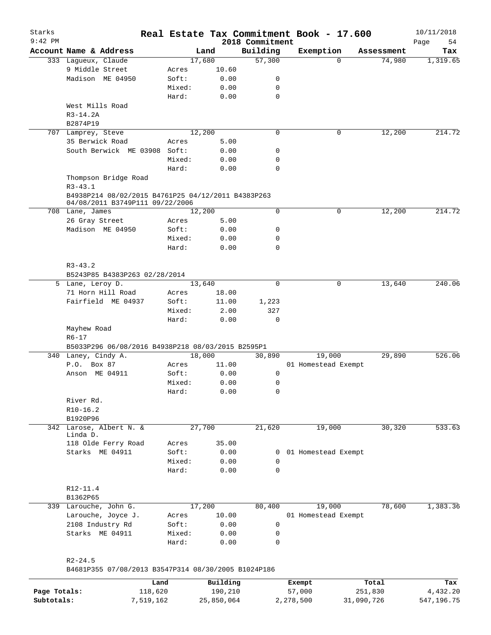| Starks<br>$9:42$ PM |                                                                                       |        |            | 2018 Commitment | Real Estate Tax Commitment Book - 17.600 |            | 10/11/2018<br>Page<br>54 |
|---------------------|---------------------------------------------------------------------------------------|--------|------------|-----------------|------------------------------------------|------------|--------------------------|
|                     | Account Name & Address                                                                |        | Land       | Building        | Exemption                                | Assessment | Tax                      |
|                     | 333 Lagueux, Claude                                                                   |        | 17,680     | 57,300          | $\Omega$                                 | 74,980     | 1,319.65                 |
|                     | 9 Middle Street                                                                       | Acres  | 10.60      |                 |                                          |            |                          |
|                     | Madison ME 04950                                                                      | Soft:  | 0.00       | 0               |                                          |            |                          |
|                     |                                                                                       | Mixed: | 0.00       | 0               |                                          |            |                          |
|                     |                                                                                       |        |            |                 |                                          |            |                          |
|                     |                                                                                       | Hard:  | 0.00       | $\mathbf 0$     |                                          |            |                          |
|                     | West Mills Road                                                                       |        |            |                 |                                          |            |                          |
|                     | $R3 - 14.2A$                                                                          |        |            |                 |                                          |            |                          |
|                     | B2874P19                                                                              |        |            |                 |                                          |            |                          |
|                     | 707 Lamprey, Steve                                                                    |        | 12,200     | $\mathbf 0$     | 0                                        | 12,200     | 214.72                   |
|                     | 35 Berwick Road                                                                       | Acres  | 5.00       |                 |                                          |            |                          |
|                     | South Berwick ME 03908 Soft:                                                          |        | 0.00       | 0               |                                          |            |                          |
|                     |                                                                                       | Mixed: | 0.00       | 0               |                                          |            |                          |
|                     |                                                                                       | Hard:  | 0.00       | $\mathbf 0$     |                                          |            |                          |
|                     | Thompson Bridge Road                                                                  |        |            |                 |                                          |            |                          |
|                     | $R3 - 43.1$                                                                           |        |            |                 |                                          |            |                          |
|                     | B4938P214 08/02/2015 B4761P25 04/12/2011 B4383P263<br>04/08/2011 B3749P111 09/22/2006 |        |            |                 |                                          |            |                          |
|                     | 708 Lane, James                                                                       |        | 12,200     | $\mathbf 0$     | 0                                        | 12,200     | 214.72                   |
|                     | 26 Gray Street                                                                        | Acres  | 5.00       |                 |                                          |            |                          |
|                     | Madison ME 04950                                                                      | Soft:  | 0.00       | 0               |                                          |            |                          |
|                     |                                                                                       | Mixed: | 0.00       | 0               |                                          |            |                          |
|                     |                                                                                       | Hard:  | 0.00       | 0               |                                          |            |                          |
|                     |                                                                                       |        |            |                 |                                          |            |                          |
|                     | $R3 - 43.2$                                                                           |        |            |                 |                                          |            |                          |
|                     | B5243P85 B4383P263 02/28/2014                                                         |        |            |                 |                                          |            |                          |
|                     | 5 Lane, Leroy D.                                                                      |        | 13,640     | $\mathbf 0$     | 0                                        | 13,640     | 240.06                   |
|                     |                                                                                       |        |            |                 |                                          |            |                          |
|                     | 71 Horn Hill Road                                                                     | Acres  | 18.00      |                 |                                          |            |                          |
|                     | Fairfield ME 04937                                                                    | Soft:  | 11.00      | 1,223           |                                          |            |                          |
|                     |                                                                                       | Mixed: | 2.00       | 327             |                                          |            |                          |
|                     |                                                                                       | Hard:  | 0.00       | 0               |                                          |            |                          |
|                     | Mayhew Road                                                                           |        |            |                 |                                          |            |                          |
|                     | $R6 - 17$                                                                             |        |            |                 |                                          |            |                          |
|                     | B5033P296 06/08/2016 B4938P218 08/03/2015 B2595P1                                     |        |            |                 |                                          |            |                          |
|                     | 340 Laney, Cindy A.                                                                   |        | 18,000     | 30,890          | 19,000                                   | 29,890     | 526.06                   |
|                     | P.O. Box 87                                                                           | Acres  | 11.00      |                 | 01 Homestead Exempt                      |            |                          |
|                     | Anson ME 04911                                                                        | Soft:  | 0.00       | 0               |                                          |            |                          |
|                     |                                                                                       | Mixed: | 0.00       | 0               |                                          |            |                          |
|                     |                                                                                       | Hard:  | 0.00       | 0               |                                          |            |                          |
|                     | River Rd.                                                                             |        |            |                 |                                          |            |                          |
|                     | $R10-16.2$                                                                            |        |            |                 |                                          |            |                          |
|                     | B1920P96                                                                              |        |            |                 |                                          |            |                          |
|                     | 342 Larose, Albert N. &                                                               |        | 27,700     | 21,620          | 19,000                                   | 30,320     | 533.63                   |
|                     | Linda D.                                                                              |        |            |                 |                                          |            |                          |
|                     | 118 Olde Ferry Road                                                                   | Acres  | 35.00      |                 |                                          |            |                          |
|                     | Starks ME 04911                                                                       | Soft:  | 0.00       | $\mathbf{0}$    | 01 Homestead Exempt                      |            |                          |
|                     |                                                                                       | Mixed: | 0.00       | 0               |                                          |            |                          |
|                     |                                                                                       | Hard:  | 0.00       | $\mathbf 0$     |                                          |            |                          |
|                     |                                                                                       |        |            |                 |                                          |            |                          |
|                     | $R12 - 11.4$                                                                          |        |            |                 |                                          |            |                          |
|                     | B1362P65                                                                              |        |            |                 |                                          |            |                          |
|                     | 339 Larouche, John G.                                                                 |        | 17,200     | 80,400          | 19,000                                   | 78,600     | 1,383.36                 |
|                     | Larouche, Joyce J.                                                                    | Acres  | 10.00      |                 | 01 Homestead Exempt                      |            |                          |
|                     | 2108 Industry Rd                                                                      | Soft:  | 0.00       | 0               |                                          |            |                          |
|                     | Starks ME 04911                                                                       | Mixed: | 0.00       | 0               |                                          |            |                          |
|                     |                                                                                       | Hard:  | 0.00       | 0               |                                          |            |                          |
|                     |                                                                                       |        |            |                 |                                          |            |                          |
|                     |                                                                                       |        |            |                 |                                          |            |                          |
|                     | $R2 - 24.5$                                                                           |        |            |                 |                                          |            |                          |
|                     | B4681P355 07/08/2013 B3547P314 08/30/2005 B1024P186                                   |        |            |                 |                                          |            |                          |
|                     | Land                                                                                  |        | Building   |                 | Exempt                                   | Total      | Tax                      |
| Page Totals:        | 118,620                                                                               |        | 190,210    |                 | 57,000                                   | 251,830    | 4,432.20                 |
| Subtotals:          | 7,519,162                                                                             |        | 25,850,064 |                 | 2,278,500                                | 31,090,726 | 547,196.75               |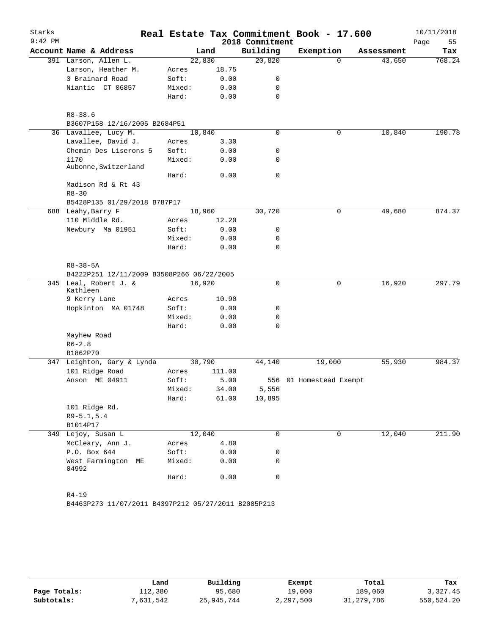|           |                                              |        |        |                 | Real Estate Tax Commitment Book - 17.600 |            | 10/11/2018 |
|-----------|----------------------------------------------|--------|--------|-----------------|------------------------------------------|------------|------------|
| $9:42$ PM |                                              |        |        | 2018 Commitment |                                          |            | Page<br>55 |
|           | Account Name & Address                       |        | Land   | Building        | Exemption                                | Assessment | Tax        |
|           | 391 Larson, Allen L.                         |        | 22,830 | 20,820          | $\Omega$                                 | 43,650     | 768.24     |
|           | Larson, Heather M.                           | Acres  | 18.75  |                 |                                          |            |            |
|           | 3 Brainard Road                              | Soft:  | 0.00   | 0               |                                          |            |            |
|           | Niantic CT 06857                             | Mixed: | 0.00   | 0               |                                          |            |            |
|           |                                              | Hard:  | 0.00   | $\mathbf 0$     |                                          |            |            |
|           | $R8 - 38.6$<br>B3607P158 12/16/2005 B2684P51 |        |        |                 |                                          |            |            |
|           | 36 Lavallee, Lucy M.                         |        | 10,840 | $\mathbf 0$     | 0                                        | 10,840     | 190.78     |
|           | Lavallee, David J.                           | Acres  | 3.30   |                 |                                          |            |            |
|           | Chemin Des Liserons 5                        | Soft:  | 0.00   | 0               |                                          |            |            |
|           | 1170                                         | Mixed: |        | 0               |                                          |            |            |
|           | Aubonne, Switzerland                         |        | 0.00   |                 |                                          |            |            |
|           | Madison Rd & Rt 43                           | Hard:  | 0.00   | 0               |                                          |            |            |
|           | $R8 - 30$                                    |        |        |                 |                                          |            |            |
|           |                                              |        |        |                 |                                          |            |            |
|           | B5428P135 01/29/2018 B787P17                 |        |        |                 | 0                                        |            |            |
|           | 688 Leahy, Barry F                           |        | 18,960 | 30,720          |                                          | 49,680     | 874.37     |
|           | 110 Middle Rd.                               | Acres  | 12.20  |                 |                                          |            |            |
|           | Newbury Ma 01951                             | Soft:  | 0.00   | 0               |                                          |            |            |
|           |                                              | Mixed: | 0.00   | 0<br>$\Omega$   |                                          |            |            |
|           |                                              | Hard:  | 0.00   |                 |                                          |            |            |
|           | $R8 - 38 - 5A$                               |        |        |                 |                                          |            |            |
|           | B4222P251 12/11/2009 B3508P266 06/22/2005    |        |        |                 |                                          |            |            |
|           | 345 Leal, Robert J. &<br>Kathleen            |        | 16,920 | 0               | 0                                        | 16,920     | 297.79     |
|           | 9 Kerry Lane                                 |        |        |                 |                                          |            |            |
|           |                                              |        |        |                 |                                          |            |            |
|           |                                              | Acres  | 10.90  |                 |                                          |            |            |
|           | Hopkinton MA 01748                           | Soft:  | 0.00   | 0               |                                          |            |            |
|           |                                              | Mixed: | 0.00   | 0               |                                          |            |            |
|           |                                              | Hard:  | 0.00   | 0               |                                          |            |            |
|           | Mayhew Road                                  |        |        |                 |                                          |            |            |
|           | $R6 - 2.8$                                   |        |        |                 |                                          |            |            |
|           | B1862P70                                     |        |        |                 |                                          |            |            |
|           | 347 Leighton, Gary & Lynda                   |        | 30,790 | 44,140          | 19,000                                   | 55,930     | 984.37     |
|           | 101 Ridge Road                               | Acres  | 111.00 |                 |                                          |            |            |
|           | Anson ME 04911                               | Soft:  | 5.00   |                 | 556 01 Homestead Exempt                  |            |            |
|           |                                              | Mixed: | 34.00  | 5,556           |                                          |            |            |
|           |                                              | Hard:  | 61.00  | 10,895          |                                          |            |            |
|           | 101 Ridge Rd.                                |        |        |                 |                                          |            |            |
|           | $R9 - 5.1, 5.4$                              |        |        |                 |                                          |            |            |
|           | B1014P17                                     |        |        |                 |                                          |            |            |
|           | 349 Lejoy, Susan L                           |        | 12,040 | 0               | 0                                        | 12,040     | 211.90     |
|           | McCleary, Ann J.                             | Acres  | 4.80   |                 |                                          |            |            |
|           | P.O. Box 644                                 | Soft:  | 0.00   | 0               |                                          |            |            |
|           | West Farmington ME<br>04992                  | Mixed: | 0.00   | 0               |                                          |            |            |

|              | Land     | Building   | Exempt    | Total        | Tax        |
|--------------|----------|------------|-----------|--------------|------------|
| Page Totals: | 112,380  | 95,680     | 19,000    | 189,060      | 3,327.45   |
| Subtotals:   | ,631,542 | 25,945,744 | 2,297,500 | 31, 279, 786 | 550,524.20 |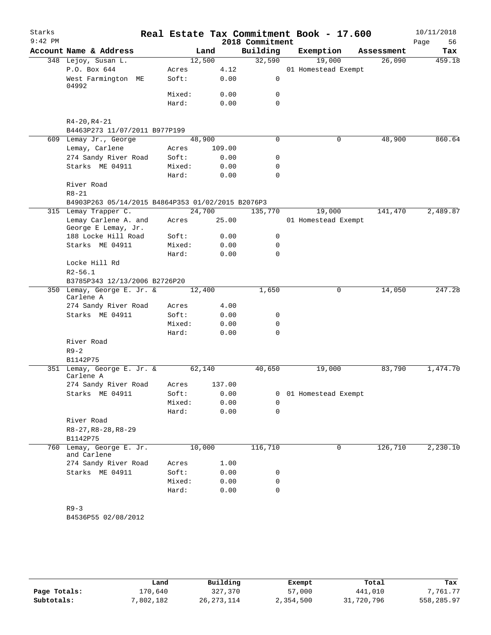| Starks<br>$9:42$ PM |                                                   |        |        | 2018 Commitment | Real Estate Tax Commitment Book - 17.600 |            | 10/11/2018<br>Page<br>56 |
|---------------------|---------------------------------------------------|--------|--------|-----------------|------------------------------------------|------------|--------------------------|
|                     | Account Name & Address                            |        | Land   | Building        | Exemption                                | Assessment | Tax                      |
|                     | 348 Lejoy, Susan L.                               | 12,500 |        | 32,590          | 19,000                                   | 26,090     | 459.18                   |
|                     | P.O. Box 644                                      | Acres  | 4.12   |                 | 01 Homestead Exempt                      |            |                          |
|                     | West Farmington ME<br>04992                       | Soft:  | 0.00   | 0               |                                          |            |                          |
|                     |                                                   | Mixed: | 0.00   | 0               |                                          |            |                          |
|                     |                                                   | Hard:  | 0.00   | $\Omega$        |                                          |            |                          |
|                     | R4-20, R4-21<br>B4463P273 11/07/2011 B977P199     |        |        |                 |                                          |            |                          |
|                     | 609 Lemay Jr., George                             | 48,900 |        | $\mathbf 0$     | 0                                        | 48,900     | 860.64                   |
|                     | Lemay, Carlene                                    | Acres  | 109.00 |                 |                                          |            |                          |
|                     | 274 Sandy River Road                              | Soft:  | 0.00   | 0               |                                          |            |                          |
|                     | Starks ME 04911                                   | Mixed: | 0.00   | 0               |                                          |            |                          |
|                     |                                                   | Hard:  | 0.00   | 0               |                                          |            |                          |
|                     | River Road                                        |        |        |                 |                                          |            |                          |
|                     | $R8 - 21$                                         |        |        |                 |                                          |            |                          |
|                     | B4903P263 05/14/2015 B4864P353 01/02/2015 B2076P3 |        |        |                 |                                          |            |                          |
|                     | 315 Lemay Trapper C.                              | 24,700 |        | 135,770         | 19,000                                   | 141,470    | 2,489.87                 |
|                     | Lemay Carlene A. and<br>George E Lemay, Jr.       | Acres  | 25.00  |                 | 01 Homestead Exempt                      |            |                          |
|                     | 188 Locke Hill Road                               | Soft:  | 0.00   | 0               |                                          |            |                          |
|                     | Starks ME 04911                                   | Mixed: | 0.00   | 0               |                                          |            |                          |
|                     |                                                   | Hard:  | 0.00   | $\Omega$        |                                          |            |                          |
|                     | Locke Hill Rd                                     |        |        |                 |                                          |            |                          |
|                     | $R2 - 56.1$                                       |        |        |                 |                                          |            |                          |
|                     | B3785P343 12/13/2006 B2726P20                     |        |        |                 |                                          |            |                          |
|                     | 350 Lemay, George E. Jr. &<br>Carlene A           | 12,400 |        | 1,650           | 0                                        | 14,050     | 247.28                   |
|                     | 274 Sandy River Road                              | Acres  | 4.00   |                 |                                          |            |                          |
|                     | Starks ME 04911                                   | Soft:  | 0.00   | 0               |                                          |            |                          |
|                     |                                                   | Mixed: | 0.00   | 0               |                                          |            |                          |
|                     |                                                   | Hard:  | 0.00   | 0               |                                          |            |                          |
|                     | River Road<br>$R9 - 2$                            |        |        |                 |                                          |            |                          |
|                     | B1142P75                                          |        |        |                 |                                          |            |                          |
|                     | 351 Lemay, George E. Jr. &<br>Carlene A           | 62,140 |        | 40,650          | 19,000                                   | 83,790     | 1,474.70                 |
|                     | 274 Sandy River Road                              | Acres  | 137.00 |                 |                                          |            |                          |
|                     | Starks ME 04911                                   | Soft:  | 0.00   | 0               | 01 Homestead Exempt                      |            |                          |
|                     |                                                   | Mixed: | 0.00   | 0               |                                          |            |                          |
|                     |                                                   | Hard:  | 0.00   | 0               |                                          |            |                          |
|                     | River Road                                        |        |        |                 |                                          |            |                          |
|                     | $R8-27, R8-28, R8-29$<br>B1142P75                 |        |        |                 |                                          |            |                          |
| 760                 | Lemay, George E. Jr.<br>and Carlene               | 10,000 |        | 116,710         | 0                                        | 126,710    | 2,230.10                 |
|                     | 274 Sandy River Road                              | Acres  | 1.00   |                 |                                          |            |                          |
|                     | Starks ME 04911                                   | Soft:  | 0.00   | 0               |                                          |            |                          |
|                     |                                                   | Mixed: | 0.00   | 0               |                                          |            |                          |
|                     |                                                   | Hard:  | 0.00   | $\mathbf 0$     |                                          |            |                          |
|                     | $R9 - 3$<br>B4536P55 02/08/2012                   |        |        |                 |                                          |            |                          |

|              | Land      | Building     | Exempt    | Total      | Tax        |
|--------------|-----------|--------------|-----------|------------|------------|
| Page Totals: | 170,640   | 327,370      | 57,000    | 441,010    | 7.761.77   |
| Subtotals:   | 7,802,182 | 26, 273, 114 | 2,354,500 | 31,720,796 | 558,285.97 |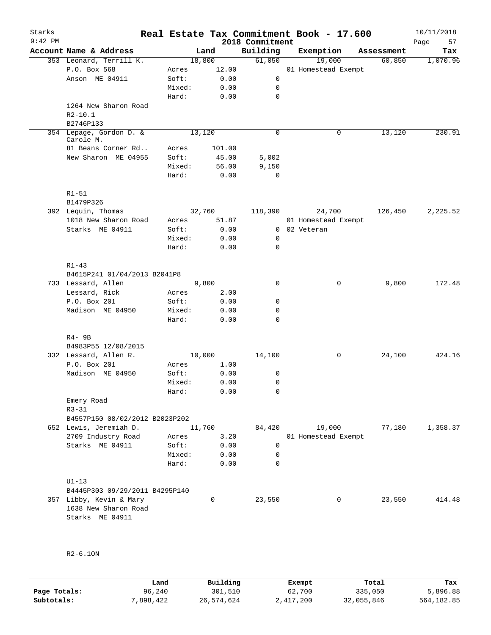| Starks<br>$9:42$ PM |                                           |        |        | 2018 Commitment | Real Estate Tax Commitment Book - 17.600 |            | 10/11/2018<br>Page<br>57 |
|---------------------|-------------------------------------------|--------|--------|-----------------|------------------------------------------|------------|--------------------------|
|                     | Account Name & Address                    |        | Land   | Building        | Exemption                                | Assessment | Tax                      |
|                     | 353 Leonard, Terrill K.                   |        | 18,800 | 61,050          | 19,000                                   | 60,850     | 1,070.96                 |
|                     | P.O. Box 568                              | Acres  | 12.00  |                 | 01 Homestead Exempt                      |            |                          |
|                     | Anson ME 04911                            | Soft:  | 0.00   | 0               |                                          |            |                          |
|                     |                                           | Mixed: | 0.00   | 0               |                                          |            |                          |
|                     |                                           | Hard:  | 0.00   | $\mathbf 0$     |                                          |            |                          |
|                     | 1264 New Sharon Road                      |        |        |                 |                                          |            |                          |
|                     | $R2 - 10.1$                               |        |        |                 |                                          |            |                          |
|                     | B2746P133                                 |        |        |                 |                                          |            |                          |
|                     | 354 Lepage, Gordon D. &<br>Carole M.      |        | 13,120 | $\mathbf 0$     | $\mathsf{O}$                             | 13,120     | 230.91                   |
|                     | 81 Beans Corner Rd                        | Acres  | 101.00 |                 |                                          |            |                          |
|                     | New Sharon ME 04955                       | Soft:  | 45.00  | 5,002           |                                          |            |                          |
|                     |                                           | Mixed: | 56.00  | 9,150           |                                          |            |                          |
|                     |                                           | Hard:  | 0.00   | $\mathbf 0$     |                                          |            |                          |
|                     | $R1 - 51$<br>B1479P326                    |        |        |                 |                                          |            |                          |
|                     | 392 Lequin, Thomas                        |        | 32,760 | 118,390         | 24,700                                   | 126,450    | 2,225.52                 |
|                     | 1018 New Sharon Road                      | Acres  | 51.87  |                 | 01 Homestead Exempt                      |            |                          |
|                     | Starks ME 04911                           | Soft:  | 0.00   | $\mathbf{0}$    | 02 Veteran                               |            |                          |
|                     |                                           | Mixed: | 0.00   | 0               |                                          |            |                          |
|                     |                                           | Hard:  | 0.00   | 0               |                                          |            |                          |
|                     |                                           |        |        |                 |                                          |            |                          |
|                     | $R1 - 43$<br>B4615P241 01/04/2013 B2041P8 |        |        |                 |                                          |            |                          |
|                     | 733 Lessard, Allen                        |        | 9,800  | $\Omega$        | $\mathbf 0$                              | 9,800      | 172.48                   |
|                     | Lessard, Rick                             | Acres  | 2.00   |                 |                                          |            |                          |
|                     | P.O. Box 201                              | Soft:  | 0.00   | 0               |                                          |            |                          |
|                     | Madison ME 04950                          | Mixed: | 0.00   | 0               |                                          |            |                          |
|                     |                                           | Hard:  | 0.00   | $\mathbf 0$     |                                          |            |                          |
|                     | $R4 - 9B$                                 |        |        |                 |                                          |            |                          |
|                     | B4983P55 12/08/2015                       |        |        |                 |                                          |            |                          |
|                     | 332 Lessard, Allen R.                     |        | 10,000 | 14,100          | 0                                        | 24,100     | 424.16                   |
|                     | P.O. Box 201                              | Acres  | 1.00   |                 |                                          |            |                          |
|                     | Madison ME 04950                          | Soft:  | 0.00   | 0               |                                          |            |                          |
|                     |                                           | Mixed: | 0.00   | 0               |                                          |            |                          |
|                     |                                           | Hard:  | 0.00   | 0               |                                          |            |                          |
|                     | Emery Road                                |        |        |                 |                                          |            |                          |
|                     | $R3 - 31$                                 |        |        |                 |                                          |            |                          |
|                     | B4557P150 08/02/2012 B2023P202            |        |        |                 |                                          |            |                          |
|                     | 652 Lewis, Jeremiah D.                    |        | 11,760 | 84,420          | 19,000                                   | 77,180     | 1,358.37                 |
|                     | 2709 Industry Road                        | Acres  | 3.20   |                 | 01 Homestead Exempt                      |            |                          |
|                     | Starks ME 04911                           | Soft:  | 0.00   | $\mathsf{O}$    |                                          |            |                          |
|                     |                                           | Mixed: | 0.00   | 0               |                                          |            |                          |
|                     |                                           | Hard:  | 0.00   | 0               |                                          |            |                          |
|                     | $UI-13$                                   |        |        |                 |                                          |            |                          |
|                     | B4445P303 09/29/2011 B4295P140            |        |        |                 |                                          |            |                          |
|                     | 357 Libby, Kevin & Mary                   |        | 0      | 23,550          | $\mathbf 0$                              | 23,550     | 414.48                   |
|                     | 1638 New Sharon Road                      |        |        |                 |                                          |            |                          |
|                     | Starks ME 04911                           |        |        |                 |                                          |            |                          |
|                     |                                           |        |        |                 |                                          |            |                          |
|                     |                                           |        |        |                 |                                          |            |                          |
|                     |                                           |        |        |                 |                                          |            |                          |
|                     | $R2-6.10N$                                |        |        |                 |                                          |            |                          |
|                     |                                           |        |        |                 |                                          |            |                          |

|              | Land      | Building   | Exempt    | Total      | Tax        |
|--------------|-----------|------------|-----------|------------|------------|
| Page Totals: | 96,240    | 301,510    | 62,700    | 335,050    | 5,896.88   |
| Subtotals:   | 7,898,422 | 26,574,624 | 2,417,200 | 32,055,846 | 564,182.85 |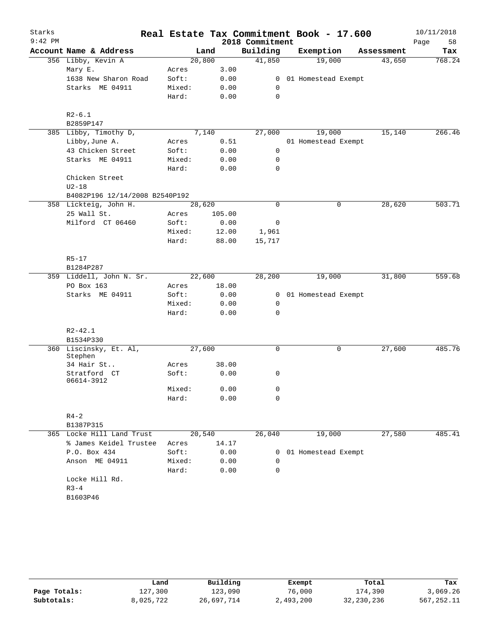| Starks    |                                   |        |        |        | Real Estate Tax Commitment Book - 17.600 |                       |            | 10/11/2018 |
|-----------|-----------------------------------|--------|--------|--------|------------------------------------------|-----------------------|------------|------------|
| $9:42$ PM |                                   |        |        |        | 2018 Commitment                          |                       |            | Page<br>58 |
|           | Account Name & Address            |        | Land   |        | Building                                 | Exemption             | Assessment | Tax        |
|           | 356 Libby, Kevin A                |        | 20,800 |        | 41,850                                   | 19,000                | 43,650     | 768.24     |
|           | Mary E.                           | Acres  |        | 3.00   |                                          |                       |            |            |
|           | 1638 New Sharon Road              | Soft:  |        | 0.00   | $\overline{0}$                           | 01 Homestead Exempt   |            |            |
|           | Starks ME 04911                   | Mixed: |        | 0.00   | $\mathbf 0$                              |                       |            |            |
|           |                                   | Hard:  |        | 0.00   | 0                                        |                       |            |            |
|           | $R2-6.1$                          |        |        |        |                                          |                       |            |            |
|           | B2859P147                         |        |        |        |                                          |                       |            |            |
|           | 385 Libby, Timothy D,             |        | 7,140  |        | 27,000                                   | 19,000                | 15,140     | 266.46     |
|           | Libby, June A.                    | Acres  |        | 0.51   |                                          | 01 Homestead Exempt   |            |            |
|           | 43 Chicken Street                 | Soft:  |        | 0.00   | $\mathbf 0$                              |                       |            |            |
|           | Starks ME 04911                   | Mixed: |        | 0.00   | 0                                        |                       |            |            |
|           |                                   | Hard:  |        | 0.00   | 0                                        |                       |            |            |
|           | Chicken Street<br>$U2-18$         |        |        |        |                                          |                       |            |            |
|           | B4082P196 12/14/2008 B2540P192    |        |        |        |                                          |                       |            |            |
|           | 358 Lickteig, John H.             |        | 28,620 |        | $\Omega$                                 | $\mathbf 0$           | 28,620     | 503.71     |
|           | 25 Wall St.                       | Acres  |        | 105.00 |                                          |                       |            |            |
|           | Milford CT 06460                  | Soft:  |        | 0.00   | 0                                        |                       |            |            |
|           |                                   | Mixed: |        | 12.00  | 1,961                                    |                       |            |            |
|           |                                   | Hard:  |        | 88.00  | 15,717                                   |                       |            |            |
|           | $R5 - 17$                         |        |        |        |                                          |                       |            |            |
|           | B1284P287                         |        |        |        |                                          |                       |            |            |
|           | 359 Liddell, John N. Sr.          |        | 22,600 |        | 28,200                                   | 19,000                | 31,800     | 559.68     |
|           | PO Box 163                        | Acres  |        | 18.00  |                                          |                       |            |            |
|           | Starks ME 04911                   | Soft:  |        | 0.00   |                                          | 0 01 Homestead Exempt |            |            |
|           |                                   | Mixed: |        | 0.00   | 0                                        |                       |            |            |
|           |                                   | Hard:  |        | 0.00   | 0                                        |                       |            |            |
|           | $R2 - 42.1$                       |        |        |        |                                          |                       |            |            |
|           | B1534P330                         |        |        |        |                                          |                       |            |            |
|           | 360 Liscinsky, Et. Al,<br>Stephen |        | 27,600 |        | 0                                        | $\mathbf 0$           | 27,600     | 485.76     |
|           | 34 Hair St                        | Acres  |        | 38.00  |                                          |                       |            |            |
|           | Stratford CT<br>06614-3912        | Soft:  |        | 0.00   | 0                                        |                       |            |            |
|           |                                   | Mixed: |        | 0.00   | 0                                        |                       |            |            |
|           |                                   | Hard:  |        | 0.00   | 0                                        |                       |            |            |
|           | $R4-2$                            |        |        |        |                                          |                       |            |            |
|           | B1387P315                         |        |        |        |                                          |                       |            |            |
|           | 365 Locke Hill Land Trust         |        | 20,540 |        | 26,040                                   | 19,000                | 27,580     | 485.41     |
|           | % James Keidel Trustee            | Acres  |        | 14.17  |                                          |                       |            |            |
|           | P.O. Box 434                      | Soft:  |        | 0.00   | 0                                        | 01 Homestead Exempt   |            |            |
|           | Anson ME 04911                    | Mixed: |        | 0.00   | 0                                        |                       |            |            |
|           |                                   | Hard:  |        | 0.00   | 0                                        |                       |            |            |
|           | Locke Hill Rd.                    |        |        |        |                                          |                       |            |            |
|           | $R3 - 4$                          |        |        |        |                                          |                       |            |            |
|           | B1603P46                          |        |        |        |                                          |                       |            |            |
|           |                                   |        |        |        |                                          |                       |            |            |

|              | Land      | Building   | Exempt    | Total        | Tax         |
|--------------|-----------|------------|-----------|--------------|-------------|
| Page Totals: | 127,300   | 123,090    | 76,000    | 174,390      | 3,069.26    |
| Subtotals:   | 8,025,722 | 26,697,714 | 2,493,200 | 32, 230, 236 | 567, 252.11 |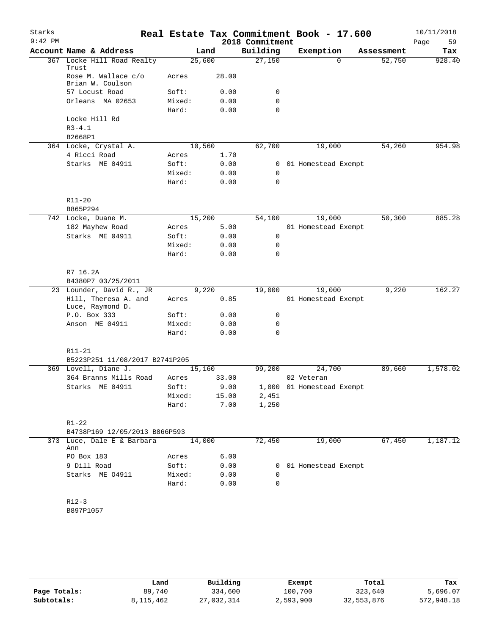| 2018 Commitment<br>Account Name & Address<br>Building<br>Exemption<br>Land<br>Assessment<br>Tax<br>Locke Hill Road Realty<br>25,600<br>27,150<br>928.40<br>$\Omega$<br>52,750<br>367<br>Trust<br>Rose M. Wallace c/o<br>28.00<br>Acres<br>Brian W. Coulson<br>57 Locust Road<br>Soft:<br>0.00<br>0<br>Orleans MA 02653<br>Mixed:<br>0.00<br>0<br>$\Omega$<br>Hard:<br>0.00<br>Locke Hill Rd<br>$R3 - 4.1$<br>B2668P1<br>62,700<br>954.98<br>364 Locke, Crystal A.<br>10,560<br>19,000<br>54,260<br>4 Ricci Road<br>1.70<br>Acres<br>Starks ME 04911<br>Soft:<br>0.00<br>01 Homestead Exempt<br>0<br>Mixed:<br>0.00<br>0<br>$\mathbf 0$<br>Hard:<br>0.00<br>R11-20<br>B865P294<br>885.28<br>15,200<br>50,300<br>742 Locke, Duane M.<br>54,100<br>19,000<br>182 Mayhew Road<br>5.00<br>01 Homestead Exempt<br>Acres<br>Starks ME 04911<br>Soft:<br>0.00<br>0<br>Mixed:<br>0.00<br>0<br>0<br>Hard:<br>0.00<br>R7 16.2A<br>B4380P7 03/25/2011<br>23 Lounder, David R., JR<br>9,220<br>19,000<br>9,220<br>162.27<br>19,000<br>Hill, Theresa A. and<br>0.85<br>01 Homestead Exempt<br>Acres<br>Luce, Raymond D.<br>P.O. Box 333<br>Soft:<br>0.00<br>0<br>Anson ME 04911<br>Mixed:<br>0.00<br>0<br>Hard:<br>0.00<br>$\Omega$<br>R11-21<br>B5223P251 11/08/2017 B2741P205<br>1,578.02<br>369 Lovell, Diane J.<br>15,160<br>99,200<br>24,700<br>89,660<br>364 Branns Mills Road<br>33.00<br>02 Veteran<br>Acres<br>Starks ME 04911<br>Soft:<br>9.00<br>1,000 01 Homestead Exempt<br>Mixed:<br>15.00<br>2,451<br>7.00<br>Hard:<br>1,250<br>$R1 - 22$<br>B4738P169 12/05/2013 B866P593<br>72,450<br>19,000<br>67,450<br>1,187.12<br>373 Luce, Dale E & Barbara<br>14,000<br>Ann<br>6.00<br>PO Box 183<br>Acres<br>Soft:<br>9 Dill Road<br>0.00<br>0 01 Homestead Exempt<br>Starks ME 04911<br>Mixed:<br>0.00<br>0<br>Hard:<br>0.00<br>0<br>$R12-3$<br>B897P1057 | Starks    |  |  | Real Estate Tax Commitment Book - 17.600 | 10/11/2018 |
|------------------------------------------------------------------------------------------------------------------------------------------------------------------------------------------------------------------------------------------------------------------------------------------------------------------------------------------------------------------------------------------------------------------------------------------------------------------------------------------------------------------------------------------------------------------------------------------------------------------------------------------------------------------------------------------------------------------------------------------------------------------------------------------------------------------------------------------------------------------------------------------------------------------------------------------------------------------------------------------------------------------------------------------------------------------------------------------------------------------------------------------------------------------------------------------------------------------------------------------------------------------------------------------------------------------------------------------------------------------------------------------------------------------------------------------------------------------------------------------------------------------------------------------------------------------------------------------------------------------------------------------------------------------------------------------------------------------------------------------------------------------------------------------------------------------------------------------------------|-----------|--|--|------------------------------------------|------------|
|                                                                                                                                                                                                                                                                                                                                                                                                                                                                                                                                                                                                                                                                                                                                                                                                                                                                                                                                                                                                                                                                                                                                                                                                                                                                                                                                                                                                                                                                                                                                                                                                                                                                                                                                                                                                                                                      | $9:42$ PM |  |  |                                          | Page<br>59 |
|                                                                                                                                                                                                                                                                                                                                                                                                                                                                                                                                                                                                                                                                                                                                                                                                                                                                                                                                                                                                                                                                                                                                                                                                                                                                                                                                                                                                                                                                                                                                                                                                                                                                                                                                                                                                                                                      |           |  |  |                                          |            |
|                                                                                                                                                                                                                                                                                                                                                                                                                                                                                                                                                                                                                                                                                                                                                                                                                                                                                                                                                                                                                                                                                                                                                                                                                                                                                                                                                                                                                                                                                                                                                                                                                                                                                                                                                                                                                                                      |           |  |  |                                          |            |
|                                                                                                                                                                                                                                                                                                                                                                                                                                                                                                                                                                                                                                                                                                                                                                                                                                                                                                                                                                                                                                                                                                                                                                                                                                                                                                                                                                                                                                                                                                                                                                                                                                                                                                                                                                                                                                                      |           |  |  |                                          |            |
|                                                                                                                                                                                                                                                                                                                                                                                                                                                                                                                                                                                                                                                                                                                                                                                                                                                                                                                                                                                                                                                                                                                                                                                                                                                                                                                                                                                                                                                                                                                                                                                                                                                                                                                                                                                                                                                      |           |  |  |                                          |            |
|                                                                                                                                                                                                                                                                                                                                                                                                                                                                                                                                                                                                                                                                                                                                                                                                                                                                                                                                                                                                                                                                                                                                                                                                                                                                                                                                                                                                                                                                                                                                                                                                                                                                                                                                                                                                                                                      |           |  |  |                                          |            |
|                                                                                                                                                                                                                                                                                                                                                                                                                                                                                                                                                                                                                                                                                                                                                                                                                                                                                                                                                                                                                                                                                                                                                                                                                                                                                                                                                                                                                                                                                                                                                                                                                                                                                                                                                                                                                                                      |           |  |  |                                          |            |
|                                                                                                                                                                                                                                                                                                                                                                                                                                                                                                                                                                                                                                                                                                                                                                                                                                                                                                                                                                                                                                                                                                                                                                                                                                                                                                                                                                                                                                                                                                                                                                                                                                                                                                                                                                                                                                                      |           |  |  |                                          |            |
|                                                                                                                                                                                                                                                                                                                                                                                                                                                                                                                                                                                                                                                                                                                                                                                                                                                                                                                                                                                                                                                                                                                                                                                                                                                                                                                                                                                                                                                                                                                                                                                                                                                                                                                                                                                                                                                      |           |  |  |                                          |            |
|                                                                                                                                                                                                                                                                                                                                                                                                                                                                                                                                                                                                                                                                                                                                                                                                                                                                                                                                                                                                                                                                                                                                                                                                                                                                                                                                                                                                                                                                                                                                                                                                                                                                                                                                                                                                                                                      |           |  |  |                                          |            |
|                                                                                                                                                                                                                                                                                                                                                                                                                                                                                                                                                                                                                                                                                                                                                                                                                                                                                                                                                                                                                                                                                                                                                                                                                                                                                                                                                                                                                                                                                                                                                                                                                                                                                                                                                                                                                                                      |           |  |  |                                          |            |
|                                                                                                                                                                                                                                                                                                                                                                                                                                                                                                                                                                                                                                                                                                                                                                                                                                                                                                                                                                                                                                                                                                                                                                                                                                                                                                                                                                                                                                                                                                                                                                                                                                                                                                                                                                                                                                                      |           |  |  |                                          |            |
|                                                                                                                                                                                                                                                                                                                                                                                                                                                                                                                                                                                                                                                                                                                                                                                                                                                                                                                                                                                                                                                                                                                                                                                                                                                                                                                                                                                                                                                                                                                                                                                                                                                                                                                                                                                                                                                      |           |  |  |                                          |            |
|                                                                                                                                                                                                                                                                                                                                                                                                                                                                                                                                                                                                                                                                                                                                                                                                                                                                                                                                                                                                                                                                                                                                                                                                                                                                                                                                                                                                                                                                                                                                                                                                                                                                                                                                                                                                                                                      |           |  |  |                                          |            |
|                                                                                                                                                                                                                                                                                                                                                                                                                                                                                                                                                                                                                                                                                                                                                                                                                                                                                                                                                                                                                                                                                                                                                                                                                                                                                                                                                                                                                                                                                                                                                                                                                                                                                                                                                                                                                                                      |           |  |  |                                          |            |
|                                                                                                                                                                                                                                                                                                                                                                                                                                                                                                                                                                                                                                                                                                                                                                                                                                                                                                                                                                                                                                                                                                                                                                                                                                                                                                                                                                                                                                                                                                                                                                                                                                                                                                                                                                                                                                                      |           |  |  |                                          |            |
|                                                                                                                                                                                                                                                                                                                                                                                                                                                                                                                                                                                                                                                                                                                                                                                                                                                                                                                                                                                                                                                                                                                                                                                                                                                                                                                                                                                                                                                                                                                                                                                                                                                                                                                                                                                                                                                      |           |  |  |                                          |            |
|                                                                                                                                                                                                                                                                                                                                                                                                                                                                                                                                                                                                                                                                                                                                                                                                                                                                                                                                                                                                                                                                                                                                                                                                                                                                                                                                                                                                                                                                                                                                                                                                                                                                                                                                                                                                                                                      |           |  |  |                                          |            |
|                                                                                                                                                                                                                                                                                                                                                                                                                                                                                                                                                                                                                                                                                                                                                                                                                                                                                                                                                                                                                                                                                                                                                                                                                                                                                                                                                                                                                                                                                                                                                                                                                                                                                                                                                                                                                                                      |           |  |  |                                          |            |
|                                                                                                                                                                                                                                                                                                                                                                                                                                                                                                                                                                                                                                                                                                                                                                                                                                                                                                                                                                                                                                                                                                                                                                                                                                                                                                                                                                                                                                                                                                                                                                                                                                                                                                                                                                                                                                                      |           |  |  |                                          |            |
|                                                                                                                                                                                                                                                                                                                                                                                                                                                                                                                                                                                                                                                                                                                                                                                                                                                                                                                                                                                                                                                                                                                                                                                                                                                                                                                                                                                                                                                                                                                                                                                                                                                                                                                                                                                                                                                      |           |  |  |                                          |            |
|                                                                                                                                                                                                                                                                                                                                                                                                                                                                                                                                                                                                                                                                                                                                                                                                                                                                                                                                                                                                                                                                                                                                                                                                                                                                                                                                                                                                                                                                                                                                                                                                                                                                                                                                                                                                                                                      |           |  |  |                                          |            |
|                                                                                                                                                                                                                                                                                                                                                                                                                                                                                                                                                                                                                                                                                                                                                                                                                                                                                                                                                                                                                                                                                                                                                                                                                                                                                                                                                                                                                                                                                                                                                                                                                                                                                                                                                                                                                                                      |           |  |  |                                          |            |
|                                                                                                                                                                                                                                                                                                                                                                                                                                                                                                                                                                                                                                                                                                                                                                                                                                                                                                                                                                                                                                                                                                                                                                                                                                                                                                                                                                                                                                                                                                                                                                                                                                                                                                                                                                                                                                                      |           |  |  |                                          |            |
|                                                                                                                                                                                                                                                                                                                                                                                                                                                                                                                                                                                                                                                                                                                                                                                                                                                                                                                                                                                                                                                                                                                                                                                                                                                                                                                                                                                                                                                                                                                                                                                                                                                                                                                                                                                                                                                      |           |  |  |                                          |            |
|                                                                                                                                                                                                                                                                                                                                                                                                                                                                                                                                                                                                                                                                                                                                                                                                                                                                                                                                                                                                                                                                                                                                                                                                                                                                                                                                                                                                                                                                                                                                                                                                                                                                                                                                                                                                                                                      |           |  |  |                                          |            |
|                                                                                                                                                                                                                                                                                                                                                                                                                                                                                                                                                                                                                                                                                                                                                                                                                                                                                                                                                                                                                                                                                                                                                                                                                                                                                                                                                                                                                                                                                                                                                                                                                                                                                                                                                                                                                                                      |           |  |  |                                          |            |
|                                                                                                                                                                                                                                                                                                                                                                                                                                                                                                                                                                                                                                                                                                                                                                                                                                                                                                                                                                                                                                                                                                                                                                                                                                                                                                                                                                                                                                                                                                                                                                                                                                                                                                                                                                                                                                                      |           |  |  |                                          |            |
|                                                                                                                                                                                                                                                                                                                                                                                                                                                                                                                                                                                                                                                                                                                                                                                                                                                                                                                                                                                                                                                                                                                                                                                                                                                                                                                                                                                                                                                                                                                                                                                                                                                                                                                                                                                                                                                      |           |  |  |                                          |            |
|                                                                                                                                                                                                                                                                                                                                                                                                                                                                                                                                                                                                                                                                                                                                                                                                                                                                                                                                                                                                                                                                                                                                                                                                                                                                                                                                                                                                                                                                                                                                                                                                                                                                                                                                                                                                                                                      |           |  |  |                                          |            |
|                                                                                                                                                                                                                                                                                                                                                                                                                                                                                                                                                                                                                                                                                                                                                                                                                                                                                                                                                                                                                                                                                                                                                                                                                                                                                                                                                                                                                                                                                                                                                                                                                                                                                                                                                                                                                                                      |           |  |  |                                          |            |
|                                                                                                                                                                                                                                                                                                                                                                                                                                                                                                                                                                                                                                                                                                                                                                                                                                                                                                                                                                                                                                                                                                                                                                                                                                                                                                                                                                                                                                                                                                                                                                                                                                                                                                                                                                                                                                                      |           |  |  |                                          |            |
|                                                                                                                                                                                                                                                                                                                                                                                                                                                                                                                                                                                                                                                                                                                                                                                                                                                                                                                                                                                                                                                                                                                                                                                                                                                                                                                                                                                                                                                                                                                                                                                                                                                                                                                                                                                                                                                      |           |  |  |                                          |            |
|                                                                                                                                                                                                                                                                                                                                                                                                                                                                                                                                                                                                                                                                                                                                                                                                                                                                                                                                                                                                                                                                                                                                                                                                                                                                                                                                                                                                                                                                                                                                                                                                                                                                                                                                                                                                                                                      |           |  |  |                                          |            |
|                                                                                                                                                                                                                                                                                                                                                                                                                                                                                                                                                                                                                                                                                                                                                                                                                                                                                                                                                                                                                                                                                                                                                                                                                                                                                                                                                                                                                                                                                                                                                                                                                                                                                                                                                                                                                                                      |           |  |  |                                          |            |
|                                                                                                                                                                                                                                                                                                                                                                                                                                                                                                                                                                                                                                                                                                                                                                                                                                                                                                                                                                                                                                                                                                                                                                                                                                                                                                                                                                                                                                                                                                                                                                                                                                                                                                                                                                                                                                                      |           |  |  |                                          |            |
|                                                                                                                                                                                                                                                                                                                                                                                                                                                                                                                                                                                                                                                                                                                                                                                                                                                                                                                                                                                                                                                                                                                                                                                                                                                                                                                                                                                                                                                                                                                                                                                                                                                                                                                                                                                                                                                      |           |  |  |                                          |            |
|                                                                                                                                                                                                                                                                                                                                                                                                                                                                                                                                                                                                                                                                                                                                                                                                                                                                                                                                                                                                                                                                                                                                                                                                                                                                                                                                                                                                                                                                                                                                                                                                                                                                                                                                                                                                                                                      |           |  |  |                                          |            |
|                                                                                                                                                                                                                                                                                                                                                                                                                                                                                                                                                                                                                                                                                                                                                                                                                                                                                                                                                                                                                                                                                                                                                                                                                                                                                                                                                                                                                                                                                                                                                                                                                                                                                                                                                                                                                                                      |           |  |  |                                          |            |
|                                                                                                                                                                                                                                                                                                                                                                                                                                                                                                                                                                                                                                                                                                                                                                                                                                                                                                                                                                                                                                                                                                                                                                                                                                                                                                                                                                                                                                                                                                                                                                                                                                                                                                                                                                                                                                                      |           |  |  |                                          |            |
|                                                                                                                                                                                                                                                                                                                                                                                                                                                                                                                                                                                                                                                                                                                                                                                                                                                                                                                                                                                                                                                                                                                                                                                                                                                                                                                                                                                                                                                                                                                                                                                                                                                                                                                                                                                                                                                      |           |  |  |                                          |            |
|                                                                                                                                                                                                                                                                                                                                                                                                                                                                                                                                                                                                                                                                                                                                                                                                                                                                                                                                                                                                                                                                                                                                                                                                                                                                                                                                                                                                                                                                                                                                                                                                                                                                                                                                                                                                                                                      |           |  |  |                                          |            |
|                                                                                                                                                                                                                                                                                                                                                                                                                                                                                                                                                                                                                                                                                                                                                                                                                                                                                                                                                                                                                                                                                                                                                                                                                                                                                                                                                                                                                                                                                                                                                                                                                                                                                                                                                                                                                                                      |           |  |  |                                          |            |
|                                                                                                                                                                                                                                                                                                                                                                                                                                                                                                                                                                                                                                                                                                                                                                                                                                                                                                                                                                                                                                                                                                                                                                                                                                                                                                                                                                                                                                                                                                                                                                                                                                                                                                                                                                                                                                                      |           |  |  |                                          |            |
|                                                                                                                                                                                                                                                                                                                                                                                                                                                                                                                                                                                                                                                                                                                                                                                                                                                                                                                                                                                                                                                                                                                                                                                                                                                                                                                                                                                                                                                                                                                                                                                                                                                                                                                                                                                                                                                      |           |  |  |                                          |            |
|                                                                                                                                                                                                                                                                                                                                                                                                                                                                                                                                                                                                                                                                                                                                                                                                                                                                                                                                                                                                                                                                                                                                                                                                                                                                                                                                                                                                                                                                                                                                                                                                                                                                                                                                                                                                                                                      |           |  |  |                                          |            |
|                                                                                                                                                                                                                                                                                                                                                                                                                                                                                                                                                                                                                                                                                                                                                                                                                                                                                                                                                                                                                                                                                                                                                                                                                                                                                                                                                                                                                                                                                                                                                                                                                                                                                                                                                                                                                                                      |           |  |  |                                          |            |

|              | Land      | Building   | Exempt    | Total      | Tax        |
|--------------|-----------|------------|-----------|------------|------------|
| Page Totals: | 89,740    | 334,600    | 100,700   | 323,640    | 5,696.07   |
| Subtotals:   | 8,115,462 | 27,032,314 | 2,593,900 | 32,553,876 | 572,948.18 |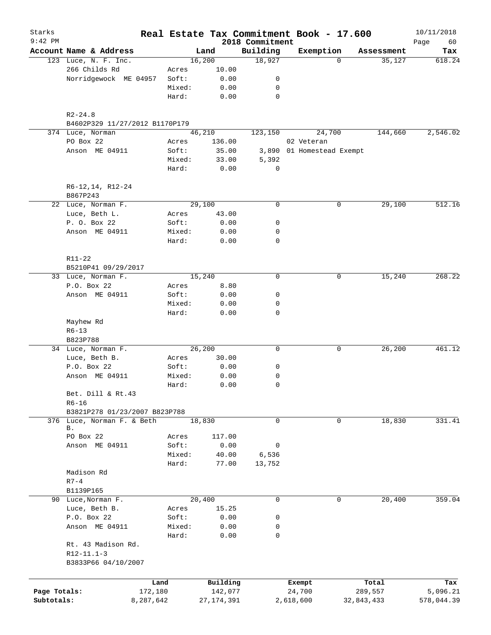| Starks<br>$9:42$ PM |                                                           |           |              | 2018 Commitment | Real Estate Tax Commitment Book - 17.600 |            | 10/11/2018<br>Page<br>60 |
|---------------------|-----------------------------------------------------------|-----------|--------------|-----------------|------------------------------------------|------------|--------------------------|
|                     | Account Name & Address                                    |           | Land         | Building        | Exemption                                | Assessment | Tax                      |
|                     | 123 Luce, N. F. Inc.                                      |           | 16,200       | 18,927          | $\Omega$                                 | 35,127     | 618.24                   |
|                     | 266 Childs Rd                                             | Acres     | 10.00        |                 |                                          |            |                          |
|                     | Norridgewock ME 04957                                     | Soft:     | 0.00         | 0               |                                          |            |                          |
|                     |                                                           | Mixed:    | 0.00         | 0               |                                          |            |                          |
|                     |                                                           | Hard:     | 0.00         | 0               |                                          |            |                          |
|                     | $R2 - 24.8$                                               |           |              |                 |                                          |            |                          |
|                     | B4602P329 11/27/2012 B1170P179                            |           |              |                 |                                          |            |                          |
|                     | 374 Luce, Norman                                          |           | 46,210       | 123,150         | 24,700                                   | 144,660    | 2,546.02                 |
|                     | PO Box 22                                                 | Acres     | 136.00       |                 | 02 Veteran                               |            |                          |
|                     | Anson ME 04911                                            | Soft:     | 35.00        |                 | 3,890 01 Homestead Exempt                |            |                          |
|                     |                                                           | Mixed:    | 33.00        | 5,392           |                                          |            |                          |
|                     |                                                           | Hard:     | 0.00         | 0               |                                          |            |                          |
|                     | R6-12, 14, R12-24<br>B867P243                             |           |              |                 |                                          |            |                          |
|                     | 22 Luce, Norman F.                                        |           | 29,100       | 0               | 0                                        | 29,100     | 512.16                   |
|                     | Luce, Beth L.                                             | Acres     | 43.00        |                 |                                          |            |                          |
|                     | P. O. Box 22                                              | Soft:     | 0.00         | 0               |                                          |            |                          |
|                     | Anson ME 04911                                            | Mixed:    | 0.00         | 0               |                                          |            |                          |
|                     |                                                           | Hard:     | 0.00         | 0               |                                          |            |                          |
|                     | R11-22                                                    |           |              |                 |                                          |            |                          |
|                     | B5210P41 09/29/2017                                       |           |              |                 |                                          |            |                          |
|                     | 33 Luce, Norman F.                                        |           | 15,240       | 0               | 0                                        | 15,240     | 268.22                   |
|                     | P.O. Box 22                                               | Acres     | 8.80         |                 |                                          |            |                          |
|                     | Anson ME 04911                                            | Soft:     | 0.00         | 0               |                                          |            |                          |
|                     |                                                           | Mixed:    | 0.00         | 0               |                                          |            |                          |
|                     |                                                           | Hard:     | 0.00         | 0               |                                          |            |                          |
|                     | Mayhew Rd                                                 |           |              |                 |                                          |            |                          |
|                     | $R6 - 13$                                                 |           |              |                 |                                          |            |                          |
|                     | B823P788                                                  |           |              |                 |                                          |            |                          |
|                     | 34 Luce, Norman F.                                        |           | 26,200       | 0               | 0                                        | 26,200     | 461.12                   |
|                     | Luce, Beth B.                                             | Acres     | 30.00        |                 |                                          |            |                          |
|                     | P.O. Box 22                                               | Soft:     | 0.00         | 0               |                                          |            |                          |
|                     | Anson ME 04911                                            | Mixed:    | 0.00         | 0               |                                          |            |                          |
|                     |                                                           | Hard:     | 0.00         | 0               |                                          |            |                          |
|                     | Bet. Dill & Rt.43                                         |           |              |                 |                                          |            |                          |
|                     | $R6 - 16$                                                 |           |              |                 |                                          |            |                          |
|                     | B3821P278 01/23/2007 B823P788                             |           | 18,830       | 0               | 0                                        |            | 331.41                   |
|                     | 376 Luce, Norman F. & Beth<br>В.                          |           |              |                 |                                          | 18,830     |                          |
|                     | PO Box 22                                                 | Acres     | 117.00       |                 |                                          |            |                          |
|                     | Anson ME 04911                                            | Soft:     | 0.00         | 0               |                                          |            |                          |
|                     |                                                           | Mixed:    | 40.00        | 6,536           |                                          |            |                          |
|                     |                                                           | Hard:     | 77.00        | 13,752          |                                          |            |                          |
|                     | Madison Rd                                                |           |              |                 |                                          |            |                          |
|                     | $R7-4$                                                    |           |              |                 |                                          |            |                          |
|                     | B1139P165                                                 |           |              |                 |                                          |            |                          |
|                     | 90 Luce, Norman F.                                        |           | 20,400       | 0               | 0                                        | 20,400     | 359.04                   |
|                     | Luce, Beth B.                                             | Acres     | 15.25        |                 |                                          |            |                          |
|                     | P.O. Box 22                                               | Soft:     | 0.00         | 0               |                                          |            |                          |
|                     | Anson ME 04911                                            | Mixed:    | 0.00         | 0               |                                          |            |                          |
|                     |                                                           | Hard:     | 0.00         | 0               |                                          |            |                          |
|                     | Rt. 43 Madison Rd.<br>$R12-11.1-3$<br>B3833P66 04/10/2007 |           |              |                 |                                          |            |                          |
|                     |                                                           |           |              |                 |                                          |            |                          |
|                     |                                                           | Land      | Building     |                 | Exempt                                   | Total      | Tax                      |
| Page Totals:        |                                                           | 172,180   | 142,077      |                 | 24,700                                   | 289,557    | 5,096.21                 |
| Subtotals:          |                                                           | 8,287,642 | 27, 174, 391 |                 | 2,618,600                                | 32,843,433 | 578,044.39               |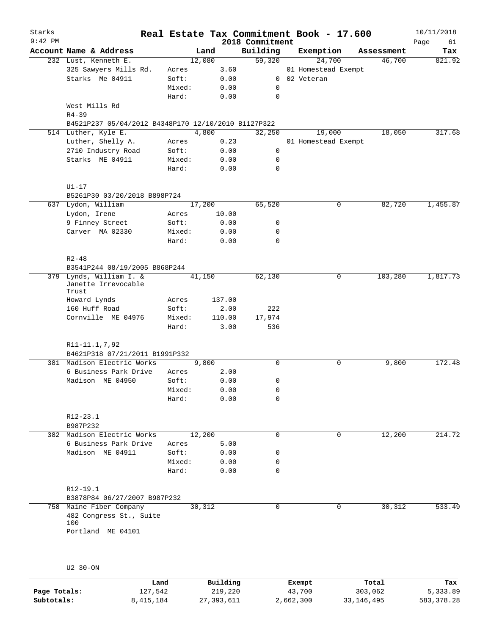| Starks    |                                                     |                 |        |                |                 | Real Estate Tax Commitment Book - 17.600 |            | 10/11/2018 |
|-----------|-----------------------------------------------------|-----------------|--------|----------------|-----------------|------------------------------------------|------------|------------|
| $9:42$ PM |                                                     |                 |        |                | 2018 Commitment |                                          |            | Page<br>61 |
|           | Account Name & Address                              |                 | Land   |                | Building        | Exemption                                | Assessment | Tax        |
|           | 232 Lust, Kenneth E.                                |                 | 12,080 |                | 59,320          | 24,700                                   | 46,700     | 821.92     |
|           | 325 Sawyers Mills Rd.                               | Acres           |        | 3.60           |                 | 01 Homestead Exempt                      |            |            |
|           | Starks Me 04911                                     | Soft:           |        | 0.00           |                 | 0 02 Veteran                             |            |            |
|           |                                                     | Mixed:          |        | 0.00           | 0               |                                          |            |            |
|           |                                                     | Hard:           |        | 0.00           | $\mathbf 0$     |                                          |            |            |
|           | West Mills Rd                                       |                 |        |                |                 |                                          |            |            |
|           | $R4 - 39$                                           |                 |        |                |                 |                                          |            |            |
|           | B4521P237 05/04/2012 B4348P170 12/10/2010 B1127P322 |                 |        |                |                 |                                          |            |            |
|           | 514 Luther, Kyle E.                                 |                 | 4,800  |                | 32,250          | 19,000                                   | 18,050     | 317.68     |
|           | Luther, Shelly A.                                   | Acres           |        | 0.23           |                 | 01 Homestead Exempt                      |            |            |
|           | 2710 Industry Road                                  | Soft:           |        | 0.00           | 0               |                                          |            |            |
|           | Starks ME 04911                                     | Mixed:          |        | 0.00           | 0               |                                          |            |            |
|           |                                                     | Hard:           |        | 0.00           | $\mathbf 0$     |                                          |            |            |
|           |                                                     |                 |        |                |                 |                                          |            |            |
|           | $U1-17$                                             |                 |        |                |                 |                                          |            |            |
|           | B5261P30 03/20/2018 B898P724                        |                 |        |                |                 |                                          |            |            |
|           | 637 Lydon, William                                  |                 | 17,200 |                | 65,520          | 0                                        | 82,720     | 1,455.87   |
|           | Lydon, Irene                                        | Acres           |        | 10.00          |                 |                                          |            |            |
|           | 9 Finney Street                                     | Soft:           |        | 0.00           | 0               |                                          |            |            |
|           | Carver MA 02330                                     | Mixed:          |        | 0.00           | 0               |                                          |            |            |
|           |                                                     | Hard:           |        | 0.00           | $\mathbf 0$     |                                          |            |            |
|           |                                                     |                 |        |                |                 |                                          |            |            |
|           | $R2 - 48$                                           |                 |        |                |                 |                                          |            |            |
|           | B3541P244 08/19/2005 B868P244                       |                 |        |                |                 |                                          |            |            |
| 379       | Lynds, William I. &                                 |                 | 41,150 |                | 62,130          | 0                                        | 103,280    | 1,817.73   |
|           | Janette Irrevocable                                 |                 |        |                |                 |                                          |            |            |
|           | Trust<br>Howard Lynds                               | Acres           |        | 137.00         |                 |                                          |            |            |
|           | 160 Huff Road                                       | Soft:           |        | 2.00           | 222             |                                          |            |            |
|           |                                                     |                 |        |                |                 |                                          |            |            |
|           | Cornville ME 04976                                  | Mixed:<br>Hard: |        | 110.00<br>3.00 | 17,974<br>536   |                                          |            |            |
|           |                                                     |                 |        |                |                 |                                          |            |            |
|           | R11-11.1,7,92                                       |                 |        |                |                 |                                          |            |            |
|           | B4621P318 07/21/2011 B1991P332                      |                 |        |                |                 |                                          |            |            |
|           | 381 Madison Electric Works                          |                 | 9,800  |                | $\mathbf 0$     | 0                                        | 9,800      | 172.48     |
|           | 6 Business Park Drive                               | Acres           |        | 2.00           |                 |                                          |            |            |
|           | Madison ME 04950                                    |                 |        | 0.00           |                 |                                          |            |            |
|           |                                                     | Soft:           |        |                | 0               |                                          |            |            |
|           |                                                     | Mixed:          |        | 0.00           | 0               |                                          |            |            |
|           |                                                     | Hard:           |        | 0.00           | 0               |                                          |            |            |
|           |                                                     |                 |        |                |                 |                                          |            |            |
|           | $R12 - 23.1$                                        |                 |        |                |                 |                                          |            |            |
|           | B987P232                                            |                 |        |                |                 |                                          |            |            |
|           | 382 Madison Electric Works                          |                 | 12,200 |                | $\mathbf 0$     | 0                                        | 12,200     | 214.72     |
|           | 6 Business Park Drive                               | Acres           |        | 5.00           |                 |                                          |            |            |
|           | Madison ME 04911                                    | Soft:           |        | 0.00           | 0               |                                          |            |            |
|           |                                                     | Mixed:          |        | 0.00           | 0               |                                          |            |            |
|           |                                                     | Hard:           |        | 0.00           | 0               |                                          |            |            |
|           |                                                     |                 |        |                |                 |                                          |            |            |
|           | R12-19.1                                            |                 |        |                |                 |                                          |            |            |
|           | B3878P84 06/27/2007 B987P232                        |                 |        |                |                 |                                          |            |            |
|           | 758 Maine Fiber Company                             |                 | 30,312 |                | $\mathbf 0$     | 0                                        | 30,312     | 533.49     |
|           | 482 Congress St., Suite                             |                 |        |                |                 |                                          |            |            |
|           | 100                                                 |                 |        |                |                 |                                          |            |            |
|           | Portland ME 04101                                   |                 |        |                |                 |                                          |            |            |
|           |                                                     |                 |        |                |                 |                                          |            |            |
|           |                                                     |                 |        |                |                 |                                          |            |            |
|           |                                                     |                 |        |                |                 |                                          |            |            |
|           | U2 30-ON                                            |                 |        |                |                 |                                          |            |            |
|           |                                                     |                 |        |                |                 |                                          |            |            |

|              | Land      | Building   | Exempt    | Total      | Tax        |
|--------------|-----------|------------|-----------|------------|------------|
| Page Totals: | 127,542   | 219,220    | 43,700    | 303,062    | 5,333.89   |
| Subtotals:   | 8,415,184 | 27,393,611 | 2,662,300 | 33,146,495 | 583,378.28 |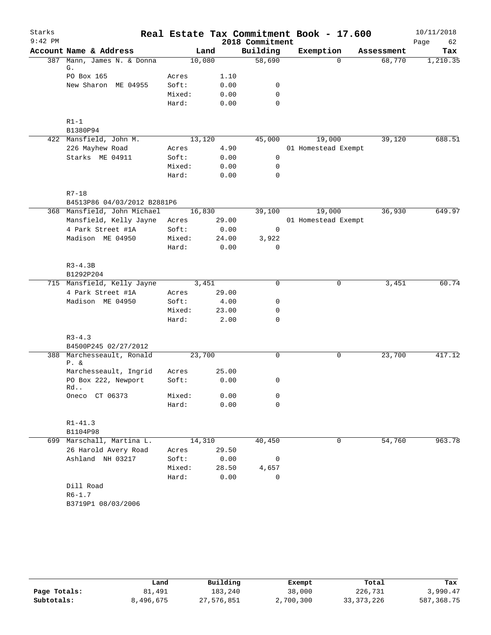| Starks    |                                   |                 |              | Real Estate Tax Commitment Book - 17.600 |                     |            | 10/11/2018 |
|-----------|-----------------------------------|-----------------|--------------|------------------------------------------|---------------------|------------|------------|
| $9:42$ PM |                                   |                 |              | 2018 Commitment                          |                     |            | Page<br>62 |
|           | Account Name & Address            | Land            |              | Building                                 | Exemption           | Assessment | Tax        |
|           | 387 Mann, James N. & Donna        | 10,080          |              | 58,690                                   | $\Omega$            | 68,770     | 1,210.35   |
|           | G.                                |                 |              |                                          |                     |            |            |
|           | PO Box 165<br>New Sharon ME 04955 | Acres<br>Soft:  | 1.10<br>0.00 | 0                                        |                     |            |            |
|           |                                   | Mixed:          |              | 0                                        |                     |            |            |
|           |                                   | Hard:           | 0.00<br>0.00 | $\mathbf 0$                              |                     |            |            |
|           |                                   |                 |              |                                          |                     |            |            |
|           | $R1-1$                            |                 |              |                                          |                     |            |            |
|           | B1380P94                          |                 |              |                                          |                     |            |            |
|           | 422 Mansfield, John M.            | 13,120          |              | 45,000                                   | 19,000              | 39,120     | 688.51     |
|           | 226 Mayhew Road                   | Acres           | 4.90         |                                          | 01 Homestead Exempt |            |            |
|           | Starks ME 04911                   | Soft:           | 0.00         | 0                                        |                     |            |            |
|           |                                   | Mixed:          | 0.00         | 0                                        |                     |            |            |
|           |                                   | Hard:           | 0.00         | $\mathbf 0$                              |                     |            |            |
|           |                                   |                 |              |                                          |                     |            |            |
|           | $R7 - 18$                         |                 |              |                                          |                     |            |            |
|           | B4513P86 04/03/2012 B2881P6       |                 |              |                                          |                     |            |            |
|           | 368 Mansfield, John Michael       | 16,830          |              | 39,100                                   | 19,000              | 36,930     | 649.97     |
|           | Mansfield, Kelly Jayne            | Acres           | 29.00        |                                          | 01 Homestead Exempt |            |            |
|           | 4 Park Street #1A                 | Soft:           | 0.00         | 0                                        |                     |            |            |
|           | Madison ME 04950                  | Mixed:          | 24.00        | 3,922                                    |                     |            |            |
|           |                                   | Hard:           | 0.00         | 0                                        |                     |            |            |
|           | $R3 - 4.3B$                       |                 |              |                                          |                     |            |            |
|           | B1292P204                         |                 |              |                                          |                     |            |            |
|           | 715 Mansfield, Kelly Jayne        | 3,451           |              | 0                                        | $\mathbf 0$         | 3,451      | 60.74      |
|           | 4 Park Street #1A                 | Acres           | 29.00        |                                          |                     |            |            |
|           | Madison ME 04950                  | Soft:           | 4.00         | 0                                        |                     |            |            |
|           |                                   | Mixed:          | 23.00        | 0                                        |                     |            |            |
|           |                                   | Hard:           | 2.00         | 0                                        |                     |            |            |
|           |                                   |                 |              |                                          |                     |            |            |
|           | $R3 - 4.3$                        |                 |              |                                          |                     |            |            |
|           | B4500P245 02/27/2012              |                 |              |                                          |                     |            |            |
|           | 388 Marchesseault, Ronald         | 23,700          |              | 0                                        | 0                   | 23,700     | 417.12     |
|           | $P. \&$<br>Marchesseault, Ingrid  | Acres           | 25.00        |                                          |                     |            |            |
|           | PO Box 222, Newport               | Soft:           | 0.00         | 0                                        |                     |            |            |
|           | Rd                                |                 |              |                                          |                     |            |            |
|           | Oneco CT 06373                    | Mixed:          | 0.00         | 0                                        |                     |            |            |
|           |                                   | Hard:           | 0.00         | 0                                        |                     |            |            |
|           | $R1 - 41.3$                       |                 |              |                                          |                     |            |            |
|           | B1104P98                          |                 |              |                                          |                     |            |            |
|           | 699 Marschall, Martina L.         | 14,310          |              | 40,450                                   | 0                   | 54,760     | 963.78     |
|           | 26 Harold Avery Road              | Acres           | 29.50        |                                          |                     |            |            |
|           | Ashland NH 03217                  | Soft:           | 0.00         | 0                                        |                     |            |            |
|           |                                   |                 |              |                                          |                     |            |            |
|           |                                   | Mixed:<br>Hard: | 28.50        | 4,657                                    |                     |            |            |
|           |                                   |                 | 0.00         | 0                                        |                     |            |            |
|           | Dill Road<br>$R6 - 1.7$           |                 |              |                                          |                     |            |            |
|           |                                   |                 |              |                                          |                     |            |            |
|           | B3719P1 08/03/2006                |                 |              |                                          |                     |            |            |

|              | Land      | Building   | Exempt    | Total        | Tax        |
|--------------|-----------|------------|-----------|--------------|------------|
| Page Totals: | 81,491    | 183,240    | 38,000    | 226,731      | 3,990.47   |
| Subtotals:   | 8,496,675 | 27,576,851 | 2,700,300 | 33, 373, 226 | 587,368.75 |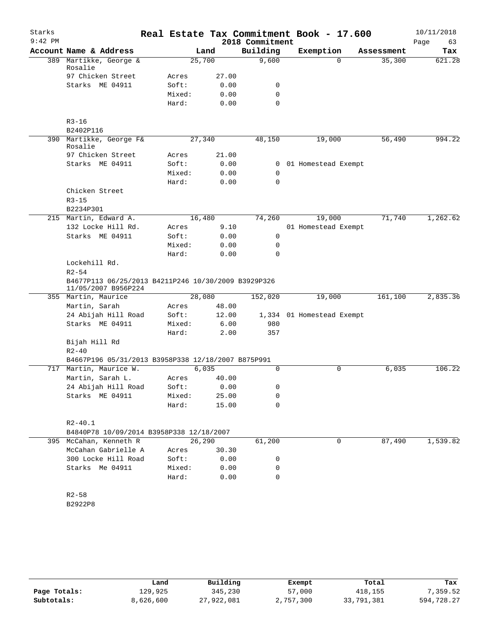| Starks    |                                                     |        |         |                 | Real Estate Tax Commitment Book - 17.600 |            |         | 10/11/2018 |
|-----------|-----------------------------------------------------|--------|---------|-----------------|------------------------------------------|------------|---------|------------|
| $9:42$ PM |                                                     |        |         | 2018 Commitment |                                          |            |         | Page<br>63 |
|           | Account Name & Address                              |        | Land    | Building        | Exemption                                | Assessment |         | Tax        |
|           | 389 Martikke, George &                              | 25,700 |         | 9,600           | $\Omega$                                 |            | 35,300  | 621.28     |
|           | Rosalie<br>97 Chicken Street                        | Acres  | 27.00   |                 |                                          |            |         |            |
|           | Starks ME 04911                                     | Soft:  | 0.00    | 0               |                                          |            |         |            |
|           |                                                     | Mixed: | 0.00    | 0               |                                          |            |         |            |
|           |                                                     | Hard:  | 0.00    | $\Omega$        |                                          |            |         |            |
|           |                                                     |        |         |                 |                                          |            |         |            |
|           | $R3 - 16$                                           |        |         |                 |                                          |            |         |            |
|           | B2402P116                                           |        |         |                 |                                          |            |         |            |
|           | 390 Martikke, George F&<br>Rosalie                  | 27,340 |         | 48,150          | 19,000                                   |            | 56,490  | 994.22     |
|           | 97 Chicken Street                                   | Acres  | 21.00   |                 |                                          |            |         |            |
|           | Starks ME 04911                                     | Soft:  | 0.00    | 0               | 01 Homestead Exempt                      |            |         |            |
|           |                                                     | Mixed: | 0.00    | 0               |                                          |            |         |            |
|           |                                                     | Hard:  | 0.00    | $\mathbf 0$     |                                          |            |         |            |
|           | Chicken Street                                      |        |         |                 |                                          |            |         |            |
|           | $R3 - 15$                                           |        |         |                 |                                          |            |         |            |
|           | B2234P301                                           |        |         |                 |                                          |            |         |            |
|           | 215 Martin, Edward A.                               | 16,480 |         | 74,260          | 19,000                                   |            | 71,740  | 1,262.62   |
|           | 132 Locke Hill Rd.                                  | Acres  | 9.10    |                 | 01 Homestead Exempt                      |            |         |            |
|           | Starks ME 04911                                     | Soft:  | 0.00    | 0               |                                          |            |         |            |
|           |                                                     | Mixed: | 0.00    | 0               |                                          |            |         |            |
|           |                                                     | Hard:  | 0.00    | 0               |                                          |            |         |            |
|           | Lockehill Rd.                                       |        |         |                 |                                          |            |         |            |
|           | $R2 - 54$                                           |        |         |                 |                                          |            |         |            |
|           | B4677P113 06/25/2013 B4211P246 10/30/2009 B3929P326 |        |         |                 |                                          |            |         |            |
|           | 11/05/2007 B956P224<br>355 Martin, Maurice          | 28,080 |         | 152,020         | 19,000                                   |            | 161,100 | 2,835.36   |
|           | Martin, Sarah                                       | Acres  | 48.00   |                 |                                          |            |         |            |
|           | 24 Abijah Hill Road                                 | Soft:  | 12.00   |                 | 1,334 01 Homestead Exempt                |            |         |            |
|           | Starks ME 04911                                     | Mixed: | 6.00    | 980             |                                          |            |         |            |
|           |                                                     | Hard:  | 2.00    | 357             |                                          |            |         |            |
|           | Bijah Hill Rd                                       |        |         |                 |                                          |            |         |            |
|           | $R2 - 40$                                           |        |         |                 |                                          |            |         |            |
|           | B4667P196 05/31/2013 B3958P338 12/18/2007 B875P991  |        |         |                 |                                          |            |         |            |
|           | 717 Martin, Maurice W.                              | 6,035  |         | $\Omega$        | 0                                        |            | 6,035   | 106.22     |
|           | Martin, Sarah L.                                    | Acres  | 40.00   |                 |                                          |            |         |            |
|           | 24 Abijah Hill Road                                 | Soft:  | 0.00    | 0               |                                          |            |         |            |
|           | Starks ME 04911                                     | Mixed: | 25.00   | 0               |                                          |            |         |            |
|           |                                                     | Hard:  | 15.00   | $\Omega$        |                                          |            |         |            |
|           |                                                     |        |         |                 |                                          |            |         |            |
|           | $R2 - 40.1$                                         |        |         |                 |                                          |            |         |            |
|           | B4840P78 10/09/2014 B3958P338 12/18/2007            |        |         |                 |                                          |            |         |            |
|           | 395 McCahan, Kenneth R                              |        | 26, 290 | 61,200          | 0                                        |            | 87,490  | 1,539.82   |
|           | McCahan Gabrielle A                                 | Acres  | 30.30   |                 |                                          |            |         |            |
|           | 300 Locke Hill Road                                 | Soft:  | 0.00    | 0               |                                          |            |         |            |
|           | Starks Me 04911                                     | Mixed: | 0.00    | 0               |                                          |            |         |            |
|           |                                                     | Hard:  | 0.00    | 0               |                                          |            |         |            |
|           | $R2 - 58$                                           |        |         |                 |                                          |            |         |            |
|           |                                                     |        |         |                 |                                          |            |         |            |
|           | B2922P8                                             |        |         |                 |                                          |            |         |            |
|           |                                                     |        |         |                 |                                          |            |         |            |
|           |                                                     |        |         |                 |                                          |            |         |            |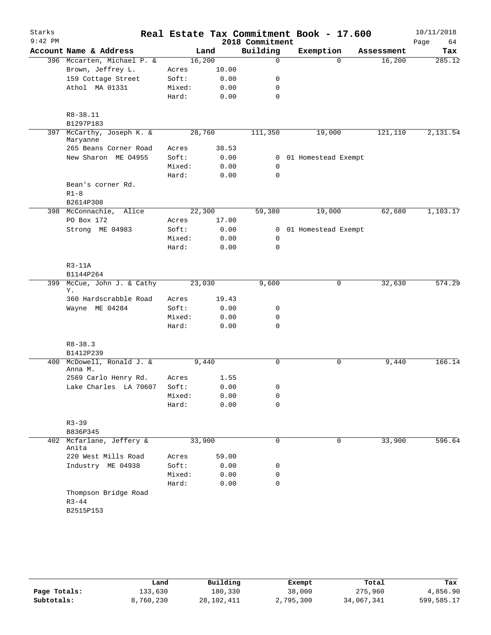| Starks    |                                       |        |                 | Real Estate Tax Commitment Book - 17.600 |                       |                    | 10/11/2018        |
|-----------|---------------------------------------|--------|-----------------|------------------------------------------|-----------------------|--------------------|-------------------|
| $9:42$ PM | Account Name & Address                |        | Land            | 2018 Commitment<br>Building              | Exemption             | Assessment         | Page<br>64<br>Tax |
|           | 396 Mccarten, Michael P. &            |        | 16,200          | $\mathbf 0$                              |                       | $\Omega$<br>16,200 | 285.12            |
|           | Brown, Jeffrey L.                     | Acres  | 10.00           |                                          |                       |                    |                   |
|           | 159 Cottage Street                    | Soft:  | 0.00            | 0                                        |                       |                    |                   |
|           | Athol MA 01331                        | Mixed: | 0.00            | 0                                        |                       |                    |                   |
|           |                                       | Hard:  | 0.00            | 0                                        |                       |                    |                   |
|           |                                       |        |                 |                                          |                       |                    |                   |
|           | R8-38.11                              |        |                 |                                          |                       |                    |                   |
|           | B1297P183                             |        |                 |                                          |                       |                    |                   |
|           | 397 McCarthy, Joseph K. &<br>Maryanne |        | 28,760          | 111,350                                  | 19,000                | 121,110            | 2,131.54          |
|           | 265 Beans Corner Road                 | Acres  | 38.53           |                                          |                       |                    |                   |
|           | New Sharon ME 04955                   | Soft:  | 0.00            |                                          | 0 01 Homestead Exempt |                    |                   |
|           |                                       | Mixed: | 0.00            | $\mathbf 0$                              |                       |                    |                   |
|           |                                       | Hard:  | 0.00            | $\mathbf 0$                              |                       |                    |                   |
|           | Bean's corner Rd.                     |        |                 |                                          |                       |                    |                   |
|           | $R1-8$                                |        |                 |                                          |                       |                    |                   |
|           | B2614P308                             |        |                 |                                          |                       |                    |                   |
|           | 398 McConnachie, Alice<br>PO Box 172  | Acres  | 22,300<br>17.00 | 59,380                                   | 19,000                | 62,680             | 1,103.17          |
|           | Strong ME 04983                       | Soft:  | 0.00            |                                          | 0 01 Homestead Exempt |                    |                   |
|           |                                       | Mixed: | 0.00            | 0                                        |                       |                    |                   |
|           |                                       | Hard:  | 0.00            | $\mathbf 0$                              |                       |                    |                   |
|           |                                       |        |                 |                                          |                       |                    |                   |
|           | $R3-11A$                              |        |                 |                                          |                       |                    |                   |
|           | B1144P264                             |        |                 |                                          |                       |                    |                   |
|           | 399 McCue, John J. & Cathy<br>Υ.      |        | 23,030          | 9,600                                    |                       | 32,630<br>0        | 574.29            |
|           | 360 Hardscrabble Road                 | Acres  | 19.43           |                                          |                       |                    |                   |
|           | Wayne ME 04284                        | Soft:  | 0.00            | 0                                        |                       |                    |                   |
|           |                                       | Mixed: | 0.00            | 0                                        |                       |                    |                   |
|           |                                       | Hard:  | 0.00            | $\mathbf 0$                              |                       |                    |                   |
|           | $R8 - 38.3$                           |        |                 |                                          |                       |                    |                   |
|           | B1412P239                             |        |                 |                                          |                       |                    |                   |
|           | 400 McDowell, Ronald J. &<br>Anna M.  |        | 9,440           | $\mathbf 0$                              |                       | 0<br>9,440         | 166.14            |
|           | 2569 Carlo Henry Rd.                  | Acres  | 1.55            |                                          |                       |                    |                   |
|           | Lake Charles LA 70607                 | Soft:  | 0.00            | 0                                        |                       |                    |                   |
|           |                                       | Mixed: | 0.00            | 0                                        |                       |                    |                   |
|           |                                       | Hard:  | 0.00            | 0                                        |                       |                    |                   |
|           | $R3 - 39$                             |        |                 |                                          |                       |                    |                   |
|           | B836P345                              |        |                 |                                          |                       |                    |                   |
|           | 402 Mcfarlane, Jeffery &<br>Anita     |        | 33,900          | 0                                        |                       | 33,900<br>$\Omega$ | 596.64            |
|           | 220 West Mills Road                   | Acres  | 59.00           |                                          |                       |                    |                   |
|           | Industry ME 04938                     | Soft:  | 0.00            | 0                                        |                       |                    |                   |
|           |                                       | Mixed: | 0.00            | 0                                        |                       |                    |                   |
|           |                                       | Hard:  | 0.00            | $\mathbf 0$                              |                       |                    |                   |
|           | Thompson Bridge Road<br>$R3 - 44$     |        |                 |                                          |                       |                    |                   |
|           | B2515P153                             |        |                 |                                          |                       |                    |                   |
|           |                                       |        |                 |                                          |                       |                    |                   |

|              | Land      | Building     | Exempt    | Total      | Tax        |
|--------------|-----------|--------------|-----------|------------|------------|
| Page Totals: | 133,630   | 180,330      | 38,000    | 275,960    | 4,856.90   |
| Subtotals:   | 8,760,230 | 28, 102, 411 | 2,795,300 | 34,067,341 | 599,585.17 |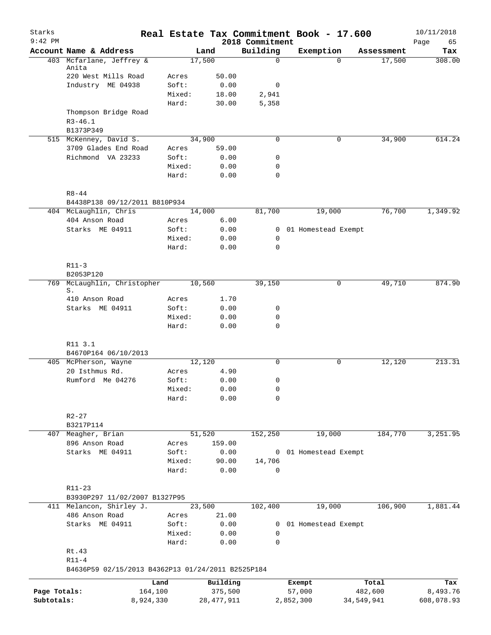| Starks       |                                                   |        |              |                             | Real Estate Tax Commitment Book - 17.600 |            | 10/11/2018        |
|--------------|---------------------------------------------------|--------|--------------|-----------------------------|------------------------------------------|------------|-------------------|
| $9:42$ PM    | Account Name & Address                            |        | Land         | 2018 Commitment<br>Building | Exemption                                | Assessment | Page<br>65<br>Tax |
|              | 403 Mcfarlane, Jeffrey &                          |        | 17,500       | $\mathbf 0$                 | $\Omega$                                 | 17,500     | 308.00            |
|              | Anita                                             |        |              |                             |                                          |            |                   |
|              | 220 West Mills Road                               | Acres  | 50.00        |                             |                                          |            |                   |
|              | Industry ME 04938                                 | Soft:  | 0.00         | 0                           |                                          |            |                   |
|              |                                                   | Mixed: | 18.00        | 2,941                       |                                          |            |                   |
|              | Thompson Bridge Road                              | Hard:  | 30.00        | 5,358                       |                                          |            |                   |
|              | $R3 - 46.1$                                       |        |              |                             |                                          |            |                   |
|              | B1373P349                                         |        |              |                             |                                          |            |                   |
|              | 515 McKenney, David S.                            |        | 34,900       | 0                           | 0                                        | 34,900     | 614.24            |
|              | 3709 Glades End Road                              | Acres  | 59.00        |                             |                                          |            |                   |
|              | Richmond VA 23233                                 | Soft:  | 0.00         | 0                           |                                          |            |                   |
|              |                                                   | Mixed: | 0.00         | $\mathbf 0$                 |                                          |            |                   |
|              |                                                   | Hard:  | 0.00         | 0                           |                                          |            |                   |
|              |                                                   |        |              |                             |                                          |            |                   |
|              | $R8 - 44$                                         |        |              |                             |                                          |            |                   |
|              | B4438P138 09/12/2011 B810P934                     |        |              |                             |                                          |            |                   |
|              | 404 McLaughlin, Chris                             |        | 14,000       | 81,700                      | 19,000                                   | 76,700     | 1,349.92          |
|              | 404 Anson Road                                    | Acres  | 6.00         |                             |                                          |            |                   |
|              | Starks ME 04911                                   | Soft:  | 0.00         | 0                           | 01 Homestead Exempt                      |            |                   |
|              |                                                   | Mixed: | 0.00         | 0                           |                                          |            |                   |
|              |                                                   | Hard:  | 0.00         | 0                           |                                          |            |                   |
|              | $R11-3$                                           |        |              |                             |                                          |            |                   |
|              | B2053P120                                         |        |              |                             |                                          |            |                   |
| 769          | McLaughlin, Christopher                           |        | 10,560       | 39,150                      | 0                                        | 49,710     | 874.90            |
|              | S.                                                |        |              |                             |                                          |            |                   |
|              | 410 Anson Road                                    | Acres  | 1.70         |                             |                                          |            |                   |
|              | Starks ME 04911                                   | Soft:  | 0.00         | 0                           |                                          |            |                   |
|              |                                                   | Mixed: | 0.00         | 0                           |                                          |            |                   |
|              |                                                   | Hard:  | 0.00         | $\mathbf 0$                 |                                          |            |                   |
|              |                                                   |        |              |                             |                                          |            |                   |
|              | R11 3.1<br>B4670P164 06/10/2013                   |        |              |                             |                                          |            |                   |
|              | 405 McPherson, Wayne                              |        | 12,120       | $\mathbf 0$                 | 0                                        | 12,120     | 213.31            |
|              | 20 Isthmus Rd.                                    | Acres  | 4.90         |                             |                                          |            |                   |
|              | Rumford Me 04276                                  | Soft:  | 0.00         | 0                           |                                          |            |                   |
|              |                                                   | Mixed: | 0.00         | 0                           |                                          |            |                   |
|              |                                                   | Hard:  | 0.00         | 0                           |                                          |            |                   |
|              |                                                   |        |              |                             |                                          |            |                   |
|              | $R2 - 27$                                         |        |              |                             |                                          |            |                   |
|              | B3217P114                                         |        |              |                             |                                          |            |                   |
|              | 407 Meagher, Brian                                |        | 51,520       | 152,250                     | 19,000                                   | 184,770    | 3,251.95          |
|              | 896 Anson Road                                    | Acres  | 159.00       |                             |                                          |            |                   |
|              | Starks ME 04911                                   | Soft:  | 0.00         | $\mathbf{0}$                | 01 Homestead Exempt                      |            |                   |
|              |                                                   | Mixed: | 90.00        | 14,706                      |                                          |            |                   |
|              |                                                   | Hard:  | 0.00         | $\mathbf 0$                 |                                          |            |                   |
|              | $R11 - 23$                                        |        |              |                             |                                          |            |                   |
|              | B3930P297 11/02/2007 B1327P95                     |        |              |                             |                                          |            |                   |
|              | 411 Melancon, Shirley J.                          |        | 23,500       | 102,400                     | 19,000                                   | 106,900    | 1,881.44          |
|              | 486 Anson Road                                    | Acres  | 21.00        |                             |                                          |            |                   |
|              | Starks ME 04911                                   | Soft:  | 0.00         | $\overline{0}$              | 01 Homestead Exempt                      |            |                   |
|              |                                                   | Mixed: | 0.00         | 0                           |                                          |            |                   |
|              |                                                   | Hard:  | 0.00         | 0                           |                                          |            |                   |
|              | Rt.43                                             |        |              |                             |                                          |            |                   |
|              | $R11 - 4$                                         |        |              |                             |                                          |            |                   |
|              | B4636P59 02/15/2013 B4362P13 01/24/2011 B2525P184 |        |              |                             |                                          |            |                   |
|              |                                                   | Land   | Building     |                             | Exempt                                   | Total      | Tax               |
| Page Totals: | 164,100                                           |        | 375,500      |                             | 57,000                                   | 482,600    | 8,493.76          |
| Subtotals:   | 8,924,330                                         |        | 28, 477, 911 |                             | 2,852,300                                | 34,549,941 | 608,078.93        |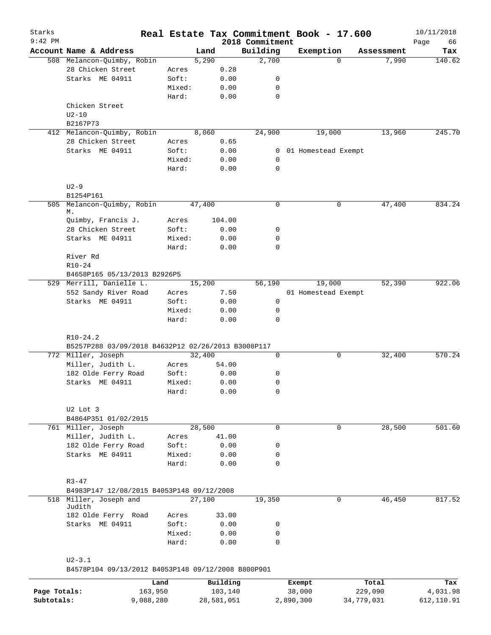| Starks<br>$9:42$ PM |                                                    |        |          | 2018 Commitment | Real Estate Tax Commitment Book - 17.600 |            | 10/11/2018<br>Page<br>66 |
|---------------------|----------------------------------------------------|--------|----------|-----------------|------------------------------------------|------------|--------------------------|
|                     | Account Name & Address                             |        | Land     | Building        | Exemption                                | Assessment | Tax                      |
|                     | 508 Melancon-Quimby, Robin                         |        | 5,290    | 2,700           | $\Omega$                                 | 7,990      | 140.62                   |
|                     | 28 Chicken Street                                  | Acres  | 0.28     |                 |                                          |            |                          |
|                     | Starks ME 04911                                    | Soft:  | 0.00     | 0               |                                          |            |                          |
|                     |                                                    | Mixed: | 0.00     | 0               |                                          |            |                          |
|                     |                                                    | Hard:  | 0.00     | $\mathbf 0$     |                                          |            |                          |
|                     | Chicken Street                                     |        |          |                 |                                          |            |                          |
|                     | $U2-10$                                            |        |          |                 |                                          |            |                          |
|                     | B2167P73                                           |        |          |                 |                                          |            |                          |
|                     | 412 Melancon-Quimby, Robin                         |        | 8,060    | 24,900          | 19,000                                   | 13,960     | 245.70                   |
|                     | 28 Chicken Street                                  | Acres  | 0.65     |                 |                                          |            |                          |
|                     | Starks ME 04911                                    | Soft:  | 0.00     | 0               | 01 Homestead Exempt                      |            |                          |
|                     |                                                    | Mixed: | 0.00     | $\mathbf 0$     |                                          |            |                          |
|                     |                                                    | Hard:  | 0.00     | 0               |                                          |            |                          |
|                     | $U2-9$                                             |        |          |                 |                                          |            |                          |
|                     | B1254P161                                          |        |          |                 |                                          |            |                          |
| 505                 | Melancon-Quimby, Robin<br>М.                       |        | 47,400   | 0               | $\mathbf 0$                              | 47,400     | 834.24                   |
|                     | Quimby, Francis J.                                 | Acres  | 104.00   |                 |                                          |            |                          |
|                     | 28 Chicken Street                                  | Soft:  | 0.00     | 0               |                                          |            |                          |
|                     | Starks ME 04911                                    | Mixed: | 0.00     | $\mathbf 0$     |                                          |            |                          |
|                     |                                                    | Hard:  | 0.00     | $\mathbf 0$     |                                          |            |                          |
|                     | River Rd                                           |        |          |                 |                                          |            |                          |
|                     | $R10 - 24$                                         |        |          |                 |                                          |            |                          |
|                     | B4658P165 05/13/2013 B2926P5                       |        |          |                 |                                          |            |                          |
|                     | 529 Merrill, Danielle L.                           |        | 15,200   | 56,190          | 19,000                                   | 52,390     | 922.06                   |
|                     | 552 Sandy River Road                               | Acres  | 7.50     |                 | 01 Homestead Exempt                      |            |                          |
|                     | Starks ME 04911                                    | Soft:  | 0.00     | $\mathbf 0$     |                                          |            |                          |
|                     |                                                    | Mixed: | 0.00     | 0               |                                          |            |                          |
|                     |                                                    | Hard:  | 0.00     | 0               |                                          |            |                          |
|                     |                                                    |        |          |                 |                                          |            |                          |
|                     | $R10-24.2$                                         |        |          |                 |                                          |            |                          |
|                     | B5257P288 03/09/2018 B4632P12 02/26/2013 B3008P117 |        |          |                 |                                          |            |                          |
|                     | 772 Miller, Joseph                                 |        | 32,400   | $\mathbf 0$     | $\mathbf 0$                              | 32,400     | 570.24                   |
|                     | Miller, Judith L.                                  | Acres  | 54.00    |                 |                                          |            |                          |
|                     | 182 Olde Ferry Road                                | Soft:  | 0.00     | 0               |                                          |            |                          |
|                     | Starks ME 04911                                    | Mixed: | 0.00     | 0               |                                          |            |                          |
|                     |                                                    | Hard:  | 0.00     | 0               |                                          |            |                          |
|                     | U2 Lot 3                                           |        |          |                 |                                          |            |                          |
|                     | B4864P351 01/02/2015                               |        |          |                 |                                          |            |                          |
|                     | 761 Miller, Joseph                                 |        | 28,500   | $\mathbf 0$     | 0                                        | 28,500     | 501.60                   |
|                     | Miller, Judith L.                                  | Acres  | 41.00    |                 |                                          |            |                          |
|                     | 182 Olde Ferry Road                                | Soft:  | 0.00     | 0               |                                          |            |                          |
|                     | Starks ME 04911                                    | Mixed: | 0.00     | 0               |                                          |            |                          |
|                     |                                                    | Hard:  | 0.00     | 0               |                                          |            |                          |
|                     | $R3 - 47$                                          |        |          |                 |                                          |            |                          |
|                     | B4983P147 12/08/2015 B4053P148 09/12/2008          |        |          |                 |                                          |            |                          |
| 518                 | Miller, Joseph and<br>Judith                       |        | 27,100   | 19,350          | $\mathbf 0$                              | 46,450     | 817.52                   |
|                     | 182 Olde Ferry Road                                | Acres  | 33.00    |                 |                                          |            |                          |
|                     | Starks ME 04911                                    | Soft:  | 0.00     | 0               |                                          |            |                          |
|                     |                                                    | Mixed: | 0.00     | 0               |                                          |            |                          |
|                     |                                                    | Hard:  | 0.00     | $\mathbf 0$     |                                          |            |                          |
|                     | $U2 - 3.1$                                         |        |          |                 |                                          |            |                          |
|                     | B4578P104 09/13/2012 B4053P148 09/12/2008 B800P901 |        |          |                 |                                          |            |                          |
|                     |                                                    | Land   | Building |                 | Exempt                                   | Total      | Tax                      |
| Page Totals:        | 163,950                                            |        | 103,140  |                 | 38,000                                   | 229,090    | 4,031.98                 |

**Subtotals:** 9,088,280 28,581,051 2,890,300 34,779,031 612,110.91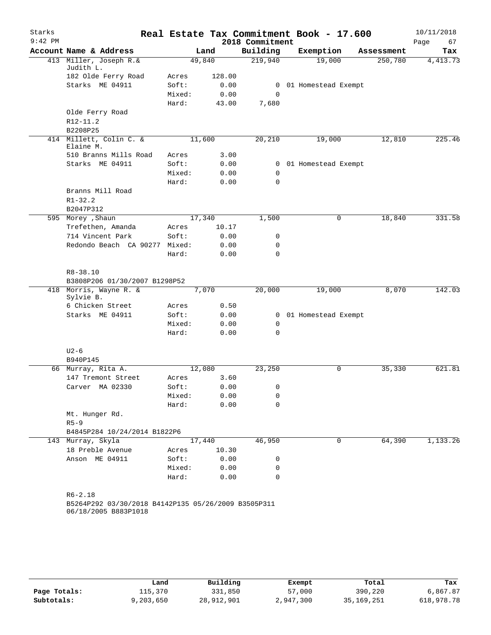| $9:42$ PM<br>2018 Commitment<br>Page<br>Account Name & Address<br>Building<br>Exemption<br>Land<br>Assessment<br>413 Miller, Joseph R.&<br>49,840<br>219,940<br>19,000<br>250,780<br>Judith L.<br>182 Olde Ferry Road<br>128.00<br>Acres<br>Starks ME 04911<br>Soft:<br>0.00<br>0<br>01 Homestead Exempt<br>Mixed:<br>0.00<br>$\mathbf 0$<br>Hard:<br>43.00<br>7,680<br>Olde Ferry Road<br>R12-11.2 | 67<br>Tax<br>4, 413.73<br>225.46 |
|-----------------------------------------------------------------------------------------------------------------------------------------------------------------------------------------------------------------------------------------------------------------------------------------------------------------------------------------------------------------------------------------------------|----------------------------------|
|                                                                                                                                                                                                                                                                                                                                                                                                     |                                  |
|                                                                                                                                                                                                                                                                                                                                                                                                     |                                  |
|                                                                                                                                                                                                                                                                                                                                                                                                     |                                  |
|                                                                                                                                                                                                                                                                                                                                                                                                     |                                  |
|                                                                                                                                                                                                                                                                                                                                                                                                     |                                  |
|                                                                                                                                                                                                                                                                                                                                                                                                     |                                  |
|                                                                                                                                                                                                                                                                                                                                                                                                     |                                  |
|                                                                                                                                                                                                                                                                                                                                                                                                     |                                  |
|                                                                                                                                                                                                                                                                                                                                                                                                     |                                  |
| B2208P25                                                                                                                                                                                                                                                                                                                                                                                            |                                  |
| 414 Millett, Colin C. &<br>11,600<br>20,210<br>12,810<br>19,000<br>Elaine M.                                                                                                                                                                                                                                                                                                                        |                                  |
| 510 Branns Mills Road<br>3.00<br>Acres                                                                                                                                                                                                                                                                                                                                                              |                                  |
| Starks ME 04911<br>Soft:<br>0.00<br>0 01 Homestead Exempt                                                                                                                                                                                                                                                                                                                                           |                                  |
| Mixed:<br>0.00<br>0                                                                                                                                                                                                                                                                                                                                                                                 |                                  |
| Hard:<br>0.00<br>$\mathbf 0$                                                                                                                                                                                                                                                                                                                                                                        |                                  |
| Branns Mill Road<br>$R1 - 32.2$                                                                                                                                                                                                                                                                                                                                                                     |                                  |
| B2047P312                                                                                                                                                                                                                                                                                                                                                                                           |                                  |
| 595 Morey , Shaun<br>17,340<br>1,500<br>0<br>18,840                                                                                                                                                                                                                                                                                                                                                 | 331.58                           |
| Trefethen, Amanda<br>10.17<br>Acres                                                                                                                                                                                                                                                                                                                                                                 |                                  |
| 714 Vincent Park<br>Soft:<br>0.00<br>0                                                                                                                                                                                                                                                                                                                                                              |                                  |
| Redondo Beach CA 90277 Mixed:<br>0.00<br>0                                                                                                                                                                                                                                                                                                                                                          |                                  |
| Hard:<br>$\Omega$<br>0.00                                                                                                                                                                                                                                                                                                                                                                           |                                  |
| $R8 - 38.10$                                                                                                                                                                                                                                                                                                                                                                                        |                                  |
| B3808P206 01/30/2007 B1298P52                                                                                                                                                                                                                                                                                                                                                                       |                                  |
| 418 Morris, Wayne R. &<br>7,070<br>20,000<br>19,000<br>8,070                                                                                                                                                                                                                                                                                                                                        | 142.03                           |
| Sylvie B.                                                                                                                                                                                                                                                                                                                                                                                           |                                  |
| 6 Chicken Street<br>0.50<br>Acres                                                                                                                                                                                                                                                                                                                                                                   |                                  |
| Starks ME 04911<br>Soft:<br>0.00<br>01 Homestead Exempt<br>$\overline{0}$                                                                                                                                                                                                                                                                                                                           |                                  |
| Mixed:<br>0.00<br>0                                                                                                                                                                                                                                                                                                                                                                                 |                                  |
| $\mathbf 0$<br>Hard:<br>0.00                                                                                                                                                                                                                                                                                                                                                                        |                                  |
|                                                                                                                                                                                                                                                                                                                                                                                                     |                                  |
| $U2-6$<br>B940P145                                                                                                                                                                                                                                                                                                                                                                                  |                                  |
| $\mathbf 0$<br>66 Murray, Rita A.<br>12,080<br>23,250<br>35,330                                                                                                                                                                                                                                                                                                                                     | 621.81                           |
| 147 Tremont Street<br>3.60<br>Acres                                                                                                                                                                                                                                                                                                                                                                 |                                  |
| Soft:<br>0.00<br>Carver MA 02330<br>0                                                                                                                                                                                                                                                                                                                                                               |                                  |
| Mixed:<br>0.00<br>0                                                                                                                                                                                                                                                                                                                                                                                 |                                  |
| Hard:<br>0.00<br>$\Omega$                                                                                                                                                                                                                                                                                                                                                                           |                                  |
| Mt. Hunger Rd.                                                                                                                                                                                                                                                                                                                                                                                      |                                  |
| $R5-9$                                                                                                                                                                                                                                                                                                                                                                                              |                                  |
| B4845P284 10/24/2014 B1822P6                                                                                                                                                                                                                                                                                                                                                                        |                                  |
| 143 Murray, Skyla<br>46,950<br>$\mathbf{0}$<br>64,390<br>17,440                                                                                                                                                                                                                                                                                                                                     | 1,133.26                         |
| 18 Preble Avenue<br>10.30<br>Acres                                                                                                                                                                                                                                                                                                                                                                  |                                  |
| Anson ME 04911<br>Soft:<br>0.00<br>0                                                                                                                                                                                                                                                                                                                                                                |                                  |
| 0.00<br>Mixed:<br>0                                                                                                                                                                                                                                                                                                                                                                                 |                                  |
| $\mathbf 0$<br>Hard:<br>0.00                                                                                                                                                                                                                                                                                                                                                                        |                                  |
|                                                                                                                                                                                                                                                                                                                                                                                                     |                                  |
| $R6 - 2.18$                                                                                                                                                                                                                                                                                                                                                                                         |                                  |
| B5264P292 03/30/2018 B4142P135 05/26/2009 B3505P311<br>06/18/2005 B883P1018                                                                                                                                                                                                                                                                                                                         |                                  |

|              | Land      | Building   | Exempt    | Total      | Tax        |
|--------------|-----------|------------|-----------|------------|------------|
| Page Totals: | 115,370   | 331,850    | 57,000    | 390,220    | 6,867.87   |
| Subtotals:   | 9,203,650 | 28,912,901 | 2,947,300 | 35,169,251 | 618,978.78 |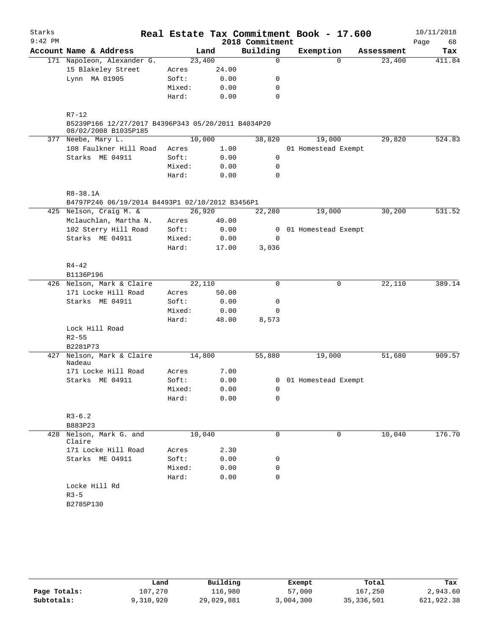| Starks    |                                                                                         |                     |       |                 | Real Estate Tax Commitment Book - 17.600 |            | 10/11/2018 |
|-----------|-----------------------------------------------------------------------------------------|---------------------|-------|-----------------|------------------------------------------|------------|------------|
| $9:42$ PM |                                                                                         |                     |       | 2018 Commitment |                                          |            | Page<br>68 |
|           | Account Name & Address                                                                  |                     | Land  | Building        | Exemption                                | Assessment | Tax        |
|           | 171 Napoleon, Alexander G.                                                              | 23,400              |       | $\mathbf 0$     | $\Omega$                                 | 23,400     | 411.84     |
|           | 15 Blakeley Street                                                                      | Acres               | 24.00 |                 |                                          |            |            |
|           | Lynn MA 01905                                                                           | Soft:               | 0.00  | 0               |                                          |            |            |
|           |                                                                                         | Mixed:              | 0.00  | 0               |                                          |            |            |
|           |                                                                                         | Hard:               | 0.00  | $\mathbf 0$     |                                          |            |            |
|           | $R7 - 12$<br>B5239P166 12/27/2017 B4396P343 05/20/2011 B4034P20<br>08/02/2008 B1035P185 |                     |       |                 |                                          |            |            |
|           | 377 Neebe, Mary L.                                                                      | 10,000              |       | 38,820          | 19,000                                   | 29,820     | 524.83     |
|           | 108 Faulkner Hill Road                                                                  | Acres               | 1.00  |                 | 01 Homestead Exempt                      |            |            |
|           | Starks ME 04911                                                                         | Soft:               | 0.00  | $\mathsf{O}$    |                                          |            |            |
|           |                                                                                         | Mixed:              | 0.00  | $\mathbf 0$     |                                          |            |            |
|           |                                                                                         | Hard:               | 0.00  | $\mathbf 0$     |                                          |            |            |
|           | $R8 - 38.1A$<br>B4797P246 06/19/2014 B4493P1 02/10/2012 B3456P1                         |                     |       |                 |                                          |            |            |
|           | 425 Nelson, Craig M. &                                                                  | $\overline{26,920}$ |       | 22,280          | 19,000                                   | 30,200     | 531.52     |
|           | Mclauchlan, Martha N.                                                                   | Acres               | 40.00 |                 |                                          |            |            |
|           | 102 Sterry Hill Road                                                                    | Soft:               | 0.00  |                 | 0 01 Homestead Exempt                    |            |            |
|           | Starks ME 04911                                                                         | Mixed:              | 0.00  | 0               |                                          |            |            |
|           |                                                                                         | Hard:               | 17.00 | 3,036           |                                          |            |            |
|           | $R4 - 42$<br>B1136P196                                                                  |                     |       |                 |                                          |            |            |
|           | 426 Nelson, Mark & Claire                                                               | 22,110              |       | $\mathbf 0$     | 0                                        | 22,110     | 389.14     |
|           | 171 Locke Hill Road                                                                     | Acres               | 50.00 |                 |                                          |            |            |
|           | Starks ME 04911                                                                         | Soft:               | 0.00  | 0               |                                          |            |            |
|           |                                                                                         | Mixed:              | 0.00  | 0               |                                          |            |            |
|           |                                                                                         | Hard:               | 48.00 | 8,573           |                                          |            |            |
|           | Lock Hill Road                                                                          |                     |       |                 |                                          |            |            |
|           | $R2 - 55$                                                                               |                     |       |                 |                                          |            |            |
|           | B2281P73                                                                                |                     |       |                 |                                          |            |            |
| 427       | Nelson, Mark & Claire<br>Nadeau                                                         | 14,800              |       | 55,880          | 19,000                                   | 51,680     | 909.57     |
|           | 171 Locke Hill Road                                                                     | Acres               | 7.00  |                 |                                          |            |            |
|           | Starks ME 04911                                                                         | Soft:               | 0.00  |                 | 0 01 Homestead Exempt                    |            |            |
|           |                                                                                         | Mixed:              | 0.00  | 0               |                                          |            |            |
|           |                                                                                         | Hard:               | 0.00  | 0               |                                          |            |            |
|           | $R3 - 6.2$                                                                              |                     |       |                 |                                          |            |            |
|           | B883P23                                                                                 |                     |       |                 |                                          |            |            |
| 428       | Nelson, Mark G. and<br>Claire                                                           | 10,040              |       | 0               | 0                                        | 10,040     | 176.70     |
|           | 171 Locke Hill Road                                                                     | Acres               | 2.30  |                 |                                          |            |            |
|           | Starks ME 04911                                                                         | Soft:               | 0.00  | 0               |                                          |            |            |
|           |                                                                                         | Mixed:              | 0.00  | 0               |                                          |            |            |
|           |                                                                                         | Hard:               | 0.00  | 0               |                                          |            |            |
|           | Locke Hill Rd                                                                           |                     |       |                 |                                          |            |            |
|           | $R3 - 5$                                                                                |                     |       |                 |                                          |            |            |
|           | B2785P130                                                                               |                     |       |                 |                                          |            |            |
|           |                                                                                         |                     |       |                 |                                          |            |            |
|           |                                                                                         |                     |       |                 |                                          |            |            |

|              | Land      | Building   | Exempt    | Total        | Tax        |
|--------------|-----------|------------|-----------|--------------|------------|
| Page Totals: | 107,270   | 116,980    | 57,000    | 167,250      | 2,943.60   |
| Subtotals:   | 9,310,920 | 29,029,881 | 3,004,300 | 35, 336, 501 | 621,922.38 |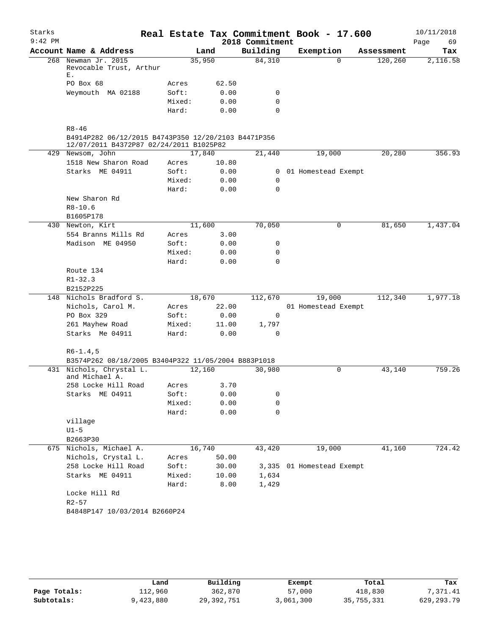| Account Name & Address<br>268 Newman Jr. 2015<br>Revocable Trust, Arthur<br>PO Box 68<br>Weymouth MA 02188<br>$R8 - 46$<br>B4914P282 06/12/2015 B4743P350 12/20/2103 B4471P356<br>12/07/2011 B4372P87 02/24/2011 B1025P82<br>429 Newsom, John<br>1518 New Sharon Road<br>Starks ME 04911<br>New Sharon Rd<br>$R8 - 10.6$<br>B1605P178 | 35,950<br>Acres<br>Soft:<br>Mixed:<br>Hard:<br>17,840<br>Acres<br>Soft:<br>Mixed:<br>Hard: | Land<br>62.50<br>0.00<br>0.00<br>0.00<br>10.80<br>0.00<br>0.00<br>0.00 | 2018 Commitment<br>Building<br>84,310<br>0<br>0<br>$\Omega$<br>21,440<br>0 | Real Estate Tax Commitment Book - 17.600<br>Exemption<br>$\Omega$<br>19,000<br>0 01 Homestead Exempt | Assessment<br>120, 260<br>20,280 | Page<br>69<br>Tax<br>2,116.58<br>356.93                    |
|---------------------------------------------------------------------------------------------------------------------------------------------------------------------------------------------------------------------------------------------------------------------------------------------------------------------------------------|--------------------------------------------------------------------------------------------|------------------------------------------------------------------------|----------------------------------------------------------------------------|------------------------------------------------------------------------------------------------------|----------------------------------|------------------------------------------------------------|
|                                                                                                                                                                                                                                                                                                                                       |                                                                                            |                                                                        |                                                                            |                                                                                                      |                                  |                                                            |
|                                                                                                                                                                                                                                                                                                                                       |                                                                                            |                                                                        |                                                                            |                                                                                                      |                                  |                                                            |
|                                                                                                                                                                                                                                                                                                                                       |                                                                                            |                                                                        |                                                                            |                                                                                                      |                                  |                                                            |
|                                                                                                                                                                                                                                                                                                                                       |                                                                                            |                                                                        |                                                                            |                                                                                                      |                                  |                                                            |
|                                                                                                                                                                                                                                                                                                                                       |                                                                                            |                                                                        |                                                                            |                                                                                                      |                                  |                                                            |
|                                                                                                                                                                                                                                                                                                                                       |                                                                                            |                                                                        |                                                                            |                                                                                                      |                                  |                                                            |
|                                                                                                                                                                                                                                                                                                                                       |                                                                                            |                                                                        |                                                                            |                                                                                                      |                                  |                                                            |
|                                                                                                                                                                                                                                                                                                                                       |                                                                                            |                                                                        |                                                                            |                                                                                                      |                                  |                                                            |
|                                                                                                                                                                                                                                                                                                                                       |                                                                                            |                                                                        |                                                                            |                                                                                                      |                                  |                                                            |
|                                                                                                                                                                                                                                                                                                                                       |                                                                                            |                                                                        |                                                                            |                                                                                                      |                                  |                                                            |
|                                                                                                                                                                                                                                                                                                                                       |                                                                                            |                                                                        |                                                                            |                                                                                                      |                                  |                                                            |
|                                                                                                                                                                                                                                                                                                                                       |                                                                                            |                                                                        |                                                                            |                                                                                                      |                                  |                                                            |
|                                                                                                                                                                                                                                                                                                                                       |                                                                                            |                                                                        |                                                                            |                                                                                                      |                                  |                                                            |
|                                                                                                                                                                                                                                                                                                                                       |                                                                                            |                                                                        | $\mathbf 0$                                                                |                                                                                                      |                                  |                                                            |
|                                                                                                                                                                                                                                                                                                                                       |                                                                                            |                                                                        |                                                                            |                                                                                                      |                                  |                                                            |
|                                                                                                                                                                                                                                                                                                                                       |                                                                                            |                                                                        |                                                                            |                                                                                                      |                                  |                                                            |
|                                                                                                                                                                                                                                                                                                                                       |                                                                                            |                                                                        |                                                                            |                                                                                                      |                                  |                                                            |
| 430 Newton, Kirt                                                                                                                                                                                                                                                                                                                      |                                                                                            |                                                                        | 70,050                                                                     | 0                                                                                                    | 81,650                           | 1,437.04                                                   |
| 554 Branns Mills Rd                                                                                                                                                                                                                                                                                                                   | Acres                                                                                      | 3.00                                                                   |                                                                            |                                                                                                      |                                  |                                                            |
| Madison ME 04950                                                                                                                                                                                                                                                                                                                      | Soft:                                                                                      | 0.00                                                                   | 0                                                                          |                                                                                                      |                                  |                                                            |
|                                                                                                                                                                                                                                                                                                                                       | Mixed:                                                                                     | 0.00                                                                   | 0                                                                          |                                                                                                      |                                  |                                                            |
|                                                                                                                                                                                                                                                                                                                                       | Hard:                                                                                      | 0.00                                                                   | $\Omega$                                                                   |                                                                                                      |                                  |                                                            |
| Route 134                                                                                                                                                                                                                                                                                                                             |                                                                                            |                                                                        |                                                                            |                                                                                                      |                                  |                                                            |
| $R1 - 32.3$                                                                                                                                                                                                                                                                                                                           |                                                                                            |                                                                        |                                                                            |                                                                                                      |                                  |                                                            |
| B2152P225                                                                                                                                                                                                                                                                                                                             |                                                                                            |                                                                        |                                                                            |                                                                                                      |                                  |                                                            |
| 148 Nichols Bradford S.                                                                                                                                                                                                                                                                                                               |                                                                                            |                                                                        | 112,670                                                                    | 19,000                                                                                               | 112,340                          | 1,977.18                                                   |
| Nichols, Carol M.                                                                                                                                                                                                                                                                                                                     | Acres                                                                                      | 22.00                                                                  |                                                                            |                                                                                                      |                                  |                                                            |
| PO Box 329                                                                                                                                                                                                                                                                                                                            | Soft:                                                                                      | 0.00                                                                   | 0                                                                          |                                                                                                      |                                  |                                                            |
| 261 Mayhew Road                                                                                                                                                                                                                                                                                                                       | Mixed:                                                                                     | 11.00                                                                  | 1,797                                                                      |                                                                                                      |                                  |                                                            |
| Starks Me 04911                                                                                                                                                                                                                                                                                                                       | Hard:                                                                                      | 0.00                                                                   | $\mathbf 0$                                                                |                                                                                                      |                                  |                                                            |
| $R6-1.4,5$                                                                                                                                                                                                                                                                                                                            |                                                                                            |                                                                        |                                                                            |                                                                                                      |                                  |                                                            |
|                                                                                                                                                                                                                                                                                                                                       |                                                                                            |                                                                        |                                                                            |                                                                                                      |                                  |                                                            |
| 431 Nichols, Chrystal L.<br>and Michael A.                                                                                                                                                                                                                                                                                            |                                                                                            |                                                                        | 30,980                                                                     | $\mathbf 0$                                                                                          |                                  | 759.26                                                     |
| 258 Locke Hill Road                                                                                                                                                                                                                                                                                                                   |                                                                                            |                                                                        |                                                                            |                                                                                                      |                                  |                                                            |
| Starks ME 04911                                                                                                                                                                                                                                                                                                                       | Soft:                                                                                      | 0.00                                                                   | 0                                                                          |                                                                                                      |                                  |                                                            |
|                                                                                                                                                                                                                                                                                                                                       | Mixed:                                                                                     | 0.00                                                                   | 0                                                                          |                                                                                                      |                                  |                                                            |
|                                                                                                                                                                                                                                                                                                                                       | Hard:                                                                                      | 0.00                                                                   | 0                                                                          |                                                                                                      |                                  |                                                            |
| village                                                                                                                                                                                                                                                                                                                               |                                                                                            |                                                                        |                                                                            |                                                                                                      |                                  |                                                            |
| $U1-5$                                                                                                                                                                                                                                                                                                                                |                                                                                            |                                                                        |                                                                            |                                                                                                      |                                  |                                                            |
| B2663P30                                                                                                                                                                                                                                                                                                                              |                                                                                            |                                                                        |                                                                            |                                                                                                      |                                  |                                                            |
| 675 Nichols, Michael A.                                                                                                                                                                                                                                                                                                               |                                                                                            |                                                                        | 43,420                                                                     | 19,000                                                                                               | 41,160                           | 724.42                                                     |
| Nichols, Crystal L.                                                                                                                                                                                                                                                                                                                   | Acres                                                                                      | 50.00                                                                  |                                                                            |                                                                                                      |                                  |                                                            |
| 258 Locke Hill Road                                                                                                                                                                                                                                                                                                                   | Soft:                                                                                      |                                                                        |                                                                            |                                                                                                      |                                  |                                                            |
| Starks ME 04911                                                                                                                                                                                                                                                                                                                       | Mixed:                                                                                     | 10.00                                                                  | 1,634                                                                      |                                                                                                      |                                  |                                                            |
|                                                                                                                                                                                                                                                                                                                                       | Hard:                                                                                      | 8.00                                                                   | 1,429                                                                      |                                                                                                      |                                  |                                                            |
| Locke Hill Rd<br>$R2 - 57$                                                                                                                                                                                                                                                                                                            |                                                                                            |                                                                        |                                                                            |                                                                                                      |                                  |                                                            |
|                                                                                                                                                                                                                                                                                                                                       |                                                                                            |                                                                        |                                                                            |                                                                                                      |                                  |                                                            |
|                                                                                                                                                                                                                                                                                                                                       |                                                                                            | B4848P147 10/03/2014 B2660P24                                          | 11,600<br>18,670<br>12,160<br>Acres<br>16,740                              | B3574P262 08/18/2005 B3404P322 11/05/2004 B883P1018<br>3.70<br>30.00                                 |                                  | 01 Homestead Exempt<br>43,140<br>3,335 01 Homestead Exempt |

|              | Land      | Building     | Exempt    | Total      | Tax          |
|--------------|-----------|--------------|-----------|------------|--------------|
| Page Totals: | 112,960   | 362,870      | 57,000    | 418,830    | 7,371.41     |
| Subtotals:   | 9,423,880 | 29, 392, 751 | 3,061,300 | 35,755,331 | 629, 293. 79 |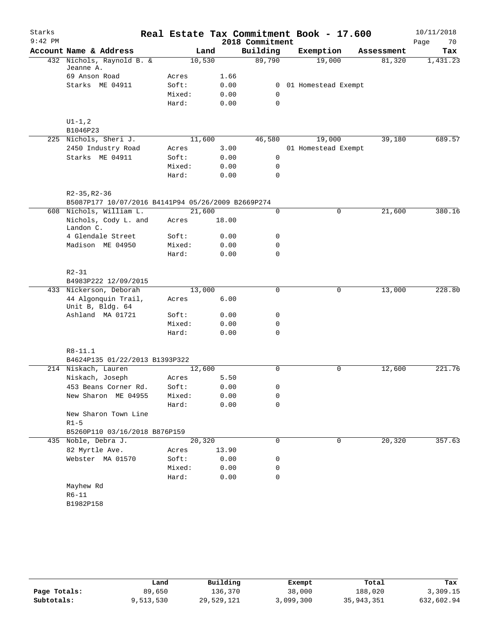| Starks    |                                                    |        |       |      |                 | Real Estate Tax Commitment Book - 17.600 |            |      | 10/11/2018 |
|-----------|----------------------------------------------------|--------|-------|------|-----------------|------------------------------------------|------------|------|------------|
| $9:42$ PM |                                                    |        |       |      | 2018 Commitment |                                          |            | Page | 70         |
|           | Account Name & Address                             |        | Land  |      | Building        | Exemption                                | Assessment |      | Tax        |
|           | 432 Nichols, Raynold B. &                          | 10,530 |       |      | 89,790          | 19,000                                   | 81,320     |      | 1,431.23   |
|           | Jeanne A.                                          |        |       |      |                 |                                          |            |      |            |
|           | 69 Anson Road                                      | Acres  |       | 1.66 |                 |                                          |            |      |            |
|           | Starks ME 04911                                    | Soft:  |       | 0.00 | 0               | 01 Homestead Exempt                      |            |      |            |
|           |                                                    | Mixed: |       | 0.00 | 0               |                                          |            |      |            |
|           |                                                    | Hard:  |       | 0.00 | 0               |                                          |            |      |            |
|           | $\mathtt{UI-1}$ , $2$                              |        |       |      |                 |                                          |            |      |            |
|           | B1046P23                                           |        |       |      |                 |                                          |            |      |            |
|           | 225 Nichols, Sheri J.                              | 11,600 |       |      | 46,580          | 19,000                                   | 39,180     |      | 689.57     |
|           | 2450 Industry Road                                 | Acres  |       | 3.00 |                 | 01 Homestead Exempt                      |            |      |            |
|           | Starks ME 04911                                    | Soft:  |       | 0.00 | $\mathsf{O}$    |                                          |            |      |            |
|           |                                                    | Mixed: |       | 0.00 | 0               |                                          |            |      |            |
|           |                                                    | Hard:  |       | 0.00 | 0               |                                          |            |      |            |
|           | R2-35, R2-36                                       |        |       |      |                 |                                          |            |      |            |
|           | B5087P177 10/07/2016 B4141P94 05/26/2009 B2669P274 |        |       |      |                 |                                          |            |      |            |
|           | 608 Nichols, William L.                            | 21,600 |       |      | $\mathsf{O}$    | 0                                        | 21,600     |      | 380.16     |
|           | Nichols, Cody L. and<br>Landon C.                  | Acres  | 18.00 |      |                 |                                          |            |      |            |
|           | 4 Glendale Street                                  | Soft:  |       | 0.00 | 0               |                                          |            |      |            |
|           | Madison ME 04950                                   | Mixed: |       | 0.00 | 0               |                                          |            |      |            |
|           |                                                    | Hard:  |       | 0.00 | 0               |                                          |            |      |            |
|           | $R2 - 31$<br>B4983P222 12/09/2015                  |        |       |      |                 |                                          |            |      |            |
|           | 433 Nickerson, Deborah                             | 13,000 |       |      | 0               | 0                                        | 13,000     |      | 228.80     |
|           | 44 Algonquin Trail,                                | Acres  |       | 6.00 |                 |                                          |            |      |            |
|           | Unit B, Bldg. 64                                   |        |       |      |                 |                                          |            |      |            |
|           | Ashland MA 01721                                   | Soft:  |       | 0.00 | 0               |                                          |            |      |            |
|           |                                                    | Mixed: |       | 0.00 | 0               |                                          |            |      |            |
|           |                                                    | Hard:  |       | 0.00 | $\Omega$        |                                          |            |      |            |
|           | R8-11.1                                            |        |       |      |                 |                                          |            |      |            |
|           | B4624P135 01/22/2013 B1393P322                     |        |       |      |                 |                                          |            |      |            |
|           | 214 Niskach, Lauren                                | 12,600 |       |      | $\Omega$        | 0                                        | 12,600     |      | 221.76     |
|           | Niskach, Joseph                                    | Acres  |       | 5.50 |                 |                                          |            |      |            |
|           | 453 Beans Corner Rd.                               | Soft:  |       | 0.00 | 0               |                                          |            |      |            |
|           | New Sharon ME 04955                                | Mixed: |       | 0.00 | 0               |                                          |            |      |            |
|           |                                                    | Hard:  |       | 0.00 | 0               |                                          |            |      |            |
|           | New Sharon Town Line                               |        |       |      |                 |                                          |            |      |            |
|           | $R1-5$                                             |        |       |      |                 |                                          |            |      |            |
|           | B5260P110 03/16/2018 B876P159                      |        |       |      |                 |                                          |            |      |            |
|           | 435 Noble, Debra J.                                | 20,320 |       |      | 0               | 0                                        | 20,320     |      | 357.63     |
|           | 82 Myrtle Ave.                                     | Acres  | 13.90 |      |                 |                                          |            |      |            |
|           | Webster MA 01570                                   | Soft:  |       | 0.00 | 0               |                                          |            |      |            |
|           |                                                    | Mixed: |       | 0.00 | 0               |                                          |            |      |            |
|           |                                                    | Hard:  |       | 0.00 | 0               |                                          |            |      |            |
|           | Mayhew Rd                                          |        |       |      |                 |                                          |            |      |            |
|           | $R6 - 11$                                          |        |       |      |                 |                                          |            |      |            |
|           | B1982P158                                          |        |       |      |                 |                                          |            |      |            |
|           |                                                    |        |       |      |                 |                                          |            |      |            |

|              | Land      | Building   | Exempt    | Total      | Tax        |
|--------------|-----------|------------|-----------|------------|------------|
| Page Totals: | 89,650    | 136,370    | 38,000    | 188,020    | 3,309.15   |
| Subtotals:   | 9,513,530 | 29,529,121 | 3,099,300 | 35,943,351 | 632,602.94 |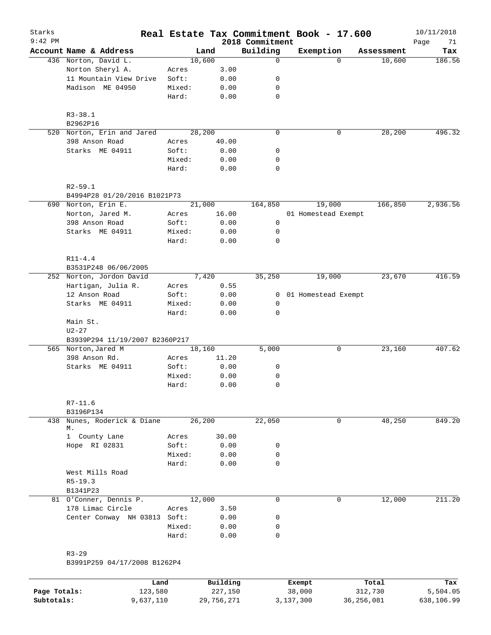| Starks<br>$9:42$ PM |                                             |        |        |       | 2018 Commitment | Real Estate Tax Commitment Book - 17.600 |            | 10/11/2018<br>Page<br>71 |
|---------------------|---------------------------------------------|--------|--------|-------|-----------------|------------------------------------------|------------|--------------------------|
|                     | Account Name & Address                      |        | Land   |       | Building        | Exemption                                | Assessment | Tax                      |
|                     | 436 Norton, David L.                        |        | 10,600 |       | $\mathbf 0$     | $\Omega$                                 | 10,600     | 186.56                   |
|                     | Norton Sheryl A.                            | Acres  |        | 3.00  |                 |                                          |            |                          |
|                     | 11 Mountain View Drive                      | Soft:  |        | 0.00  | 0               |                                          |            |                          |
|                     | Madison ME 04950                            | Mixed: |        | 0.00  | 0               |                                          |            |                          |
|                     |                                             | Hard:  |        | 0.00  | 0               |                                          |            |                          |
|                     | $R3 - 38.1$<br>B2962P16                     |        |        |       |                 |                                          |            |                          |
|                     | 520 Norton, Erin and Jared                  |        | 28,200 |       | $\mathbf 0$     | 0                                        | 28,200     | 496.32                   |
|                     | 398 Anson Road                              | Acres  |        | 40.00 |                 |                                          |            |                          |
|                     | Starks ME 04911                             | Soft:  |        | 0.00  | 0               |                                          |            |                          |
|                     |                                             | Mixed: |        | 0.00  | 0               |                                          |            |                          |
|                     |                                             | Hard:  |        | 0.00  | $\mathbf 0$     |                                          |            |                          |
|                     | $R2 - 59.1$<br>B4994P28 01/20/2016 B1021P73 |        |        |       |                 |                                          |            |                          |
|                     | 690 Norton, Erin E.                         |        | 21,000 |       | 164,850         | 19,000                                   | 166,850    | 2,936.56                 |
|                     | Norton, Jared M.                            | Acres  |        | 16.00 |                 | 01 Homestead Exempt                      |            |                          |
|                     | 398 Anson Road                              | Soft:  |        | 0.00  | 0               |                                          |            |                          |
|                     | Starks ME 04911                             | Mixed: |        | 0.00  | 0               |                                          |            |                          |
|                     |                                             | Hard:  |        | 0.00  | $\mathbf 0$     |                                          |            |                          |
|                     | $R11 - 4.4$                                 |        |        |       |                 |                                          |            |                          |
|                     | B3531P248 06/06/2005                        |        |        |       |                 |                                          |            |                          |
|                     | 252 Norton, Jordon David                    |        | 7,420  |       | 35,250          | 19,000                                   | 23,670     | 416.59                   |
|                     | Hartigan, Julia R.                          | Acres  |        | 0.55  |                 |                                          |            |                          |
|                     | 12 Anson Road                               | Soft:  |        | 0.00  | 0               | 01 Homestead Exempt                      |            |                          |
|                     | Starks ME 04911                             | Mixed: |        | 0.00  | 0               |                                          |            |                          |
|                     |                                             | Hard:  |        | 0.00  | $\mathbf 0$     |                                          |            |                          |
|                     | Main St.<br>$U2 - 27$                       |        |        |       |                 |                                          |            |                          |
|                     | B3939P294 11/19/2007 B2360P217              |        |        |       |                 |                                          |            |                          |
|                     | 565 Norton, Jared M                         |        | 18,160 |       | 5,000           | 0                                        | 23,160     | 407.62                   |
|                     | 398 Anson Rd.                               | Acres  |        | 11.20 |                 |                                          |            |                          |
|                     | Starks ME 04911                             | Soft:  |        | 0.00  | 0               |                                          |            |                          |
|                     |                                             | Mixed: |        | 0.00  | 0               |                                          |            |                          |
|                     |                                             | Hard:  |        | 0.00  | $\mathbf 0$     |                                          |            |                          |
|                     | $R7 - 11.6$                                 |        |        |       |                 |                                          |            |                          |
|                     | B3196P134                                   |        |        |       |                 |                                          |            |                          |
| 438                 | Nunes, Roderick & Diane<br>М.               |        | 26,200 |       | 22,050          | 0                                        | 48,250     | 849.20                   |
|                     | 1 County Lane                               | Acres  |        | 30.00 |                 |                                          |            |                          |
|                     | Hope RI 02831                               | Soft:  |        | 0.00  | 0               |                                          |            |                          |
|                     |                                             | Mixed: |        | 0.00  | 0               |                                          |            |                          |
|                     |                                             | Hard:  |        | 0.00  | 0               |                                          |            |                          |
|                     | West Mills Road                             |        |        |       |                 |                                          |            |                          |
|                     | $R5 - 19.3$<br>B1341P23                     |        |        |       |                 |                                          |            |                          |
|                     | 81 O'Conner, Dennis P.                      |        | 12,000 |       | 0               | 0                                        | 12,000     | 211.20                   |
|                     | 178 Limac Circle                            | Acres  |        | 3.50  |                 |                                          |            |                          |
|                     | Center Conway NH 03813 Soft:                |        |        | 0.00  | 0               |                                          |            |                          |
|                     |                                             | Mixed: |        | 0.00  | 0               |                                          |            |                          |
|                     |                                             | Hard:  |        | 0.00  | 0               |                                          |            |                          |
|                     |                                             |        |        |       |                 |                                          |            |                          |
|                     | $R3 - 29$                                   |        |        |       |                 |                                          |            |                          |
|                     | B3991P259 04/17/2008 B1262P4                |        |        |       |                 |                                          |            |                          |

|              | Land      | Building   | Exempt    | Total      | Tax        |
|--------------|-----------|------------|-----------|------------|------------|
| Page Totals: | 123,580   | 227,150    | 38,000    | 312,730    | 5,504.05   |
| Subtotals:   | 9,637,110 | 29,756,271 | 3,137,300 | 36,256,081 | 638,106.99 |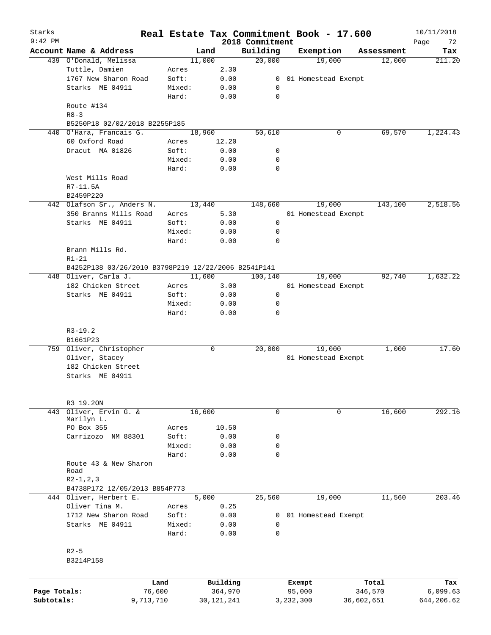| Starks<br>$9:42$ PM |                                                     |        |          | 2018 Commitment | Real Estate Tax Commitment Book - 17.600 |                    | 10/11/2018<br>72<br>Page |
|---------------------|-----------------------------------------------------|--------|----------|-----------------|------------------------------------------|--------------------|--------------------------|
|                     | Account Name & Address                              |        | Land     | Building        | Exemption                                | Assessment         | Tax                      |
|                     | 439 O'Donald, Melissa                               |        | 11,000   | 20,000          | 19,000                                   | 12,000             | 211.20                   |
|                     | Tuttle, Damien                                      | Acres  | 2.30     |                 |                                          |                    |                          |
|                     | 1767 New Sharon Road                                | Soft:  | 0.00     |                 | 0 01 Homestead Exempt                    |                    |                          |
|                     | Starks ME 04911                                     | Mixed: | 0.00     | 0               |                                          |                    |                          |
|                     |                                                     | Hard:  | 0.00     | $\mathbf 0$     |                                          |                    |                          |
|                     | Route #134                                          |        |          |                 |                                          |                    |                          |
|                     | $R8 - 3$                                            |        |          |                 |                                          |                    |                          |
|                     | B5250P18 02/02/2018 B2255P185                       |        |          |                 |                                          |                    |                          |
|                     | 440 O'Hara, Francais G.                             |        | 18,960   | 50,610          |                                          | 0<br>69,570        | 1,224.43                 |
|                     | 60 Oxford Road                                      | Acres  | 12.20    |                 |                                          |                    |                          |
|                     | Dracut MA 01826                                     | Soft:  | 0.00     | 0               |                                          |                    |                          |
|                     |                                                     | Mixed: | 0.00     | 0               |                                          |                    |                          |
|                     |                                                     | Hard:  | 0.00     | $\mathbf 0$     |                                          |                    |                          |
|                     | West Mills Road                                     |        |          |                 |                                          |                    |                          |
|                     | R7-11.5A                                            |        |          |                 |                                          |                    |                          |
|                     | B2459P220                                           |        |          |                 |                                          |                    |                          |
|                     | 442 Olafson Sr., Anders N.                          |        | 13,440   | 148,660         | 19,000                                   | 143,100            | 2,518.56                 |
|                     | 350 Branns Mills Road                               | Acres  | 5.30     |                 | 01 Homestead Exempt                      |                    |                          |
|                     | Starks ME 04911                                     | Soft:  | 0.00     | $\mathsf{O}$    |                                          |                    |                          |
|                     |                                                     | Mixed: | 0.00     | 0               |                                          |                    |                          |
|                     |                                                     | Hard:  | 0.00     | $\mathbf 0$     |                                          |                    |                          |
|                     | Brann Mills Rd.                                     |        |          |                 |                                          |                    |                          |
|                     | $R1 - 21$                                           |        |          |                 |                                          |                    |                          |
|                     | B4252P138 03/26/2010 B3798P219 12/22/2006 B2541P141 |        |          |                 |                                          |                    |                          |
|                     | 448 Oliver, Carla J.                                |        | 11,600   | 100,140         | 19,000                                   | 92,740             | 1,632.22                 |
|                     | 182 Chicken Street                                  | Acres  | 3.00     |                 | 01 Homestead Exempt                      |                    |                          |
|                     | Starks ME 04911                                     | Soft:  | 0.00     | 0               |                                          |                    |                          |
|                     |                                                     | Mixed: | 0.00     | 0               |                                          |                    |                          |
|                     |                                                     | Hard:  | 0.00     | $\mathbf 0$     |                                          |                    |                          |
|                     |                                                     |        |          |                 |                                          |                    |                          |
|                     | $R3-19.2$                                           |        |          |                 |                                          |                    |                          |
|                     | B1661P23                                            |        |          |                 |                                          |                    |                          |
|                     | 759 Oliver, Christopher                             |        | 0        | 20,000          | 19,000                                   | 1,000              | 17.60                    |
|                     | Oliver, Stacey                                      |        |          |                 | 01 Homestead Exempt                      |                    |                          |
|                     | 182 Chicken Street                                  |        |          |                 |                                          |                    |                          |
|                     | Starks ME 04911                                     |        |          |                 |                                          |                    |                          |
|                     |                                                     |        |          |                 |                                          |                    |                          |
|                     |                                                     |        |          |                 |                                          |                    |                          |
| 443                 | R3 19.20N<br>Oliver, Ervin G. &                     |        |          | $\mathbf 0$     |                                          | $\Omega$<br>16,600 | 292.16                   |
|                     | Marilyn L.                                          |        | 16,600   |                 |                                          |                    |                          |
|                     | PO Box 355                                          | Acres  | 10.50    |                 |                                          |                    |                          |
|                     | Carrizozo NM 88301                                  | Soft:  | 0.00     | 0               |                                          |                    |                          |
|                     |                                                     | Mixed: | 0.00     | 0               |                                          |                    |                          |
|                     |                                                     | Hard:  | 0.00     | $\mathbf 0$     |                                          |                    |                          |
|                     | Route 43 & New Sharon                               |        |          |                 |                                          |                    |                          |
|                     | Road                                                |        |          |                 |                                          |                    |                          |
|                     | $R2-1, 2, 3$                                        |        |          |                 |                                          |                    |                          |
|                     | B4738P172 12/05/2013 B854P773                       |        |          |                 |                                          |                    |                          |
|                     | 444 Oliver, Herbert E.                              |        | 5,000    | 25,560          | 19,000                                   | 11,560             | 203.46                   |
|                     | Oliver Tina M.                                      | Acres  | 0.25     |                 |                                          |                    |                          |
|                     | 1712 New Sharon Road                                | Soft:  | 0.00     | 0               | 01 Homestead Exempt                      |                    |                          |
|                     | Starks ME 04911                                     | Mixed: | 0.00     | 0               |                                          |                    |                          |
|                     |                                                     | Hard:  | 0.00     | 0               |                                          |                    |                          |
|                     |                                                     |        |          |                 |                                          |                    |                          |
|                     | $R2-5$                                              |        |          |                 |                                          |                    |                          |
|                     | B3214P158                                           |        |          |                 |                                          |                    |                          |
|                     |                                                     |        |          |                 |                                          |                    |                          |
|                     |                                                     | Land   | Building |                 | Exempt                                   | Total              | Tax                      |
| Page Totals:        |                                                     | 76,600 | 364,970  |                 | 95,000                                   | 346,570            | 6,099.63                 |

**Subtotals:** 9,713,710 30,121,241 3,232,300 36,602,651 644,206.62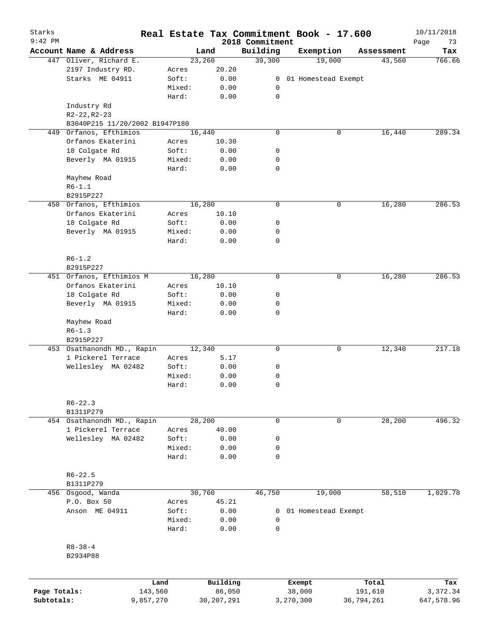| Starks<br>$9:42$ PM |                                |           |              | 2018 Commitment | Real Estate Tax Commitment Book - 17.600 |            | 10/11/2018<br>Page<br>73 |
|---------------------|--------------------------------|-----------|--------------|-----------------|------------------------------------------|------------|--------------------------|
|                     | Account Name & Address         |           | Land         | Building        | Exemption                                | Assessment | Tax                      |
|                     | 447 Oliver, Richard E.         |           | 23,260       | 39,300          | 19,000                                   | 43,560     | 766.66                   |
|                     | 2197 Industry RD.              | Acres     | 20.20        |                 |                                          |            |                          |
|                     | Starks ME 04911                | Soft:     | 0.00         | 0               | 01 Homestead Exempt                      |            |                          |
|                     |                                | Mixed:    | 0.00         | 0               |                                          |            |                          |
|                     |                                | Hard:     | 0.00         | $\mathbf 0$     |                                          |            |                          |
|                     | Industry Rd                    |           |              |                 |                                          |            |                          |
|                     | R2-22, R2-23                   |           |              |                 |                                          |            |                          |
|                     | B3040P215 11/20/2002 B1947P180 |           |              |                 |                                          |            |                          |
| 449                 | Orfanos, Efthimios             |           | 16,440       | 0               | 0                                        | 16,440     | 289.34                   |
|                     |                                |           |              |                 |                                          |            |                          |
|                     | Orfanos Ekaterini              | Acres     | 10.30        |                 |                                          |            |                          |
|                     | 18 Colgate Rd                  | Soft:     | 0.00         | 0               |                                          |            |                          |
|                     | Beverly MA 01915               | Mixed:    | 0.00         | 0               |                                          |            |                          |
|                     |                                | Hard:     | 0.00         | 0               |                                          |            |                          |
|                     | Mayhew Road                    |           |              |                 |                                          |            |                          |
|                     | $R6 - 1.1$                     |           |              |                 |                                          |            |                          |
|                     | B2915P227                      |           |              |                 |                                          |            |                          |
|                     | 450 Orfanos, Efthimios         |           | 16,280       | 0               | 0                                        | 16,280     | 286.53                   |
|                     | Orfanos Ekaterini              | Acres     | 10.10        |                 |                                          |            |                          |
|                     | 18 Colgate Rd                  | Soft:     | 0.00         | 0               |                                          |            |                          |
|                     | Beverly MA 01915               | Mixed:    | 0.00         | 0               |                                          |            |                          |
|                     |                                | Hard:     | 0.00         | 0               |                                          |            |                          |
|                     |                                |           |              |                 |                                          |            |                          |
|                     | $R6 - 1.2$                     |           |              |                 |                                          |            |                          |
|                     | B2915P227                      |           |              |                 |                                          |            |                          |
|                     | 451 Orfanos, Efthimios M       |           | 16,280       | 0               | 0                                        | 16,280     | 286.53                   |
|                     | Orfanos Ekaterini              |           |              |                 |                                          |            |                          |
|                     |                                | Acres     | 10.10        |                 |                                          |            |                          |
|                     | 18 Colgate Rd                  | Soft:     | 0.00         | 0               |                                          |            |                          |
|                     | Beverly MA 01915               | Mixed:    | 0.00         | 0               |                                          |            |                          |
|                     |                                | Hard:     | 0.00         | 0               |                                          |            |                          |
|                     | Mayhew Road                    |           |              |                 |                                          |            |                          |
|                     | $R6 - 1.3$                     |           |              |                 |                                          |            |                          |
|                     | B2915P227                      |           |              |                 |                                          |            |                          |
|                     | 453 Osathanondh MD., Rapin     |           | 12,340       | 0               | 0                                        | 12,340     | 217.18                   |
|                     | 1 Pickerel Terrace             | Acres     | 5.17         |                 |                                          |            |                          |
|                     | Wellesley MA 02482             | Soft:     | 0.00         | 0               |                                          |            |                          |
|                     |                                | Mixed:    | 0.00         | 0               |                                          |            |                          |
|                     |                                | Hard:     | 0.00         | 0               |                                          |            |                          |
|                     |                                |           |              |                 |                                          |            |                          |
|                     | $R6 - 22.3$                    |           |              |                 |                                          |            |                          |
|                     | B1311P279                      |           |              |                 |                                          |            |                          |
|                     | 454 Osathanondh MD., Rapin     |           | 28,200       | 0               | 0                                        | 28,200     | 496.32                   |
|                     | 1 Pickerel Terrace             | Acres     | 40.00        |                 |                                          |            |                          |
|                     | Wellesley MA 02482             | Soft:     | 0.00         | 0               |                                          |            |                          |
|                     |                                | Mixed:    |              |                 |                                          |            |                          |
|                     |                                |           | 0.00         | 0               |                                          |            |                          |
|                     |                                | Hard:     | 0.00         | 0               |                                          |            |                          |
|                     |                                |           |              |                 |                                          |            |                          |
|                     | $R6 - 22.5$                    |           |              |                 |                                          |            |                          |
|                     | B1311P279                      |           |              |                 |                                          |            |                          |
| 456                 | Osgood, Wanda                  |           | 30,760       | 46,750          | 19,000                                   | 58,510     | 1,029.78                 |
|                     | P.O. Box 50                    | Acres     | 45.21        |                 |                                          |            |                          |
|                     | Anson ME 04911                 | Soft:     | 0.00         | 0               | 01 Homestead Exempt                      |            |                          |
|                     |                                | Mixed:    | 0.00         | 0               |                                          |            |                          |
|                     |                                | Hard:     | 0.00         | 0               |                                          |            |                          |
|                     |                                |           |              |                 |                                          |            |                          |
|                     | $R8 - 38 - 4$                  |           |              |                 |                                          |            |                          |
|                     | B2934P88                       |           |              |                 |                                          |            |                          |
|                     |                                |           |              |                 |                                          |            |                          |
|                     |                                |           |              |                 |                                          |            |                          |
|                     |                                | Land      | Building     |                 | Exempt                                   | Total      | Tax                      |
| Page Totals:        |                                | 143,560   | 86,050       |                 | 38,000                                   | 191,610    | 3,372.34                 |
| Subtotals:          |                                | 9,857,270 | 30, 207, 291 |                 | 3,270,300                                | 36,794,261 | 647,578.96               |
|                     |                                |           |              |                 |                                          |            |                          |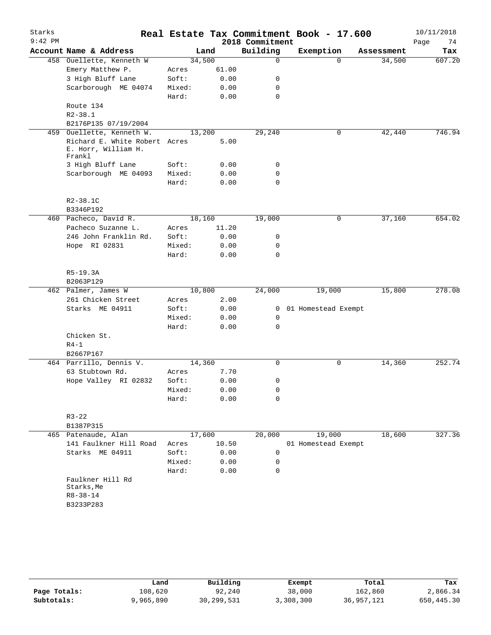| Starks<br>$9:42$ PM |                                                                |        |       | 2018 Commitment | Real Estate Tax Commitment Book - 17.600 |            | 10/11/2018<br>Page<br>74 |
|---------------------|----------------------------------------------------------------|--------|-------|-----------------|------------------------------------------|------------|--------------------------|
|                     | Account Name & Address                                         |        | Land  | Building        | Exemption                                | Assessment | Tax                      |
|                     | 458 Ouellette, Kenneth W                                       | 34,500 |       | 0               | $\Omega$                                 | 34,500     | 607.20                   |
|                     | Emery Matthew P.                                               | Acres  | 61.00 |                 |                                          |            |                          |
|                     | 3 High Bluff Lane                                              | Soft:  | 0.00  | 0               |                                          |            |                          |
|                     | Scarborough ME 04074                                           | Mixed: | 0.00  | 0               |                                          |            |                          |
|                     |                                                                | Hard:  | 0.00  | 0               |                                          |            |                          |
|                     | Route 134                                                      |        |       |                 |                                          |            |                          |
|                     | $R2 - 38.1$                                                    |        |       |                 |                                          |            |                          |
|                     | B2176P135 07/19/2004                                           |        |       |                 |                                          |            |                          |
|                     | 459 Ouellette, Kenneth W.                                      | 13,200 |       | 29,240          | 0                                        | 42,440     | 746.94                   |
|                     | Richard E. White Robert Acres<br>E. Horr, William H.<br>Frankl |        | 5.00  |                 |                                          |            |                          |
|                     | 3 High Bluff Lane                                              | Soft:  | 0.00  | 0               |                                          |            |                          |
|                     | Scarborough ME 04093                                           | Mixed: | 0.00  | 0               |                                          |            |                          |
|                     |                                                                | Hard:  | 0.00  | 0               |                                          |            |                          |
|                     |                                                                |        |       |                 |                                          |            |                          |
|                     | R2-38.1C<br>B3346P192                                          |        |       |                 |                                          |            |                          |
|                     | 460 Pacheco, David R.                                          | 18,160 |       | 19,000          | 0                                        | 37,160     | 654.02                   |
|                     | Pacheco Suzanne L.                                             | Acres  | 11.20 |                 |                                          |            |                          |
|                     | 246 John Franklin Rd.                                          | Soft:  | 0.00  | 0               |                                          |            |                          |
|                     | Hope RI 02831                                                  | Mixed: | 0.00  | 0               |                                          |            |                          |
|                     |                                                                | Hard:  | 0.00  | 0               |                                          |            |                          |
|                     |                                                                |        |       |                 |                                          |            |                          |
|                     | $R5-19.3A$                                                     |        |       |                 |                                          |            |                          |
|                     | B2063P129                                                      |        |       |                 |                                          |            |                          |
|                     | 462 Palmer, James W                                            | 10,800 |       | 24,000          | 19,000                                   | 15,800     | 278.08                   |
|                     | 261 Chicken Street                                             | Acres  | 2.00  |                 |                                          |            |                          |
|                     | Starks ME 04911                                                | Soft:  | 0.00  | $\mathbf{0}$    | 01 Homestead Exempt                      |            |                          |
|                     |                                                                | Mixed: | 0.00  | 0               |                                          |            |                          |
|                     |                                                                | Hard:  | 0.00  | 0               |                                          |            |                          |
|                     | Chicken St.                                                    |        |       |                 |                                          |            |                          |
|                     | $R4-1$                                                         |        |       |                 |                                          |            |                          |
|                     | B2667P167<br>464 Parrillo, Dennis V.                           | 14,360 |       | 0               | 0                                        | 14,360     | 252.74                   |
|                     | 63 Stubtown Rd.                                                | Acres  | 7.70  |                 |                                          |            |                          |
|                     | Hope Valley RI 02832                                           | Soft:  | 0.00  | 0               |                                          |            |                          |
|                     |                                                                | Mixed: | 0.00  | 0               |                                          |            |                          |
|                     |                                                                | Hard:  | 0.00  | 0               |                                          |            |                          |
|                     |                                                                |        |       |                 |                                          |            |                          |
|                     | $R3 - 22$                                                      |        |       |                 |                                          |            |                          |
|                     | B1387P315                                                      |        |       |                 |                                          |            |                          |
|                     | 465 Patenaude, Alan                                            | 17,600 |       | 20,000          | 19,000                                   | 18,600     | 327.36                   |
|                     | 141 Faulkner Hill Road                                         | Acres  | 10.50 |                 | 01 Homestead Exempt                      |            |                          |
|                     | Starks ME 04911                                                | Soft:  | 0.00  | 0               |                                          |            |                          |
|                     |                                                                | Mixed: | 0.00  | $\mathbf 0$     |                                          |            |                          |
|                     |                                                                | Hard:  | 0.00  | 0               |                                          |            |                          |
|                     | Faulkner Hill Rd<br>Starks, Me<br>$R8 - 38 - 14$               |        |       |                 |                                          |            |                          |
|                     | B3233P283                                                      |        |       |                 |                                          |            |                          |
|                     |                                                                |        |       |                 |                                          |            |                          |

|              | Land      | Building   | Exempt    | Total      | Tax        |
|--------------|-----------|------------|-----------|------------|------------|
| Page Totals: | 108,620   | 92,240     | 38,000    | 162,860    | 2,866.34   |
| Subtotals:   | 9,965,890 | 30,299,531 | 3,308,300 | 36,957,121 | 650,445.30 |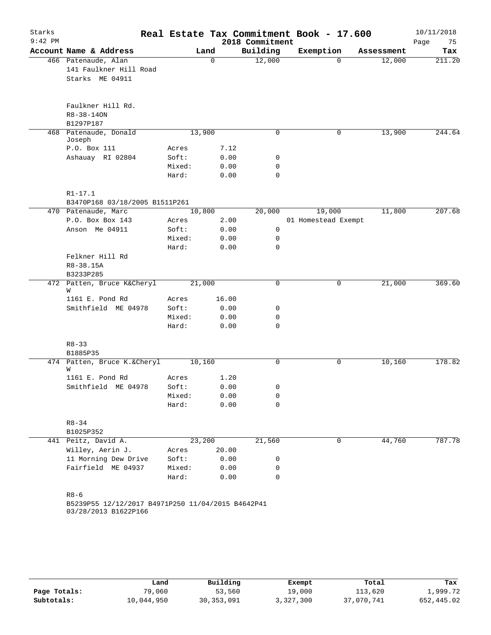| Starks    |                                                                           |        |          |       |                 | Real Estate Tax Commitment Book - 17.600 |            | 10/11/2018 |
|-----------|---------------------------------------------------------------------------|--------|----------|-------|-----------------|------------------------------------------|------------|------------|
| $9:42$ PM |                                                                           |        |          |       | 2018 Commitment |                                          |            | Page<br>75 |
|           | Account Name & Address                                                    |        | Land     |       | Building        | Exemption                                | Assessment | Tax        |
|           | 466 Patenaude, Alan                                                       |        | $\Omega$ |       | 12,000          | $\Omega$                                 | 12,000     | 211.20     |
|           | 141 Faulkner Hill Road                                                    |        |          |       |                 |                                          |            |            |
|           | Starks ME 04911                                                           |        |          |       |                 |                                          |            |            |
|           |                                                                           |        |          |       |                 |                                          |            |            |
|           | Faulkner Hill Rd.                                                         |        |          |       |                 |                                          |            |            |
|           | R8-38-140N                                                                |        |          |       |                 |                                          |            |            |
|           | B1297P187                                                                 |        |          |       |                 |                                          |            |            |
|           | 468 Patenaude, Donald                                                     |        | 13,900   |       | 0               | 0                                        | 13,900     | 244.64     |
|           | Joseph                                                                    |        |          |       |                 |                                          |            |            |
|           | P.O. Box 111                                                              | Acres  |          | 7.12  |                 |                                          |            |            |
|           | Ashauay RI 02804                                                          | Soft:  |          | 0.00  | 0               |                                          |            |            |
|           |                                                                           | Mixed: |          | 0.00  | 0               |                                          |            |            |
|           |                                                                           | Hard:  |          | 0.00  | 0               |                                          |            |            |
|           |                                                                           |        |          |       |                 |                                          |            |            |
|           | $R1 - 17.1$                                                               |        |          |       |                 |                                          |            |            |
|           | B3470P168 03/18/2005 B1511P261<br>470 Patenaude, Marc                     |        | 10,800   |       | 20,000          | 19,000                                   | 11,800     | 207.68     |
|           | P.O. Box Box 143                                                          | Acres  |          | 2.00  |                 | 01 Homestead Exempt                      |            |            |
|           | Anson Me 04911                                                            | Soft:  |          | 0.00  | $\mathsf{O}$    |                                          |            |            |
|           |                                                                           | Mixed: |          | 0.00  | 0               |                                          |            |            |
|           |                                                                           | Hard:  |          | 0.00  | 0               |                                          |            |            |
|           | Felkner Hill Rd                                                           |        |          |       |                 |                                          |            |            |
|           | R8-38.15A                                                                 |        |          |       |                 |                                          |            |            |
|           | B3233P285                                                                 |        |          |       |                 |                                          |            |            |
|           | 472 Patten, Bruce K&Cheryl                                                | 21,000 |          |       | 0               | 0                                        | 21,000     | 369.60     |
|           | W                                                                         |        |          |       |                 |                                          |            |            |
|           | 1161 E. Pond Rd                                                           | Acres  |          | 16.00 |                 |                                          |            |            |
|           | Smithfield ME 04978                                                       | Soft:  |          | 0.00  | 0               |                                          |            |            |
|           |                                                                           | Mixed: |          | 0.00  | 0               |                                          |            |            |
|           |                                                                           | Hard:  |          | 0.00  | 0               |                                          |            |            |
|           | $R8 - 33$                                                                 |        |          |       |                 |                                          |            |            |
|           | B1885P35                                                                  |        |          |       |                 |                                          |            |            |
|           | 474 Patten, Bruce K.&Cheryl                                               |        | 10,160   |       | 0               | 0                                        | 10,160     | 178.82     |
|           | W                                                                         |        |          |       |                 |                                          |            |            |
|           | 1161 E. Pond Rd                                                           | Acres  |          | 1.20  |                 |                                          |            |            |
|           | Smithfield ME 04978                                                       | Soft:  |          | 0.00  | 0               |                                          |            |            |
|           |                                                                           | Mixed: |          | 0.00  | 0               |                                          |            |            |
|           |                                                                           | Hard:  |          | 0.00  | $\Omega$        |                                          |            |            |
|           | $R8 - 34$                                                                 |        |          |       |                 |                                          |            |            |
|           | B1025P352                                                                 |        |          |       |                 |                                          |            |            |
|           | 441 Peitz, David A.                                                       |        | 23,200   |       | 21,560          | 0                                        | 44,760     | 787.78     |
|           | Willey, Aerin J.                                                          | Acres  |          | 20.00 |                 |                                          |            |            |
|           | 11 Morning Dew Drive                                                      | Soft:  |          | 0.00  | 0               |                                          |            |            |
|           | Fairfield ME 04937                                                        | Mixed: |          | 0.00  | 0               |                                          |            |            |
|           |                                                                           | Hard:  |          | 0.00  | 0               |                                          |            |            |
|           |                                                                           |        |          |       |                 |                                          |            |            |
|           | $R8 - 6$                                                                  |        |          |       |                 |                                          |            |            |
|           | B5239P55 12/12/2017 B4971P250 11/04/2015 B4642P41<br>03/28/2013 B1622P166 |        |          |       |                 |                                          |            |            |
|           |                                                                           |        |          |       |                 |                                          |            |            |

|              | Land       | Building     | Exempt    | Total      | Tax        |
|--------------|------------|--------------|-----------|------------|------------|
| Page Totals: | 79,060     | 53,560       | 19,000    | 113,620    | 1,999.72   |
| Subtotals:   | 10,044,950 | 30, 353, 091 | 3,327,300 | 37,070,741 | 652,445.02 |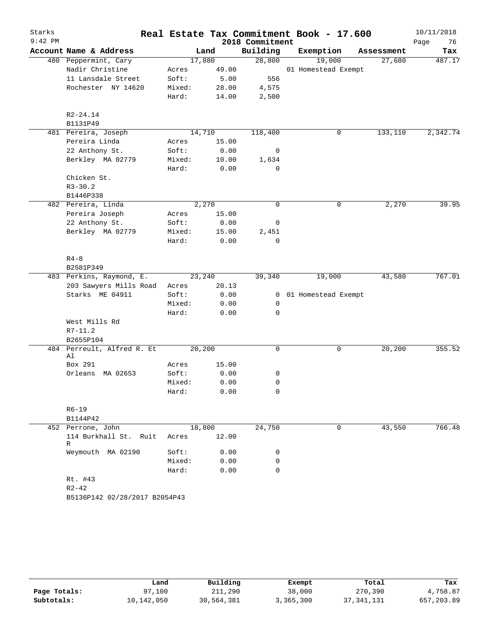| Starks<br>$9:42$ PM |                                  |                 |               | 2018 Commitment   | Real Estate Tax Commitment Book - 17.600 |            | 10/11/2018<br>Page<br>76 |
|---------------------|----------------------------------|-----------------|---------------|-------------------|------------------------------------------|------------|--------------------------|
|                     | Account Name & Address           |                 | Land          | Building          | Exemption                                | Assessment | Tax                      |
|                     | 480 Peppermint, Cary             | 17,880          |               | 28,800            | 19,000                                   | 27,680     | 487.17                   |
|                     | Nadir Christine                  | Acres           | 49.00         |                   | 01 Homestead Exempt                      |            |                          |
|                     | 11 Lansdale Street               | Soft:           | 5.00          | 556               |                                          |            |                          |
|                     | Rochester NY 14620               | Mixed:          | 28.00         | 4,575             |                                          |            |                          |
|                     |                                  | Hard:           | 14.00         | 2,500             |                                          |            |                          |
|                     | $R2 - 24.14$                     |                 |               |                   |                                          |            |                          |
|                     | B1131P49                         |                 |               |                   |                                          |            |                          |
|                     | 481 Pereira, Joseph              | 14,710          |               | 118,400           | 0                                        | 133,110    | 2,342.74                 |
|                     | Pereira Linda                    | Acres           | 15.00         |                   |                                          |            |                          |
|                     | 22 Anthony St.                   | Soft:           | 0.00          | 0                 |                                          |            |                          |
|                     | Berkley MA 02779                 | Mixed:<br>Hard: | 10.00<br>0.00 | 1,634<br>$\Omega$ |                                          |            |                          |
|                     | Chicken St.                      |                 |               |                   |                                          |            |                          |
|                     | $R3 - 30.2$                      |                 |               |                   |                                          |            |                          |
|                     | B1446P338                        |                 |               |                   |                                          |            |                          |
|                     | 482 Pereira, Linda               |                 | 2,270         | 0                 | 0                                        | 2,270      | 39.95                    |
|                     | Pereira Joseph                   | Acres           | 15.00         |                   |                                          |            |                          |
|                     | 22 Anthony St.                   | Soft:           | 0.00          | 0                 |                                          |            |                          |
|                     | Berkley MA 02779                 | Mixed:          | 15.00         | 2,451             |                                          |            |                          |
|                     |                                  | Hard:           | 0.00          | 0                 |                                          |            |                          |
|                     | $R4 - 8$                         |                 |               |                   |                                          |            |                          |
|                     | B2581P349                        |                 |               |                   |                                          |            |                          |
|                     | 483 Perkins, Raymond, E.         | 23,240          |               | 39,340            | 19,000                                   | 43,580     | 767.01                   |
|                     | 203 Sawyers Mills Road           | Acres           | 20.13         |                   |                                          |            |                          |
|                     | Starks ME 04911                  | Soft:           | 0.00          | 0                 | 01 Homestead Exempt                      |            |                          |
|                     |                                  | Mixed:          | 0.00          | 0                 |                                          |            |                          |
|                     |                                  | Hard:           | 0.00          | 0                 |                                          |            |                          |
|                     | West Mills Rd                    |                 |               |                   |                                          |            |                          |
|                     | $R7 - 11.2$                      |                 |               |                   |                                          |            |                          |
|                     | B2655P104                        |                 |               |                   |                                          |            |                          |
|                     | 484 Perreult, Alfred R. Et<br>Al | 20,200          |               | 0                 | 0                                        | 20,200     | 355.52                   |
|                     | Box 291                          | Acres           | 15.00         |                   |                                          |            |                          |
|                     | Orleans<br>MA 02653              | Soft:           | 0.00          | 0                 |                                          |            |                          |
|                     |                                  | Mixed:          | 0.00          | 0                 |                                          |            |                          |
|                     |                                  | Hard:           | 0.00          | 0                 |                                          |            |                          |
|                     | $R6 - 19$                        |                 |               |                   |                                          |            |                          |
|                     | B1144P42                         |                 |               |                   |                                          |            |                          |
|                     | 452 Perrone, John                | 18,800          |               | 24,750            | 0                                        | 43,550     | 766.48                   |
|                     | 114 Burkhall St. Ruit<br>R       | Acres           | 12.00         |                   |                                          |            |                          |
|                     | Weymouth MA 02190                | Soft:           | 0.00          | 0                 |                                          |            |                          |
|                     |                                  | Mixed:          | 0.00          | 0                 |                                          |            |                          |
|                     |                                  | Hard:           | 0.00          | 0                 |                                          |            |                          |
|                     | Rt. #43                          |                 |               |                   |                                          |            |                          |
|                     | $R2 - 42$                        |                 |               |                   |                                          |            |                          |
|                     | B5136P142 02/28/2017 B2054P43    |                 |               |                   |                                          |            |                          |

|              | Land       | Building   | Exempt    | Total        | Tax        |
|--------------|------------|------------|-----------|--------------|------------|
| Page Totals: | 97,100     | 211,290    | 38,000    | 270,390      | 4,758.87   |
| Subtotals:   | 10,142,050 | 30,564,381 | 3,365,300 | 37, 341, 131 | 657,203.89 |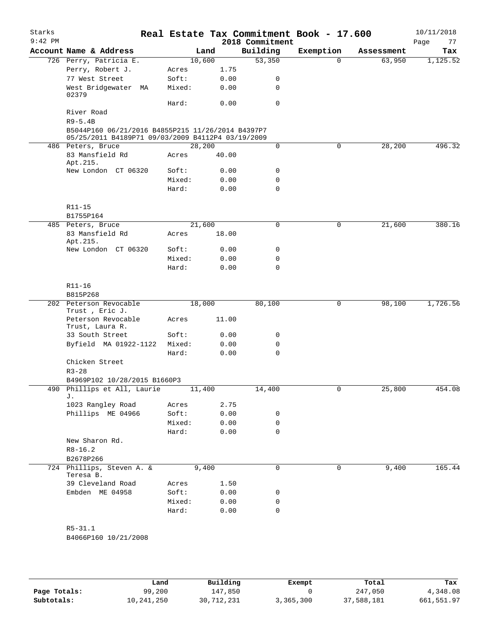| Starks<br>$9:42$ PM |                                                                                                        |                 |        |              | Real Estate Tax Commitment Book - 17.600<br>2018 Commitment |             |            | 10/11/2018<br>77<br>Page |
|---------------------|--------------------------------------------------------------------------------------------------------|-----------------|--------|--------------|-------------------------------------------------------------|-------------|------------|--------------------------|
|                     | Account Name & Address                                                                                 |                 | Land   |              | Building                                                    | Exemption   | Assessment | Tax                      |
|                     | 726 Perry, Patricia E.                                                                                 |                 | 10,600 |              | 53,350                                                      | $\Omega$    | 63,950     | 1,125.52                 |
|                     | Perry, Robert J.                                                                                       | Acres           |        | 1.75         |                                                             |             |            |                          |
|                     | 77 West Street                                                                                         | Soft:           |        | 0.00         | 0                                                           |             |            |                          |
|                     | West Bridgewater MA<br>02379                                                                           | Mixed:          |        | 0.00         | 0                                                           |             |            |                          |
|                     |                                                                                                        | Hard:           |        | 0.00         | $\Omega$                                                    |             |            |                          |
|                     | River Road                                                                                             |                 |        |              |                                                             |             |            |                          |
|                     | $R9 - 5.4B$                                                                                            |                 |        |              |                                                             |             |            |                          |
|                     | B5044P160 06/21/2016 B4855P215 11/26/2014 B4397P7<br>05/25/2011 B4189P71 09/03/2009 B4112P4 03/19/2009 |                 |        |              |                                                             |             |            |                          |
|                     | 486 Peters, Bruce                                                                                      |                 | 28,200 |              | $\mathbf 0$                                                 | $\mathbf 0$ | 28, 200    | 496.32                   |
|                     | 83 Mansfield Rd<br>Apt.215.                                                                            | Acres           |        | 40.00        |                                                             |             |            |                          |
|                     | New London CT 06320                                                                                    | Soft:           |        | 0.00         | 0                                                           |             |            |                          |
|                     |                                                                                                        | Mixed:          |        | 0.00         | 0                                                           |             |            |                          |
|                     |                                                                                                        | Hard:           |        | 0.00         | 0                                                           |             |            |                          |
|                     | R11-15                                                                                                 |                 |        |              |                                                             |             |            |                          |
|                     | B1755P164                                                                                              |                 |        |              |                                                             |             |            |                          |
|                     | 485 Peters, Bruce                                                                                      |                 | 21,600 |              | 0                                                           | $\mathbf 0$ | 21,600     | 380.16                   |
|                     | 83 Mansfield Rd<br>Apt.215.                                                                            | Acres           |        | 18.00        |                                                             |             |            |                          |
|                     | New London CT 06320                                                                                    | Soft:<br>Mixed: |        | 0.00         | 0                                                           |             |            |                          |
|                     |                                                                                                        | Hard:           |        | 0.00<br>0.00 | 0<br>0                                                      |             |            |                          |
|                     |                                                                                                        |                 |        |              |                                                             |             |            |                          |
|                     | R11-16<br>B815P268                                                                                     |                 |        |              |                                                             |             |            |                          |
|                     | 202 Peterson Revocable<br>Trust, Eric J.                                                               |                 | 18,000 |              | 80,100                                                      | 0           | 98,100     | 1,726.56                 |
|                     | Peterson Revocable<br>Trust, Laura R.                                                                  | Acres           |        | 11.00        |                                                             |             |            |                          |
|                     | 33 South Street                                                                                        | Soft:           |        | 0.00         | 0                                                           |             |            |                          |
|                     | Byfield MA 01922-1122                                                                                  | Mixed:          |        | 0.00         | 0                                                           |             |            |                          |
|                     |                                                                                                        | Hard:           |        | 0.00         | $\Omega$                                                    |             |            |                          |
|                     | Chicken Street<br>$R3 - 28$                                                                            |                 |        |              |                                                             |             |            |                          |
|                     | B4969P102 10/28/2015 B1660P3                                                                           |                 |        |              |                                                             |             |            |                          |
|                     | 490 Phillips et All, Laurie<br>J.                                                                      |                 | 11,400 |              | 14,400                                                      | 0           | 25,800     | 454.08                   |
|                     | 1023 Rangley Road                                                                                      | Acres           |        | 2.75         |                                                             |             |            |                          |
|                     | Phillips ME 04966                                                                                      | Soft:           |        | 0.00         | 0                                                           |             |            |                          |
|                     |                                                                                                        | Mixed:          |        | 0.00         | 0                                                           |             |            |                          |
|                     |                                                                                                        | Hard:           |        | 0.00         | 0                                                           |             |            |                          |
|                     | New Sharon Rd.<br>$R8 - 16.2$                                                                          |                 |        |              |                                                             |             |            |                          |
|                     | B2678P266<br>724 Phillips, Steven A. &                                                                 |                 | 9,400  |              | 0                                                           |             |            | 165.44                   |
|                     | Teresa B.                                                                                              |                 |        |              |                                                             | 0           | 9,400      |                          |
|                     | 39 Cleveland Road                                                                                      | Acres           |        | 1.50         |                                                             |             |            |                          |
|                     | Embden ME 04958                                                                                        | Soft:           |        | 0.00         | 0                                                           |             |            |                          |
|                     |                                                                                                        | Mixed:<br>Hard: |        | 0.00<br>0.00 | 0<br>0                                                      |             |            |                          |
|                     |                                                                                                        |                 |        |              |                                                             |             |            |                          |
|                     | $R5 - 31.1$<br>B4066P160 10/21/2008                                                                    |                 |        |              |                                                             |             |            |                          |
|                     |                                                                                                        |                 |        |              |                                                             |             |            |                          |

|              | Land       | Building   | Exempt    | Total      | Tax        |
|--------------|------------|------------|-----------|------------|------------|
| Page Totals: | 99,200     | 147,850    |           | 247,050    | 4,348.08   |
| Subtotals:   | 10,241,250 | 30,712,231 | 3,365,300 | 37,588,181 | 661,551.97 |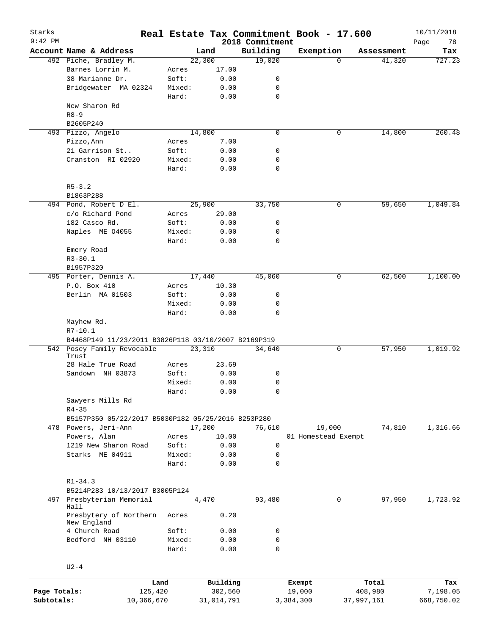| Starks<br>$9:42$ PM |                                                     |        | Real Estate Tax Commitment Book - 17.600 | 2018 Commitment |                     |            |            | 10/11/2018<br>Page<br>78 |
|---------------------|-----------------------------------------------------|--------|------------------------------------------|-----------------|---------------------|------------|------------|--------------------------|
|                     | Account Name & Address                              |        | Land                                     | Building        | Exemption           |            | Assessment | Tax                      |
|                     | 492 Piche, Bradley M.                               |        | 22,300                                   | 19,020          |                     | $\Omega$   | 41,320     | 727.23                   |
|                     | Barnes Lorrin M.                                    | Acres  | 17.00                                    |                 |                     |            |            |                          |
|                     | 38 Marianne Dr.                                     | Soft:  | 0.00                                     | 0               |                     |            |            |                          |
|                     | Bridgewater MA 02324                                | Mixed: | 0.00                                     | 0               |                     |            |            |                          |
|                     |                                                     | Hard:  | 0.00                                     | 0               |                     |            |            |                          |
|                     | New Sharon Rd                                       |        |                                          |                 |                     |            |            |                          |
|                     | $R8 - 9$                                            |        |                                          |                 |                     |            |            |                          |
|                     | B2605P240                                           |        |                                          |                 |                     |            |            |                          |
|                     | 493 Pizzo, Angelo                                   |        | 14,800                                   | $\mathbf 0$     |                     | 0          | 14,800     | 260.48                   |
|                     | Pizzo, Ann                                          | Acres  | 7.00                                     |                 |                     |            |            |                          |
|                     | 21 Garrison St                                      | Soft:  | 0.00                                     | 0               |                     |            |            |                          |
|                     | Cranston RI 02920                                   | Mixed: | 0.00                                     | 0               |                     |            |            |                          |
|                     |                                                     | Hard:  | 0.00                                     | $\mathbf 0$     |                     |            |            |                          |
|                     |                                                     |        |                                          |                 |                     |            |            |                          |
|                     | $R5 - 3.2$                                          |        |                                          |                 |                     |            |            |                          |
|                     | B1863P288                                           |        |                                          |                 |                     |            |            |                          |
|                     | 494 Pond, Robert D El.                              |        | 25,900                                   | 33,750          |                     | 0          | 59,650     | 1,049.84                 |
|                     | c/o Richard Pond                                    | Acres  | 29.00                                    |                 |                     |            |            |                          |
|                     | 182 Casco Rd.                                       | Soft:  | 0.00                                     | 0               |                     |            |            |                          |
|                     | Naples ME 04055                                     | Mixed: | 0.00                                     | 0               |                     |            |            |                          |
|                     |                                                     | Hard:  | 0.00                                     | 0               |                     |            |            |                          |
|                     | Emery Road                                          |        |                                          |                 |                     |            |            |                          |
|                     | $R3 - 30.1$                                         |        |                                          |                 |                     |            |            |                          |
|                     | B1957P320                                           |        |                                          |                 |                     |            |            |                          |
|                     | 495 Porter, Dennis A.                               |        | 17,440                                   | 45,060          |                     | 0          | 62,500     | 1,100.00                 |
|                     | P.O. Box 410                                        | Acres  | 10.30                                    |                 |                     |            |            |                          |
|                     | Berlin MA 01503                                     | Soft:  | 0.00                                     | 0               |                     |            |            |                          |
|                     |                                                     | Mixed: |                                          | 0               |                     |            |            |                          |
|                     |                                                     | Hard:  | 0.00                                     | $\mathbf 0$     |                     |            |            |                          |
|                     | Mayhew Rd.                                          |        | 0.00                                     |                 |                     |            |            |                          |
|                     | $R7 - 10.1$                                         |        |                                          |                 |                     |            |            |                          |
|                     | B4468P149 11/23/2011 B3826P118 03/10/2007 B2169P319 |        |                                          |                 |                     |            |            |                          |
|                     | 542 Posey Family Revocable                          |        | 23,310                                   | 34,640          |                     | 0          | 57,950     | 1,019.92                 |
|                     | Trust                                               |        |                                          |                 |                     |            |            |                          |
|                     | 28 Hale True Road                                   | Acres  | 23.69                                    |                 |                     |            |            |                          |
|                     | Sandown NH 03873                                    | Soft:  | 0.00                                     | 0               |                     |            |            |                          |
|                     |                                                     | Mixed: | 0.00                                     | 0               |                     |            |            |                          |
|                     |                                                     | Hard:  | 0.00                                     | 0               |                     |            |            |                          |
|                     | Sawyers Mills Rd                                    |        |                                          |                 |                     |            |            |                          |
|                     | $R4 - 35$                                           |        |                                          |                 |                     |            |            |                          |
|                     | B5157P350 05/22/2017 B5030P182 05/25/2016 B253P280  |        |                                          |                 |                     |            |            |                          |
|                     | 478 Powers, Jeri-Ann                                |        | 17,200                                   | 76,610          | 19,000              |            | 74,810     | 1,316.66                 |
|                     | Powers, Alan                                        | Acres  | 10.00                                    |                 | 01 Homestead Exempt |            |            |                          |
|                     | 1219 New Sharon Road                                | Soft:  | 0.00                                     | 0               |                     |            |            |                          |
|                     | Starks ME 04911                                     | Mixed: | 0.00                                     | 0               |                     |            |            |                          |
|                     |                                                     | Hard:  | 0.00                                     | 0               |                     |            |            |                          |
|                     |                                                     |        |                                          |                 |                     |            |            |                          |
|                     | $R1 - 34.3$                                         |        |                                          |                 |                     |            |            |                          |
|                     | B5214P283 10/13/2017 B3005P124                      |        |                                          |                 |                     |            |            |                          |
| 497                 | Presbyterian Memorial                               |        | 4,470                                    | 93,480          |                     | 0          | 97,950     | 1,723.92                 |
|                     | Hall                                                |        |                                          |                 |                     |            |            |                          |
|                     | Presbytery of Northern                              | Acres  | 0.20                                     |                 |                     |            |            |                          |
|                     | New England                                         |        |                                          |                 |                     |            |            |                          |
|                     | 4 Church Road                                       | Soft:  | 0.00                                     | 0               |                     |            |            |                          |
|                     | Bedford NH 03110                                    | Mixed: | 0.00                                     | 0               |                     |            |            |                          |
|                     |                                                     | Hard:  | 0.00                                     | $\mathbf 0$     |                     |            |            |                          |
|                     |                                                     |        |                                          |                 |                     |            |            |                          |
|                     | $U2-4$                                              |        |                                          |                 |                     |            |            |                          |
|                     |                                                     |        |                                          |                 |                     |            |            |                          |
|                     |                                                     | Land   | Building                                 |                 | Exempt              |            | Total      | Tax                      |
| Page Totals:        | 125,420                                             |        | 302,560                                  |                 | 19,000              |            | 408,980    | 7,198.05                 |
| Subtotals:          | 10,366,670                                          |        | 31,014,791                               |                 | 3,384,300           | 37,997,161 |            | 668,750.02               |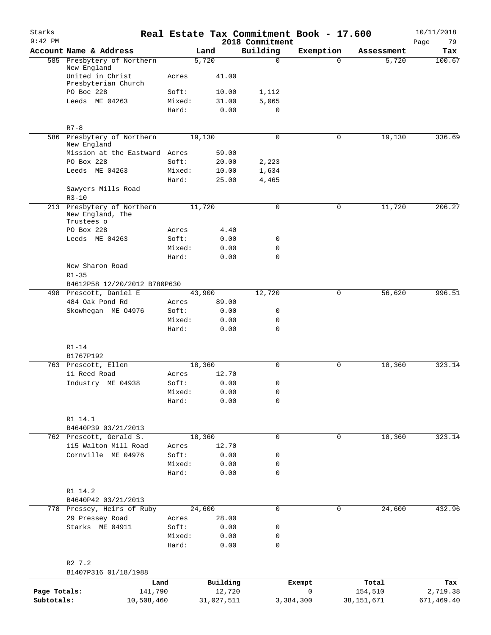| Starks<br>$9:42$ PM        |                                                              |        |                      | 2018 Commitment | Real Estate Tax Commitment Book - 17.600 |                         | 10/11/2018<br>79<br>Page |
|----------------------------|--------------------------------------------------------------|--------|----------------------|-----------------|------------------------------------------|-------------------------|--------------------------|
|                            | Account Name & Address                                       |        | Land                 | Building        | Exemption                                | Assessment              | Tax                      |
|                            | 585 Presbytery of Northern<br>New England                    |        | 5,720                | $\mathbf 0$     | $\Omega$                                 | 5,720                   | 100.67                   |
|                            | United in Christ<br>Presbyterian Church                      | Acres  | 41.00                |                 |                                          |                         |                          |
|                            | PO Boc 228                                                   | Soft:  | 10.00                | 1,112           |                                          |                         |                          |
|                            | Leeds ME 04263                                               | Mixed: | 31.00                | 5,065           |                                          |                         |                          |
|                            |                                                              | Hard:  | 0.00                 | $\mathbf 0$     |                                          |                         |                          |
|                            | $R7 - 8$                                                     |        |                      |                 |                                          |                         |                          |
|                            | 586 Presbytery of Northern<br>New England                    |        | 19,130               | 0               | 0                                        | 19, 130                 | 336.69                   |
|                            | Mission at the Eastward Acres                                |        | 59.00                |                 |                                          |                         |                          |
|                            | PO Box 228                                                   | Soft:  | 20.00                | 2,223           |                                          |                         |                          |
|                            | Leeds ME 04263                                               | Mixed: | 10.00                | 1,634           |                                          |                         |                          |
|                            |                                                              | Hard:  | 25.00                | 4,465           |                                          |                         |                          |
|                            | Sawyers Mills Road<br>$R3 - 10$                              |        |                      |                 |                                          |                         |                          |
|                            | 213 Presbytery of Northern<br>New England, The<br>Trustees o |        | 11,720               | $\mathbf 0$     | 0                                        | 11,720                  | 206.27                   |
|                            | PO Box 228                                                   | Acres  | 4.40                 |                 |                                          |                         |                          |
|                            | Leeds ME 04263                                               | Soft:  | 0.00                 | 0               |                                          |                         |                          |
|                            |                                                              | Mixed: | 0.00                 | 0               |                                          |                         |                          |
|                            |                                                              | Hard:  | 0.00                 | $\Omega$        |                                          |                         |                          |
|                            | New Sharon Road                                              |        |                      |                 |                                          |                         |                          |
|                            | $R1 - 35$                                                    |        |                      |                 |                                          |                         |                          |
|                            | B4612P58 12/20/2012 B780P630                                 |        |                      |                 |                                          |                         |                          |
|                            | 498 Prescott, Daniel E                                       |        | 43,900               | 12,720          | 0                                        | 56,620                  | 996.51                   |
|                            | 484 Oak Pond Rd                                              | Acres  | 89.00                |                 |                                          |                         |                          |
|                            | Skowhegan ME 04976                                           | Soft:  | 0.00                 | 0               |                                          |                         |                          |
|                            |                                                              | Mixed: | 0.00                 | 0               |                                          |                         |                          |
|                            |                                                              | Hard:  | 0.00                 | $\mathbf 0$     |                                          |                         |                          |
|                            | $R1 - 14$                                                    |        |                      |                 |                                          |                         |                          |
|                            | B1767P192                                                    |        |                      |                 |                                          |                         |                          |
|                            | 763 Prescott, Ellen                                          |        | 18,360               | $\mathbf 0$     | 0                                        | 18,360                  | 323.14                   |
|                            | 11 Reed Road                                                 | Acres  | 12.70                |                 |                                          |                         |                          |
|                            | Industry ME 04938                                            | Soft:  | 0.00                 | 0               |                                          |                         |                          |
|                            |                                                              | Mixed: | 0.00                 | 0               |                                          |                         |                          |
|                            |                                                              | Hard:  | 0.00                 | 0               |                                          |                         |                          |
|                            | R1 14.1                                                      |        |                      |                 |                                          |                         |                          |
|                            | B4640P39 03/21/2013                                          |        |                      |                 |                                          |                         |                          |
|                            | 762 Prescott, Gerald S.                                      |        | 18,360               | $\mathbf 0$     | 0                                        | 18,360                  | 323.14                   |
|                            | 115 Walton Mill Road                                         | Acres  | 12.70                |                 |                                          |                         |                          |
|                            | Cornville ME 04976                                           | Soft:  | 0.00                 | 0               |                                          |                         |                          |
|                            |                                                              | Mixed: | 0.00                 | 0               |                                          |                         |                          |
|                            |                                                              | Hard:  | 0.00                 | 0               |                                          |                         |                          |
|                            | R1 14.2<br>B4640P42 03/21/2013                               |        |                      |                 |                                          |                         |                          |
|                            | 778 Pressey, Heirs of Ruby                                   |        | 24,600               | $\mathbf 0$     | 0                                        | 24,600                  | 432.96                   |
|                            | 29 Pressey Road                                              | Acres  | 28.00                |                 |                                          |                         |                          |
|                            | Starks ME 04911                                              | Soft:  | 0.00                 | 0               |                                          |                         |                          |
|                            |                                                              | Mixed: | 0.00                 | 0               |                                          |                         |                          |
|                            |                                                              | Hard:  | 0.00                 | $\mathbf 0$     |                                          |                         |                          |
|                            | R2 7.2                                                       |        |                      |                 |                                          |                         |                          |
|                            | B1407P316 01/18/1988                                         |        |                      |                 |                                          |                         |                          |
|                            | Land                                                         |        | Building             |                 | Exempt                                   | Total                   | Tax                      |
| Page Totals:<br>Subtotals: | 141,790<br>10,508,460                                        |        | 12,720<br>31,027,511 |                 | 0<br>3,384,300                           | 154,510<br>38, 151, 671 | 2,719.38<br>671,469.40   |
|                            |                                                              |        |                      |                 |                                          |                         |                          |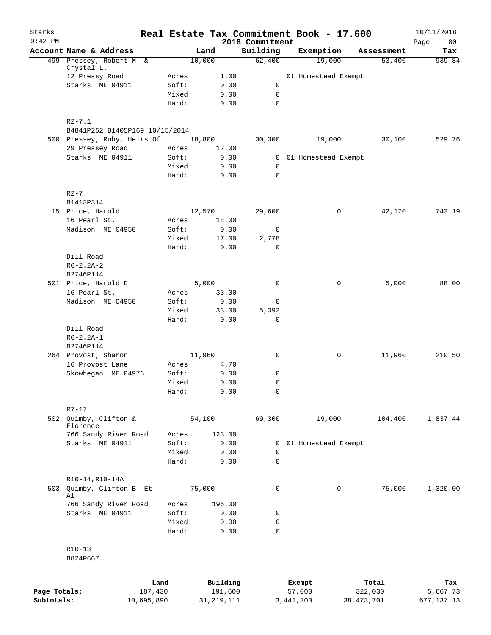| Starks<br>$9:42$ PM |                                                               |            |        |              |         | 2018 Commitment | Real Estate Tax Commitment Book - 17.600 |              |            | 10/11/2018<br>80<br>Page |
|---------------------|---------------------------------------------------------------|------------|--------|--------------|---------|-----------------|------------------------------------------|--------------|------------|--------------------------|
|                     | Account Name & Address                                        |            |        | Land         |         | Building        | Exemption                                |              | Assessment | Tax                      |
|                     | 499 Pressey, Robert M. &                                      |            |        | 10,000       |         | 62,400          | 19,000                                   |              | 53,400     | 939.84                   |
|                     | Crystal L.                                                    |            |        |              |         |                 |                                          |              |            |                          |
|                     | 12 Pressy Road                                                |            | Acres  |              | 1.00    |                 | 01 Homestead Exempt                      |              |            |                          |
|                     | Starks ME 04911                                               |            | Soft:  |              | 0.00    | 0               |                                          |              |            |                          |
|                     |                                                               |            | Mixed: |              | 0.00    | 0               |                                          |              |            |                          |
|                     |                                                               |            | Hard:  |              | 0.00    | $\mathbf 0$     |                                          |              |            |                          |
|                     |                                                               |            |        |              |         |                 |                                          |              |            |                          |
|                     | $R2 - 7.1$                                                    |            |        |              |         |                 |                                          |              |            |                          |
|                     | B4841P252 B1405P169 10/15/2014<br>500 Pressey, Ruby, Heirs Of |            |        | 18,800       |         | 30,300          | 19,000                                   |              | 30,100     | 529.76                   |
|                     | 29 Pressey Road                                               |            | Acres  |              | 12.00   |                 |                                          |              |            |                          |
|                     | Starks ME 04911                                               |            | Soft:  |              | 0.00    | $\overline{0}$  | 01 Homestead Exempt                      |              |            |                          |
|                     |                                                               |            | Mixed: |              | 0.00    | $\mathsf{O}$    |                                          |              |            |                          |
|                     |                                                               |            | Hard:  |              | 0.00    | $\mathbf 0$     |                                          |              |            |                          |
|                     |                                                               |            |        |              |         |                 |                                          |              |            |                          |
|                     | $R2-7$                                                        |            |        |              |         |                 |                                          |              |            |                          |
|                     | B1413P314                                                     |            |        |              |         |                 |                                          |              |            |                          |
|                     | 15 Price, Harold                                              |            |        | 12,570       |         | 29,600          | 0                                        |              | 42,170     | 742.19                   |
|                     | 16 Pearl St.                                                  |            | Acres  |              | 18.00   |                 |                                          |              |            |                          |
|                     | Madison ME 04950                                              |            | Soft:  |              | 0.00    | $\mathsf{O}$    |                                          |              |            |                          |
|                     |                                                               |            | Mixed: |              | 17.00   | 2,778           |                                          |              |            |                          |
|                     |                                                               |            | Hard:  |              | 0.00    | $\mathbf 0$     |                                          |              |            |                          |
|                     | Dill Road                                                     |            |        |              |         |                 |                                          |              |            |                          |
|                     | $R6 - 2.2A - 2$                                               |            |        |              |         |                 |                                          |              |            |                          |
|                     | B2746P114                                                     |            |        |              |         |                 |                                          |              |            |                          |
|                     | 501 Price, Harold E                                           |            |        | 5,000        |         | $\mathbf 0$     | 0                                        |              | 5,000      | 88.00                    |
|                     | 16 Pearl St.                                                  |            | Acres  |              | 33.00   |                 |                                          |              |            |                          |
|                     | Madison ME 04950                                              |            | Soft:  |              | 0.00    | 0               |                                          |              |            |                          |
|                     |                                                               |            | Mixed: |              | 33.00   | 5,392           |                                          |              |            |                          |
|                     |                                                               |            | Hard:  |              | 0.00    | 0               |                                          |              |            |                          |
|                     | Dill Road                                                     |            |        |              |         |                 |                                          |              |            |                          |
|                     | $R6 - 2.2A - 1$                                               |            |        |              |         |                 |                                          |              |            |                          |
|                     | B2746P114                                                     |            |        |              |         |                 |                                          |              |            |                          |
|                     | 264 Provost, Sharon                                           |            |        | 11,960       |         | 0               | 0                                        |              | 11,960     | 210.50                   |
|                     | 16 Provost Lane                                               |            | Acres  |              | 4.70    |                 |                                          |              |            |                          |
|                     | Skowhegan ME 04976                                            |            | Soft:  |              | 0.00    | 0               |                                          |              |            |                          |
|                     |                                                               |            | Mixed: |              | 0.00    | 0               |                                          |              |            |                          |
|                     |                                                               |            | Hard:  |              | 0.00    | 0               |                                          |              |            |                          |
|                     |                                                               |            |        |              |         |                 |                                          |              |            |                          |
|                     | $R7 - 17$                                                     |            |        |              |         |                 |                                          |              |            |                          |
|                     | 502 Quimby, Clifton &                                         |            |        | 54,100       |         | 69,300          | 19,000                                   |              | 104,400    | 1,837.44                 |
|                     | Florence                                                      |            |        |              |         |                 |                                          |              |            |                          |
|                     | 766 Sandy River Road                                          |            | Acres  | 123.00       |         |                 |                                          |              |            |                          |
|                     | Starks ME 04911                                               |            | Soft:  |              | 0.00    | 0               | 01 Homestead Exempt                      |              |            |                          |
|                     |                                                               |            | Mixed: |              | 0.00    | 0               |                                          |              |            |                          |
|                     |                                                               |            | Hard:  |              | 0.00    | 0               |                                          |              |            |                          |
|                     |                                                               |            |        |              |         |                 |                                          |              |            |                          |
| 503                 | R10-14, R10-14A<br>Quimby, Clifton B. Et                      |            |        | 75,000       |         | 0               | $\mathbf 0$                              |              | 75,000     | 1,320.00                 |
|                     | Al                                                            |            |        |              |         |                 |                                          |              |            |                          |
|                     | 766 Sandy River Road                                          |            | Acres  | 196.00       |         |                 |                                          |              |            |                          |
|                     | Starks ME 04911                                               |            | Soft:  |              | 0.00    | 0               |                                          |              |            |                          |
|                     |                                                               |            | Mixed: |              | 0.00    | 0               |                                          |              |            |                          |
|                     |                                                               |            | Hard:  |              | 0.00    | 0               |                                          |              |            |                          |
|                     |                                                               |            |        |              |         |                 |                                          |              |            |                          |
|                     | $R10-13$                                                      |            |        |              |         |                 |                                          |              |            |                          |
|                     | B824P667                                                      |            |        |              |         |                 |                                          |              |            |                          |
|                     |                                                               |            |        |              |         |                 |                                          |              |            |                          |
|                     |                                                               |            |        |              |         |                 |                                          |              |            |                          |
|                     |                                                               | Land       |        | Building     |         |                 | Exempt                                   |              | Total      | Tax                      |
| Page Totals:        |                                                               | 187,430    |        |              | 191,600 |                 | 57,000                                   |              | 322,030    | 5,667.73                 |
| Subtotals:          |                                                               | 10,695,890 |        | 31, 219, 111 |         |                 | 3,441,300                                | 38, 473, 701 |            | 677,137.13               |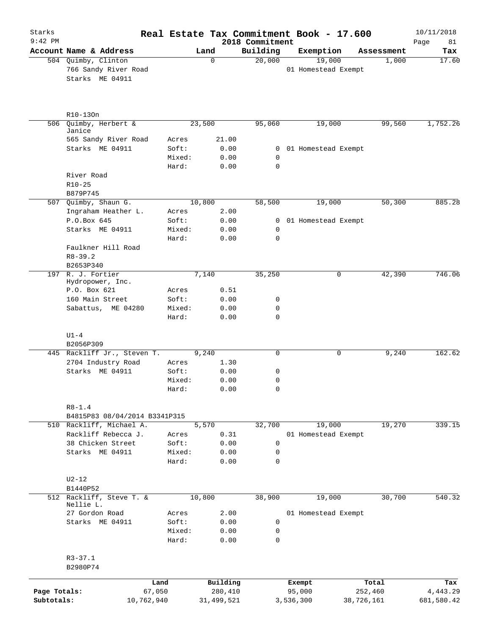| Starks       |                                                   |                 |               |                             | Real Estate Tax Commitment Book - 17.600 |            | 10/11/2018        |
|--------------|---------------------------------------------------|-----------------|---------------|-----------------------------|------------------------------------------|------------|-------------------|
| $9:42$ PM    | Account Name & Address                            |                 | Land          | 2018 Commitment<br>Building | Exemption                                | Assessment | Page<br>81<br>Tax |
|              | 504 Quimby, Clinton                               |                 | 0             | 20,000                      | 19,000                                   | 1,000      | 17.60             |
|              | 766 Sandy River Road<br>Starks ME 04911           |                 |               |                             | 01 Homestead Exempt                      |            |                   |
|              | R10-130n                                          |                 |               |                             |                                          |            |                   |
| 506          | Quimby, Herbert &<br>Janice                       |                 | 23,500        | 95,060                      | 19,000                                   | 99,560     | 1,752.26          |
|              | 565 Sandy River Road                              | Acres           | 21.00         |                             |                                          |            |                   |
|              | Starks ME 04911                                   | Soft:           | 0.00          | $\overline{0}$              | 01 Homestead Exempt                      |            |                   |
|              |                                                   | Mixed:          | 0.00          | 0                           |                                          |            |                   |
|              |                                                   | Hard:           | 0.00          | $\mathbf 0$                 |                                          |            |                   |
|              | River Road                                        |                 |               |                             |                                          |            |                   |
|              | $R10 - 25$                                        |                 |               |                             |                                          |            |                   |
|              | B879P745                                          |                 |               |                             |                                          |            |                   |
|              | 507 Quimby, Shaun G.                              |                 | 10,800        | 58,500                      | 19,000                                   | 50,300     | 885.28            |
|              | Ingraham Heather L.                               | Acres           | 2.00          |                             |                                          |            |                   |
|              | P.O.Box 645                                       | Soft:           | 0.00          | 0                           | 01 Homestead Exempt                      |            |                   |
|              | Starks ME 04911                                   | Mixed:<br>Hard: | 0.00<br>0.00  | 0<br>$\mathbf 0$            |                                          |            |                   |
|              | Faulkner Hill Road                                |                 |               |                             |                                          |            |                   |
|              | $R8 - 39.2$                                       |                 |               |                             |                                          |            |                   |
|              | B2653P340                                         |                 |               |                             |                                          |            |                   |
|              | 197 R. J. Fortier                                 |                 | 7,140         | 35,250                      | 0                                        | 42,390     | 746.06            |
|              | Hydropower, Inc.                                  |                 |               |                             |                                          |            |                   |
|              | P.O. Box 621                                      | Acres           | 0.51          |                             |                                          |            |                   |
|              | 160 Main Street                                   | Soft:           | 0.00          | 0                           |                                          |            |                   |
|              | Sabattus, ME 04280                                | Mixed:<br>Hard: | 0.00<br>0.00  | 0<br>0                      |                                          |            |                   |
|              | $U1-4$                                            |                 |               |                             |                                          |            |                   |
|              | B2056P309                                         |                 |               |                             |                                          |            |                   |
|              | 445 Rackliff Jr., Steven T.<br>2704 Industry Road | Acres           | 9,240<br>1.30 | 0                           | 0                                        | 9,240      | 162.62            |
|              | Starks ME 04911                                   | Soft:           | 0.00          | 0                           |                                          |            |                   |
|              |                                                   | Mixed:          | 0.00          | 0                           |                                          |            |                   |
|              |                                                   | Hard:           | 0.00          | $\cap$                      |                                          |            |                   |
|              | $R8 - 1.4$                                        |                 |               |                             |                                          |            |                   |
|              | B4815P83 08/04/2014 B3341P315                     |                 |               |                             |                                          |            |                   |
|              | 510 Rackliff, Michael A.                          |                 | 5,570         | 32,700                      | 19,000                                   | 19,270     | 339.15            |
|              | Rackliff Rebecca J.                               | Acres           | 0.31          |                             | 01 Homestead Exempt                      |            |                   |
|              | 38 Chicken Street                                 | Soft:           | 0.00          | 0                           |                                          |            |                   |
|              | Starks ME 04911                                   | Mixed:<br>Hard: | 0.00<br>0.00  | 0<br>0                      |                                          |            |                   |
|              |                                                   |                 |               |                             |                                          |            |                   |
|              | $U2-12$                                           |                 |               |                             |                                          |            |                   |
|              | B1440P52                                          |                 |               |                             |                                          |            |                   |
|              | 512 Rackliff, Steve T. &<br>Nellie L.             |                 | 10,800        | 38,900                      | 19,000                                   | 30,700     | 540.32            |
|              | 27 Gordon Road                                    | Acres           | 2.00          |                             | 01 Homestead Exempt                      |            |                   |
|              | Starks ME 04911                                   | Soft:           | 0.00          | 0                           |                                          |            |                   |
|              |                                                   | Mixed:<br>Hard: | 0.00          | 0<br>0                      |                                          |            |                   |
|              |                                                   |                 | 0.00          |                             |                                          |            |                   |
|              | $R3 - 37.1$                                       |                 |               |                             |                                          |            |                   |
|              | B2980P74                                          |                 |               |                             |                                          |            |                   |
|              | Land                                              |                 | Building      |                             | Exempt                                   | Total      | Tax               |
| Page Totals: | 67,050                                            |                 | 280,410       |                             | 95,000                                   | 252,460    | 4,443.29          |
| Subtotals:   | 10,762,940                                        |                 | 31,499,521    |                             | 3,536,300                                | 38,726,161 | 681,580.42        |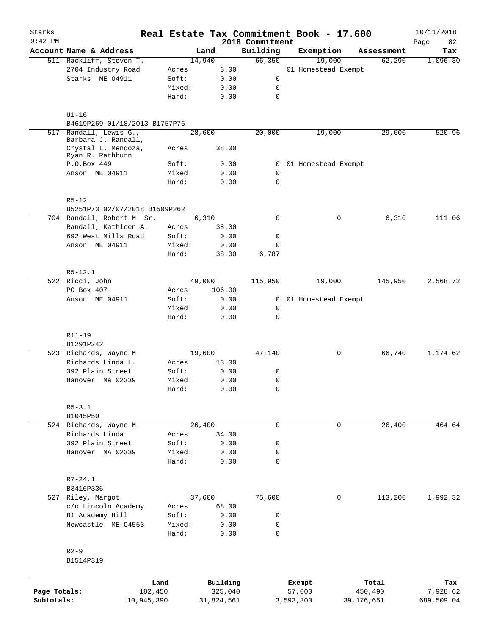| Starks       |                                                   |        |                     |                    |                  | Real Estate Tax Commitment Book - 17.600 |                  | 10/11/2018      |
|--------------|---------------------------------------------------|--------|---------------------|--------------------|------------------|------------------------------------------|------------------|-----------------|
| $9:42$ PM    |                                                   |        |                     | 2018 Commitment    |                  |                                          |                  | Page<br>82      |
|              | Account Name & Address<br>511 Rackliff, Steven T. |        | Land                | Building<br>66,350 |                  | Exemption<br>19,000                      | Assessment       | Tax<br>1,096.30 |
|              |                                                   |        | 14,940              |                    |                  |                                          | 62,290           |                 |
|              | 2704 Industry Road                                | Acres  | 3.00                |                    |                  | 01 Homestead Exempt                      |                  |                 |
|              | Starks ME 04911                                   | Soft:  | 0.00                | 0                  |                  |                                          |                  |                 |
|              |                                                   | Mixed: | 0.00                | 0                  |                  |                                          |                  |                 |
|              |                                                   | Hard:  | 0.00                | $\mathbf 0$        |                  |                                          |                  |                 |
|              | $U1-16$                                           |        |                     |                    |                  |                                          |                  |                 |
|              | B4619P269 01/18/2013 B1757P76                     |        |                     |                    |                  |                                          |                  |                 |
| 517          | Randall, Lewis G.,<br>Barbara J. Randall,         |        | 28,600              | 20,000             |                  | 19,000                                   | 29,600           | 520.96          |
|              | Crystal L. Mendoza,<br>Ryan R. Rathburn           | Acres  | 38.00               |                    |                  |                                          |                  |                 |
|              | P.O.Box 449                                       | Soft:  | 0.00                | $\mathbf{0}$       |                  | 01 Homestead Exempt                      |                  |                 |
|              | Anson ME 04911                                    | Mixed: | 0.00                | 0                  |                  |                                          |                  |                 |
|              |                                                   | Hard:  | 0.00                | $\mathbf 0$        |                  |                                          |                  |                 |
|              | $R5 - 12$                                         |        |                     |                    |                  |                                          |                  |                 |
|              | B5251P73 02/07/2018 B1509P262                     |        |                     |                    |                  |                                          |                  |                 |
|              | 704 Randall, Robert M. Sr.                        |        | 6,310               | 0                  |                  | 0                                        | 6,310            | 111.06          |
|              | Randall, Kathleen A.                              | Acres  | 38.00               |                    |                  |                                          |                  |                 |
|              | 692 West Mills Road                               | Soft:  | 0.00                | 0                  |                  |                                          |                  |                 |
|              | Anson ME 04911                                    | Mixed: | 0.00                | $\mathbf 0$        |                  |                                          |                  |                 |
|              |                                                   | Hard:  | 38.00               | 6,787              |                  |                                          |                  |                 |
|              | $R5 - 12.1$                                       |        |                     |                    |                  |                                          |                  |                 |
|              | 522 Ricci, John                                   |        | 49,000              | 115,950            |                  | 19,000                                   | 145,950          | 2,568.72        |
|              | PO Box 407                                        | Acres  | 106.00              |                    |                  |                                          |                  |                 |
|              | Anson ME 04911                                    | Soft:  | 0.00                | $\mathbf{0}$       |                  | 01 Homestead Exempt                      |                  |                 |
|              |                                                   | Mixed: | 0.00                | 0                  |                  |                                          |                  |                 |
|              |                                                   | Hard:  | 0.00                | $\mathbf 0$        |                  |                                          |                  |                 |
|              | R11-19                                            |        |                     |                    |                  |                                          |                  |                 |
|              | B1291P242                                         |        |                     |                    |                  |                                          |                  |                 |
|              | 523 Richards, Wayne M                             |        | 19,600              | 47,140             |                  | 0                                        | 66,740           | 1,174.62        |
|              | Richards Linda L.                                 | Acres  | 13.00               |                    |                  |                                          |                  |                 |
|              | 392 Plain Street                                  | Soft:  | 0.00                | 0                  |                  |                                          |                  |                 |
|              | Hanover Ma 02339                                  | Mixed: | 0.00                | 0                  |                  |                                          |                  |                 |
|              |                                                   | Hard:  | 0.00                | $\mathbf 0$        |                  |                                          |                  |                 |
|              | $R5 - 3.1$                                        |        |                     |                    |                  |                                          |                  |                 |
|              | B1045P50                                          |        |                     |                    |                  |                                          |                  |                 |
|              | 524 Richards, Wayne M.                            |        | 26,400              | $\mathbf 0$        |                  | 0                                        | 26,400           | 464.64          |
|              | Richards Linda                                    | Acres  | 34.00               |                    |                  |                                          |                  |                 |
|              | 392 Plain Street                                  | Soft:  | 0.00                | 0                  |                  |                                          |                  |                 |
|              | Hanover MA 02339                                  | Mixed: | 0.00                | 0                  |                  |                                          |                  |                 |
|              |                                                   | Hard:  | 0.00                | $\mathbf 0$        |                  |                                          |                  |                 |
|              | $R7 - 24.1$                                       |        |                     |                    |                  |                                          |                  |                 |
|              | B3416P336                                         |        |                     |                    |                  |                                          |                  |                 |
|              | 527 Riley, Margot                                 |        | 37,600              | 75,600             |                  | 0                                        | 113,200          | 1,992.32        |
|              | c/o Lincoln Academy                               | Acres  | 68.00               |                    |                  |                                          |                  |                 |
|              | 81 Academy Hill                                   | Soft:  | 0.00                | 0                  |                  |                                          |                  |                 |
|              | Newcastle ME 04553                                | Mixed: | 0.00                | 0                  |                  |                                          |                  |                 |
|              |                                                   | Hard:  | 0.00                | $\mathbf 0$        |                  |                                          |                  |                 |
|              | $R2 - 9$                                          |        |                     |                    |                  |                                          |                  |                 |
|              | B1514P319                                         |        |                     |                    |                  |                                          |                  |                 |
|              |                                                   |        |                     |                    |                  |                                          |                  |                 |
| Page Totals: | 182,450                                           | Land   | Building<br>325,040 |                    | Exempt<br>57,000 |                                          | Total<br>450,490 | Tax<br>7,928.62 |
| Subtotals:   | 10,945,390                                        |        | 31,824,561          |                    | 3,593,300        |                                          | 39,176,651       | 689,509.04      |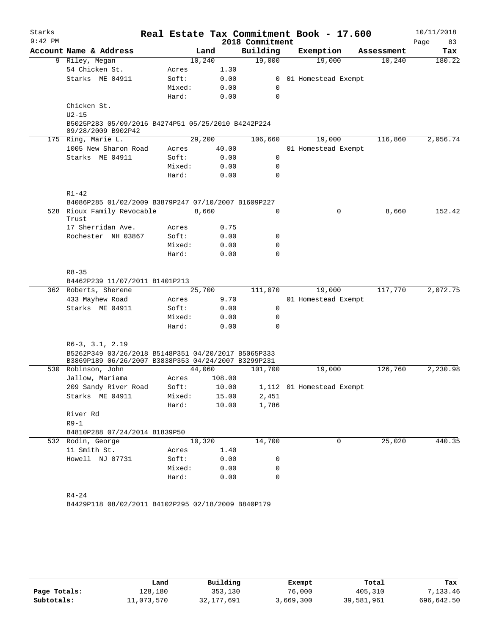| $9:42$ PM |                                                                          |        |        |        | Real Estate Tax Commitment Book - 17.600 |                           |            | 10/11/2018 |        |
|-----------|--------------------------------------------------------------------------|--------|--------|--------|------------------------------------------|---------------------------|------------|------------|--------|
|           |                                                                          |        |        |        | 2018 Commitment                          |                           |            | Page       | 83     |
|           | Account Name & Address                                                   |        | Land   |        | Building                                 | Exemption                 | Assessment |            | Tax    |
|           | 9 Riley, Megan                                                           |        | 10,240 |        | 19,000                                   | 19,000                    | 10,240     |            | 180.22 |
|           | 54 Chicken St.                                                           | Acres  |        | 1.30   |                                          |                           |            |            |        |
|           | Starks ME 04911                                                          | Soft:  |        | 0.00   | $\mathbf{0}$                             | 01 Homestead Exempt       |            |            |        |
|           |                                                                          | Mixed: |        | 0.00   | 0                                        |                           |            |            |        |
|           |                                                                          | Hard:  |        | 0.00   | $\Omega$                                 |                           |            |            |        |
|           | Chicken St.                                                              |        |        |        |                                          |                           |            |            |        |
|           | $U2-15$                                                                  |        |        |        |                                          |                           |            |            |        |
|           | B5025P283 05/09/2016 B4274P51 05/25/2010 B4242P224<br>09/28/2009 B902P42 |        |        |        |                                          |                           |            |            |        |
|           | 175 Ring, Marie L.                                                       |        | 29,200 |        | 106,660                                  | 19,000                    | 116,860    | 2,056.74   |        |
|           | 1005 New Sharon Road                                                     | Acres  |        | 40.00  |                                          | 01 Homestead Exempt       |            |            |        |
|           | Starks ME 04911                                                          | Soft:  |        | 0.00   | 0                                        |                           |            |            |        |
|           |                                                                          | Mixed: |        | 0.00   | 0                                        |                           |            |            |        |
|           |                                                                          | Hard:  |        | 0.00   | $\Omega$                                 |                           |            |            |        |
|           | $R1 - 42$                                                                |        |        |        |                                          |                           |            |            |        |
|           | B4086P285 01/02/2009 B3879P247 07/10/2007 B1609P227                      |        |        |        |                                          |                           |            |            |        |
|           | 528 Rioux Family Revocable<br>Trust                                      |        | 8,660  |        | 0                                        | $\mathbf 0$               | 8,660      |            | 152.42 |
|           | 17 Sherridan Ave.                                                        | Acres  |        | 0.75   |                                          |                           |            |            |        |
|           | Rochester NH 03867                                                       | Soft:  |        | 0.00   | 0                                        |                           |            |            |        |
|           |                                                                          | Mixed: |        | 0.00   | 0                                        |                           |            |            |        |
|           |                                                                          | Hard:  |        | 0.00   | $\Omega$                                 |                           |            |            |        |
|           | $R8 - 35$                                                                |        |        |        |                                          |                           |            |            |        |
|           | B4462P239 11/07/2011 B1401P213                                           |        |        |        |                                          |                           |            |            |        |
|           | 362 Roberts, Sherene                                                     |        | 25,700 |        | 111,070                                  | 19,000                    | 117,770    | 2,072.75   |        |
|           | 433 Mayhew Road                                                          | Acres  |        | 9.70   |                                          | 01 Homestead Exempt       |            |            |        |
|           | Starks ME 04911                                                          | Soft:  |        | 0.00   | 0                                        |                           |            |            |        |
|           |                                                                          | Mixed: |        | 0.00   | 0                                        |                           |            |            |        |
|           |                                                                          | Hard:  |        | 0.00   | 0                                        |                           |            |            |        |
|           | $R6-3$ , $3.1$ , $2.19$                                                  |        |        |        |                                          |                           |            |            |        |
|           | B5262P349 03/26/2018 B5148P351 04/20/2017 B5065P333                      |        |        |        |                                          |                           |            |            |        |
|           | B3869P189 06/26/2007 B3838P353 04/24/2007 B3299P231                      |        |        |        |                                          |                           |            |            |        |
|           | 530 Robinson, John                                                       |        | 44,060 |        | 101,700                                  | 19,000                    | 126,760    | 2,230.98   |        |
|           | Jallow, Mariama                                                          | Acres  |        | 108.00 |                                          |                           |            |            |        |
|           | 209 Sandy River Road                                                     | Soft:  |        | 10.00  |                                          | 1,112 01 Homestead Exempt |            |            |        |
|           | Starks ME 04911                                                          | Mixed: |        | 15.00  | 2,451                                    |                           |            |            |        |
|           |                                                                          | Hard:  |        | 10.00  | 1,786                                    |                           |            |            |        |
|           | River Rd                                                                 |        |        |        |                                          |                           |            |            |        |
|           | $R9-1$                                                                   |        |        |        |                                          |                           |            |            |        |
|           | B4810P288 07/24/2014 B1839P50                                            |        |        |        |                                          |                           |            |            |        |
|           | 532 Rodin, George                                                        |        | 10,320 |        | 14,700                                   | 0                         | 25,020     |            | 440.35 |
|           | 11 Smith St.                                                             | Acres  |        | 1.40   |                                          |                           |            |            |        |
|           | Howell NJ 07731                                                          | Soft:  |        | 0.00   | 0                                        |                           |            |            |        |
|           |                                                                          | Mixed: |        | 0.00   | 0                                        |                           |            |            |        |
|           |                                                                          | Hard:  |        | 0.00   | $\mathbf 0$                              |                           |            |            |        |
|           |                                                                          |        |        |        |                                          |                           |            |            |        |
|           |                                                                          |        |        |        |                                          |                           |            |            |        |
|           | $R4 - 24$<br>B4429P118 08/02/2011 B4102P295 02/18/2009 B840P179          |        |        |        |                                          |                           |            |            |        |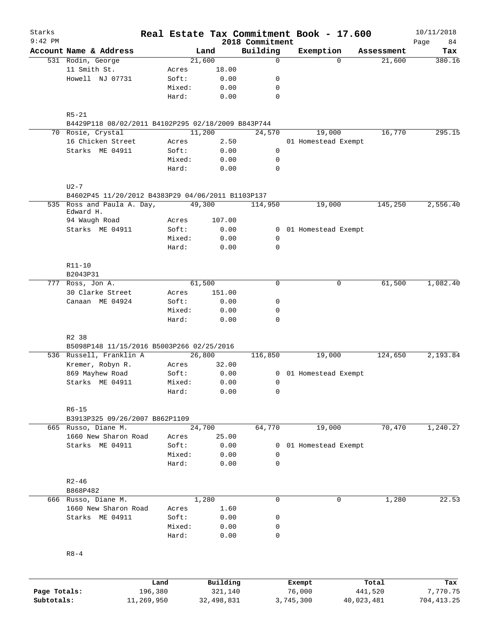| Starks<br>$9:42$ PM |                                                    |         |                 |              | 2018 Commitment            | Real Estate Tax Commitment Book - 17.600 |            | 10/11/2018<br>84<br>Page |
|---------------------|----------------------------------------------------|---------|-----------------|--------------|----------------------------|------------------------------------------|------------|--------------------------|
|                     | Account Name & Address                             |         |                 | Land         | Building                   | Exemption                                | Assessment | Tax                      |
|                     | 531 Rodin, George                                  |         |                 | 21,600       | $\mathbf 0$                | $\Omega$                                 | 21,600     | 380.16                   |
|                     | 11 Smith St.                                       |         | Acres           | 18.00        |                            |                                          |            |                          |
|                     | Howell NJ 07731                                    |         | Soft:           | 0.00         | 0                          |                                          |            |                          |
|                     |                                                    |         | Mixed:          | 0.00         | 0                          |                                          |            |                          |
|                     |                                                    |         | Hard:           | 0.00         | $\mathbf 0$                |                                          |            |                          |
|                     | $R5 - 21$                                          |         |                 |              |                            |                                          |            |                          |
|                     | B4429P118 08/02/2011 B4102P295 02/18/2009 B843P744 |         |                 |              |                            |                                          |            |                          |
|                     | 70 Rosie, Crystal                                  |         |                 | 11,200       | 24,570                     | 19,000                                   | 16,770     | 295.15                   |
|                     | 16 Chicken Street                                  |         | Acres           | 2.50         |                            | 01 Homestead Exempt                      |            |                          |
|                     | Starks ME 04911                                    |         | Soft:           | 0.00         | 0                          |                                          |            |                          |
|                     |                                                    |         | Mixed:          | 0.00         | 0                          |                                          |            |                          |
|                     |                                                    |         | Hard:           | 0.00         | $\mathbf 0$                |                                          |            |                          |
|                     | $U2 - 7$                                           |         |                 |              |                            |                                          |            |                          |
|                     | B4602P45 11/20/2012 B4383P29 04/06/2011 B1103P137  |         |                 |              |                            |                                          |            |                          |
| 535                 | Ross and Paula A. Day,<br>Edward H.                |         |                 | 49,300       | 114,950                    | 19,000                                   | 145,250    | 2,556.40                 |
|                     | 94 Waugh Road                                      |         | Acres           | 107.00       |                            |                                          |            |                          |
|                     | Starks ME 04911                                    |         | Soft:           | 0.00         |                            | 0 01 Homestead Exempt                    |            |                          |
|                     |                                                    |         | Mixed:          | 0.00         | 0                          |                                          |            |                          |
|                     |                                                    |         | Hard:           | 0.00         | $\mathbf 0$                |                                          |            |                          |
|                     | R11-10                                             |         |                 |              |                            |                                          |            |                          |
|                     | B2043P31                                           |         |                 |              |                            |                                          |            |                          |
|                     | 777 Ross, Jon A.                                   |         |                 | 61,500       | $\Omega$                   | 0                                        | 61,500     | 1,082.40                 |
|                     | 30 Clarke Street                                   |         | Acres           | 151.00       |                            |                                          |            |                          |
|                     | Canaan ME 04924                                    |         | Soft:           | 0.00         | 0                          |                                          |            |                          |
|                     |                                                    |         | Mixed:<br>Hard: | 0.00<br>0.00 | $\mathbf 0$<br>$\mathbf 0$ |                                          |            |                          |
|                     |                                                    |         |                 |              |                            |                                          |            |                          |
|                     | R2 38<br>B5098P148 11/15/2016 B5003P266 02/25/2016 |         |                 |              |                            |                                          |            |                          |
|                     | 536 Russell, Franklin A                            |         |                 | 26,800       | 116,850                    | 19,000                                   | 124,650    | 2,193.84                 |
|                     | Kremer, Robyn R.                                   |         | Acres           | 32.00        |                            |                                          |            |                          |
|                     | 869 Mayhew Road                                    |         | Soft:           | 0.00         | 0                          | 01 Homestead Exempt                      |            |                          |
|                     | Starks ME 04911                                    |         | Mixed:          | 0.00         | 0                          |                                          |            |                          |
|                     |                                                    |         | Hard:           | 0.00         | 0                          |                                          |            |                          |
|                     | $R6 - 15$                                          |         |                 |              |                            |                                          |            |                          |
|                     | B3913P325 09/26/2007 B862P1109                     |         |                 |              |                            |                                          |            |                          |
|                     | 665 Russo, Diane M.                                |         |                 | 24,700       | 64,770                     | 19,000                                   | 70,470     | 1,240.27                 |
|                     | 1660 New Sharon Road                               |         | Acres           | 25.00        |                            |                                          |            |                          |
|                     | Starks ME 04911                                    |         | Soft:           | 0.00         | 0                          | 01 Homestead Exempt                      |            |                          |
|                     |                                                    |         | Mixed:          | 0.00         | $\mathbf 0$                |                                          |            |                          |
|                     |                                                    |         | Hard:           | 0.00         | $\mathbf 0$                |                                          |            |                          |
|                     | $R2 - 46$                                          |         |                 |              |                            |                                          |            |                          |
|                     | B868P482                                           |         |                 |              |                            |                                          |            |                          |
|                     | 666 Russo, Diane M.                                |         |                 | 1,280        | $\mathbf 0$                | 0                                        | 1,280      | 22.53                    |
|                     | 1660 New Sharon Road                               |         | Acres           | 1.60         |                            |                                          |            |                          |
|                     | Starks ME 04911                                    |         | Soft:           | 0.00         | 0                          |                                          |            |                          |
|                     |                                                    |         | Mixed:<br>Hard: | 0.00<br>0.00 | 0<br>0                     |                                          |            |                          |
|                     | $R8 - 4$                                           |         |                 |              |                            |                                          |            |                          |
|                     |                                                    |         |                 |              |                            |                                          |            |                          |
|                     |                                                    | Land    |                 | Building     |                            | Exempt                                   | Total      | Tax                      |
| Page Totals:        |                                                    | 196,380 |                 | 321,140      |                            | 76,000                                   | 441,520    | 7,770.75                 |

**Subtotals:** 11,269,950 32,498,831 3,745,300 40,023,481 704,413.25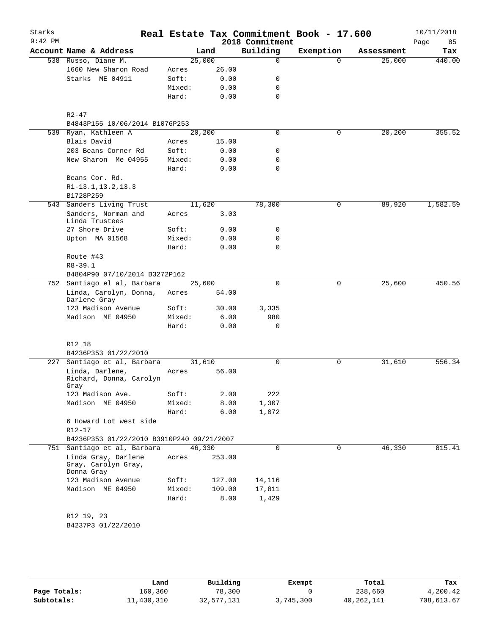| Starks<br>$9:42$ PM |                                                          |        |        | 2018 Commitment | Real Estate Tax Commitment Book - 17.600 |            | 10/11/2018<br>85<br>Page |
|---------------------|----------------------------------------------------------|--------|--------|-----------------|------------------------------------------|------------|--------------------------|
|                     | Account Name & Address                                   |        | Land   | Building        | Exemption                                | Assessment | Tax                      |
|                     | 538 Russo, Diane M.                                      | 25,000 |        | 0               | $\Omega$                                 | 25,000     | 440.00                   |
|                     | 1660 New Sharon Road                                     | Acres  | 26.00  |                 |                                          |            |                          |
|                     | Starks ME 04911                                          | Soft:  | 0.00   | 0               |                                          |            |                          |
|                     |                                                          | Mixed: | 0.00   | 0               |                                          |            |                          |
|                     |                                                          | Hard:  | 0.00   | $\mathbf 0$     |                                          |            |                          |
|                     | $R2 - 47$                                                |        |        |                 |                                          |            |                          |
|                     | B4843P155 10/06/2014 B1076P253                           |        |        |                 |                                          |            |                          |
|                     | 539 Ryan, Kathleen A                                     | 20,200 |        | 0               | $\mathbf 0$                              | 20,200     | 355.52                   |
|                     | Blais David                                              | Acres  | 15.00  |                 |                                          |            |                          |
|                     | 203 Beans Corner Rd                                      | Soft:  | 0.00   | 0               |                                          |            |                          |
|                     | New Sharon Me 04955                                      | Mixed: | 0.00   | 0               |                                          |            |                          |
|                     |                                                          | Hard:  | 0.00   | $\mathbf 0$     |                                          |            |                          |
|                     | Beans Cor. Rd.                                           |        |        |                 |                                          |            |                          |
|                     | R1-13.1, 13.2, 13.3                                      |        |        |                 |                                          |            |                          |
|                     | B1728P259                                                |        |        |                 |                                          |            |                          |
| 543                 | Sanders Living Trust                                     | 11,620 |        | 78,300          | 0                                        | 89,920     | 1,582.59                 |
|                     | Sanders, Norman and<br>Linda Trustees                    | Acres  | 3.03   |                 |                                          |            |                          |
|                     | 27 Shore Drive                                           | Soft:  | 0.00   | 0               |                                          |            |                          |
|                     | Upton MA 01568                                           | Mixed: | 0.00   | $\mathbf 0$     |                                          |            |                          |
|                     |                                                          | Hard:  | 0.00   | $\mathbf 0$     |                                          |            |                          |
|                     | Route #43                                                |        |        |                 |                                          |            |                          |
|                     | $R8 - 39.1$                                              |        |        |                 |                                          |            |                          |
|                     | B4804P90 07/10/2014 B3272P162                            |        |        |                 |                                          |            |                          |
|                     | 752 Santiago el al, Barbara                              | 25,600 |        | $\Omega$        | $\mathbf 0$                              | 25,600     | 450.56                   |
|                     | Linda, Carolyn, Donna,<br>Darlene Gray                   | Acres  | 54.00  |                 |                                          |            |                          |
|                     | 123 Madison Avenue                                       | Soft:  | 30.00  | 3,335           |                                          |            |                          |
|                     | Madison ME 04950                                         | Mixed: | 6.00   | 980             |                                          |            |                          |
|                     |                                                          | Hard:  | 0.00   | 0               |                                          |            |                          |
|                     | R12 18                                                   |        |        |                 |                                          |            |                          |
|                     | B4236P353 01/22/2010                                     |        |        |                 |                                          |            |                          |
| 227                 | Santiago et al, Barbara                                  | 31,610 |        | $\mathbf 0$     | 0                                        | 31,610     | 556.34                   |
|                     | Linda, Darlene,                                          | Acres  | 56.00  |                 |                                          |            |                          |
|                     | Richard, Donna, Carolyn                                  |        |        |                 |                                          |            |                          |
|                     | Gray                                                     |        |        |                 |                                          |            |                          |
|                     | 123 Madison Ave.                                         | Soft:  | 2.00   | 222             |                                          |            |                          |
|                     | Madison ME 04950                                         | Mixed: | 8.00   | 1,307           |                                          |            |                          |
|                     |                                                          | Hard:  | 6.00   | 1,072           |                                          |            |                          |
|                     | 6 Howard Lot west side<br>R12-17                         |        |        |                 |                                          |            |                          |
|                     | B4236P353 01/22/2010 B3910P240 09/21/2007                |        |        |                 |                                          |            |                          |
|                     | 751 Santiago et al, Barbara                              | 46,330 |        | 0               | 0                                        | 46,330     | 815.41                   |
|                     | Linda Gray, Darlene<br>Gray, Carolyn Gray,<br>Donna Gray | Acres  | 253.00 |                 |                                          |            |                          |
|                     | 123 Madison Avenue                                       | Soft:  | 127.00 | 14,116          |                                          |            |                          |
|                     | Madison ME 04950                                         | Mixed: | 109.00 | 17,811          |                                          |            |                          |
|                     |                                                          | Hard:  | 8.00   | 1,429           |                                          |            |                          |
|                     | R12 19, 23                                               |        |        |                 |                                          |            |                          |
|                     | B4237P3 01/22/2010                                       |        |        |                 |                                          |            |                          |
|                     |                                                          |        |        |                 |                                          |            |                          |

|              | Land       | Building   | Exempt    | Total      | Tax        |
|--------------|------------|------------|-----------|------------|------------|
| Page Totals: | 160,360    | 78,300     |           | 238,660    | 4,200.42   |
| Subtotals:   | 11,430,310 | 32,577,131 | 3,745,300 | 40,262,141 | 708,613.67 |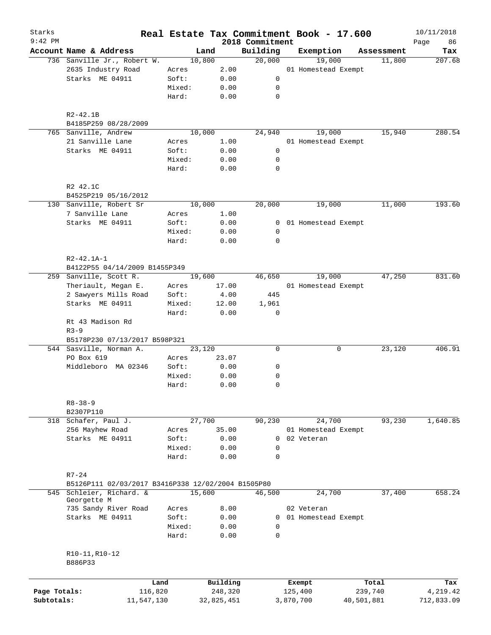| Starks       |                                                    |                 |              |                             | Real Estate Tax Commitment Book - 17.600 |            | 10/11/2018    |
|--------------|----------------------------------------------------|-----------------|--------------|-----------------------------|------------------------------------------|------------|---------------|
| $9:42$ PM    | Account Name & Address                             | Land            |              | 2018 Commitment<br>Building | Exemption                                | Assessment | 86<br>Page    |
|              | 736 Sanville Jr., Robert W.                        | 10,800          |              | 20,000                      | 19,000                                   | 11,800     | Tax<br>207.68 |
|              | 2635 Industry Road                                 | Acres           | 2.00         |                             | 01 Homestead Exempt                      |            |               |
|              | Starks ME 04911                                    | Soft:           | 0.00         | 0                           |                                          |            |               |
|              |                                                    | Mixed:          | 0.00         | 0                           |                                          |            |               |
|              |                                                    |                 |              |                             |                                          |            |               |
|              |                                                    | Hard:           | 0.00         | $\mathbf 0$                 |                                          |            |               |
|              | $R2 - 42.1B$                                       |                 |              |                             |                                          |            |               |
|              | B4185P259 08/28/2009                               |                 |              |                             |                                          |            |               |
|              | 765 Sanville, Andrew                               | 10,000          |              | 24,940                      | 19,000                                   | 15,940     | 280.54        |
|              | 21 Sanville Lane                                   | Acres           | 1.00         |                             | 01 Homestead Exempt                      |            |               |
|              | Starks ME 04911                                    | Soft:           | 0.00         | 0                           |                                          |            |               |
|              |                                                    | Mixed:          | 0.00         | 0                           |                                          |            |               |
|              |                                                    | Hard:           | 0.00         | $\mathbf 0$                 |                                          |            |               |
|              | R2 42.1C                                           |                 |              |                             |                                          |            |               |
|              | B4525P219 05/16/2012                               |                 |              |                             |                                          |            |               |
|              | 130 Sanville, Robert Sr                            | 10,000          |              | 20,000                      | 19,000                                   | 11,000     | 193.60        |
|              | 7 Sanville Lane                                    | Acres           | 1.00         |                             |                                          |            |               |
|              | Starks ME 04911                                    | Soft:           | 0.00         |                             | 0 01 Homestead Exempt                    |            |               |
|              |                                                    | Mixed:          | 0.00         | 0                           |                                          |            |               |
|              |                                                    | Hard:           | 0.00         | $\mathbf 0$                 |                                          |            |               |
|              | $R2 - 42.1A - 1$                                   |                 |              |                             |                                          |            |               |
|              | B4122P55 04/14/2009 B1455P349                      |                 |              |                             |                                          |            |               |
|              | 259 Sanville, Scott R.                             | 19,600          |              | 46,650                      | 19,000                                   | 47,250     | 831.60        |
|              | Theriault, Megan E.                                | Acres           | 17.00        |                             | 01 Homestead Exempt                      |            |               |
|              | 2 Sawyers Mills Road                               | Soft:           | 4.00         | 445                         |                                          |            |               |
|              | Starks ME 04911                                    | Mixed:          | 12.00        | 1,961                       |                                          |            |               |
|              |                                                    | Hard:           | 0.00         | $\mathbf 0$                 |                                          |            |               |
|              | Rt 43 Madison Rd<br>$R3-9$                         |                 |              |                             |                                          |            |               |
|              | B5178P230 07/13/2017 B598P321                      |                 |              |                             |                                          |            |               |
|              | 544 Sasville, Norman A.                            | 23,120          |              | 0                           | 0                                        | 23,120     | 406.91        |
|              | PO Box 619                                         | Acres           | 23.07        |                             |                                          |            |               |
|              | Middleboro MA 02346                                | Soft:           | 0.00         | 0                           |                                          |            |               |
|              |                                                    | Mixed:          | 0.00         | 0                           |                                          |            |               |
|              |                                                    | Hard:           | 0.00         | $\mathbf 0$                 |                                          |            |               |
|              | $R8 - 38 - 9$                                      |                 |              |                             |                                          |            |               |
|              | B2307P110                                          |                 |              |                             |                                          |            |               |
|              | 318 Schafer, Paul J.                               | 27,700          |              | 90,230                      | 24,700                                   | 93,230     | 1,640.85      |
|              | 256 Mayhew Road                                    | Acres           | 35.00        |                             | 01 Homestead Exempt                      |            |               |
|              | Starks ME 04911                                    | Soft:           | 0.00         | 0                           | 02 Veteran                               |            |               |
|              |                                                    | Mixed:          | 0.00         | 0                           |                                          |            |               |
|              |                                                    | Hard:           | 0.00         | $\mathbf 0$                 |                                          |            |               |
|              | $R7 - 24$                                          |                 |              |                             |                                          |            |               |
|              | B5126P111 02/03/2017 B3416P338 12/02/2004 B1505P80 |                 |              |                             |                                          |            |               |
|              | 545 Schleier, Richard. &                           | 15,600          |              | 46,500                      | 24,700                                   | 37,400     | 658.24        |
|              | Georgette M                                        |                 |              |                             |                                          |            |               |
|              | 735 Sandy River Road                               | Acres           | 8.00         |                             | 02 Veteran                               |            |               |
|              | Starks ME 04911                                    | Soft:           | 0.00         | 0                           | 01 Homestead Exempt                      |            |               |
|              |                                                    | Mixed:<br>Hard: | 0.00<br>0.00 | 0<br>$\mathbf 0$            |                                          |            |               |
|              |                                                    |                 |              |                             |                                          |            |               |
|              | R10-11, R10-12                                     |                 |              |                             |                                          |            |               |
|              | B886P33                                            |                 |              |                             |                                          |            |               |
|              | Land                                               |                 | Building     |                             | Exempt                                   | Total      | Tax           |
| Page Totals: | 116,820                                            |                 | 248,320      |                             | 125,400                                  | 239,740    | 4,219.42      |
| Subtotals:   | 11,547,130                                         |                 | 32,825,451   |                             | 3,870,700                                | 40,501,881 | 712,833.09    |
|              |                                                    |                 |              |                             |                                          |            |               |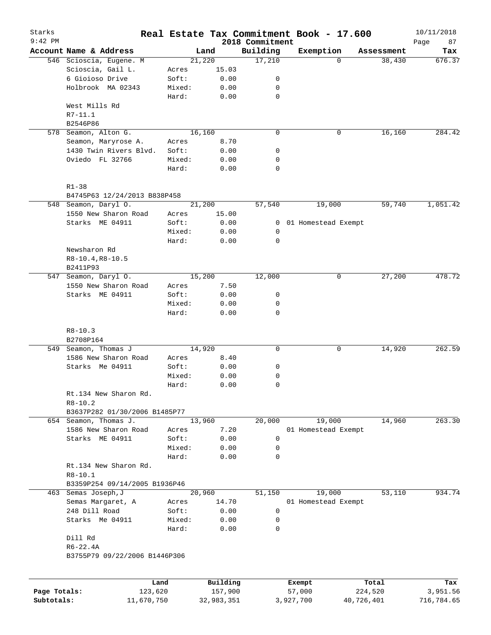| Starks<br>$9:42$ PM |                               |        |          | 2018 Commitment | Real Estate Tax Commitment Book - 17.600 |            | 10/11/2018<br>87<br>Page |
|---------------------|-------------------------------|--------|----------|-----------------|------------------------------------------|------------|--------------------------|
|                     | Account Name & Address        |        | Land     | Building        | Exemption                                | Assessment | Tax                      |
|                     | 546 Scioscia, Eugene. M       |        | 21,220   | 17,210          | $\Omega$                                 | 38,430     | 676.37                   |
|                     | Scioscia, Gail L.             | Acres  | 15.03    |                 |                                          |            |                          |
|                     | 6 Gioioso Drive               | Soft:  | 0.00     | 0               |                                          |            |                          |
|                     | Holbrook MA 02343             | Mixed: | 0.00     | 0               |                                          |            |                          |
|                     |                               | Hard:  | 0.00     | $\mathbf 0$     |                                          |            |                          |
|                     | West Mills Rd                 |        |          |                 |                                          |            |                          |
|                     | $R7-11.1$                     |        |          |                 |                                          |            |                          |
|                     | B2546P86                      |        |          |                 |                                          |            |                          |
|                     | 578 Seamon, Alton G.          |        | 16,160   | $\mathbf 0$     | 0                                        | 16,160     | 284.42                   |
|                     | Seamon, Maryrose A.           | Acres  | 8.70     |                 |                                          |            |                          |
|                     | 1430 Twin Rivers Blvd.        | Soft:  | 0.00     | 0               |                                          |            |                          |
|                     | Oviedo FL 32766               | Mixed: | 0.00     | 0               |                                          |            |                          |
|                     |                               | Hard:  | 0.00     | $\mathbf 0$     |                                          |            |                          |
|                     | $R1 - 38$                     |        |          |                 |                                          |            |                          |
|                     | B4745P63 12/24/2013 B838P458  |        |          |                 |                                          |            |                          |
|                     | 548 Seamon, Daryl O.          |        | 21,200   | 57,540          | 19,000                                   | 59,740     | 1,051.42                 |
|                     | 1550 New Sharon Road          | Acres  | 15.00    |                 |                                          |            |                          |
|                     | Starks ME 04911               | Soft:  | 0.00     | 0               | 01 Homestead Exempt                      |            |                          |
|                     |                               | Mixed: | 0.00     | 0               |                                          |            |                          |
|                     |                               | Hard:  | 0.00     | 0               |                                          |            |                          |
|                     | Newsharon Rd                  |        |          |                 |                                          |            |                          |
|                     | R8-10.4, R8-10.5              |        |          |                 |                                          |            |                          |
|                     | B2411P93                      |        |          |                 |                                          |            |                          |
| 547                 | Seamon, Daryl O.              |        | 15,200   | 12,000          | 0                                        | 27,200     | 478.72                   |
|                     | 1550 New Sharon Road          | Acres  | 7.50     |                 |                                          |            |                          |
|                     | Starks ME 04911               | Soft:  | 0.00     | 0               |                                          |            |                          |
|                     |                               | Mixed: | 0.00     | 0               |                                          |            |                          |
|                     |                               | Hard:  | 0.00     | $\mathbf 0$     |                                          |            |                          |
|                     | $R8 - 10.3$                   |        |          |                 |                                          |            |                          |
|                     | B2708P164                     |        |          |                 |                                          |            |                          |
| 549                 | Seamon, Thomas J              |        | 14,920   | $\mathbf 0$     | 0                                        | 14,920     | 262.59                   |
|                     | 1586 New Sharon Road          | Acres  | 8.40     |                 |                                          |            |                          |
|                     | Starks Me 04911               | Soft:  | 0.00     | 0               |                                          |            |                          |
|                     |                               | Mixed: | 0.00     | 0               |                                          |            |                          |
|                     |                               | Hard:  | 0.00     | $\mathbf 0$     |                                          |            |                          |
|                     | Rt.134 New Sharon Rd.         |        |          |                 |                                          |            |                          |
|                     | $R8 - 10.2$                   |        |          |                 |                                          |            |                          |
|                     | B3637P282 01/30/2006 B1485P77 |        |          |                 |                                          |            |                          |
|                     | 654 Seamon, Thomas J.         |        | 13,960   | 20,000          | 19,000                                   | 14,960     | 263.30                   |
|                     | 1586 New Sharon Road          | Acres  | 7.20     |                 | 01 Homestead Exempt                      |            |                          |
|                     | Starks ME 04911               | Soft:  | 0.00     | 0               |                                          |            |                          |
|                     |                               | Mixed: | 0.00     | 0               |                                          |            |                          |
|                     |                               | Hard:  | 0.00     | 0               |                                          |            |                          |
|                     | Rt.134 New Sharon Rd.         |        |          |                 |                                          |            |                          |
|                     | $R8 - 10.1$                   |        |          |                 |                                          |            |                          |
|                     | B3359P254 09/14/2005 B1936P46 |        |          |                 |                                          |            |                          |
| 463                 | Semas Joseph, J               |        | 20,960   | 51,150          | 19,000                                   | 53,110     | 934.74                   |
|                     | Semas Margaret, A             | Acres  | 14.70    |                 | 01 Homestead Exempt                      |            |                          |
|                     | 248 Dill Road                 | Soft:  | 0.00     | 0               |                                          |            |                          |
|                     | Starks Me 04911               | Mixed: | 0.00     | 0               |                                          |            |                          |
|                     |                               | Hard:  | 0.00     | $\mathbf 0$     |                                          |            |                          |
|                     | Dill Rd                       |        |          |                 |                                          |            |                          |
|                     | $R6 - 22.4A$                  |        |          |                 |                                          |            |                          |
|                     | B3755P79 09/22/2006 B1446P306 |        |          |                 |                                          |            |                          |
|                     |                               |        |          |                 |                                          |            |                          |
|                     |                               | Land   | Building |                 | Exempt                                   | Total      | Tax                      |
| Page Totals:        | 123,620                       |        | 157,900  |                 | 57,000                                   | 224,520    | 3,951.56                 |

**Subtotals:** 11,670,750 32,983,351 3,927,700 40,726,401 716,784.65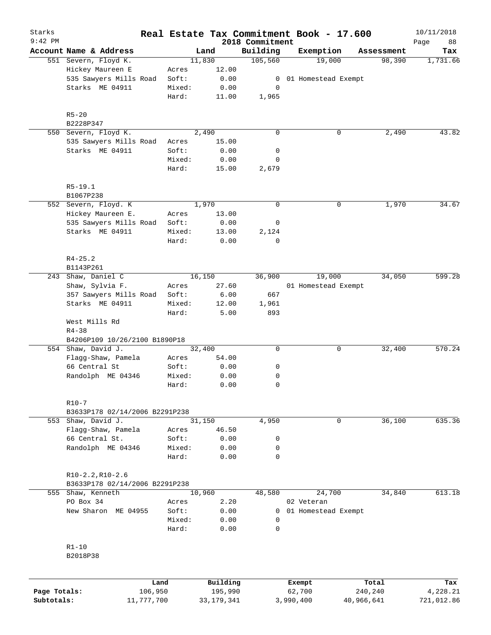| Starks       |                                |                 |        |                     |                             | Real Estate Tax Commitment Book - 17.600 |                  | 10/11/2018        |
|--------------|--------------------------------|-----------------|--------|---------------------|-----------------------------|------------------------------------------|------------------|-------------------|
| $9:42$ PM    | Account Name & Address         |                 |        | Land                | 2018 Commitment<br>Building | Exemption                                | Assessment       | Page<br>88<br>Tax |
|              | 551 Severn, Floyd K.           |                 |        | 11,830              | 105,560                     | 19,000                                   | 98,390           | 1,731.66          |
|              | Hickey Maureen E               |                 | Acres  | 12.00               |                             |                                          |                  |                   |
|              | 535 Sawyers Mills Road         |                 | Soft:  | 0.00                | 0                           | 01 Homestead Exempt                      |                  |                   |
|              | Starks ME 04911                |                 | Mixed: | 0.00                | 0                           |                                          |                  |                   |
|              |                                |                 | Hard:  | 11.00               | 1,965                       |                                          |                  |                   |
|              | $R5 - 20$                      |                 |        |                     |                             |                                          |                  |                   |
|              | B2228P347                      |                 |        |                     |                             |                                          |                  |                   |
|              | 550 Severn, Floyd K.           |                 |        | 2,490               | $\mathbf 0$                 | 0                                        | 2,490            | 43.82             |
|              | 535 Sawyers Mills Road         |                 | Acres  | 15.00               |                             |                                          |                  |                   |
|              | Starks ME 04911                |                 | Soft:  | 0.00                | 0                           |                                          |                  |                   |
|              |                                |                 | Mixed: | 0.00                | 0                           |                                          |                  |                   |
|              |                                |                 | Hard:  | 15.00               | 2,679                       |                                          |                  |                   |
|              | $R5 - 19.1$                    |                 |        |                     |                             |                                          |                  |                   |
|              | B1067P238                      |                 |        |                     |                             |                                          |                  |                   |
|              | 552 Severn, Floyd. K           |                 |        | 1,970               | $\mathbf 0$                 | 0                                        | 1,970            | 34.67             |
|              | Hickey Maureen E.              |                 | Acres  | 13.00               |                             |                                          |                  |                   |
|              | 535 Sawyers Mills Road         |                 | Soft:  | 0.00                | 0                           |                                          |                  |                   |
|              | Starks ME 04911                |                 | Mixed: | 13.00               | 2,124                       |                                          |                  |                   |
|              |                                |                 | Hard:  | 0.00                | $\mathbf 0$                 |                                          |                  |                   |
|              | $R4 - 25.2$                    |                 |        |                     |                             |                                          |                  |                   |
|              | B1143P261                      |                 |        |                     |                             |                                          |                  |                   |
| 243          | Shaw, Daniel C                 |                 |        | 16,150              | 36,900                      | 19,000                                   | 34,050           | 599.28            |
|              | Shaw, Sylvia F.                |                 | Acres  | 27.60               |                             | 01 Homestead Exempt                      |                  |                   |
|              | 357 Sawyers Mills Road         |                 | Soft:  | 6.00                | 667                         |                                          |                  |                   |
|              | Starks ME 04911                |                 | Mixed: | 12.00               | 1,961                       |                                          |                  |                   |
|              | West Mills Rd<br>$R4 - 38$     |                 | Hard:  | 5.00                | 893                         |                                          |                  |                   |
|              | B4206P109 10/26/2100 B1890P18  |                 |        |                     |                             |                                          |                  |                   |
|              | 554 Shaw, David J.             |                 |        | 32,400              | 0                           | 0                                        | 32,400           | 570.24            |
|              | Flagg-Shaw, Pamela             |                 | Acres  | 54.00               |                             |                                          |                  |                   |
|              | 66 Central St                  |                 | Soft:  | 0.00                | 0                           |                                          |                  |                   |
|              | Randolph ME 04346              |                 | Mixed: | 0.00                | 0                           |                                          |                  |                   |
|              |                                |                 | Hard:  | 0.00                | $\mathbf 0$                 |                                          |                  |                   |
|              | $R10-7$                        |                 |        |                     |                             |                                          |                  |                   |
|              | B3633P178 02/14/2006 B2291P238 |                 |        |                     |                             |                                          |                  |                   |
|              | 553 Shaw, David J.             |                 |        | 31,150              | 4,950                       | 0                                        | 36,100           | 635.36            |
|              | Flagg-Shaw, Pamela             |                 | Acres  | 46.50               |                             |                                          |                  |                   |
|              | 66 Central St.                 |                 | Soft:  | 0.00                | 0                           |                                          |                  |                   |
|              | Randolph ME 04346              |                 | Mixed: | 0.00                | 0                           |                                          |                  |                   |
|              |                                |                 | Hard:  | 0.00                | $\mathbf 0$                 |                                          |                  |                   |
|              | $R10-2.2, R10-2.6$             |                 |        |                     |                             |                                          |                  |                   |
|              | B3633P178 02/14/2006 B2291P238 |                 |        |                     |                             |                                          |                  |                   |
|              | 555 Shaw, Kenneth              |                 |        | 10,960              | 48,580                      | 24,700                                   | 34,840           | 613.18            |
|              | PO Box 34                      |                 | Acres  | 2.20                |                             | 02 Veteran                               |                  |                   |
|              | New Sharon ME 04955            |                 | Soft:  | 0.00                | 0                           | 01 Homestead Exempt                      |                  |                   |
|              |                                |                 | Mixed: | 0.00                | 0                           |                                          |                  |                   |
|              |                                |                 | Hard:  | 0.00                | $\mathbf 0$                 |                                          |                  |                   |
|              | $R1 - 10$                      |                 |        |                     |                             |                                          |                  |                   |
|              | B2018P38                       |                 |        |                     |                             |                                          |                  |                   |
|              |                                |                 |        |                     |                             |                                          |                  |                   |
| Page Totals: |                                | Land<br>106,950 |        | Building<br>195,990 |                             | Exempt<br>62,700                         | Total<br>240,240 | Tax<br>4,228.21   |
| Subtotals:   |                                | 11,777,700      |        | 33, 179, 341        |                             | 3,990,400                                | 40,966,641       | 721,012.86        |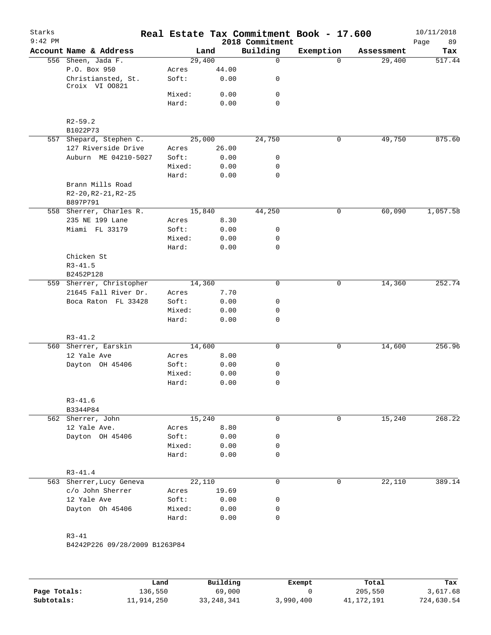| Starks<br>$9:42$ PM                  |        |                               | 2018 Commitment | Real Estate Tax Commitment Book - 17.600 |            | 10/11/2018<br>Page<br>89 |
|--------------------------------------|--------|-------------------------------|-----------------|------------------------------------------|------------|--------------------------|
| Account Name & Address               |        | Land                          | Building        | Exemption                                | Assessment | Tax                      |
| 556 Sheen, Jada F.                   |        | 29,400                        | $\mathsf{O}$    | $\Omega$                                 | 29,400     | 517.44                   |
| P.O. Box 950                         | Acres  | 44.00                         |                 |                                          |            |                          |
| Christiansted, St.<br>Croix VI 00821 | Soft:  | 0.00                          | 0               |                                          |            |                          |
|                                      | Mixed: | 0.00                          | 0               |                                          |            |                          |
|                                      | Hard:  | 0.00                          | $\mathbf 0$     |                                          |            |                          |
| $R2 - 59.2$                          |        |                               |                 |                                          |            |                          |
| B1022P73                             |        |                               |                 |                                          |            |                          |
| 557 Shepard, Stephen C.              |        | 25,000                        | 24,750          | $\mathbf 0$                              | 49,750     | 875.60                   |
| 127 Riverside Drive                  | Acres  | 26.00                         |                 |                                          |            |                          |
| Auburn ME 04210-5027                 | Soft:  | 0.00                          | 0               |                                          |            |                          |
|                                      | Mixed: | 0.00                          | 0               |                                          |            |                          |
|                                      | Hard:  | 0.00                          | $\mathbf 0$     |                                          |            |                          |
| Brann Mills Road                     |        |                               |                 |                                          |            |                          |
| $R2-20, R2-21, R2-25$                |        |                               |                 |                                          |            |                          |
| B897P791                             |        |                               |                 |                                          |            |                          |
| 558 Sherrer, Charles R.              |        | 15,840                        | 44,250          | $\mathsf{O}$                             | 60,090     | 1,057.58                 |
| 235 NE 199 Lane                      | Acres  | 8.30                          |                 |                                          |            |                          |
| Miami FL 33179                       | Soft:  | 0.00                          | 0               |                                          |            |                          |
|                                      | Mixed: | 0.00                          | 0               |                                          |            |                          |
|                                      | Hard:  | 0.00                          | $\mathbf 0$     |                                          |            |                          |
| Chicken St                           |        |                               |                 |                                          |            |                          |
| $R3 - 41.5$                          |        |                               |                 |                                          |            |                          |
| B2452P128                            |        |                               |                 |                                          |            |                          |
| 559 Sherrer, Christopher             |        | 14,360                        | $\mathbf 0$     | 0                                        | 14,360     | 252.74                   |
| 21645 Fall River Dr.                 | Acres  | 7.70                          |                 |                                          |            |                          |
| Boca Raton FL 33428                  | Soft:  | 0.00                          | 0               |                                          |            |                          |
|                                      | Mixed: | 0.00                          | 0               |                                          |            |                          |
|                                      | Hard:  | 0.00                          | 0               |                                          |            |                          |
| $R3 - 41.2$                          |        |                               |                 |                                          |            |                          |
| 560 Sherrer, Earskin                 |        | 14,600                        | 0               | 0                                        | 14,600     | 256.96                   |
| 12 Yale Ave                          | Acres  | 8.00                          |                 |                                          |            |                          |
| Dayton OH 45406                      | Soft:  | 0.00                          | 0               |                                          |            |                          |
|                                      | Mixed: | 0.00                          | 0               |                                          |            |                          |
|                                      | Hard:  | 0.00                          | 0               |                                          |            |                          |
| $R3 - 41.6$                          |        |                               |                 |                                          |            |                          |
| B3344P84                             |        |                               |                 |                                          |            |                          |
| 562 Sherrer, John                    |        | 15,240                        | 0               | 0                                        | 15,240     | 268.22                   |
| 12 Yale Ave.                         | Acres  | 8.80                          |                 |                                          |            |                          |
| Dayton OH 45406                      | Soft:  | 0.00                          | 0               |                                          |            |                          |
|                                      | Mixed: | 0.00                          | 0               |                                          |            |                          |
|                                      | Hard:  | 0.00                          | 0               |                                          |            |                          |
| $R3 - 41.4$                          |        |                               |                 |                                          |            |                          |
| 563 Sherrer, Lucy Geneva             |        | 22,110                        | 0               | $\mathbf 0$                              | 22,110     | 389.14                   |
| c/o John Sherrer                     | Acres  | 19.69                         |                 |                                          |            |                          |
| 12 Yale Ave                          | Soft:  | 0.00                          | 0               |                                          |            |                          |
| Dayton Oh 45406                      | Mixed: | 0.00                          | 0               |                                          |            |                          |
|                                      | Hard:  | 0.00                          | $\mathbf 0$     |                                          |            |                          |
| $R3 - 41$                            |        |                               |                 |                                          |            |                          |
|                                      |        |                               |                 |                                          |            |                          |
|                                      |        | B4242P226 09/28/2009 B1263P84 |                 |                                          |            |                          |

|              | Land       | Building     | Exempt    | Total      | Tax        |
|--------------|------------|--------------|-----------|------------|------------|
| Page Totals: | 136,550    | 69,000       |           | 205,550    | 3,617.68   |
| Subtotals:   | 11,914,250 | 33, 248, 341 | 3,990,400 | 41,172,191 | 724,630.54 |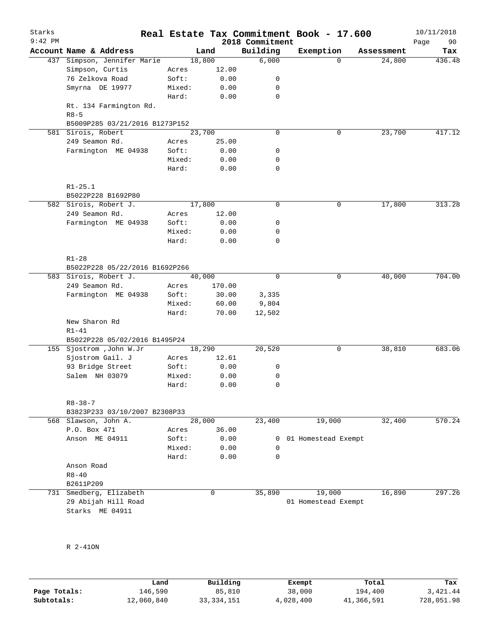| Starks<br>$9:42$ PM |                                |        |        | 2018 Commitment | Real Estate Tax Commitment Book - 17.600 |            | 10/11/2018<br>90<br>Page |
|---------------------|--------------------------------|--------|--------|-----------------|------------------------------------------|------------|--------------------------|
|                     | Account Name & Address         |        | Land   | Building        | Exemption                                | Assessment | Tax                      |
|                     | 437 Simpson, Jennifer Marie    | 18,800 |        | 6,000           | $\Omega$                                 | 24,800     | 436.48                   |
|                     | Simpson, Curtis                | Acres  | 12.00  |                 |                                          |            |                          |
|                     | 76 Zelkova Road                | Soft:  | 0.00   | 0               |                                          |            |                          |
|                     | Smyrna DE 19977                | Mixed: | 0.00   | 0               |                                          |            |                          |
|                     |                                | Hard:  | 0.00   | 0               |                                          |            |                          |
|                     | Rt. 134 Farmington Rd.         |        |        |                 |                                          |            |                          |
|                     | $R8 - 5$                       |        |        |                 |                                          |            |                          |
|                     | B5009P285 03/21/2016 B1273P152 |        |        |                 |                                          |            |                          |
|                     | 581 Sirois, Robert             | 23,700 |        | 0               | 0                                        | 23,700     | 417.12                   |
|                     | 249 Seamon Rd.                 | Acres  | 25.00  |                 |                                          |            |                          |
|                     | Farmington ME 04938            | Soft:  | 0.00   | 0               |                                          |            |                          |
|                     |                                | Mixed: | 0.00   | 0               |                                          |            |                          |
|                     |                                | Hard:  | 0.00   | 0               |                                          |            |                          |
|                     | $R1 - 25.1$                    |        |        |                 |                                          |            |                          |
|                     | B5022P228 B1692P80             |        |        |                 |                                          |            |                          |
|                     | 582 Sirois, Robert J.          | 17,800 |        | 0               | 0                                        | 17,800     | 313.28                   |
|                     | 249 Seamon Rd.                 | Acres  | 12.00  |                 |                                          |            |                          |
|                     | Farmington ME 04938            | Soft:  | 0.00   | 0               |                                          |            |                          |
|                     |                                | Mixed: | 0.00   | 0               |                                          |            |                          |
|                     |                                | Hard:  | 0.00   | 0               |                                          |            |                          |
|                     | $R1 - 28$                      |        |        |                 |                                          |            |                          |
|                     | B5022P228 05/22/2016 B1692P266 |        |        |                 |                                          |            |                          |
|                     | 583 Sirois, Robert J.          | 40,000 |        | 0               | 0                                        | 40,000     | 704.00                   |
|                     | 249 Seamon Rd.                 | Acres  | 170.00 |                 |                                          |            |                          |
|                     | Farmington ME 04938            | Soft:  | 30.00  | 3,335           |                                          |            |                          |
|                     |                                | Mixed: | 60.00  | 9,804           |                                          |            |                          |
|                     |                                | Hard:  | 70.00  | 12,502          |                                          |            |                          |
|                     | New Sharon Rd                  |        |        |                 |                                          |            |                          |
|                     | $R1-41$                        |        |        |                 |                                          |            |                          |
|                     | B5022P228 05/02/2016 B1495P24  |        |        |                 |                                          |            |                          |
|                     | 155 Sjostrom , John W.Jr       | 18,290 |        | 20,520          | 0                                        | 38,810     | 683.06                   |
|                     | Sjostrom Gail. J               | Acres  | 12.61  |                 |                                          |            |                          |
|                     | 93 Bridge Street               | Soft:  | 0.00   | 0               |                                          |            |                          |
|                     | Salem NH 03079                 | Mixed: | 0.00   | 0               |                                          |            |                          |
|                     |                                | Hard:  | 0.00   | 0               |                                          |            |                          |
|                     | $R8 - 38 - 7$                  |        |        |                 |                                          |            |                          |
|                     | B3823P233 03/10/2007 B2308P33  |        |        |                 |                                          |            |                          |
|                     | 568 Slawson, John A.           | 28,000 |        | 23,400          | 19,000                                   | 32,400     | 570.24                   |
|                     | P.O. Box 471                   | Acres  | 36.00  |                 |                                          |            |                          |
|                     | Anson ME 04911                 | Soft:  | 0.00   | 0               | 01 Homestead Exempt                      |            |                          |
|                     |                                | Mixed: | 0.00   | 0               |                                          |            |                          |
|                     |                                | Hard:  | 0.00   | 0               |                                          |            |                          |
|                     | Anson Road                     |        |        |                 |                                          |            |                          |
|                     | $R8 - 40$                      |        |        |                 |                                          |            |                          |
|                     | B2611P209                      |        |        |                 |                                          |            |                          |
| 731                 | Smedberg, Elizabeth            |        | 0      | 35,890          | 19,000                                   | 16,890     | 297.26                   |
|                     | 29 Abijah Hill Road            |        |        |                 | 01 Homestead Exempt                      |            |                          |
|                     | Starks ME 04911                |        |        |                 |                                          |            |                          |

R 2-41ON

|              | Land       | Building     | Exempt    | Total      | Tax        |
|--------------|------------|--------------|-----------|------------|------------|
| Page Totals: | 146,590    | 85,810       | 38,000    | 194,400    | 3,421.44   |
| Subtotals:   | 12,060,840 | 33, 334, 151 | 4,028,400 | 41,366,591 | 728,051.98 |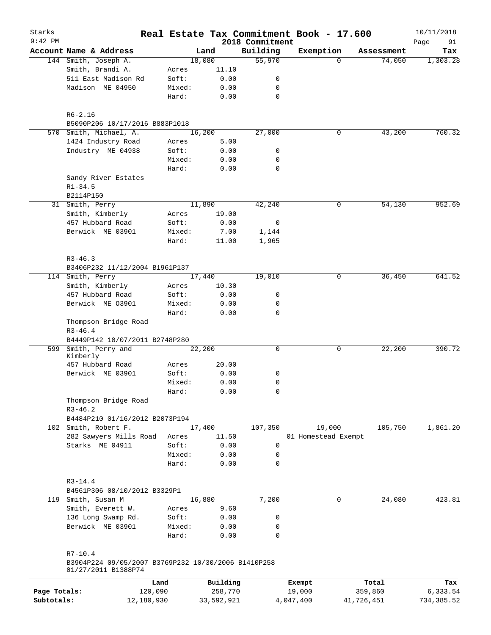| Starks       |                                                     |         |            |                             | Real Estate Tax Commitment Book - 17.600 |              |            | 10/11/2018        |
|--------------|-----------------------------------------------------|---------|------------|-----------------------------|------------------------------------------|--------------|------------|-------------------|
| $9:42$ PM    | Account Name & Address                              |         | Land       | 2018 Commitment<br>Building | Exemption                                |              | Assessment | Page<br>91<br>Tax |
|              | 144 Smith, Joseph A.                                |         | 18,080     | 55,970                      |                                          | $\Omega$     | 74,050     | 1,303.28          |
|              | Smith, Brandi A.                                    | Acres   | 11.10      |                             |                                          |              |            |                   |
|              | 511 East Madison Rd                                 | Soft:   | 0.00       | 0                           |                                          |              |            |                   |
|              | Madison ME 04950                                    | Mixed:  | 0.00       | 0                           |                                          |              |            |                   |
|              |                                                     |         |            |                             |                                          |              |            |                   |
|              |                                                     | Hard:   | 0.00       | $\mathbf 0$                 |                                          |              |            |                   |
|              | $R6 - 2.16$                                         |         |            |                             |                                          |              |            |                   |
|              | B5090P206 10/17/2016 B883P1018                      |         |            |                             |                                          |              |            |                   |
|              | 570 Smith, Michael, A.                              |         | 16,200     | 27,000                      |                                          | $\mathsf{O}$ | 43,200     | 760.32            |
|              | 1424 Industry Road                                  | Acres   | 5.00       |                             |                                          |              |            |                   |
|              | Industry ME 04938                                   | Soft:   | 0.00       | 0                           |                                          |              |            |                   |
|              |                                                     | Mixed:  | 0.00       | 0                           |                                          |              |            |                   |
|              |                                                     | Hard:   | 0.00       | 0                           |                                          |              |            |                   |
|              | Sandy River Estates                                 |         |            |                             |                                          |              |            |                   |
|              | $R1 - 34.5$                                         |         |            |                             |                                          |              |            |                   |
|              | B2114P150                                           |         |            |                             |                                          |              |            |                   |
|              | 31 Smith, Perry                                     |         | 11,890     | 42,240                      |                                          | 0            | 54,130     | 952.69            |
|              | Smith, Kimberly                                     | Acres   | 19.00      |                             |                                          |              |            |                   |
|              | 457 Hubbard Road                                    | Soft:   | 0.00       | 0                           |                                          |              |            |                   |
|              | Berwick ME 03901                                    | Mixed:  | 7.00       | 1,144                       |                                          |              |            |                   |
|              |                                                     | Hard:   | 11.00      | 1,965                       |                                          |              |            |                   |
|              |                                                     |         |            |                             |                                          |              |            |                   |
|              | $R3 - 46.3$                                         |         |            |                             |                                          |              |            |                   |
|              | B3406P232 11/12/2004 B1961P137                      |         |            |                             |                                          |              |            |                   |
|              | 114 Smith, Perry                                    |         | 17,440     | 19,010                      |                                          | 0            | 36,450     | 641.52            |
|              | Smith, Kimberly                                     | Acres   | 10.30      |                             |                                          |              |            |                   |
|              | 457 Hubbard Road                                    | Soft:   | 0.00       | 0                           |                                          |              |            |                   |
|              | Berwick ME 03901                                    | Mixed:  | 0.00       | 0                           |                                          |              |            |                   |
|              |                                                     | Hard:   | 0.00       | 0                           |                                          |              |            |                   |
|              | Thompson Bridge Road                                |         |            |                             |                                          |              |            |                   |
|              | $R3 - 46.4$                                         |         |            |                             |                                          |              |            |                   |
|              | B4449P142 10/07/2011 B2748P280                      |         |            |                             |                                          |              |            |                   |
| 599          | Smith, Perry and                                    |         | 22,200     | 0                           |                                          | 0            | 22,200     | 390.72            |
|              | Kimberly                                            |         |            |                             |                                          |              |            |                   |
|              | 457 Hubbard Road                                    | Acres   | 20.00      |                             |                                          |              |            |                   |
|              | Berwick ME 03901                                    | Soft:   | 0.00       | 0                           |                                          |              |            |                   |
|              |                                                     | Mixed:  | 0.00       | 0                           |                                          |              |            |                   |
|              |                                                     | Hard:   | 0.00       | 0                           |                                          |              |            |                   |
|              | Thompson Bridge Road                                |         |            |                             |                                          |              |            |                   |
|              | $R3 - 46.2$                                         |         |            |                             |                                          |              |            |                   |
|              | B4484P210 01/16/2012 B2073P194                      |         |            |                             |                                          |              |            |                   |
|              | 102 Smith, Robert F.                                |         | 17,400     | 107,350                     | 19,000                                   |              | 105,750    | 1,861.20          |
|              | 282 Sawyers Mills Road                              | Acres   | 11.50      |                             | 01 Homestead Exempt                      |              |            |                   |
|              | Starks ME 04911                                     | Soft:   | 0.00       | 0                           |                                          |              |            |                   |
|              |                                                     | Mixed:  | 0.00       | 0                           |                                          |              |            |                   |
|              |                                                     | Hard:   | 0.00       | $\mathbf 0$                 |                                          |              |            |                   |
|              |                                                     |         |            |                             |                                          |              |            |                   |
|              | $R3 - 14.4$                                         |         |            |                             |                                          |              |            |                   |
|              | B4561P306 08/10/2012 B3329P1                        |         |            |                             |                                          |              |            |                   |
|              | 119 Smith, Susan M                                  |         | 16,880     | 7,200                       |                                          | $\mathbf 0$  | 24,080     | 423.81            |
|              | Smith, Everett W.                                   | Acres   | 9.60       |                             |                                          |              |            |                   |
|              | 136 Long Swamp Rd.                                  | Soft:   | 0.00       | 0                           |                                          |              |            |                   |
|              | Berwick ME 03901                                    | Mixed:  | 0.00       | 0                           |                                          |              |            |                   |
|              |                                                     | Hard:   | 0.00       | 0                           |                                          |              |            |                   |
|              | $R7 - 10.4$                                         |         |            |                             |                                          |              |            |                   |
|              | B3904P224 09/05/2007 B3769P232 10/30/2006 B1410P258 |         |            |                             |                                          |              |            |                   |
|              | 01/27/2011 B1388P74                                 |         |            |                             |                                          |              |            |                   |
|              |                                                     | Land    | Building   |                             | Exempt                                   |              | Total      | Tax               |
| Page Totals: |                                                     | 120,090 | 258,770    |                             | 19,000                                   |              | 359,860    | 6,333.54          |
| Subtotals:   | 12,180,930                                          |         | 33,592,921 |                             | 4,047,400                                | 41,726,451   |            | 734, 385.52       |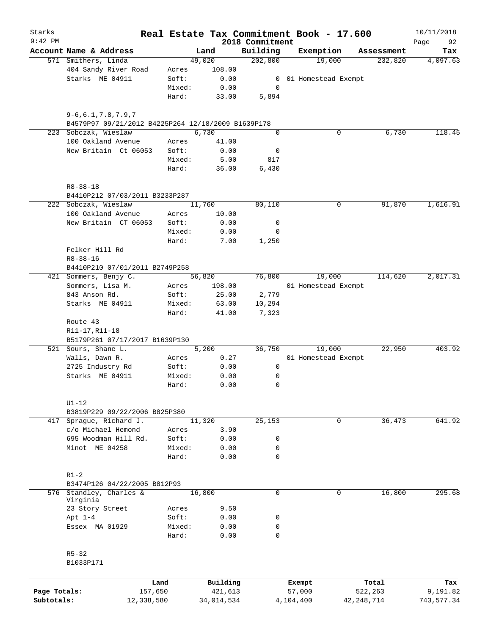| Starks<br>$9:42$ PM |                                                    |            |            | 2018 Commitment | Real Estate Tax Commitment Book - 17.600 |              | 10/11/2018<br>Page<br>92 |
|---------------------|----------------------------------------------------|------------|------------|-----------------|------------------------------------------|--------------|--------------------------|
|                     | Account Name & Address                             |            | Land       | Building        | Exemption                                | Assessment   | Tax                      |
|                     | 571 Smithers, Linda                                |            | 49,020     | 202,800         | 19,000                                   | 232,820      | 4,097.63                 |
|                     | 404 Sandy River Road                               | Acres      | 108.00     |                 |                                          |              |                          |
|                     | Starks ME 04911                                    | Soft:      | 0.00       | 0               | 01 Homestead Exempt                      |              |                          |
|                     |                                                    | Mixed:     | 0.00       | 0               |                                          |              |                          |
|                     |                                                    | Hard:      | 33.00      | 5,894           |                                          |              |                          |
|                     | $9 - 6, 6.1, 7.8, 7.9, 7$                          |            |            |                 |                                          |              |                          |
|                     | B4579P97 09/21/2012 B4225P264 12/18/2009 B1639P178 |            |            |                 |                                          |              |                          |
|                     | 223 Sobczak, Wieslaw                               |            | 6,730      | $\mathbf 0$     | 0                                        | 6,730        | 118.45                   |
|                     | 100 Oakland Avenue                                 | Acres      | 41.00      |                 |                                          |              |                          |
|                     | New Britain Ct 06053                               | Soft:      | 0.00       | 0               |                                          |              |                          |
|                     |                                                    | Mixed:     | 5.00       | 817             |                                          |              |                          |
|                     |                                                    | Hard:      | 36.00      | 6,430           |                                          |              |                          |
|                     | $R8 - 38 - 18$<br>B4410P212 07/03/2011 B3233P287   |            |            |                 |                                          |              |                          |
|                     |                                                    |            |            | 80,110          |                                          |              |                          |
|                     | 222 Sobczak, Wieslaw                               |            | 11,760     |                 | 0                                        | 91,870       | 1,616.91                 |
|                     | 100 Oakland Avenue                                 | Acres      | 10.00      |                 |                                          |              |                          |
|                     | New Britain CT 06053                               | Soft:      | 0.00       | 0               |                                          |              |                          |
|                     |                                                    | Mixed:     | 0.00       | 0               |                                          |              |                          |
|                     |                                                    | Hard:      | 7.00       | 1,250           |                                          |              |                          |
|                     | Felker Hill Rd                                     |            |            |                 |                                          |              |                          |
|                     | $R8 - 38 - 16$                                     |            |            |                 |                                          |              |                          |
|                     | B4410P210 07/01/2011 B2749P258                     |            |            |                 |                                          |              |                          |
|                     | 421 Sommers, Benjy C.                              |            | 56,820     | 76,800          | 19,000                                   | 114,620      | 2,017.31                 |
|                     | Sommers, Lisa M.                                   | Acres      | 198.00     |                 | 01 Homestead Exempt                      |              |                          |
|                     | 843 Anson Rd.                                      | Soft:      | 25.00      | 2,779           |                                          |              |                          |
|                     | Starks ME 04911                                    | Mixed:     | 63.00      | 10,294          |                                          |              |                          |
|                     |                                                    | Hard:      | 41.00      | 7,323           |                                          |              |                          |
|                     | Route 43                                           |            |            |                 |                                          |              |                          |
|                     | R11-17, R11-18                                     |            |            |                 |                                          |              |                          |
|                     | B5179P261 07/17/2017 B1639P130                     |            |            |                 |                                          |              |                          |
|                     | 521 Sours, Shane L.                                |            | 5,200      | 36,750          | 19,000                                   | 22,950       | 403.92                   |
|                     | Walls, Dawn R.                                     | Acres      | 0.27       |                 | 01 Homestead Exempt                      |              |                          |
|                     | 2725 Industry Rd                                   | Soft:      | 0.00       | 0               |                                          |              |                          |
|                     | Starks ME 04911                                    | Mixed:     | 0.00       | 0               |                                          |              |                          |
|                     |                                                    | Hard:      | 0.00       | 0               |                                          |              |                          |
|                     | $U1-12$                                            |            |            |                 |                                          |              |                          |
|                     | B3819P229 09/22/2006 B825P380                      |            |            |                 |                                          |              |                          |
| 417                 | Sprague, Richard J.                                |            | 11,320     | 25,153          | 0                                        | 36,473       | 641.92                   |
|                     | c/o Michael Hemond                                 | Acres      | 3.90       |                 |                                          |              |                          |
|                     | 695 Woodman Hill Rd.                               | Soft:      | 0.00       | 0               |                                          |              |                          |
|                     | Minot ME 04258                                     | Mixed:     | 0.00       | 0               |                                          |              |                          |
|                     |                                                    | Hard:      | 0.00       | $\mathbf 0$     |                                          |              |                          |
|                     | $R1-2$                                             |            |            |                 |                                          |              |                          |
|                     | B3474P126 04/22/2005 B812P93                       |            |            |                 |                                          |              |                          |
|                     | 576 Standley, Charles &<br>Virginia                |            | 16,800     | $\mathbf 0$     | 0                                        | 16,800       | 295.68                   |
|                     | 23 Story Street                                    | Acres      | 9.50       |                 |                                          |              |                          |
|                     | Apt $1-4$                                          | Soft:      | 0.00       | 0               |                                          |              |                          |
|                     | Essex MA 01929                                     | Mixed:     | 0.00       | 0               |                                          |              |                          |
|                     |                                                    | Hard:      | 0.00       | 0               |                                          |              |                          |
|                     | $R5 - 32$                                          |            |            |                 |                                          |              |                          |
|                     | B1033P171                                          |            |            |                 |                                          |              |                          |
|                     |                                                    |            |            |                 |                                          |              |                          |
|                     |                                                    | Land       | Building   |                 | Exempt                                   | Total        | Tax                      |
| Page Totals:        |                                                    | 157,650    | 421,613    |                 | 57,000                                   | 522,263      | 9,191.82                 |
| Subtotals:          |                                                    | 12,338,580 | 34,014,534 |                 | 4,104,400                                | 42, 248, 714 | 743,577.34               |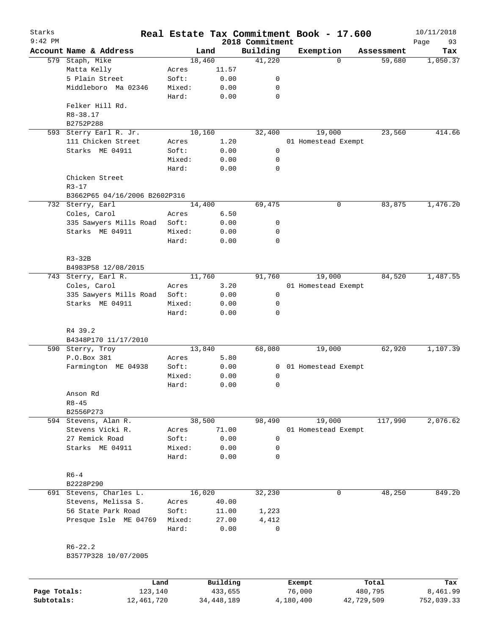| Starks<br>$9:42$ PM |                                 | Real Estate Tax Commitment Book - 17.600 |          | 2018 Commitment |        |                     |            | 10/11/2018<br>Page<br>93 |
|---------------------|---------------------------------|------------------------------------------|----------|-----------------|--------|---------------------|------------|--------------------------|
|                     | Account Name & Address          | Land                                     |          | Building        |        | Exemption           | Assessment | Tax                      |
|                     | 579 Staph, Mike                 | 18,460                                   |          | 41,220          |        | $\Omega$            | 59,680     | 1,050.37                 |
|                     | Matta Kelly                     | Acres                                    | 11.57    |                 |        |                     |            |                          |
|                     | 5 Plain Street                  | Soft:                                    | 0.00     | 0               |        |                     |            |                          |
|                     | Middleboro Ma 02346             | Mixed:                                   | 0.00     | 0               |        |                     |            |                          |
|                     |                                 | Hard:                                    | 0.00     | $\mathbf 0$     |        |                     |            |                          |
|                     | Felker Hill Rd.<br>R8-38.17     |                                          |          |                 |        |                     |            |                          |
|                     | B2752P288                       |                                          |          |                 |        |                     |            |                          |
| 593                 | Sterry Earl R. Jr.              | 10,160                                   |          | 32,400          |        | 19,000              | 23,560     | 414.66                   |
|                     | 111 Chicken Street              | Acres                                    | 1.20     |                 |        | 01 Homestead Exempt |            |                          |
|                     | Starks ME 04911                 | Soft:                                    | 0.00     | 0               |        |                     |            |                          |
|                     |                                 | Mixed:                                   | 0.00     | 0               |        |                     |            |                          |
|                     |                                 | Hard:                                    | 0.00     | 0               |        |                     |            |                          |
|                     | Chicken Street                  |                                          |          |                 |        |                     |            |                          |
|                     | $R3 - 17$                       |                                          |          |                 |        |                     |            |                          |
|                     | B3662P65 04/16/2006 B2602P316   |                                          |          |                 |        |                     |            |                          |
|                     | 732 Sterry, Earl                | 14,400                                   |          | 69,475          |        | 0                   | 83,875     | 1,476.20                 |
|                     | Coles, Carol                    | Acres                                    | 6.50     |                 |        |                     |            |                          |
|                     | 335 Sawyers Mills Road          | Soft:                                    | 0.00     | 0               |        |                     |            |                          |
|                     | Starks ME 04911                 | Mixed:                                   | 0.00     | 0               |        |                     |            |                          |
|                     |                                 | Hard:                                    | 0.00     | 0               |        |                     |            |                          |
|                     |                                 |                                          |          |                 |        |                     |            |                          |
|                     | $R3-32B$                        |                                          |          |                 |        |                     |            |                          |
|                     | B4983P58 12/08/2015             |                                          |          |                 |        |                     |            |                          |
|                     | 743 Sterry, Earl R.             | 11,760                                   |          | 91,760          |        | 19,000              | 84,520     | 1,487.55                 |
|                     | Coles, Carol                    | Acres                                    | 3.20     |                 |        | 01 Homestead Exempt |            |                          |
|                     | 335 Sawyers Mills Road          | Soft:                                    | 0.00     | 0               |        |                     |            |                          |
|                     | Starks ME 04911                 | Mixed:                                   | 0.00     | 0               |        |                     |            |                          |
|                     |                                 | Hard:                                    | 0.00     | 0               |        |                     |            |                          |
|                     |                                 |                                          |          |                 |        |                     |            |                          |
|                     | R4 39.2<br>B4348P170 11/17/2010 |                                          |          |                 |        |                     |            |                          |
|                     | 590 Sterry, Troy                | 13,840                                   |          | 68,080          |        | 19,000              | 62,920     | 1,107.39                 |
|                     | P.O.Box 381                     | Acres                                    | 5.80     |                 |        |                     |            |                          |
|                     | Farmington ME 04938             | Soft:                                    | 0.00     | 0               |        | 01 Homestead Exempt |            |                          |
|                     |                                 | Mixed:                                   | 0.00     | 0               |        |                     |            |                          |
|                     |                                 | Hard:                                    | 0.00     | 0               |        |                     |            |                          |
|                     | Anson Rd                        |                                          |          |                 |        |                     |            |                          |
|                     | $R8 - 45$                       |                                          |          |                 |        |                     |            |                          |
|                     | B2556P273                       |                                          |          |                 |        |                     |            |                          |
|                     | 594 Stevens, Alan R.            | 38,500                                   |          | 98,490          |        | 19,000              | 117,990    | 2,076.62                 |
|                     | Stevens Vicki R.                | Acres                                    | 71.00    |                 |        | 01 Homestead Exempt |            |                          |
|                     | 27 Remick Road                  | Soft:                                    | 0.00     | 0               |        |                     |            |                          |
|                     | Starks ME 04911                 | Mixed:                                   | 0.00     | 0               |        |                     |            |                          |
|                     |                                 | Hard:                                    | 0.00     | $\mathbf 0$     |        |                     |            |                          |
|                     |                                 |                                          |          |                 |        |                     |            |                          |
|                     | $R6-4$                          |                                          |          |                 |        |                     |            |                          |
|                     | B2228P290                       |                                          |          |                 |        |                     |            |                          |
|                     | 691 Stevens, Charles L.         | 16,020                                   |          | 32,230          |        | 0                   | 48,250     | 849.20                   |
|                     | Stevens, Melissa S.             | Acres                                    | 40.00    |                 |        |                     |            |                          |
|                     | 56 State Park Road              | Soft:                                    | 11.00    | 1,223           |        |                     |            |                          |
|                     | Presque Isle ME 04769           | Mixed:                                   | 27.00    | 4,412           |        |                     |            |                          |
|                     |                                 | Hard:                                    | 0.00     | $\mathbf 0$     |        |                     |            |                          |
|                     |                                 |                                          |          |                 |        |                     |            |                          |
|                     | $R6 - 22.2$                     |                                          |          |                 |        |                     |            |                          |
|                     | B3577P328 10/07/2005            |                                          |          |                 |        |                     |            |                          |
|                     |                                 |                                          |          |                 |        |                     |            |                          |
|                     | Land                            |                                          | Building |                 | Exempt |                     | Total      | Tax                      |

**Page Totals:** 123,140 433,655 76,000 480,795 8,461.99 **Subtotals:** 12,461,720 34,448,189 4,180,400 42,729,509 752,039.33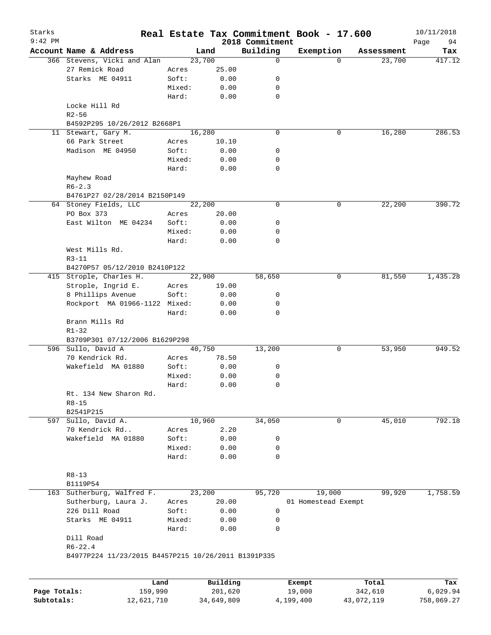| Starks<br>$9:42$ PM |                                                        |                |                 | 2018 Commitment | Real Estate Tax Commitment Book - 17.600 |            | 10/11/2018<br>Page<br>94 |
|---------------------|--------------------------------------------------------|----------------|-----------------|-----------------|------------------------------------------|------------|--------------------------|
|                     | Account Name & Address                                 |                | Land            | Building        | Exemption                                | Assessment | Tax                      |
|                     | 366 Stevens, Vicki and Alan                            |                | 23,700          | 0               | $\Omega$                                 | 23,700     | 417.12                   |
|                     | 27 Remick Road                                         | Acres          | 25.00           |                 |                                          |            |                          |
|                     | Starks ME 04911                                        | Soft:          | 0.00            | 0               |                                          |            |                          |
|                     |                                                        | Mixed:         | 0.00            | 0               |                                          |            |                          |
|                     |                                                        | Hard:          | 0.00            | 0               |                                          |            |                          |
|                     | Locke Hill Rd                                          |                |                 |                 |                                          |            |                          |
|                     | $R2 - 56$                                              |                |                 |                 |                                          |            |                          |
|                     | B4592P295 10/26/2012 B2668P1                           |                |                 |                 |                                          |            |                          |
|                     | 11 Stewart, Gary M.                                    |                | 16,280          | 0               | 0                                        | 16,280     | 286.53                   |
|                     | 66 Park Street                                         | Acres          | 10.10           |                 |                                          |            |                          |
|                     | Madison ME 04950                                       | Soft:          | 0.00            | 0               |                                          |            |                          |
|                     |                                                        | Mixed:         | 0.00            | 0               |                                          |            |                          |
|                     |                                                        | Hard:          | 0.00            | 0               |                                          |            |                          |
|                     | Mayhew Road                                            |                |                 |                 |                                          |            |                          |
|                     | $R6 - 2.3$                                             |                |                 |                 |                                          |            |                          |
|                     | B4761P27 02/28/2014 B2150P149<br>64 Stoney Fields, LLC |                | 22,200          | 0               | 0                                        | 22,200     | 390.72                   |
|                     | PO Box 373                                             | Acres          | 20.00           |                 |                                          |            |                          |
|                     | East Wilton ME 04234                                   | Soft:          | 0.00            | 0               |                                          |            |                          |
|                     |                                                        | Mixed:         | 0.00            | 0               |                                          |            |                          |
|                     |                                                        | Hard:          | 0.00            | $\mathbf 0$     |                                          |            |                          |
|                     | West Mills Rd.                                         |                |                 |                 |                                          |            |                          |
|                     | $R3 - 11$                                              |                |                 |                 |                                          |            |                          |
|                     | B4270P57 05/12/2010 B2410P122                          |                |                 |                 |                                          |            |                          |
|                     | 415 Strople, Charles H.                                |                | 22,900          | 58,650          | 0                                        | 81,550     | 1,435.28                 |
|                     | Strople, Ingrid E.                                     | Acres          | 19.00           |                 |                                          |            |                          |
|                     | 8 Phillips Avenue                                      | Soft:          | 0.00            | 0               |                                          |            |                          |
|                     | Rockport MA 01966-1122 Mixed:                          |                | 0.00            | 0               |                                          |            |                          |
|                     |                                                        | Hard:          | 0.00            | 0               |                                          |            |                          |
|                     | Brann Mills Rd                                         |                |                 |                 |                                          |            |                          |
|                     | $R1 - 32$                                              |                |                 |                 |                                          |            |                          |
|                     | B3709P301 07/12/2006 B1629P298                         |                |                 |                 |                                          |            |                          |
|                     | 596 Sullo, David A                                     |                | 40,750          | 13,200          | 0                                        | 53,950     | 949.52                   |
|                     | 70 Kendrick Rd.                                        | Acres          | 78.50           |                 |                                          |            |                          |
|                     | Wakefield MA 01880                                     | Soft:          | 0.00            | 0               |                                          |            |                          |
|                     |                                                        | Mixed:         | 0.00            | 0               |                                          |            |                          |
|                     |                                                        | Hard:          | 0.00            | 0               |                                          |            |                          |
|                     | Rt. 134 New Sharon Rd.                                 |                |                 |                 |                                          |            |                          |
|                     | $R8 - 15$                                              |                |                 |                 |                                          |            |                          |
|                     | B2541P215                                              |                |                 |                 |                                          |            |                          |
| 597                 | Sullo, David A.                                        |                | 10,960          | 34,050          | 0                                        | 45,010     | 792.18                   |
|                     | 70 Kendrick Rd                                         | Acres          | 2.20            |                 |                                          |            |                          |
|                     | Wakefield MA 01880                                     | Soft:          | 0.00            | 0               |                                          |            |                          |
|                     |                                                        | Mixed:         | 0.00            | 0               |                                          |            |                          |
|                     |                                                        | Hard:          | 0.00            | 0               |                                          |            |                          |
|                     |                                                        |                |                 |                 |                                          |            |                          |
|                     | $R8 - 13$                                              |                |                 |                 |                                          |            |                          |
|                     | B1119P54                                               |                |                 |                 |                                          |            |                          |
| 163                 | Sutherburg, Walfred F.<br>Sutherburg, Laura J.         |                | 23,200<br>20.00 | 95,720          | 19,000                                   | 99,920     | 1,758.59                 |
|                     | 226 Dill Road                                          | Acres<br>Soft: | 0.00            | 0               | 01 Homestead Exempt                      |            |                          |
|                     | Starks ME 04911                                        | Mixed:         | 0.00            | 0               |                                          |            |                          |
|                     |                                                        | Hard:          | 0.00            | 0               |                                          |            |                          |
|                     | Dill Road                                              |                |                 |                 |                                          |            |                          |
|                     | $R6 - 22.4$                                            |                |                 |                 |                                          |            |                          |
|                     |                                                        |                |                 |                 |                                          |            |                          |
|                     | B4977P224 11/23/2015 B4457P215 10/26/2011 B1391P335    |                |                 |                 |                                          |            |                          |

|              | Land       | Building   | Exempt    | Total      | Tax        |
|--------------|------------|------------|-----------|------------|------------|
| Page Totals: | 159,990    | 201,620    | 19,000    | 342,610    | 6.029.94   |
| Subtotals:   | 12,621,710 | 34,649,809 | 4,199,400 | 43,072,119 | 758,069.27 |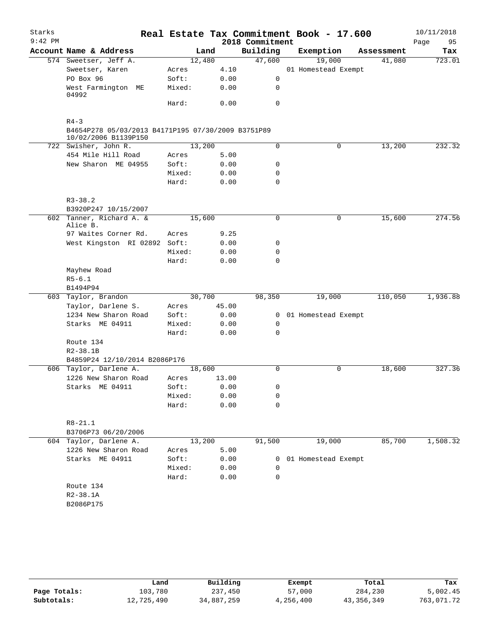| Starks<br>$9:42$ PM |                                                                            |        |        | 2018 Commitment | Real Estate Tax Commitment Book - 17.600 |            | 10/11/2018<br>95<br>Page |
|---------------------|----------------------------------------------------------------------------|--------|--------|-----------------|------------------------------------------|------------|--------------------------|
|                     | Account Name & Address                                                     |        | Land   | Building        | Exemption                                | Assessment | Tax                      |
|                     | 574 Sweetser, Jeff A.                                                      |        | 12,480 | 47,600          | 19,000                                   | 41,080     | 723.01                   |
|                     | Sweetser, Karen                                                            | Acres  | 4.10   |                 | 01 Homestead Exempt                      |            |                          |
|                     | PO Box 96                                                                  | Soft:  | 0.00   | 0               |                                          |            |                          |
|                     | West Farmington ME<br>04992                                                | Mixed: | 0.00   | 0               |                                          |            |                          |
|                     |                                                                            | Hard:  | 0.00   | 0               |                                          |            |                          |
|                     | $R4 - 3$                                                                   |        |        |                 |                                          |            |                          |
|                     | B4654P278 05/03/2013 B4171P195 07/30/2009 B3751P89<br>10/02/2006 B1139P150 |        |        |                 |                                          |            |                          |
|                     | 722 Swisher, John R.                                                       |        | 13,200 | 0               | 0                                        | 13,200     | 232.32                   |
|                     | 454 Mile Hill Road                                                         | Acres  | 5.00   |                 |                                          |            |                          |
|                     | New Sharon ME 04955                                                        | Soft:  | 0.00   | 0               |                                          |            |                          |
|                     |                                                                            | Mixed: | 0.00   | 0               |                                          |            |                          |
|                     |                                                                            | Hard:  | 0.00   | 0               |                                          |            |                          |
|                     | $R3 - 38.2$                                                                |        |        |                 |                                          |            |                          |
|                     | B3920P247 10/15/2007                                                       |        |        |                 |                                          |            |                          |
|                     | 602 Tanner, Richard A. &                                                   |        | 15,600 | 0               | 0                                        | 15,600     | 274.56                   |
|                     | Alice B.                                                                   |        |        |                 |                                          |            |                          |
|                     | 97 Waites Corner Rd.                                                       | Acres  | 9.25   |                 |                                          |            |                          |
|                     | West Kingston RI 02892 Soft:                                               |        | 0.00   | 0               |                                          |            |                          |
|                     |                                                                            | Mixed: | 0.00   | 0               |                                          |            |                          |
|                     |                                                                            | Hard:  | 0.00   | 0               |                                          |            |                          |
|                     | Mayhew Road                                                                |        |        |                 |                                          |            |                          |
|                     | $R5 - 6.1$                                                                 |        |        |                 |                                          |            |                          |
|                     | B1494P94                                                                   |        |        |                 |                                          |            |                          |
|                     | 603 Taylor, Brandon                                                        |        | 30,700 | 98,350          | 19,000                                   | 110,050    | 1,936.88                 |
|                     | Taylor, Darlene S.                                                         | Acres  | 45.00  |                 |                                          |            |                          |
|                     | 1234 New Sharon Road                                                       | Soft:  | 0.00   | $\mathbf{0}$    | 01 Homestead Exempt                      |            |                          |
|                     | Starks ME 04911                                                            | Mixed: | 0.00   | 0               |                                          |            |                          |
|                     |                                                                            | Hard:  | 0.00   | 0               |                                          |            |                          |
|                     | Route 134                                                                  |        |        |                 |                                          |            |                          |
|                     | $R2 - 38.1B$                                                               |        |        |                 |                                          |            |                          |
|                     | B4859P24 12/10/2014 B2086P176                                              |        |        |                 |                                          |            |                          |
|                     | 606 Taylor, Darlene A.                                                     |        | 18,600 | $\Omega$        | 0                                        | 18,600     | 327.36                   |
|                     | 1226 New Sharon Road                                                       | Acres  | 13.00  |                 |                                          |            |                          |
|                     | Starks ME 04911                                                            | Soft:  | 0.00   | 0               |                                          |            |                          |
|                     |                                                                            | Mixed: | 0.00   | 0               |                                          |            |                          |
|                     |                                                                            | Hard:  | 0.00   | $\Omega$        |                                          |            |                          |
|                     | $R8 - 21.1$                                                                |        |        |                 |                                          |            |                          |
|                     | B3706P73 06/20/2006                                                        |        |        |                 |                                          |            |                          |
|                     | 604 Taylor, Darlene A.                                                     |        | 13,200 | 91,500          | 19,000                                   | 85,700     | 1,508.32                 |
|                     | 1226 New Sharon Road                                                       | Acres  | 5.00   |                 |                                          |            |                          |
|                     | Starks ME 04911                                                            | Soft:  | 0.00   | $\overline{0}$  | 01 Homestead Exempt                      |            |                          |
|                     |                                                                            | Mixed: | 0.00   | 0               |                                          |            |                          |
|                     |                                                                            | Hard:  | 0.00   | 0               |                                          |            |                          |
|                     | Route 134                                                                  |        |        |                 |                                          |            |                          |
|                     | $R2 - 38.1A$                                                               |        |        |                 |                                          |            |                          |
|                     | B2086P175                                                                  |        |        |                 |                                          |            |                          |
|                     |                                                                            |        |        |                 |                                          |            |                          |

|              | Land       | Building   | Exempt    | Total      | Tax        |
|--------------|------------|------------|-----------|------------|------------|
| Page Totals: | 103,780    | 237,450    | 57,000    | 284,230    | 5,002.45   |
| Subtotals:   | 12,725,490 | 34,887,259 | 4,256,400 | 43,356,349 | 763,071.72 |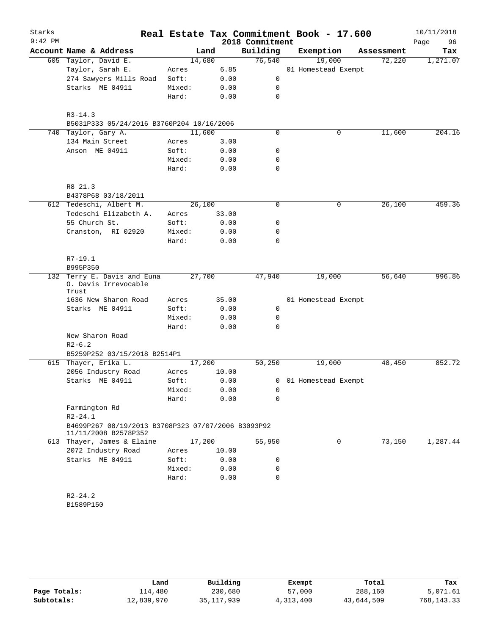| Starks<br>$9:42$ PM |                                                                            |                 |       | 2018 Commitment | Real Estate Tax Commitment Book - 17.600 |            | 10/11/2018<br>96<br>Page |
|---------------------|----------------------------------------------------------------------------|-----------------|-------|-----------------|------------------------------------------|------------|--------------------------|
|                     | Account Name & Address                                                     | Land            |       | Building        | Exemption                                | Assessment | Tax                      |
|                     | 605 Taylor, David E.                                                       | 14,680          |       | 76,540          | 19,000                                   | 72,220     | 1,271.07                 |
|                     | Taylor, Sarah E.                                                           | Acres           | 6.85  |                 | 01 Homestead Exempt                      |            |                          |
|                     | 274 Sawyers Mills Road                                                     | Soft:           | 0.00  | 0               |                                          |            |                          |
|                     | Starks ME 04911                                                            | Mixed:          | 0.00  | 0               |                                          |            |                          |
|                     |                                                                            | Hard:           | 0.00  | $\mathbf 0$     |                                          |            |                          |
|                     |                                                                            |                 |       |                 |                                          |            |                          |
|                     | $R3 - 14.3$                                                                |                 |       |                 |                                          |            |                          |
| 740                 | B5031P333 05/24/2016 B3760P204 10/16/2006<br>Taylor, Gary A.               | 11,600          |       | $\mathbf 0$     | 0                                        | 11,600     | 204.16                   |
|                     |                                                                            |                 |       |                 |                                          |            |                          |
|                     | 134 Main Street<br>Anson ME 04911                                          | Acres           | 3.00  |                 |                                          |            |                          |
|                     |                                                                            | Soft:           | 0.00  | 0               |                                          |            |                          |
|                     |                                                                            | Mixed:<br>Hard: | 0.00  | 0<br>0          |                                          |            |                          |
|                     |                                                                            |                 | 0.00  |                 |                                          |            |                          |
|                     | R8 21.3                                                                    |                 |       |                 |                                          |            |                          |
|                     | B4378P68 03/18/2011                                                        |                 |       |                 |                                          |            |                          |
|                     | 612 Tedeschi, Albert M.                                                    | 26,100          |       | $\mathbf 0$     | 0                                        | 26,100     | 459.36                   |
|                     | Tedeschi Elizabeth A.                                                      | Acres           | 33.00 |                 |                                          |            |                          |
|                     | 55 Church St.                                                              | Soft:           | 0.00  | 0               |                                          |            |                          |
|                     | Cranston, RI 02920                                                         | Mixed:          | 0.00  | 0               |                                          |            |                          |
|                     |                                                                            | Hard:           | 0.00  | 0               |                                          |            |                          |
|                     |                                                                            |                 |       |                 |                                          |            |                          |
|                     | $R7-19.1$                                                                  |                 |       |                 |                                          |            |                          |
|                     | B995P350                                                                   |                 |       |                 |                                          |            |                          |
| 132                 | Terry E. Davis and Euna<br>0. Davis Irrevocable<br>Trust                   | 27,700          |       | 47,940          | 19,000                                   | 56,640     | 996.86                   |
|                     | 1636 New Sharon Road                                                       | Acres           | 35.00 |                 | 01 Homestead Exempt                      |            |                          |
|                     | Starks ME 04911                                                            | Soft:           | 0.00  | 0               |                                          |            |                          |
|                     |                                                                            | Mixed:          | 0.00  | 0               |                                          |            |                          |
|                     |                                                                            | Hard:           | 0.00  | 0               |                                          |            |                          |
|                     | New Sharon Road                                                            |                 |       |                 |                                          |            |                          |
|                     | $R2 - 6.2$                                                                 |                 |       |                 |                                          |            |                          |
|                     | B5259P252 03/15/2018 B2514P1                                               |                 |       |                 |                                          |            |                          |
|                     | 615 Thayer, Erika L.                                                       | 17,200          |       | 50, 250         | 19,000                                   | 48,450     | 852.72                   |
|                     | 2056 Industry Road                                                         | Acres           | 10.00 |                 |                                          |            |                          |
|                     | Starks ME 04911                                                            | Soft:           | 0.00  |                 | 0 01 Homestead Exempt                    |            |                          |
|                     |                                                                            | Mixed:          | 0.00  | 0               |                                          |            |                          |
|                     |                                                                            | Hard:           | 0.00  | 0               |                                          |            |                          |
|                     | Farmington Rd                                                              |                 |       |                 |                                          |            |                          |
|                     | $R2 - 24.1$                                                                |                 |       |                 |                                          |            |                          |
|                     | B4699P267 08/19/2013 B3708P323 07/07/2006 B3093P92<br>11/11/2008 B2578P352 |                 |       |                 |                                          |            |                          |
|                     | 613 Thayer, James & Elaine                                                 | 17,200          |       | 55,950          | 0                                        | 73,150     | 1,287.44                 |
|                     | 2072 Industry Road                                                         | Acres           | 10.00 |                 |                                          |            |                          |
|                     | Starks ME 04911                                                            | Soft:           | 0.00  | 0               |                                          |            |                          |
|                     |                                                                            | Mixed:          | 0.00  | 0               |                                          |            |                          |
|                     |                                                                            | Hard:           | 0.00  | 0               |                                          |            |                          |
|                     | $R2 - 24.2$                                                                |                 |       |                 |                                          |            |                          |
|                     | B1589P150                                                                  |                 |       |                 |                                          |            |                          |
|                     |                                                                            |                 |       |                 |                                          |            |                          |
|                     |                                                                            |                 |       |                 |                                          |            |                          |

|              | Land       | Building   | Exempt    | Total      | Tax          |
|--------------|------------|------------|-----------|------------|--------------|
| Page Totals: | 114,480    | 230,680    | 57,000    | 288,160    | 5,071.61     |
| Subtotals:   | 12,839,970 | 35,117,939 | 4,313,400 | 43,644,509 | 768, 143. 33 |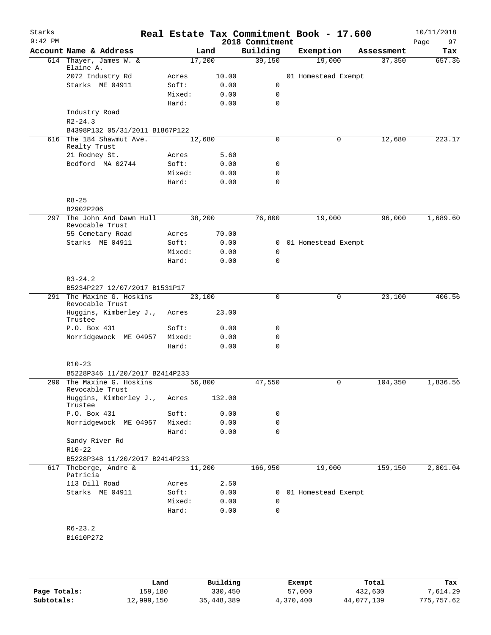| Starks<br>$9:42$ PM |                                              |                 |              | 2018 Commitment             | Real Estate Tax Commitment Book - 17.600 |            | 10/11/2018<br>97<br>Page |
|---------------------|----------------------------------------------|-----------------|--------------|-----------------------------|------------------------------------------|------------|--------------------------|
|                     | Account Name & Address                       |                 | Land         | Building                    | Exemption                                | Assessment | Tax                      |
|                     | 614 Thayer, James W. &<br>Elaine A.          |                 | 17,200       | 39,150                      | 19,000                                   | 37,350     | 657.36                   |
|                     | 2072 Industry Rd                             | Acres           | 10.00        |                             | 01 Homestead Exempt                      |            |                          |
|                     | Starks ME 04911                              | Soft:           | 0.00         | 0                           |                                          |            |                          |
|                     |                                              | Mixed:          | 0.00         | $\mathbf 0$                 |                                          |            |                          |
|                     |                                              | Hard:           | 0.00         | $\mathbf 0$                 |                                          |            |                          |
|                     | Industry Road<br>$R2 - 24.3$                 |                 |              |                             |                                          |            |                          |
|                     | B4398P132 05/31/2011 B1867P122               |                 |              |                             |                                          |            |                          |
|                     | 616 The 184 Shawmut Ave.<br>Realty Trust     |                 | 12,680       | $\mathbf 0$                 | 0                                        | 12,680     | 223.17                   |
|                     | 21 Rodney St.                                | Acres           | 5.60         |                             |                                          |            |                          |
|                     | Bedford MA 02744                             | Soft:           | 0.00         | 0                           |                                          |            |                          |
|                     |                                              | Mixed:          | 0.00         | 0                           |                                          |            |                          |
|                     |                                              | Hard:           | 0.00         | 0                           |                                          |            |                          |
|                     | $R8 - 25$                                    |                 |              |                             |                                          |            |                          |
| 297                 | B2902P206<br>The John And Dawn Hull          |                 | 38,200       | 76,800                      | 19,000                                   | 96,000     | 1,689.60                 |
|                     | Revocable Trust                              |                 |              |                             |                                          |            |                          |
|                     | 55 Cemetary Road                             | Acres           | 70.00        |                             |                                          |            |                          |
|                     | Starks ME 04911                              | Soft:<br>Mixed: | 0.00<br>0.00 | $\mathbf{0}$<br>$\mathbf 0$ | 01 Homestead Exempt                      |            |                          |
|                     |                                              | Hard:           | 0.00         | $\Omega$                    |                                          |            |                          |
|                     |                                              |                 |              |                             |                                          |            |                          |
|                     | $R3 - 24.2$                                  |                 |              |                             |                                          |            |                          |
|                     | B5234P227 12/07/2017 B1531P17                |                 |              |                             |                                          |            |                          |
|                     | 291 The Maxine G. Hoskins<br>Revocable Trust |                 | 23,100       | $\mathbf 0$                 | $\mathbf 0$                              | 23,100     | 406.56                   |
|                     | Huggins, Kimberley J.,<br>Trustee            | Acres           | 23.00        |                             |                                          |            |                          |
|                     | P.O. Box 431                                 | Soft:           | 0.00         | 0                           |                                          |            |                          |
|                     | Norridgewock ME 04957                        | Mixed:          | 0.00         | 0                           |                                          |            |                          |
|                     |                                              | Hard:           | 0.00         | $\mathbf 0$                 |                                          |            |                          |
|                     | $R10-23$<br>B5228P346 11/20/2017 B2414P233   |                 |              |                             |                                          |            |                          |
| 290                 | The Maxine G. Hoskins                        |                 | 56,800       | 47,550                      | 0                                        | 104,350    | 1,836.56                 |
|                     | Revocable Trust<br>Huggins, Kimberley J.,    | Acres           | 132.00       |                             |                                          |            |                          |
|                     | Trustee                                      |                 |              |                             |                                          |            |                          |
|                     | P.O. Box 431                                 | Soft:           | 0.00         | 0                           |                                          |            |                          |
|                     | Norridgewock ME 04957                        | Mixed:          | 0.00         | 0<br>0                      |                                          |            |                          |
|                     | Sandy River Rd                               | Hard:           | 0.00         |                             |                                          |            |                          |
|                     | $R10 - 22$                                   |                 |              |                             |                                          |            |                          |
|                     | B5228P348 11/20/2017 B2414P233               |                 |              |                             |                                          |            |                          |
| 617                 | Theberge, Andre &                            |                 | 11,200       | 166,950                     | 19,000                                   | 159,150    | 2,801.04                 |
|                     | Patricia                                     |                 |              |                             |                                          |            |                          |
|                     | 113 Dill Road                                | Acres           | 2.50         |                             |                                          |            |                          |
|                     | Starks ME 04911                              | Soft:           | 0.00         | $\mathbf{0}$                | 01 Homestead Exempt                      |            |                          |
|                     |                                              | Mixed:<br>Hard: | 0.00<br>0.00 | 0<br>0                      |                                          |            |                          |
|                     |                                              |                 |              |                             |                                          |            |                          |
|                     | $R6 - 23.2$                                  |                 |              |                             |                                          |            |                          |
|                     | B1610P272                                    |                 |              |                             |                                          |            |                          |
|                     |                                              |                 |              |                             |                                          |            |                          |
|                     |                                              |                 |              |                             |                                          |            |                          |

|              | Land       | Building     | Exempt    | Total      | Tax        |
|--------------|------------|--------------|-----------|------------|------------|
| Page Totals: | 159,180    | 330,450      | 57,000    | 432,630    | 7,614.29   |
| Subtotals:   | 12,999,150 | 35, 448, 389 | 4,370,400 | 44,077,139 | 775,757.62 |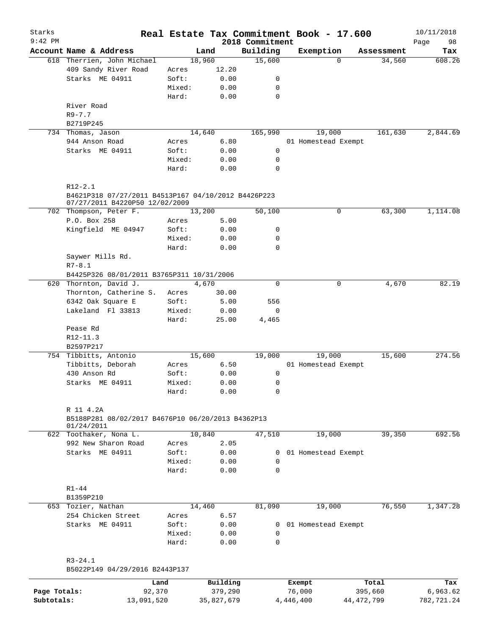| Starks       |                                                                    |        |                |                    | Real Estate Tax Commitment Book - 17.600 |                      | 10/11/2018    |
|--------------|--------------------------------------------------------------------|--------|----------------|--------------------|------------------------------------------|----------------------|---------------|
| $9:42$ PM    |                                                                    |        |                | 2018 Commitment    |                                          |                      | Page<br>98    |
|              | Account Name & Address<br>618 Therrien, John Michael               |        | Land<br>18,960 | Building<br>15,600 | Exemption<br>$\Omega$                    | Assessment<br>34,560 | Tax<br>608.26 |
|              | 409 Sandy River Road                                               | Acres  | 12.20          |                    |                                          |                      |               |
|              | Starks ME 04911                                                    | Soft:  | 0.00           | 0                  |                                          |                      |               |
|              |                                                                    | Mixed: | 0.00           | 0                  |                                          |                      |               |
|              |                                                                    | Hard:  | 0.00           | $\mathbf 0$        |                                          |                      |               |
|              | River Road                                                         |        |                |                    |                                          |                      |               |
|              | $R9 - 7.7$                                                         |        |                |                    |                                          |                      |               |
|              | B2719P245                                                          |        |                |                    |                                          |                      |               |
|              | 734 Thomas, Jason                                                  |        | 14,640         | 165,990            | 19,000                                   | 161,630              | 2,844.69      |
|              | 944 Anson Road                                                     | Acres  | 6.80           |                    | 01 Homestead Exempt                      |                      |               |
|              | Starks ME 04911                                                    | Soft:  | 0.00           | 0                  |                                          |                      |               |
|              |                                                                    | Mixed: | 0.00           | 0                  |                                          |                      |               |
|              |                                                                    | Hard:  | 0.00           | $\mathbf 0$        |                                          |                      |               |
|              |                                                                    |        |                |                    |                                          |                      |               |
|              | $R12 - 2.1$<br>B4621P318 07/27/2011 B4513P167 04/10/2012 B4426P223 |        |                |                    |                                          |                      |               |
|              | 07/27/2011 B4220P50 12/02/2009                                     |        |                |                    |                                          |                      |               |
|              | 702 Thompson, Peter F.                                             |        | 13,200         | 50,100             | $\mathsf{O}$                             | 63,300               | 1,114.08      |
|              | P.O. Box 258                                                       | Acres  | 5.00           |                    |                                          |                      |               |
|              | Kingfield ME 04947                                                 | Soft:  | 0.00           | 0                  |                                          |                      |               |
|              |                                                                    | Mixed: | 0.00           | 0                  |                                          |                      |               |
|              |                                                                    | Hard:  | 0.00           | 0                  |                                          |                      |               |
|              | Saywer Mills Rd.                                                   |        |                |                    |                                          |                      |               |
|              | $R7 - 8.1$                                                         |        |                |                    |                                          |                      |               |
|              | B4425P326 08/01/2011 B3765P311 10/31/2006                          |        |                |                    |                                          |                      |               |
|              | 620 Thornton, David J.                                             |        | 4,670          | $\Omega$           | 0                                        | 4,670                | 82.19         |
|              | Thornton, Catherine S.                                             | Acres  | 30.00          |                    |                                          |                      |               |
|              | 6342 Oak Square E                                                  | Soft:  | 5.00           | 556                |                                          |                      |               |
|              | Lakeland Fl 33813                                                  | Mixed: | 0.00           | 0                  |                                          |                      |               |
|              |                                                                    | Hard:  | 25.00          | 4,465              |                                          |                      |               |
|              | Pease Rd                                                           |        |                |                    |                                          |                      |               |
|              | $R12-11.3$                                                         |        |                |                    |                                          |                      |               |
|              | B2597P217                                                          |        |                |                    |                                          |                      |               |
|              | 754 Tibbitts, Antonio                                              |        | 15,600         | 19,000             | 19,000                                   | 15,600               | 274.56        |
|              | Tibbitts, Deborah                                                  | Acres  | 6.50           |                    | 01 Homestead Exempt                      |                      |               |
|              | 430 Anson Rd                                                       | Soft:  | 0.00           | 0                  |                                          |                      |               |
|              | Starks ME 04911                                                    | Mixed: | 0.00           | 0                  |                                          |                      |               |
|              |                                                                    | Hard:  | 0.00           | 0                  |                                          |                      |               |
|              | R 11 4.2A                                                          |        |                |                    |                                          |                      |               |
|              | B5188P281 08/02/2017 B4676P10 06/20/2013 B4362P13                  |        |                |                    |                                          |                      |               |
|              | 01/24/2011                                                         |        |                |                    |                                          |                      |               |
|              | 622 Toothaker, Nona L.                                             |        | 10,840         | 47,510             | 19,000                                   | 39,350               | 692.56        |
|              | 992 New Sharon Road                                                | Acres  | 2.05           |                    |                                          |                      |               |
|              | Starks ME 04911                                                    | Soft:  | 0.00           | 0                  | 01 Homestead Exempt                      |                      |               |
|              |                                                                    | Mixed: | 0.00           | 0                  |                                          |                      |               |
|              |                                                                    | Hard:  | 0.00           | $\Omega$           |                                          |                      |               |
|              | $R1 - 44$                                                          |        |                |                    |                                          |                      |               |
|              | B1359P210                                                          |        |                |                    |                                          |                      |               |
|              | 653 Tozier, Nathan                                                 |        | 14,460         | 81,090             | 19,000                                   | 76,550               | 1,347.28      |
|              | 254 Chicken Street                                                 | Acres  | 6.57           |                    |                                          |                      |               |
|              | Starks ME 04911                                                    | Soft:  | 0.00           | 0                  | 01 Homestead Exempt                      |                      |               |
|              |                                                                    | Mixed: | 0.00           | 0                  |                                          |                      |               |
|              |                                                                    | Hard:  | 0.00           | $\mathbf 0$        |                                          |                      |               |
|              | $R3 - 24.1$                                                        |        |                |                    |                                          |                      |               |
|              | B5022P149 04/29/2016 B2443P137                                     |        |                |                    |                                          |                      |               |
|              |                                                                    | Land   | Building       |                    | Exempt                                   | Total                | Tax           |
| Page Totals: | 92,370                                                             |        | 379,290        |                    | 76,000                                   | 395,660              | 6,963.62      |

**Subtotals:** 13,091,520 35,827,679 4,446,400 44,472,799 782,721.24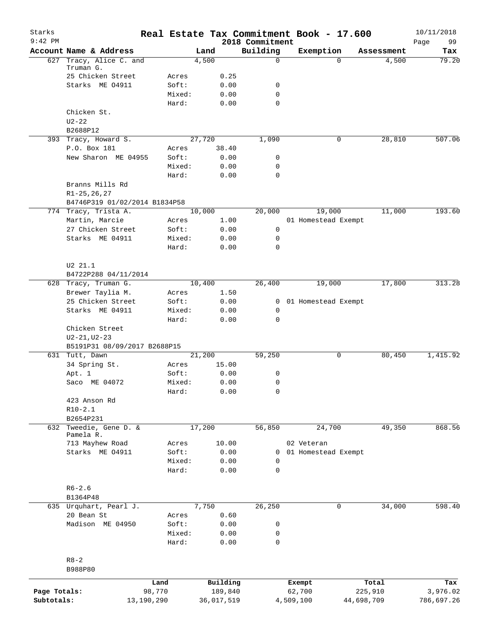| Starks<br>$9:42$ PM |                                 |                 |        |              | 2018 Commitment  | Real Estate Tax Commitment Book - 17.600 |            | 10/11/2018        |
|---------------------|---------------------------------|-----------------|--------|--------------|------------------|------------------------------------------|------------|-------------------|
|                     | Account Name & Address          |                 | Land   |              | Building         | Exemption                                | Assessment | 99<br>Page<br>Tax |
| 627                 | Tracy, Alice C. and             |                 | 4,500  |              | $\mathbf 0$      | $\Omega$                                 | 4,500      | 79.20             |
|                     | Truman G.                       |                 |        |              |                  |                                          |            |                   |
|                     | 25 Chicken Street               | Acres           |        | 0.25         |                  |                                          |            |                   |
|                     | Starks ME 04911                 | Soft:<br>Mixed: |        | 0.00<br>0.00 | 0<br>$\mathbf 0$ |                                          |            |                   |
|                     |                                 | Hard:           |        | 0.00         | $\mathbf 0$      |                                          |            |                   |
|                     | Chicken St.                     |                 |        |              |                  |                                          |            |                   |
|                     | $U2 - 22$                       |                 |        |              |                  |                                          |            |                   |
|                     | B2688P12                        |                 |        |              |                  |                                          |            |                   |
|                     | 393 Tracy, Howard S.            |                 | 27,720 |              | 1,090            | 0                                        | 28,810     | 507.06            |
|                     | P.O. Box 181                    | Acres           |        | 38.40        |                  |                                          |            |                   |
|                     | New Sharon ME 04955             | Soft:           |        | 0.00         | 0                |                                          |            |                   |
|                     |                                 | Mixed:          |        | 0.00         | 0                |                                          |            |                   |
|                     |                                 | Hard:           |        | 0.00         | $\mathbf 0$      |                                          |            |                   |
|                     | Branns Mills Rd                 |                 |        |              |                  |                                          |            |                   |
|                     | $R1 - 25, 26, 27$               |                 |        |              |                  |                                          |            |                   |
|                     | B4746P319 01/02/2014 B1834P58   |                 |        |              |                  |                                          |            |                   |
|                     | 774 Tracy, Trista A.            |                 | 10,000 |              | 20,000           | 19,000                                   | 11,000     | 193.60            |
|                     | Martin, Marcie                  | Acres           |        | 1.00         |                  | 01 Homestead Exempt                      |            |                   |
|                     | 27 Chicken Street               | Soft:           |        | 0.00         | 0                |                                          |            |                   |
|                     | Starks ME 04911                 | Mixed:          |        | 0.00         | $\mathbf 0$      |                                          |            |                   |
|                     |                                 | Hard:           |        | 0.00         | $\mathbf 0$      |                                          |            |                   |
|                     | U2 21.1                         |                 |        |              |                  |                                          |            |                   |
|                     | B4722P288 04/11/2014            |                 |        |              |                  |                                          |            |                   |
|                     | 628 Tracy, Truman G.            |                 | 10,400 |              | 26,400           | 19,000                                   | 17,800     | 313.28            |
|                     | Brewer Taylia M.                | Acres           |        | 1.50         |                  |                                          |            |                   |
|                     | 25 Chicken Street               | Soft:           |        | 0.00         | $\overline{0}$   | 01 Homestead Exempt                      |            |                   |
|                     | Starks ME 04911                 | Mixed:          |        | 0.00         | 0                |                                          |            |                   |
|                     |                                 | Hard:           |        | 0.00         | $\mathbf 0$      |                                          |            |                   |
|                     | Chicken Street                  |                 |        |              |                  |                                          |            |                   |
|                     | $U2 - 21, U2 - 23$              |                 |        |              |                  |                                          |            |                   |
|                     | B5191P31 08/09/2017 B2688P15    |                 |        |              |                  |                                          |            |                   |
|                     | 631 Tutt, Dawn                  |                 | 21,200 |              | 59,250           | 0                                        | 80,450     | 1,415.92          |
|                     | 34 Spring St.                   | Acres           |        | 15.00        |                  |                                          |            |                   |
|                     | Apt. 1                          | Soft:           |        | 0.00         | 0                |                                          |            |                   |
|                     | Saco ME 04072                   | Mixed:          |        | 0.00         | $\mathbf 0$      |                                          |            |                   |
|                     |                                 | Hard:           |        | 0.00         | 0                |                                          |            |                   |
|                     | 423 Anson Rd                    |                 |        |              |                  |                                          |            |                   |
|                     | $R10-2.1$                       |                 |        |              |                  |                                          |            |                   |
|                     | B2654P231                       |                 |        |              |                  |                                          |            |                   |
| 632                 | Tweedie, Gene D. &<br>Pamela R. |                 | 17,200 |              | 56,850           | 24,700                                   | 49,350     | 868.56            |
|                     | 713 Mayhew Road                 | Acres           |        | 10.00        |                  | 02 Veteran                               |            |                   |
|                     | Starks ME 04911                 | Soft:           |        | 0.00         | $\overline{0}$   | 01 Homestead Exempt                      |            |                   |
|                     |                                 | Mixed:          |        | 0.00         | 0                |                                          |            |                   |
|                     |                                 | Hard:           |        | 0.00         | $\mathbf 0$      |                                          |            |                   |
|                     |                                 |                 |        |              |                  |                                          |            |                   |
|                     | $R6 - 2.6$                      |                 |        |              |                  |                                          |            |                   |
|                     | B1364P48                        |                 |        |              |                  |                                          |            |                   |
|                     | 635 Urquhart, Pearl J.          |                 | 7,750  |              | 26,250           | 0                                        | 34,000     | 598.40            |
|                     | 20 Bean St                      | Acres           |        | 0.60         |                  |                                          |            |                   |
|                     | Madison ME 04950                | Soft:           |        | 0.00         | 0                |                                          |            |                   |
|                     |                                 | Mixed:          |        | 0.00         | 0                |                                          |            |                   |
|                     |                                 | Hard:           |        | 0.00         | $\mathbf 0$      |                                          |            |                   |
|                     |                                 |                 |        |              |                  |                                          |            |                   |
|                     | $R8 - 2$                        |                 |        |              |                  |                                          |            |                   |
|                     | B988P80                         |                 |        |              |                  |                                          |            |                   |
|                     |                                 | Land            |        | Building     |                  | Exempt                                   | Total      | Tax               |
| Page Totals:        |                                 | 98,770          |        | 189,840      |                  | 62,700                                   | 225,910    | 3,976.02          |
| Subtotals:          |                                 | 13,190,290      |        | 36,017,519   |                  | 4,509,100                                | 44,698,709 | 786,697.26        |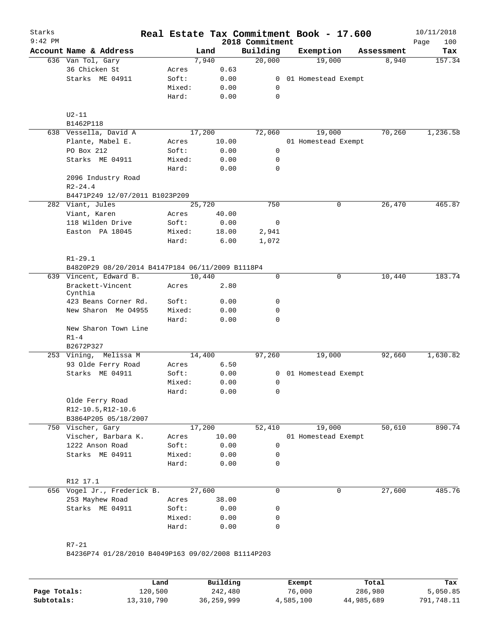| Starks<br>$9:42$ PM |                                                                 |        |        |       | Real Estate Tax Commitment Book - 17.600<br>2018 Commitment |                     |            | 10/11/2018<br>100<br>Page |
|---------------------|-----------------------------------------------------------------|--------|--------|-------|-------------------------------------------------------------|---------------------|------------|---------------------------|
|                     | Account Name & Address                                          |        | Land   |       | Building                                                    | Exemption           | Assessment | Tax                       |
|                     | 636 Van Tol, Gary                                               |        | 7,940  |       | 20,000                                                      | 19,000              | 8,940      | 157.34                    |
|                     | 36 Chicken St                                                   | Acres  |        | 0.63  |                                                             |                     |            |                           |
|                     | Starks ME 04911                                                 | Soft:  |        | 0.00  | 0                                                           | 01 Homestead Exempt |            |                           |
|                     |                                                                 | Mixed: |        | 0.00  | 0                                                           |                     |            |                           |
|                     |                                                                 | Hard:  |        | 0.00  | 0                                                           |                     |            |                           |
|                     | $U2-11$                                                         |        |        |       |                                                             |                     |            |                           |
|                     | B1462P118                                                       |        |        |       |                                                             |                     |            |                           |
|                     | 638 Vessella, David A                                           |        | 17,200 |       | 72,060                                                      | 19,000              | 70,260     | 1,236.58                  |
|                     | Plante, Mabel E.                                                | Acres  |        | 10.00 |                                                             | 01 Homestead Exempt |            |                           |
|                     | PO Box 212                                                      | Soft:  |        | 0.00  | 0                                                           |                     |            |                           |
|                     | Starks ME 04911                                                 | Mixed: |        | 0.00  | 0                                                           |                     |            |                           |
|                     |                                                                 | Hard:  |        | 0.00  | 0                                                           |                     |            |                           |
|                     | 2096 Industry Road<br>$R2 - 24.4$                               |        |        |       |                                                             |                     |            |                           |
|                     | B4471P249 12/07/2011 B1023P209                                  |        |        |       |                                                             |                     |            |                           |
|                     | 282 Viant, Jules                                                |        | 25,720 |       | 750                                                         | 0                   | 26,470     | 465.87                    |
|                     | Viant, Karen                                                    | Acres  |        | 40.00 |                                                             |                     |            |                           |
|                     | 118 Wilden Drive                                                | Soft:  |        | 0.00  | 0                                                           |                     |            |                           |
|                     | Easton PA 18045                                                 | Mixed: |        | 18.00 | 2,941                                                       |                     |            |                           |
|                     |                                                                 | Hard:  |        | 6.00  | 1,072                                                       |                     |            |                           |
|                     |                                                                 |        |        |       |                                                             |                     |            |                           |
|                     | $R1 - 29.1$                                                     |        |        |       |                                                             |                     |            |                           |
|                     | B4820P29 08/20/2014 B4147P184 06/11/2009 B1118P4                |        |        |       |                                                             |                     |            |                           |
|                     | 639 Vincent, Edward B.                                          |        | 10,440 |       | $\mathbf 0$                                                 | 0                   | 10,440     | 183.74                    |
|                     | Brackett-Vincent<br>Cynthia                                     | Acres  |        | 2.80  |                                                             |                     |            |                           |
|                     | 423 Beans Corner Rd.                                            | Soft:  |        | 0.00  | 0                                                           |                     |            |                           |
|                     | New Sharon Me 04955                                             | Mixed: |        | 0.00  | 0                                                           |                     |            |                           |
|                     |                                                                 | Hard:  |        | 0.00  | 0                                                           |                     |            |                           |
|                     | New Sharon Town Line<br>$R1-4$                                  |        |        |       |                                                             |                     |            |                           |
|                     | B2672P327                                                       |        |        |       |                                                             |                     |            |                           |
|                     | 253 Vining, Melissa M                                           |        | 14,400 |       | 97,260                                                      | 19,000              | 92,660     | 1,630.82                  |
|                     | 93 Olde Ferry Road                                              | Acres  |        | 6.50  |                                                             |                     |            |                           |
|                     | Starks ME 04911                                                 | Soft:  |        | 0.00  | 0                                                           | 01 Homestead Exempt |            |                           |
|                     |                                                                 | Mixed: |        | 0.00  | 0                                                           |                     |            |                           |
|                     |                                                                 | Hard:  |        | 0.00  | 0                                                           |                     |            |                           |
|                     | Olde Ferry Road                                                 |        |        |       |                                                             |                     |            |                           |
|                     | R12-10.5, R12-10.6                                              |        |        |       |                                                             |                     |            |                           |
|                     | B3864P205 05/18/2007                                            |        |        |       |                                                             |                     |            |                           |
|                     | 750 Vischer, Gary                                               |        | 17,200 |       | 52,410                                                      | 19,000              | 50,610     | 890.74                    |
|                     | Vischer, Barbara K.                                             | Acres  |        | 10.00 |                                                             | 01 Homestead Exempt |            |                           |
|                     | 1222 Anson Road                                                 | Soft:  |        | 0.00  | 0                                                           |                     |            |                           |
|                     | Starks ME 04911                                                 | Mixed: |        | 0.00  | 0                                                           |                     |            |                           |
|                     |                                                                 | Hard:  |        | 0.00  | 0                                                           |                     |            |                           |
|                     | R12 17.1                                                        |        |        |       |                                                             |                     |            |                           |
|                     | 656 Vogel Jr., Frederick B.                                     |        | 27,600 |       | 0                                                           | $\mathbf 0$         | 27,600     | 485.76                    |
|                     | 253 Mayhew Road                                                 | Acres  |        | 38.00 |                                                             |                     |            |                           |
|                     | Starks ME 04911                                                 | Soft:  |        | 0.00  | 0                                                           |                     |            |                           |
|                     |                                                                 | Mixed: |        | 0.00  | 0                                                           |                     |            |                           |
|                     |                                                                 | Hard:  |        | 0.00  | 0                                                           |                     |            |                           |
|                     |                                                                 |        |        |       |                                                             |                     |            |                           |
|                     | $R7 - 21$<br>B4236P74 01/28/2010 B4049P163 09/02/2008 B1114P203 |        |        |       |                                                             |                     |            |                           |

**Page Totals:** 120,500 242,480 76,000 286,980 5,050.85<br>**Subtotals:** 13,310,790 36,259,999 4,585,100 44,985,689 791,748.11 **Subtotals:** 13,310,790 36,259,999 4,585,100 44,985,689 791,748.11 **Land Building Exempt Total Tax**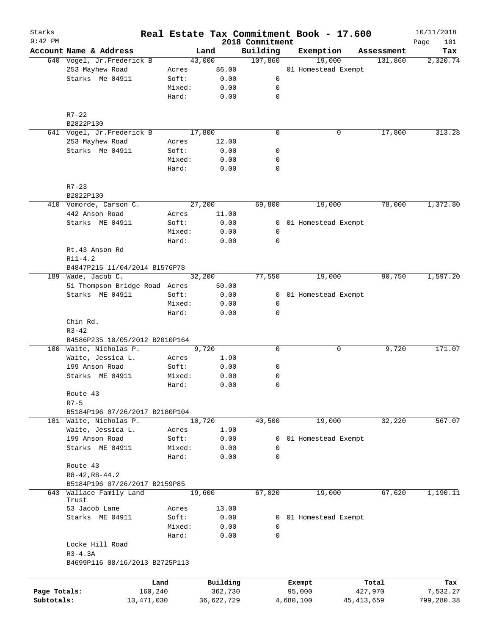| Starks<br>$9:42$ PM |                                |        |              | 2018 Commitment | Real Estate Tax Commitment Book - 17.600 |              | 10/11/2018<br>Page<br>101 |
|---------------------|--------------------------------|--------|--------------|-----------------|------------------------------------------|--------------|---------------------------|
|                     | Account Name & Address         |        | Land         | Building        | Exemption                                | Assessment   | Tax                       |
|                     | 640 Vogel, Jr.Frederick B      |        | 43,000       | 107,860         | 19,000                                   | 131,860      | 2,320.74                  |
|                     | 253 Mayhew Road                | Acres  | 86.00        |                 | 01 Homestead Exempt                      |              |                           |
|                     | Starks Me 04911                | Soft:  | 0.00         | 0               |                                          |              |                           |
|                     |                                | Mixed: | 0.00         | 0               |                                          |              |                           |
|                     |                                | Hard:  | 0.00         | $\mathbf 0$     |                                          |              |                           |
|                     | $R7 - 22$                      |        |              |                 |                                          |              |                           |
|                     | B2822P130                      |        |              |                 |                                          |              |                           |
|                     | 641 Vogel, Jr.Frederick B      |        | 17,800       | $\mathbf 0$     | 0                                        | 17,800       | 313.28                    |
|                     | 253 Mayhew Road                | Acres  | 12.00        |                 |                                          |              |                           |
|                     | Starks Me 04911                | Soft:  | 0.00         | 0               |                                          |              |                           |
|                     |                                | Mixed: | 0.00         | 0               |                                          |              |                           |
|                     |                                | Hard:  | 0.00         | $\mathbf 0$     |                                          |              |                           |
|                     | $R7 - 23$                      |        |              |                 |                                          |              |                           |
|                     | B2822P130                      |        |              |                 |                                          |              |                           |
|                     | 410 Vomorde, Carson C.         |        | 27,200       | 69,800          | 19,000                                   | 78,000       | 1,372.80                  |
|                     | 442 Anson Road                 | Acres  | 11.00        |                 |                                          |              |                           |
|                     | Starks ME 04911                | Soft:  | 0.00         |                 | 0 01 Homestead Exempt                    |              |                           |
|                     |                                | Mixed: | 0.00         | 0               |                                          |              |                           |
|                     |                                | Hard:  | 0.00         | 0               |                                          |              |                           |
|                     | Rt.43 Anson Rd                 |        |              |                 |                                          |              |                           |
|                     | $R11 - 4.2$                    |        |              |                 |                                          |              |                           |
|                     | B4847P215 11/04/2014 B1576P78  |        |              |                 |                                          |              |                           |
| 189                 | Wade, Jacob C.                 |        | 32,200       | 77,550          | 19,000                                   | 90,750       | 1,597.20                  |
|                     | 51 Thompson Bridge Road Acres  |        | 50.00        |                 |                                          |              |                           |
|                     | Starks ME 04911                | Soft:  | 0.00         | 0               | 01 Homestead Exempt                      |              |                           |
|                     |                                | Mixed: | 0.00         | 0               |                                          |              |                           |
|                     |                                | Hard:  | 0.00         | $\mathbf 0$     |                                          |              |                           |
|                     | Chin Rd.                       |        |              |                 |                                          |              |                           |
|                     | $R3 - 42$                      |        |              |                 |                                          |              |                           |
|                     | B4586P235 10/05/2012 B2010P164 |        |              |                 |                                          |              |                           |
|                     | 180 Waite, Nicholas P.         |        | 9,720        | 0               | 0                                        | 9,720        | 171.07                    |
|                     | Waite, Jessica L.              | Acres  | 1.90         |                 |                                          |              |                           |
|                     | 199 Anson Road                 | Soft:  | 0.00         | 0               |                                          |              |                           |
|                     | Starks ME 04911                | Mixed: | 0.00         | 0               |                                          |              |                           |
|                     |                                | Hard:  | 0.00         | $\mathbf 0$     |                                          |              |                           |
|                     | Route 43                       |        |              |                 |                                          |              |                           |
|                     | $R7 - 5$                       |        |              |                 |                                          |              |                           |
|                     | B5184P196 07/26/2017 B2180P104 |        |              |                 |                                          |              |                           |
|                     | 181 Waite, Nicholas P.         |        | 10,720       | 40,500          | 19,000                                   | 32,220       | 567.07                    |
|                     | Waite, Jessica L.              | Acres  | 1.90         |                 |                                          |              |                           |
|                     | 199 Anson Road                 | Soft:  | 0.00         | $\mathbf{0}$    | 01 Homestead Exempt                      |              |                           |
|                     | Starks ME 04911                | Mixed: | 0.00         | 0               |                                          |              |                           |
|                     |                                | Hard:  | 0.00         | $\mathbf 0$     |                                          |              |                           |
|                     | Route 43                       |        |              |                 |                                          |              |                           |
|                     | $R8 - 42, R8 - 44.2$           |        |              |                 |                                          |              |                           |
|                     | B5184P196 07/26/2017 B2159P85  |        |              |                 |                                          |              |                           |
|                     | 643 Wallace Family Land        |        | 19,600       | 67,020          | 19,000                                   | 67,620       | 1,190.11                  |
|                     | Trust<br>53 Jacob Lane         | Acres  | 13.00        |                 |                                          |              |                           |
|                     | Starks ME 04911                | Soft:  | 0.00         |                 |                                          |              |                           |
|                     |                                | Mixed: |              | 0               | 0 01 Homestead Exempt                    |              |                           |
|                     |                                | Hard:  | 0.00<br>0.00 | 0               |                                          |              |                           |
|                     |                                |        |              |                 |                                          |              |                           |
|                     | Locke Hill Road                |        |              |                 |                                          |              |                           |
|                     | $R3 - 4.3A$                    |        |              |                 |                                          |              |                           |
|                     | B4699P116 08/16/2013 B2725P113 |        |              |                 |                                          |              |                           |
|                     |                                |        |              |                 |                                          |              |                           |
|                     | Land                           |        | Building     |                 | Exempt                                   | Total        | Tax                       |
| Page Totals:        | 160,240                        |        | 362,730      |                 | 95,000                                   | 427,970      | 7,532.27                  |
| Subtotals:          | 13, 471, 030                   |        | 36,622,729   |                 | 4,680,100                                | 45, 413, 659 | 799,280.38                |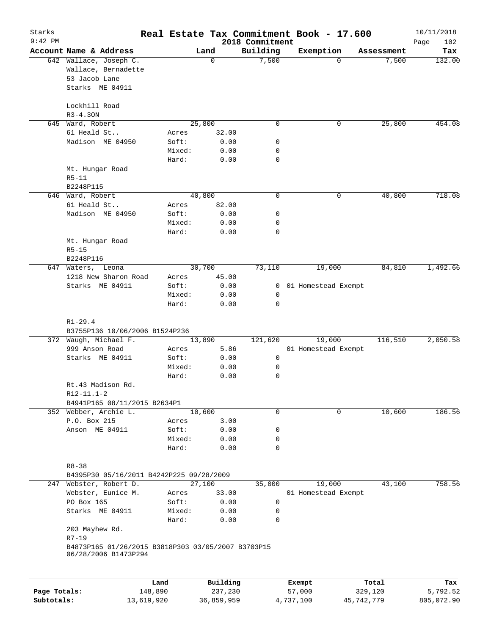| Starks       |                                                                            |            |        |                     |                   | Real Estate Tax Commitment Book - 17.600 |            |                     | 10/11/2018    |
|--------------|----------------------------------------------------------------------------|------------|--------|---------------------|-------------------|------------------------------------------|------------|---------------------|---------------|
| $9:42$ PM    |                                                                            |            |        |                     | 2018 Commitment   |                                          |            |                     | Page<br>102   |
|              | Account Name & Address<br>642 Wallace, Joseph C.                           |            |        | Land<br>$\mathbf 0$ | Building<br>7,500 | Exemption                                | $\Omega$   | Assessment<br>7,500 | Tax<br>132.00 |
|              | Wallace, Bernadette                                                        |            |        |                     |                   |                                          |            |                     |               |
|              | 53 Jacob Lane                                                              |            |        |                     |                   |                                          |            |                     |               |
|              | Starks ME 04911                                                            |            |        |                     |                   |                                          |            |                     |               |
|              |                                                                            |            |        |                     |                   |                                          |            |                     |               |
|              | Lockhill Road                                                              |            |        |                     |                   |                                          |            |                     |               |
|              | $R3 - 4.30N$                                                               |            |        |                     |                   |                                          |            |                     |               |
|              | 645 Ward, Robert                                                           |            |        | 25,800              | $\mathbf 0$       |                                          | 0          | 25,800              | 454.08        |
|              | 61 Heald St                                                                |            | Acres  | 32.00               |                   |                                          |            |                     |               |
|              | Madison ME 04950                                                           |            | Soft:  | 0.00                | 0                 |                                          |            |                     |               |
|              |                                                                            |            | Mixed: | 0.00                | 0                 |                                          |            |                     |               |
|              |                                                                            |            | Hard:  | 0.00                | 0                 |                                          |            |                     |               |
|              | Mt. Hungar Road                                                            |            |        |                     |                   |                                          |            |                     |               |
|              | $R5 - 11$                                                                  |            |        |                     |                   |                                          |            |                     |               |
|              | B2248P115                                                                  |            |        |                     |                   |                                          |            |                     |               |
|              | 646 Ward, Robert                                                           |            |        | 40,800              | 0                 |                                          | 0          | 40,800              | 718.08        |
|              | 61 Heald St                                                                |            | Acres  | 82.00               |                   |                                          |            |                     |               |
|              | Madison ME 04950                                                           |            | Soft:  | 0.00                | 0                 |                                          |            |                     |               |
|              |                                                                            |            | Mixed: | 0.00                | 0<br>0            |                                          |            |                     |               |
|              | Mt. Hungar Road                                                            |            | Hard:  | 0.00                |                   |                                          |            |                     |               |
|              | $R5 - 15$                                                                  |            |        |                     |                   |                                          |            |                     |               |
|              | B2248P116                                                                  |            |        |                     |                   |                                          |            |                     |               |
| 647          | Waters, Leona                                                              |            |        | 30,700              | 73,110            | 19,000                                   |            | 84,810              | 1,492.66      |
|              | 1218 New Sharon Road                                                       |            | Acres  | 45.00               |                   |                                          |            |                     |               |
|              | Starks ME 04911                                                            |            | Soft:  | 0.00                | 0                 | 01 Homestead Exempt                      |            |                     |               |
|              |                                                                            |            | Mixed: | 0.00                | 0                 |                                          |            |                     |               |
|              |                                                                            |            | Hard:  | 0.00                | $\Omega$          |                                          |            |                     |               |
|              |                                                                            |            |        |                     |                   |                                          |            |                     |               |
|              | $R1 - 29.4$                                                                |            |        |                     |                   |                                          |            |                     |               |
|              | B3755P136 10/06/2006 B1524P236                                             |            |        |                     |                   |                                          |            |                     |               |
|              | 372 Waugh, Michael F.                                                      |            |        | 13,890              | 121,620           | 19,000                                   |            | 116,510             | 2,050.58      |
|              | 999 Anson Road                                                             |            | Acres  | 5.86                |                   | 01 Homestead Exempt                      |            |                     |               |
|              | Starks ME 04911                                                            |            | Soft:  | 0.00                | $\mathbf 0$       |                                          |            |                     |               |
|              |                                                                            |            | Mixed: | 0.00                | 0                 |                                          |            |                     |               |
|              |                                                                            |            | Hard:  | 0.00                | 0                 |                                          |            |                     |               |
|              | Rt.43 Madison Rd.                                                          |            |        |                     |                   |                                          |            |                     |               |
|              | $R12-11.1-2$                                                               |            |        |                     |                   |                                          |            |                     |               |
|              | B4941P165 08/11/2015 B2634P1<br>352 Webber, Archie L.                      |            |        | 10,600              | $\mathbf 0$       |                                          | 0          | 10,600              | 186.56        |
|              | P.O. Box 215                                                               |            | Acres  | 3.00                |                   |                                          |            |                     |               |
|              | Anson ME 04911                                                             |            | Soft:  | 0.00                | 0                 |                                          |            |                     |               |
|              |                                                                            |            | Mixed: | 0.00                | 0                 |                                          |            |                     |               |
|              |                                                                            |            | Hard:  | 0.00                | $\mathbf 0$       |                                          |            |                     |               |
|              |                                                                            |            |        |                     |                   |                                          |            |                     |               |
|              | $R8 - 38$                                                                  |            |        |                     |                   |                                          |            |                     |               |
|              | B4395P30 05/16/2011 B4242P225 09/28/2009                                   |            |        |                     |                   |                                          |            |                     |               |
| 247          | Webster, Robert D.                                                         |            |        | 27,100              | 35,000            | 19,000                                   |            | 43,100              | 758.56        |
|              | Webster, Eunice M.                                                         |            | Acres  | 33.00               |                   | 01 Homestead Exempt                      |            |                     |               |
|              | PO Box 165                                                                 |            | Soft:  | 0.00                | 0                 |                                          |            |                     |               |
|              | Starks ME 04911                                                            |            | Mixed: | 0.00                | 0                 |                                          |            |                     |               |
|              |                                                                            |            | Hard:  | 0.00                | 0                 |                                          |            |                     |               |
|              | 203 Mayhew Rd.                                                             |            |        |                     |                   |                                          |            |                     |               |
|              | $R7 - 19$                                                                  |            |        |                     |                   |                                          |            |                     |               |
|              | B4873P165 01/26/2015 B3818P303 03/05/2007 B3703P15<br>06/28/2006 B1473P294 |            |        |                     |                   |                                          |            |                     |               |
|              |                                                                            | Land       |        | Building            |                   | Exempt                                   |            | Total               | Tax           |
| Page Totals: |                                                                            | 148,890    |        | 237,230             |                   | 57,000                                   |            | 329,120             | 5,792.52      |
| Subtotals:   |                                                                            | 13,619,920 |        | 36,859,959          |                   | 4,737,100                                | 45,742,779 |                     | 805,072.90    |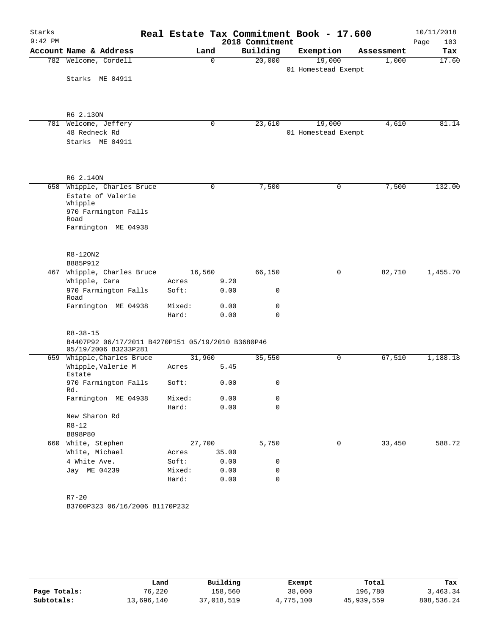| Starks<br>$9:42$ PM |                                                                           |        |          | Real Estate Tax Commitment Book - 17.600<br>2018 Commitment |                     |   |            | 10/11/2018<br>103<br>Page |
|---------------------|---------------------------------------------------------------------------|--------|----------|-------------------------------------------------------------|---------------------|---|------------|---------------------------|
|                     | Account Name & Address                                                    |        | Land     | Building                                                    | Exemption           |   | Assessment | Tax                       |
|                     | 782 Welcome, Cordell                                                      |        | $\Omega$ | 20,000                                                      | 19,000              |   | 1,000      | 17.60                     |
|                     | Starks ME 04911                                                           |        |          |                                                             | 01 Homestead Exempt |   |            |                           |
|                     |                                                                           |        |          |                                                             |                     |   |            |                           |
|                     | R6 2.130N                                                                 |        |          |                                                             |                     |   |            |                           |
|                     | 781 Welcome, Jeffery                                                      |        | 0        | 23,610                                                      | 19,000              |   | 4,610      | 81.14                     |
|                     | 48 Redneck Rd                                                             |        |          |                                                             | 01 Homestead Exempt |   |            |                           |
|                     | Starks ME 04911                                                           |        |          |                                                             |                     |   |            |                           |
|                     | R6 2.140N                                                                 |        |          |                                                             |                     |   |            |                           |
|                     | 658 Whipple, Charles Bruce                                                |        | 0        | 7,500                                                       |                     | 0 | 7,500      | 132.00                    |
|                     | Estate of Valerie                                                         |        |          |                                                             |                     |   |            |                           |
|                     | Whipple<br>970 Farmington Falls<br>Road                                   |        |          |                                                             |                     |   |            |                           |
|                     | Farmington ME 04938                                                       |        |          |                                                             |                     |   |            |                           |
|                     | R8-120N2                                                                  |        |          |                                                             |                     |   |            |                           |
|                     | B885P912                                                                  |        |          |                                                             |                     |   |            |                           |
|                     | 467 Whipple, Charles Bruce                                                | 16,560 |          | 66,150                                                      |                     | 0 | 82,710     | 1,455.70                  |
|                     | Whipple, Cara                                                             | Acres  |          | 9.20                                                        |                     |   |            |                           |
|                     | 970 Farmington Falls<br>Road                                              | Soft:  |          | $\mathsf{O}$<br>0.00                                        |                     |   |            |                           |
|                     | Farmington ME 04938                                                       | Mixed: |          | 0.00<br>0                                                   |                     |   |            |                           |
|                     |                                                                           | Hard:  |          | $\mathbf 0$<br>0.00                                         |                     |   |            |                           |
|                     | $R8 - 38 - 15$                                                            |        |          |                                                             |                     |   |            |                           |
|                     | B4407P92 06/17/2011 B4270P151 05/19/2010 B3680P46<br>05/19/2006 B3233P281 |        |          |                                                             |                     |   |            |                           |
|                     | 659 Whipple, Charles Bruce                                                | 31,960 |          | 35,550                                                      |                     | 0 | 67,510     | 1,188.18                  |
|                     | Whipple, Valerie M<br>Estate                                              | Acres  |          | 5.45                                                        |                     |   |            |                           |
|                     | 970 Farmington Falls<br>Rd.                                               | Soft:  |          | 0.00<br>0                                                   |                     |   |            |                           |
|                     | Farmington ME 04938                                                       | Mixed: |          | 0.00<br>0                                                   |                     |   |            |                           |
|                     | New Sharon Rd                                                             | Hard:  |          | 0.00<br>$\mathbf 0$                                         |                     |   |            |                           |
|                     | $R8 - 12$                                                                 |        |          |                                                             |                     |   |            |                           |
|                     | B898P80                                                                   |        |          |                                                             |                     |   |            |                           |
| 660                 | White, Stephen                                                            | 27,700 |          | 5,750                                                       |                     | 0 | 33,450     | 588.72                    |
|                     | White, Michael                                                            | Acres  |          | 35.00                                                       |                     |   |            |                           |
|                     | 4 White Ave.                                                              | Soft:  |          | 0.00<br>0                                                   |                     |   |            |                           |
|                     | Jay ME 04239                                                              | Mixed: |          | 0.00<br>0                                                   |                     |   |            |                           |
|                     |                                                                           | Hard:  |          | 0.00<br>$\mathbf 0$                                         |                     |   |            |                           |
|                     |                                                                           |        |          |                                                             |                     |   |            |                           |
|                     | $R7 - 20$                                                                 |        |          |                                                             |                     |   |            |                           |
|                     | B3700P323 06/16/2006 B1170P232                                            |        |          |                                                             |                     |   |            |                           |
|                     |                                                                           |        |          |                                                             |                     |   |            |                           |

|              | Land       | Building   | Exempt    | Total      | Tax        |
|--------------|------------|------------|-----------|------------|------------|
| Page Totals: | 76,220     | 158,560    | 38,000    | 196,780    | 3,463.34   |
| Subtotals:   | 13,696,140 | 37,018,519 | 4,775,100 | 45,939,559 | 808,536.24 |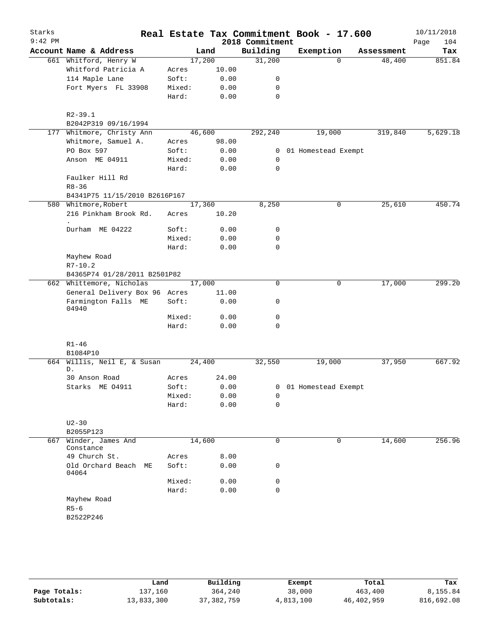| Starks    |                                                                                                               |                |                                |                 | Real Estate Tax Commitment Book - 17.600 |            | 10/11/2018  |
|-----------|---------------------------------------------------------------------------------------------------------------|----------------|--------------------------------|-----------------|------------------------------------------|------------|-------------|
| $9:42$ PM |                                                                                                               |                |                                | 2018 Commitment |                                          |            | 104<br>Page |
|           | Account Name & Address                                                                                        |                | Land                           | Building        | Exemption                                | Assessment | Tax         |
|           | 661 Whitford, Henry W                                                                                         |                | 17,200                         | 31,200          | $\Omega$                                 | 48,400     | 851.84      |
|           | Whitford Patricia A                                                                                           | Acres          | 10.00                          |                 |                                          |            |             |
|           | 114 Maple Lane                                                                                                | Soft:          | 0.00                           | 0               |                                          |            |             |
|           | Fort Myers FL 33908                                                                                           | Mixed:         | 0.00                           | 0               |                                          |            |             |
|           |                                                                                                               | Hard:          | 0.00                           | 0               |                                          |            |             |
|           | $R2 - 39.1$                                                                                                   |                |                                |                 |                                          |            |             |
|           | B2042P319 09/16/1994                                                                                          |                |                                |                 |                                          |            |             |
|           | 177 Whitmore, Christy Ann                                                                                     |                | 46,600                         | 292,240         | 19,000                                   | 319,840    | 5,629.18    |
|           | Whitmore, Samuel A.                                                                                           | Acres          | 98.00                          |                 |                                          |            |             |
|           | PO Box 597                                                                                                    | Soft:          | 0.00                           |                 | 0 01 Homestead Exempt                    |            |             |
|           | Anson ME 04911                                                                                                | Mixed:         | 0.00                           | $\mathbf 0$     |                                          |            |             |
|           |                                                                                                               | Hard:          | 0.00                           | 0               |                                          |            |             |
|           | Faulker Hill Rd<br>$R8 - 36$                                                                                  |                |                                |                 |                                          |            |             |
|           | B4341P75 11/15/2010 B2616P167                                                                                 |                |                                |                 |                                          |            |             |
|           | 580 Whitmore, Robert                                                                                          |                | 17,360                         | 8,250           | $\mathbf 0$                              | 25,610     | 450.74      |
|           | 216 Pinkham Brook Rd.<br>$\bullet$                                                                            | Acres          | 10.20                          |                 |                                          |            |             |
|           | Durham ME 04222                                                                                               | Soft:          | 0.00                           | 0               |                                          |            |             |
|           |                                                                                                               | Mixed:         | 0.00                           | 0               |                                          |            |             |
|           |                                                                                                               | Hard:          | 0.00                           | $\mathbf 0$     |                                          |            |             |
|           | Mayhew Road<br>$R7 - 10.2$                                                                                    |                |                                |                 |                                          |            |             |
|           | B4365P74 01/28/2011 B2501P82                                                                                  |                |                                |                 |                                          |            |             |
|           | 662 Whittemore, Nicholas                                                                                      |                | 17,000                         | 0               | $\mathbf 0$                              | 17,000     | 299.20      |
|           | General Delivery Box 96 Acres                                                                                 |                | 11.00                          |                 |                                          |            |             |
|           | Farmington Falls ME<br>04940                                                                                  | Soft:          | 0.00                           | 0               |                                          |            |             |
|           |                                                                                                               | Mixed:         | 0.00                           | 0               |                                          |            |             |
|           |                                                                                                               | Hard:          | 0.00                           | $\mathbf 0$     |                                          |            |             |
|           | $R1 - 46$                                                                                                     |                |                                |                 |                                          |            |             |
|           | B1084P10                                                                                                      |                |                                |                 |                                          |            |             |
| 664       | Willis, Neil E, & Susan<br>D.                                                                                 |                | 24,400                         | 32,550          | 19,000                                   | 37,950     | 667.92      |
|           | 30 Anson Road                                                                                                 | Acres          | 24.00                          |                 |                                          |            |             |
|           | Starks ME 04911                                                                                               | Soft:          | 0.00                           |                 | 0 01 Homestead Exempt                    |            |             |
|           |                                                                                                               | Mixed:         | 0.00                           | 0               |                                          |            |             |
|           |                                                                                                               | Hard:          | 0.00                           | $\Omega$        |                                          |            |             |
|           | $U2-30$                                                                                                       |                |                                |                 |                                          |            |             |
|           |                                                                                                               |                |                                |                 |                                          |            | 256.96      |
|           | Constance                                                                                                     |                |                                |                 |                                          |            |             |
|           |                                                                                                               |                |                                |                 |                                          |            |             |
|           | 04064                                                                                                         |                |                                |                 |                                          |            |             |
|           |                                                                                                               | Mixed:         |                                | 0               |                                          |            |             |
|           |                                                                                                               | Hard:          | 0.00                           | 0               |                                          |            |             |
|           |                                                                                                               |                |                                |                 |                                          |            |             |
|           |                                                                                                               |                |                                |                 |                                          |            |             |
|           |                                                                                                               |                |                                |                 |                                          |            |             |
| 667       | B2055P123<br>Winder, James And<br>49 Church St.<br>Old Orchard Beach ME<br>Mayhew Road<br>$R5-6$<br>B2522P246 | Acres<br>Soft: | 14,600<br>8.00<br>0.00<br>0.00 | 0<br>0          | 0                                        | 14,600     |             |

|              | Land       | Building     | Exempt    | Total      | Tax        |
|--------------|------------|--------------|-----------|------------|------------|
| Page Totals: | 137,160    | 364,240      | 38,000    | 463,400    | 8,155.84   |
| Subtotals:   | 13,833,300 | 37, 382, 759 | 4,813,100 | 46,402,959 | 816,692.08 |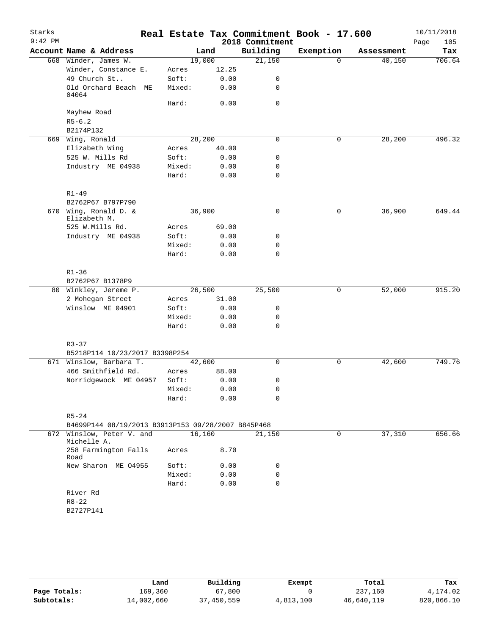| Starks<br>$9:42$ PM |                                                    |                 |              | Real Estate Tax Commitment Book - 17.600<br>2018 Commitment |              |            | 10/11/2018<br>105<br>Page |
|---------------------|----------------------------------------------------|-----------------|--------------|-------------------------------------------------------------|--------------|------------|---------------------------|
|                     | Account Name & Address                             | Land            |              | Building                                                    | Exemption    | Assessment | Tax                       |
|                     | 668 Winder, James W.                               | 19,000          |              | 21,150                                                      | $\Omega$     | 40,150     | 706.64                    |
|                     | Winder, Constance E.                               | Acres           | 12.25        |                                                             |              |            |                           |
|                     | 49 Church St                                       | Soft:           | 0.00         | 0                                                           |              |            |                           |
|                     | Old Orchard Beach ME<br>04064                      | Mixed:          | 0.00         | 0                                                           |              |            |                           |
|                     |                                                    | Hard:           | 0.00         | 0                                                           |              |            |                           |
|                     | Mayhew Road                                        |                 |              |                                                             |              |            |                           |
|                     | $R5 - 6.2$                                         |                 |              |                                                             |              |            |                           |
|                     | B2174P132                                          |                 |              |                                                             |              |            |                           |
|                     | 669 Wing, Ronald                                   | 28,200          |              | 0                                                           | 0            | 28,200     | 496.32                    |
|                     | Elizabeth Wing                                     | Acres           | 40.00        |                                                             |              |            |                           |
|                     | 525 W. Mills Rd                                    | Soft:           | 0.00         | 0                                                           |              |            |                           |
|                     | Industry ME 04938                                  | Mixed:          | 0.00         | 0                                                           |              |            |                           |
|                     |                                                    | Hard:           | 0.00         | 0                                                           |              |            |                           |
|                     | $R1 - 49$                                          |                 |              |                                                             |              |            |                           |
|                     | B2762P67 B797P790                                  |                 |              |                                                             |              |            |                           |
|                     | 670 Wing, Ronald D. &<br>Elizabeth M.              | 36,900          |              | 0                                                           | $\mathsf{O}$ | 36,900     | 649.44                    |
|                     | 525 W.Mills Rd.                                    | Acres           | 69.00        |                                                             |              |            |                           |
|                     | Industry ME 04938                                  | Soft:           | 0.00         | 0                                                           |              |            |                           |
|                     |                                                    | Mixed:          | 0.00         | 0                                                           |              |            |                           |
|                     |                                                    | Hard:           | 0.00         | 0                                                           |              |            |                           |
|                     | $R1 - 36$                                          |                 |              |                                                             |              |            |                           |
|                     | B2762P67 B1378P9                                   |                 |              |                                                             |              |            |                           |
|                     | 80 Winkley, Jereme P.                              | 26,500          |              | 25,500                                                      | 0            | 52,000     | 915.20                    |
|                     | 2 Mohegan Street                                   | Acres           | 31.00        |                                                             |              |            |                           |
|                     | Winslow ME 04901                                   | Soft:           | 0.00         | 0                                                           |              |            |                           |
|                     |                                                    | Mixed:          | 0.00         | 0                                                           |              |            |                           |
|                     |                                                    | Hard:           | 0.00         | 0                                                           |              |            |                           |
|                     | $R3 - 37$                                          |                 |              |                                                             |              |            |                           |
|                     | B5218P114 10/23/2017 B3398P254                     |                 |              |                                                             |              |            |                           |
|                     | 671 Winslow, Barbara T.                            | 42,600          |              | 0                                                           | 0            | 42,600     | 749.76                    |
|                     | 466 Smithfield Rd.<br>Norridgewock ME 04957        | Acres           | 88.00        |                                                             |              |            |                           |
|                     |                                                    | Soft:<br>Mixed: | 0.00<br>0.00 | 0<br>0                                                      |              |            |                           |
|                     |                                                    | Hard:           | 0.00         | 0                                                           |              |            |                           |
|                     |                                                    |                 |              |                                                             |              |            |                           |
|                     | $R5 - 24$                                          |                 |              |                                                             |              |            |                           |
|                     | B4699P144 08/19/2013 B3913P153 09/28/2007 B845P468 |                 |              |                                                             |              |            |                           |
|                     | 672 Winslow, Peter V. and<br>Michelle A.           | 16, 160         |              | 21,150                                                      | 0            | 37,310     | 656.66                    |
|                     | 258 Farmington Falls<br>Road                       | Acres           | 8.70         |                                                             |              |            |                           |
|                     | New Sharon ME 04955                                | Soft:           | 0.00         | 0                                                           |              |            |                           |
|                     |                                                    | Mixed:          | 0.00         | 0                                                           |              |            |                           |
|                     |                                                    | Hard:           | 0.00         | 0                                                           |              |            |                           |
|                     | River Rd                                           |                 |              |                                                             |              |            |                           |
|                     | $R8 - 22$                                          |                 |              |                                                             |              |            |                           |
|                     | B2727P141                                          |                 |              |                                                             |              |            |                           |
|                     |                                                    |                 |              |                                                             |              |            |                           |

|              | Land       | Building   | Exempt    | Total      | Tax        |
|--------------|------------|------------|-----------|------------|------------|
| Page Totals: | 169,360    | 67,800     |           | 237,160    | 4,174.02   |
| Subtotals:   | 14,002,660 | 37,450,559 | 4,813,100 | 46,640,119 | 820,866.10 |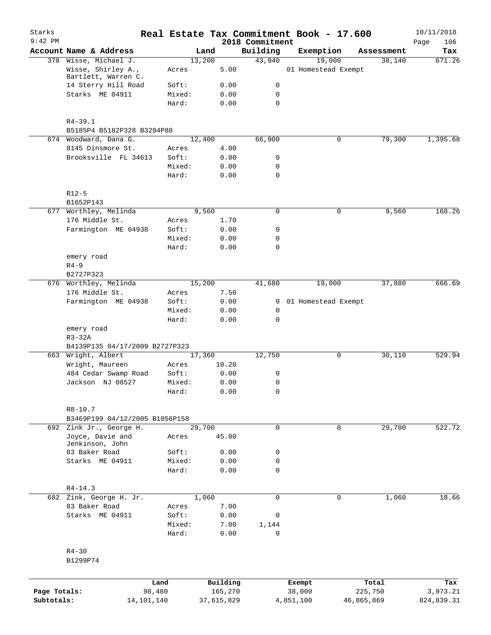| Starks<br>$9:42$ PM |                                           |                 |              | 2018 Commitment            | Real Estate Tax Commitment Book - 17.600 |            | 10/11/2018<br>Page<br>106 |
|---------------------|-------------------------------------------|-----------------|--------------|----------------------------|------------------------------------------|------------|---------------------------|
|                     | Account Name & Address                    | Land            |              | Building                   | Exemption                                | Assessment | Tax                       |
|                     | 378 Wisse, Michael J.                     | 13,200          |              | 43,940                     | 19,000                                   | 38,140     | 671.26                    |
|                     | Wisse, Shirley A.,<br>Bartlett, Warren C. | Acres           | 5.00         |                            | 01 Homestead Exempt                      |            |                           |
|                     | 14 Sterry Hill Road                       | Soft:           | 0.00         | 0                          |                                          |            |                           |
|                     | Starks ME 04911                           | Mixed:          | 0.00         | $\mathbf 0$                |                                          |            |                           |
|                     |                                           | Hard:           | 0.00         | $\mathbf 0$                |                                          |            |                           |
|                     | $R4 - 39.1$                               |                 |              |                            |                                          |            |                           |
|                     | B5185P4 B5182P328 B3294P88                |                 |              |                            |                                          |            |                           |
|                     | 674 Woodward, Dana G.                     | 12,400          |              | 66,900                     | 0                                        | 79,300     | 1,395.68                  |
|                     | 8145 Dinsmore St.                         | Acres           | 4.00         |                            |                                          |            |                           |
|                     | Brooksville FL 34613                      | Soft:           | 0.00<br>0.00 | 0                          |                                          |            |                           |
|                     |                                           | Mixed:<br>Hard: | 0.00         | 0<br>0                     |                                          |            |                           |
|                     | $R12-5$                                   |                 |              |                            |                                          |            |                           |
|                     | B1652P143                                 |                 |              |                            |                                          |            |                           |
| 677                 | Worthley, Melinda                         | 9,560           |              | $\mathsf{O}$               | 0                                        | 9,560      | 168.26                    |
|                     | 176 Middle St.                            | Acres           | 1.70         |                            |                                          |            |                           |
|                     | Farmington ME 04938                       | Soft:           | 0.00         | 0                          |                                          |            |                           |
|                     |                                           | Mixed:          | 0.00         | $\mathbf 0$                |                                          |            |                           |
|                     |                                           | Hard:           | 0.00         | $\mathbf 0$                |                                          |            |                           |
|                     | emery road                                |                 |              |                            |                                          |            |                           |
|                     | $R4-9$                                    |                 |              |                            |                                          |            |                           |
|                     | B2727P323                                 |                 |              |                            |                                          |            |                           |
|                     | 676 Worthley, Melinda                     | 15,200          |              | 41,680                     | 19,000                                   | 37,880     | 666.69                    |
|                     | 176 Middle St.                            | Acres           | 7.50         |                            |                                          |            |                           |
|                     | Farmington ME 04938                       | Soft:           | 0.00         | $\overline{0}$             | 01 Homestead Exempt                      |            |                           |
|                     |                                           | Mixed:          | 0.00         | 0                          |                                          |            |                           |
|                     |                                           | Hard:           | 0.00         | $\mathbf 0$                |                                          |            |                           |
|                     | emery road<br>$R3-32A$                    |                 |              |                            |                                          |            |                           |
|                     | B4139P135 04/17/2009 B2727P323            |                 |              |                            |                                          |            |                           |
|                     | 663 Wright, Albert                        | 17,360          |              | 12,750                     | 0                                        | 30,110     | 529.94                    |
|                     | Wright, Maureen                           | Acres           | 10.20        |                            |                                          |            |                           |
|                     | 484 Cedar Swamp Road                      | Soft:           | 0.00         | 0                          |                                          |            |                           |
|                     | Jackson NJ 08527                          | Mixed:          | 0.00         | $\mathbf 0$                |                                          |            |                           |
|                     |                                           | Hard:           | 0.00         | 0                          |                                          |            |                           |
|                     | $R8 - 10.7$                               |                 |              |                            |                                          |            |                           |
|                     | B3469P199 04/12/2005 B1056P158            |                 |              |                            |                                          |            |                           |
| 692                 | Zink Jr., George H.                       | 29,700          |              | $\mathbf 0$                | $\mathbf 0$                              | 29,700     | 522.72                    |
|                     | Joyce, Davie and                          | Acres           | 45.00        |                            |                                          |            |                           |
|                     | Jenkinson, John                           |                 |              |                            |                                          |            |                           |
|                     | 83 Baker Road                             | Soft:           | 0.00         | $\mathsf{O}$               |                                          |            |                           |
|                     | Starks ME 04911                           | Mixed:<br>Hard: | 0.00<br>0.00 | $\mathbf 0$<br>$\mathbf 0$ |                                          |            |                           |
|                     | $R4 - 14.3$                               |                 |              |                            |                                          |            |                           |
| 682                 | Zink, George H. Jr.                       | 1,060           |              | $\mathsf{O}$               | 0                                        | 1,060      | 18.66                     |
|                     | 83 Baker Road                             | Acres           | 7.00         |                            |                                          |            |                           |
|                     | Starks ME 04911                           | Soft:           | 0.00         | $\mathsf{O}$               |                                          |            |                           |
|                     |                                           | Mixed:          | 7.00         | 1,144                      |                                          |            |                           |
|                     |                                           | Hard:           | 0.00         | $\mathbf 0$                |                                          |            |                           |
|                     | $R4 - 30$<br>B1299P74                     |                 |              |                            |                                          |            |                           |
|                     |                                           |                 |              |                            |                                          |            |                           |
|                     | Land                                      |                 | Building     |                            | Exempt                                   | Total      | Tax                       |
| Page Totals:        | 98,480                                    |                 | 165,270      |                            | 38,000                                   | 225,750    | 3,973.21                  |
| Subtotals:          | 14,101,140                                |                 | 37,615,829   |                            | 4,851,100                                | 46,865,869 | 824,839.31                |